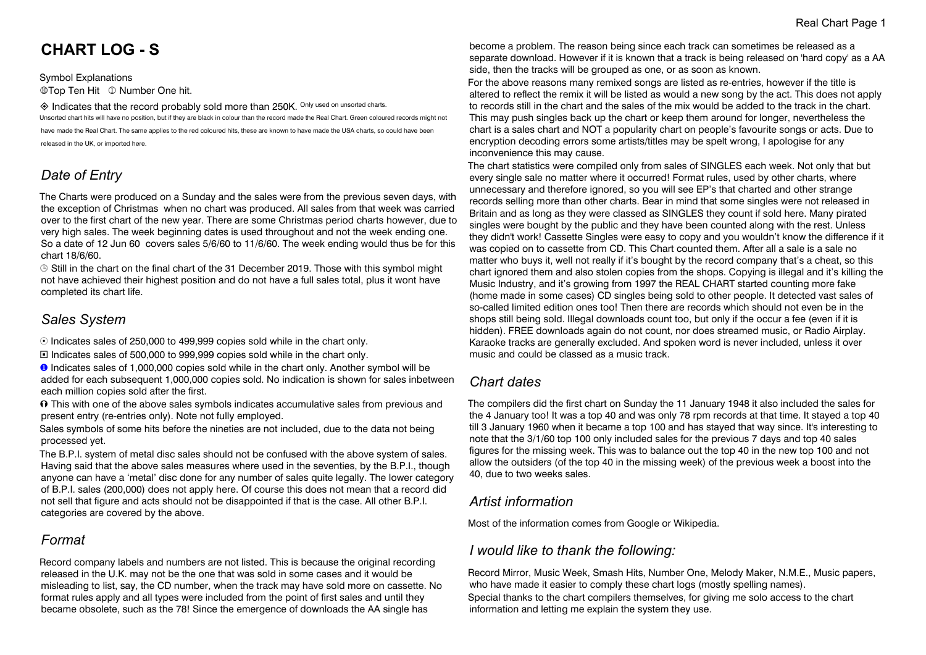# **CHART LOG - S**

Symbol Explanations **@Top Ten Hit © Number One hit.** 

 $\diamondsuit$  Indicates that the record probably sold more than 250K. Only used on unsorted charts. Unsorted chart hits will have no position, but if they are black in colour than the record made the Real Chart. Green coloured records might not have made the Real Chart. The same applies to the red coloured hits, these are known to have made the USA charts, so could have been released in the UK, or imported here.

# *Date of Entry*

The Charts were produced on a Sunday and the sales were from the previous seven days, with the exception of Christmas when no chart was produced. All sales from that week was carried over to the first chart of the new year. There are some Christmas period charts however, due to very high sales. The week beginning dates is used throughout and not the week ending one. So a date of 12 Jun 60 covers sales 5/6/60 to 11/6/60. The week ending would thus be for this chart 18/6/60.

 $\odot$  Still in the chart on the final chart of the 31 December 2019. Those with this symbol might not have achieved their highest position and do not have a full sales total, plus it wont have completed its chart life.

# *Sales System*

 $\odot$  Indicates sales of 250,000 to 499,999 copies sold while in the chart only.

® Indicates sales of 500,000 to 999,999 copies sold while in the chart only.

**O** Indicates sales of 1,000,000 copies sold while in the chart only. Another symbol will be added for each subsequent 1,000,000 copies sold. No indication is shown for sales inbetween each million copies sold after the first.

 $\Omega$  This with one of the above sales symbols indicates accumulative sales from previous and present entry (re-entries only). Note not fully employed.

Sales symbols of some hits before the nineties are not included, due to the data not being processed yet.

The B.P.I. system of metal disc sales should not be confused with the above system of sales. Having said that the above sales measures where used in the seventies, by the B.P.I., though anyone can have a 'metal' disc done for any number of sales quite legally. The lower category of B.P.I. sales (200,000) does not apply here. Of course this does not mean that a record did not sell that figure and acts should not be disappointed if that is the case. All other B.P.I. categories are covered by the above.

# *Format*

Record company labels and numbers are not listed. This is because the original recording released in the U.K. may not be the one that was sold in some cases and it would be misleading to list, say, the CD number, when the track may have sold more on cassette. No format rules apply and all types were included from the point of first sales and until they became obsolete, such as the 78! Since the emergence of downloads the AA single has

become a problem. The reason being since each track can sometimes be released as a separate download. However if it is known that a track is being released on 'hard copy' as a AA side, then the tracks will be grouped as one, or as soon as known.

For the above reasons many remixed songs are listed as re-entries, however if the title is altered to reflect the remix it will be listed as would a new song by the act. This does not apply to records still in the chart and the sales of the mix would be added to the track in the chart. This may push singles back up the chart or keep them around for longer, nevertheless the chart is a sales chart and NOT a popularity chart on people's favourite songs or acts. Due to encryption decoding errors some artists/titles may be spelt wrong, I apologise for any inconvenience this may cause.

The chart statistics were compiled only from sales of SINGLES each week. Not only that but every single sale no matter where it occurred! Format rules, used by other charts, where unnecessary and therefore ignored, so you will see EP's that charted and other strange records selling more than other charts. Bear in mind that some singles were not released in Britain and as long as they were classed as SINGLES they count if sold here. Many pirated singles were bought by the public and they have been counted along with the rest. Unless they didn't work! Cassette Singles were easy to copy and you wouldn't know the difference if it was copied on to cassette from CD. This Chart counted them. After all a sale is a sale no matter who buys it, well not really if it's bought by the record company that's a cheat, so this chart ignored them and also stolen copies from the shops. Copying is illegal and it's killing the Music Industry, and it's growing from 1997 the REAL CHART started counting more fake (home made in some cases) CD singles being sold to other people. It detected vast sales of so-called limited edition ones too! Then there are records which should not even be in the shops still being sold. Illegal downloads count too, but only if the occur a fee (even if it is hidden). FREE downloads again do not count, nor does streamed music, or Radio Airplay. Karaoke tracks are generally excluded. And spoken word is never included, unless it over music and could be classed as a music track.

# *Chart dates*

The compilers did the first chart on Sunday the 11 January 1948 it also included the sales for the 4 January too! It was a top 40 and was only 78 rpm records at that time. It stayed a top 40 till 3 January 1960 when it became a top 100 and has stayed that way since. It's interesting to note that the 3/1/60 top 100 only included sales for the previous 7 days and top 40 sales figures for the missing week. This was to balance out the top 40 in the new top 100 and not allow the outsiders (of the top 40 in the missing week) of the previous week a boost into the 40, due to two weeks sales.

# *Artist information*

Most of the information comes from Google or Wikipedia.

# *I would like to thank the following:*

Record Mirror, Music Week, Smash Hits, Number One, Melody Maker, N.M.E., Music papers, who have made it easier to comply these chart logs (mostly spelling names). Special thanks to the chart compilers themselves, for giving me solo access to the chart information and letting me explain the system they use.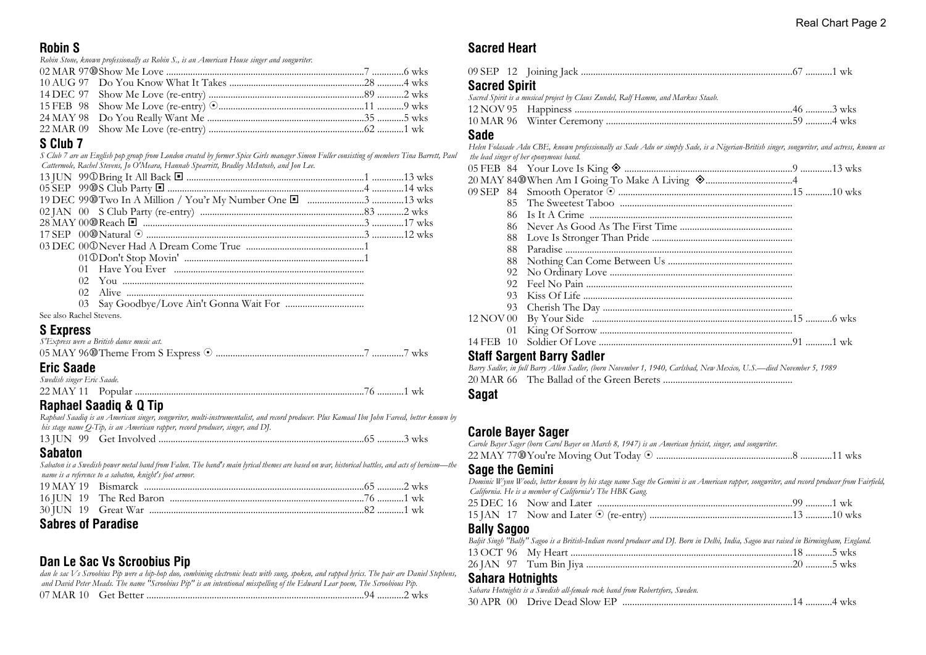#### **Robin S**

*Robin Stone, known professionally as Robin S., is an American House singer and songwriter.*

# **S Club 7**

*S Club 7 are an English pop group from London created by former Spice Girls manager Simon Fuller consisting of members Tina Barrett, Paul Cattermole, Rachel Stevens, Jo O'Meara, Hannah Spearritt, Bradley McIntosh, and Jon Lee.*

| See also Rachel Stevens. |  |
|--------------------------|--|

#### **S Express**

| S'Express were a British dance music act. |  |
|-------------------------------------------|--|
|                                           |  |
| <b>Eric Saade</b>                         |  |
| Swedish singer Eric Saade.                |  |
|                                           |  |

# **Raphael Saadiq & Q Tip**

*Raphael Saadiq is an American singer, songwriter, multi-instrumentalist, and record producer. Plus Kamaal Ibn John Fareed, better known by his stage name Q-Tip, is an American rapper, record producer, singer, and DJ.*

|--|--|--|--|--|--|

#### **Sabaton**

*Sabaton is a Swedish power metal band from Falun. The band's main lyrical themes are based on war, historical battles, and acts of heroism—the name is a reference to a sabaton, knight's foot armor.*

# **Sabres of Paradise**

# **Dan Le Sac Vs Scroobius Pip**

*dan le sac Vs Scroobius Pip were a hip-hop duo, combining electronic beats with sung, spoken, and rapped lyrics. The pair are Daniel Stephens, and David Peter Meads. The name "Scroobius Pip" is an intentional misspelling of the Edward Lear poem, The Scroobious Pip.* 07 MAR 10 Get Better ..........................................................................................94 ...........2 wks

# **Sacred Heart**

| <b>Sacred Spirit</b> |                                                                                                                                          |  |
|----------------------|------------------------------------------------------------------------------------------------------------------------------------------|--|
|                      | Sacred Spirit is a musical project by Claus Zundel, Ralf Hamm, and Markus Staab.                                                         |  |
|                      |                                                                                                                                          |  |
|                      |                                                                                                                                          |  |
| Sade                 |                                                                                                                                          |  |
|                      | Helen Folasade Adu CBE, known professionally as Sade Adu or simply Sade, is a Nigerian-British singer, songwriter, and actress, known as |  |
|                      | the lead singer of her eponymous band.                                                                                                   |  |
|                      |                                                                                                                                          |  |
|                      |                                                                                                                                          |  |
|                      |                                                                                                                                          |  |
|                      |                                                                                                                                          |  |
|                      |                                                                                                                                          |  |

#### **Staff Sargent Barry Sadler**

*Barry Sadler, in full Barry Allen Sadler, (born November 1, 1940, Carlsbad, New Mexico, U.S.—died November 5, 1989* 20 MAR 66 The Ballad of the Green Berets .....................................................

#### **Sagat**

# **Carole Bayer Sager**

| Sano the Comini                                                                                         |  |
|---------------------------------------------------------------------------------------------------------|--|
|                                                                                                         |  |
| Carole Bayer Sager (born Carol Bayer on March 8, 1947) is an American lyricist, singer, and songwriter. |  |

#### **Sage the Gemini**

*Dominic Wynn Woods, better known by his stage name Sage the Gemini is an American rapper, songwriter, and record producer from Fairfield, California. He is a member of California's The HBK Gang.* 25 DEC 16 Now and Later .................................................................................99 ...........1 wk 15 JAN 17 Now and Later 8 (re-entry) ...........................................................13 ...........10 wks **Bally Sagoo**

| Baljit Singh "Bally" Sagoo is a British-Indian record producer and DJ. Born in Delhi, India, Sagoo was raised in Birmingham, England. |  |
|---------------------------------------------------------------------------------------------------------------------------------------|--|
|                                                                                                                                       |  |
|                                                                                                                                       |  |

# **Sahara Hotnights**

| Sanara Hounqins                                                              |  |
|------------------------------------------------------------------------------|--|
| Sahara Hotnights is a Swedish all-female rock band from Robertsfors, Sweden. |  |
|                                                                              |  |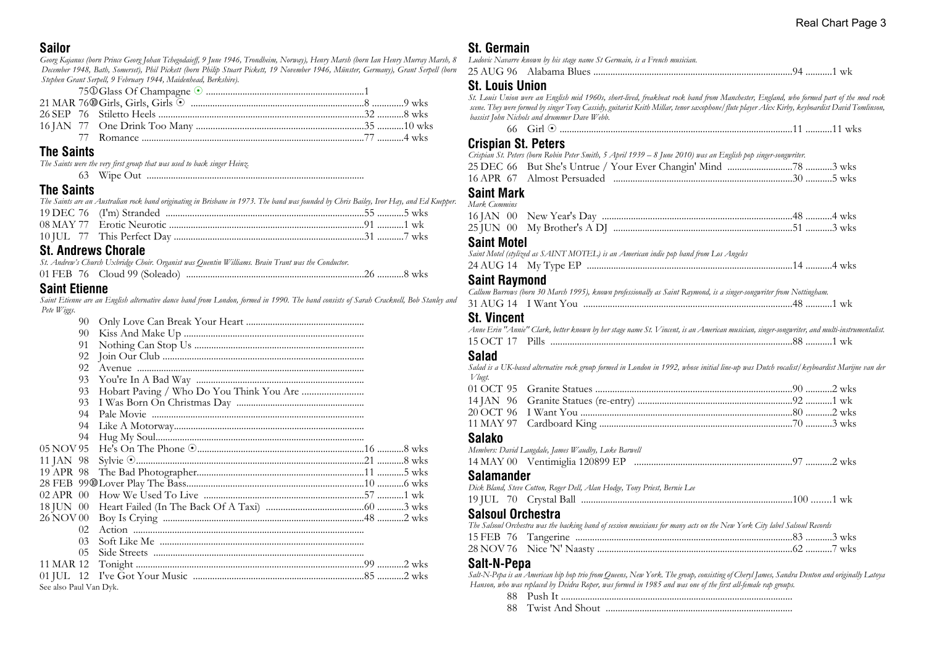#### **Sailor**

*Georg Kajanus (born Prince Georg Johan Tchegodaieff, 9 June 1946, Trondheim, Norway), Henry Marsh (born Ian Henry Murray Marsh, 8 December 1948, Bath, Somerset), Phil Pickett (born Philip Stuart Pickett, 19 November 1946, Münster, Germany), Grant Serpell (born Stephen Grant Serpell, 9 February 1944, Maidenhead, Berkshire).*

# **The Saints**

*The Saints were the very first group that was used to back singer Heinz.* 63 Wipe Out ..........................................................................................

#### **The Saints**

| The Saints are an Australian rock band originating in Brisbane in 1973. The band was founded by Chris Bailey, Ivor Hay, and Ed Kuepper. |  |
|-----------------------------------------------------------------------------------------------------------------------------------------|--|
|                                                                                                                                         |  |
|                                                                                                                                         |  |
|                                                                                                                                         |  |

# **St. Andrews Chorale**

|  | St. Andrew's Church Uxbridge Choir. Organist was Quentin Williams. Brain Trant was the Conductor. |  |
|--|---------------------------------------------------------------------------------------------------|--|
|  |                                                                                                   |  |

#### **Saint Etienne**

*Saint Etienne are an English alternative dance band from London, formed in 1990. The band consists of Sarah Cracknell, Bob Stanley and Pete Wiggs.*

|                        | 90             |              |  |
|------------------------|----------------|--------------|--|
|                        | 90             |              |  |
|                        | 91             |              |  |
|                        | 92             |              |  |
|                        | 92             |              |  |
|                        | 93             |              |  |
|                        | 93             |              |  |
|                        | 93             |              |  |
|                        | 94             |              |  |
|                        | 94             |              |  |
|                        | 94             |              |  |
| 05 NOV 95              |                |              |  |
| 11 JAN 98              |                |              |  |
|                        |                |              |  |
|                        |                |              |  |
|                        |                |              |  |
|                        |                |              |  |
| 26 NOV 00              |                |              |  |
|                        | 02             |              |  |
|                        | 0 <sub>3</sub> | Soft Like Me |  |
|                        | 05             |              |  |
| 11 MAR 12              |                |              |  |
|                        |                |              |  |
| See also Paul Van Dyk. |                |              |  |

# **St. Germain**

| Ludovic Navarre known by his stage name St Germain, is a French musician. |  |
|---------------------------------------------------------------------------|--|
|                                                                           |  |

# **St. Louis Union**

*St. Louis Union were an English mid 1960s, short-lived, freakbeat rock band from Manchester, England, who formed part of the mod rock scene. They were formed by singer Tony Cassidy, guitarist Keith Millar, tenor saxophone/flute player Alex Kirby, keyboardist David Tomlinson, bassist John Nichols and drummer Dave Webb.*

66 Girl 8 ................................................................................................11 ...........11 wks

# **Crispian St. Peters**

|  | Crispian St. Peters (born Robin Peter Smith, 5 April 1939 – 8 June 2010) was an English pop singer-songwriter. |  |  |
|--|----------------------------------------------------------------------------------------------------------------|--|--|
|  | 25 DEC 66 But She's Untrue / Your Ever Changin' Mind 3 wks                                                     |  |  |
|  |                                                                                                                |  |  |

#### **Saint Mark** *Mark Cummins*

| ------------------------ |  |
|--------------------------|--|
|                          |  |
|                          |  |

#### **Saint Motel**

| 24 AUG 14 | My Type | . T |
|-----------|---------|-----|
| - - - -   |         |     |

#### **Saint Raymond**

|  | Callum Burrows (born 30 March 1995), known professionally as Saint Raymond, is a singer-songwriter from Nottingham. |  |
|--|---------------------------------------------------------------------------------------------------------------------|--|
|  |                                                                                                                     |  |

#### **St. Vincent**

| Anne Erin "Annie" Clark, better known by her stage name St. Vincent, is an American musician, singer-songwriter, and multi-instrumentalist. |  |
|---------------------------------------------------------------------------------------------------------------------------------------------|--|
|                                                                                                                                             |  |
|                                                                                                                                             |  |

#### **Salad**

*Salad is a UK-based alternative rock group formed in London in 1992, whose initial line-up was Dutch vocalist/keyboardist Marijne van der Vlugt.* 01 OCT 95 Granite Statues .................................................................................90 ...........2 wks 14 JAN 96 Granite Statues (re-entry) ................................................................92 ...........1 wk 20 OCT 96 I Want You ........................................................................................80 ...........2 wks 11 MAY 97 Cardboard King ................................................................................70 ...........3 wks

#### **Salako**

| vulunv                                              |  |
|-----------------------------------------------------|--|
| Members: David Langdale, James Waudby, Luke Barwell |  |
|                                                     |  |
| <b>Salamander</b>                                   |  |
|                                                     |  |

|  | Dick Bland, Steve Cotton, Roger Dell, Alan Hodge, Tony Priest, Bernie Lee |  |
|--|---------------------------------------------------------------------------|--|
|  |                                                                           |  |

# **Salsoul Orchestra**

| The Salsoul Orchestra was the backing band of session musicians for many acts on the New York City label Salsoul Records |  |
|--------------------------------------------------------------------------------------------------------------------------|--|
|                                                                                                                          |  |
|                                                                                                                          |  |

# **Salt-N-Pepa**

*Salt-N-Pepa is an American hip hop trio from Queens, New York. The group, consisting of Cheryl James, Sandra Denton and originally Latoya Hanson, who was replaced by Deidra Roper, was formed in 1985 and was one of the first all-female rap groups.* 88 Push It ................................................................................................

88 Twist And Shout .............................................................................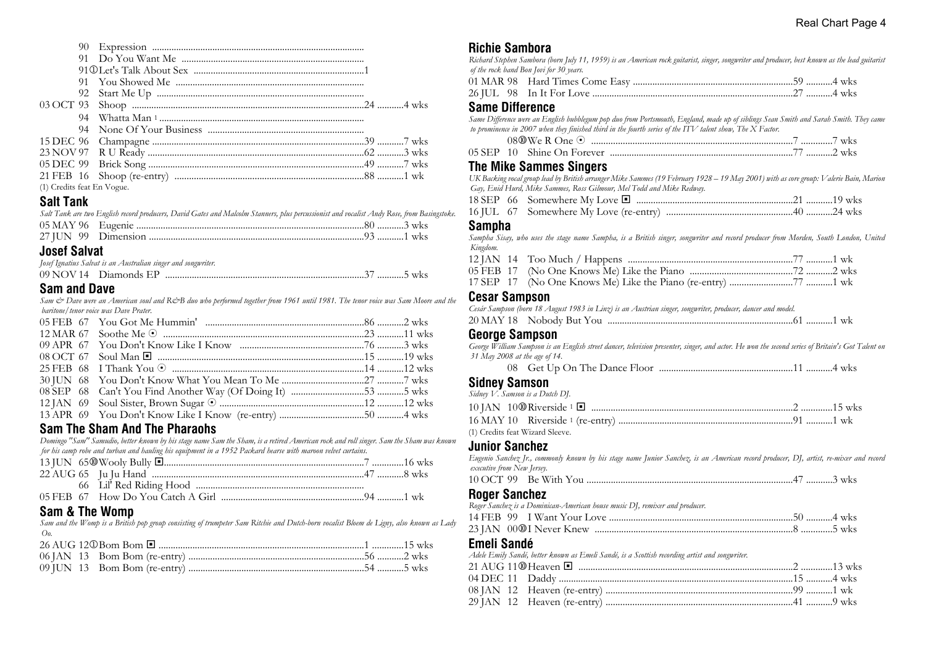| (1) Credits feat En Vogue. |  |  |  |
|----------------------------|--|--|--|

# **Salt Tank**

|                     | Salt Tank are two English record producers, David Gates and Malcolm Stanners, plus percussionist and vocalist Andy Rose, from Basingstoke. |  |
|---------------------|--------------------------------------------------------------------------------------------------------------------------------------------|--|
|                     |                                                                                                                                            |  |
|                     |                                                                                                                                            |  |
| <b>Josef Salvat</b> | Local Langtine Calvat is an Anetralian singer and somewriter                                                                               |  |

| you <i>Lowerno san in a monarchi</i> senger and songwriter. |  |
|-------------------------------------------------------------|--|
| 09 NOV 14 Diamonds EP                                       |  |

# **Sam and Dave**

*Sam & Dave were an American soul and R&B duo who performed together from 1961 until 1981. The tenor voice was Sam Moore and the baritone/tenor voice was Dave Prater.*

# **Sam The Sham And The Pharaohs**

*Domingo "Sam" Samudio, better known by his stage name Sam the Sham, is a retired American rock and roll singer. Sam the Sham was known for his camp robe and turban and hauling his equipment in a 1952 Packard hearse with maroon velvet curtains.*

| $\sim$ $\sim$ $\sim$ $\sim$ $\sim$ $\sim$ |  |  |
|-------------------------------------------|--|--|
|                                           |  |  |
|                                           |  |  |
|                                           |  |  |
|                                           |  |  |

#### **Sam & The Womp**

*Sam and the Womp is a British pop group consisting of trumpeter Sam Ritchie and Dutch-born vocalist Bloem de Ligny, also known as Lady Oo.*

# **Richie Sambora**

| INGING QAHIDULA                                                                                                                               |
|-----------------------------------------------------------------------------------------------------------------------------------------------|
| Richard Stephen Sambora (born July 11, 1959) is an American rock guitarist, singer, songwriter and producer, best known as the lead guitarist |
| of the rock band Bon Jovi for 30 years.                                                                                                       |
|                                                                                                                                               |
|                                                                                                                                               |
| <b>Same Difference</b>                                                                                                                        |
| Same Difference were an English bubblegum pop duo from Portsmouth, England, made up of siblings Sean Smith and Sarah Smith. They came         |
| to prominence in 2007 when they finished third in the fourth series of the ITV talent show, The X Factor.                                     |
|                                                                                                                                               |
|                                                                                                                                               |
| The Mike Sammes Singers                                                                                                                       |
| UK Backing vocal group lead by British arranger Mike Sammes (19 February 1928 – 19 May 2001) with as core group: Valerie Bain, Marion         |

*UK Backing vocal group lead by British arranger Mike Sammes (19 February 1928 – 19 May 2001) with as core group: Valerie Bain, Marion Gay, Enid Hurd, Mike Sammes, Ross Gilmour, Mel Todd and Mike Redway.*

18 SEP 66 Somewhere My Love ® .................................................................21 ...........19 wks 16 JUL 67 Somewhere My Love (re-entry) ....................................................40 ...........24 wks

#### **Sampha**

*Sampha Sisay, who uses the stage name Sampha, is a British singer, songwriter and record producer from Morden, South London, United Kingdom.*

#### **Cesar Sampson**

| Cesár Sampson (born 18 August 1983 in Linz) is an Austrian singer, songwriter, producer, dancer and model. |  |  |
|------------------------------------------------------------------------------------------------------------|--|--|
|                                                                                                            |  |  |

#### **George Sampson**

*George William Sampson is an English street dancer, television presenter, singer, and actor. He won the second series of Britain's Got Talent on 31 May 2008 at the age of 14.*

08 Get Up On The Dance Floor .......................................................11 ...........4 wks

#### **Sidney Samson**

*Sidney V. Samson is a Dutch DJ.*

| (1) Credits feat Wizard Sleeve. |  |
|---------------------------------|--|

#### **Junior Sanchez**

*Eugenio Sanchez Jr., commonly known by his stage name Junior Sanchez, is an American record producer, DJ, artist, re-mixer and record executive from New Jersey.*

|--|--|--|

#### **Roger Sanchez**

*Roger Sanchez is a Dominican-American house music DJ, remixer and producer.*

#### **Emeli Sandé**

*Adele Emily Sandé, better known as Emeli Sandé, is a Scottish recording artist and songwriter.*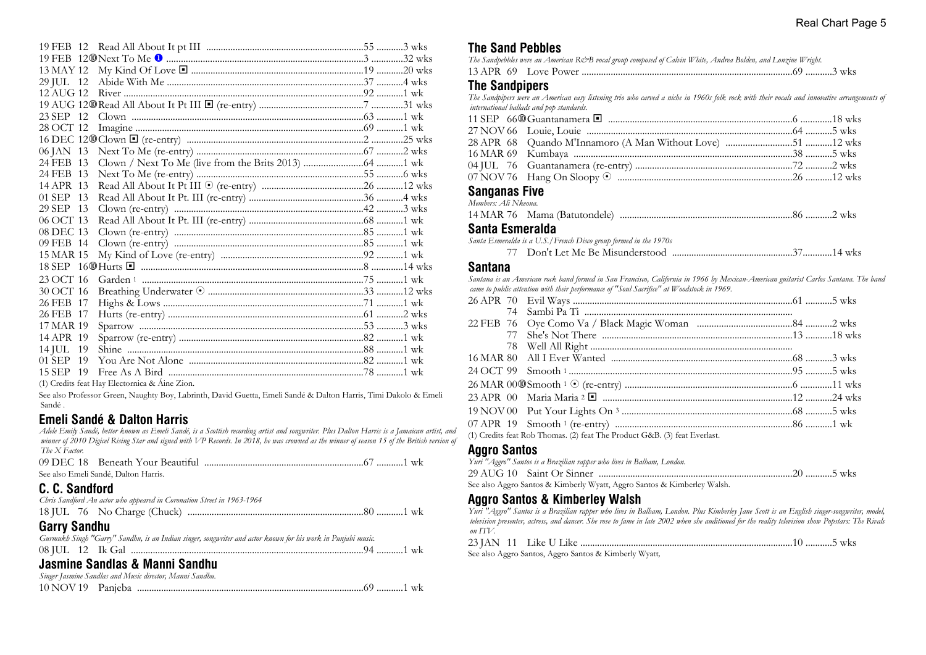| 29 JUL 12 |    |  |  |
|-----------|----|--|--|
| 12 AUG 12 |    |  |  |
|           |    |  |  |
| 23 SEP 12 |    |  |  |
| 28 OCT 12 |    |  |  |
|           |    |  |  |
| 06 JAN 13 |    |  |  |
| 24 FEB 13 |    |  |  |
| 24 FEB 13 |    |  |  |
| 14 APR 13 |    |  |  |
| 01 SEP 13 |    |  |  |
| 29 SEP 13 |    |  |  |
| 06 OCT 13 |    |  |  |
| 08 DEC 13 |    |  |  |
| 09 FEB 14 |    |  |  |
| 15 MAR 15 |    |  |  |
|           |    |  |  |
| 23 OCT 16 |    |  |  |
| 30 OCT 16 |    |  |  |
| 26 FEB 17 |    |  |  |
| 26 FEB 17 |    |  |  |
| 17 MAR 19 |    |  |  |
| 14 APR 19 |    |  |  |
| 14 JUL 19 |    |  |  |
| $01$ SEP  | 19 |  |  |
| 15 SEP -  | 19 |  |  |
|           |    |  |  |

(1) Credits feat Hay Electornica & Áine Zion.

See also Professor Green, Naughty Boy, Labrinth, David Guetta, Emeli Sandé & Dalton Harris, Timi Dakolo & Emeli Sandé .

# **Emeli Sandé & Dalton Harris**

*Adele Emily Sandé, better known as Emeli Sandé, is a Scottish recording artist and songwriter. Plus Dalton Harris is a Jamaican artist, and winner of 2010 Digicel Rising Star and signed with VP Records. In 2018, he was crowned as the winner of season 15 of the British version of The X Factor.* 09 DEC 18 Beneath Your Beautiful ..................................................................67 ...........1 wk

| <u>02 DEC 10 - Deficatif Four Deauthurmand manufacture communication</u> of manufacture wh                   |  |
|--------------------------------------------------------------------------------------------------------------|--|
| See also Emeli Sandé, Dalton Harris.                                                                         |  |
| C. C. Sandford                                                                                               |  |
| Chris Sandford An actor who appeared in Coronation Street in 1963-1964                                       |  |
|                                                                                                              |  |
| <b>Garry Sandhu</b>                                                                                          |  |
| Gurmukh Singh "Garry" Sandhu, is an Indian singer, songwriter and actor known for his work in Punjabi music. |  |
|                                                                                                              |  |
| Jasmine Sandlas & Manni Sandhu                                                                               |  |
| Singer Jasmine Sandlas and Music director. Manni Sandhu.                                                     |  |

|                   | Singer Jasmine Sandlas and Music director, Manni Sandhu. |  |
|-------------------|----------------------------------------------------------|--|
| 10 NOV 19 Panieba |                                                          |  |

#### **The Sand Pebbles**

| The Sandpebbles were an American R&B vocal group composed of Calvin White, Andrea Bolden, and Lonzine Wright. |  |
|---------------------------------------------------------------------------------------------------------------|--|
|                                                                                                               |  |

#### **The Sandpipers**

*The Sandpipers were an American easy listening trio who carved a niche in 1960s folk rock with their vocals and innovative arrangements of international ballads and pop standards.*

#### **Sanganas Five**

| Members: Ali Nkeoua. |  |
|----------------------|--|
|                      |  |
|                      |  |

#### **Santa Esmeralda**

| Santa Esmeralda is a U.S./French Disco group formed in the 1970s |  |  |  |
|------------------------------------------------------------------|--|--|--|
|------------------------------------------------------------------|--|--|--|

77 Don't Let Me Be Misunderstood ..................................................37............14 wks

#### **Santana**

*Santana is an American rock band formed in San Francisco, California in 1966 by Mexican-American guitarist Carlos Santana. The band came to public attention with their performance of "Soul Sacrifice" at Woodstock in 1969.*

| (1) Credits feat Rob Thomas. (2) feat The Product G&B. (3) feat Everlast. |  |
|---------------------------------------------------------------------------|--|

#### **Aggro Santos**

| Yuri "Aggro" Santos is a Brazilian rapper who lives in Balham, London.  |  |
|-------------------------------------------------------------------------|--|
|                                                                         |  |
| See also Aggro Santos & Kimberly Wyatt, Aggro Santos & Kimberley Walsh. |  |

#### **Aggro Santos & Kimberley Walsh**

*Yuri "Aggro" Santos is a Brazilian rapper who lives in Balham, London. Plus Kimberley Jane Scott is an English singer-songwriter, model, television presenter, actress, and dancer. She rose to fame in late 2002 when she auditioned for the reality television show Popstars: The Rivals on ITV.*

|  | .1ke |  | WK. |
|--|------|--|-----|
|--|------|--|-----|

See also Aggro Santos, Aggro Santos & Kimberly Wyatt*,*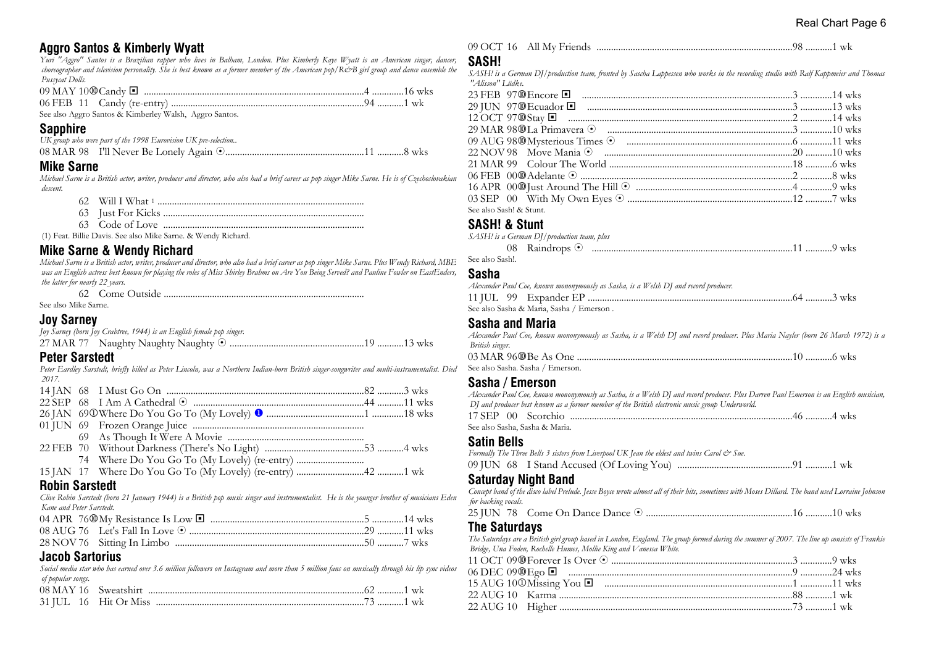# **Aggro Santos & Kimberly Wyatt**

*Yuri "Aggro" Santos is a Brazilian rapper who lives in Balham, London. Plus Kimberly Kaye Wyatt is an American singer, dancer, choreographer and television personality. She is best known as a former member of the American pop/R&B girl group and dance ensemble the Pussycat Dolls.*

See also Aggro Santos & Kimberley Walsh, Aggro Santos*.*

#### **Sapphire**

| UK group who were part of the 1998 Eurovision UK pre-selection |  |  |
|----------------------------------------------------------------|--|--|
|                                                                |  |  |

#### **Mike Sarne**

*Michael Sarne is a British actor, writer, producer and director, who also had a brief career as pop singer Mike Sarne. He is of Czechoslovakian descent.*

|    | Will I What 1 |
|----|---------------|
| 63 |               |

63 Code of Love ...................................................................................

(1) Feat. Billie Davis. See also Mike Sarne. & Wendy Richard.

# **Mike Sarne & Wendy Richard**

*Michael Sarne is a British actor, writer, producer and director, who also had a brief career as pop singer Mike Sarne. Plus Wendy Richard, MBE was an English actress best known for playing the roles of Miss Shirley Brahms on Are You Being Served? and Pauline Fowler on EastEnders, the latter for nearly 22 years.*

62 Come Outside ...................................................................................

See also Mike Sarne.

#### **Joy Sarney**

| Joy Sarney (born Joy Crabtree, 1944) is an English female pop singer. |  |
|-----------------------------------------------------------------------|--|
|                                                                       |  |

#### **Peter Sarstedt**

*Peter Eardley Sarstedt, briefly billed as Peter Lincoln, was a Northern Indian-born British singer-songwriter and multi-instrumentalist. Died 2017.*

#### **Robin Sarstedt**

*Clive Robin Sarstedt (born 21 January 1944) is a British pop music singer and instrumentalist. He is the younger brother of musicians Eden Kane and Peter Sarstedt.*

#### **Jacob Sartorius**

*Social media star who has earned over 3.6 million followers on Instagram and more than 5 million fans on musically through his lip sync videos of popular songs.*

|  | 08 MAY 16 Sweatshirt  |  |
|--|-----------------------|--|
|  | 31 IUL 16 Hit Or Miss |  |

|  | 09 OCT 16 All My Friends |  |  |
|--|--------------------------|--|--|
|--|--------------------------|--|--|

#### **SASH!**

*SASH! is a German DJ/production team, fronted by Sascha Lappessen who works in the recording studio with Ralf Kappmeier and Thomas "Alisson" Lüdke.*

| See also Sash! & Stunt. |  |
|-------------------------|--|

#### **SASH! & Stunt**

|                 | SASH! is a German DJ/production team, plus |  |
|-----------------|--------------------------------------------|--|
|                 |                                            |  |
| See also Sash!. |                                            |  |

#### **Sasha**

| Alexander Paul Coe, known mononymously as Sasha, is a Welsh DJ and record producer. |  |
|-------------------------------------------------------------------------------------|--|
|                                                                                     |  |
| See also Sasha & Maria, Sasha / Emerson.                                            |  |

#### **Sasha and Maria**

| Alexander Paul Coe, known mononymously as Sasha, is a Welsh DJ and record producer. Plus Maria Nayler (born 26 March 1972) is a |  |
|---------------------------------------------------------------------------------------------------------------------------------|--|
| British singer.                                                                                                                 |  |
|                                                                                                                                 |  |
| See also Sasha. Sasha / Emerson.                                                                                                |  |

#### **Sasha / Emerson**

| Alexander Paul Coe, known mononymously as Sasha, is a Welsh DJ and record producer. Plus Darren Paul Emerson is an English musician, |  |
|--------------------------------------------------------------------------------------------------------------------------------------|--|
| DJ and producer best known as a former member of the British electronic music group Underworld.                                      |  |
|                                                                                                                                      |  |
| See also Sasha. Sasha & Maria.                                                                                                       |  |

#### **Satin Bells**

*Formally The Three Bells 3 sisters from Liverpool UK Jean the eldest and twins Carol & Sue.*

|--|--|--|--|--|--|

#### **Saturday Night Band**

*Concept band of the disco label Prelude. Jesse Boyce wrote almost all of their hits, sometimes with Moses Dillard. The band used Lorraine Johnson for backing vocals.*

25 JUN 78 Come On Dance Dance 8 ............................................................16 ...........10 wks

#### **The Saturdays**

*The Saturdays are a British girl group based in London, England. The group formed during the summer of 2007. The line up consists of Frankie Bridge, Una Foden, Rochelle Humes, Mollie King and Vanessa White.*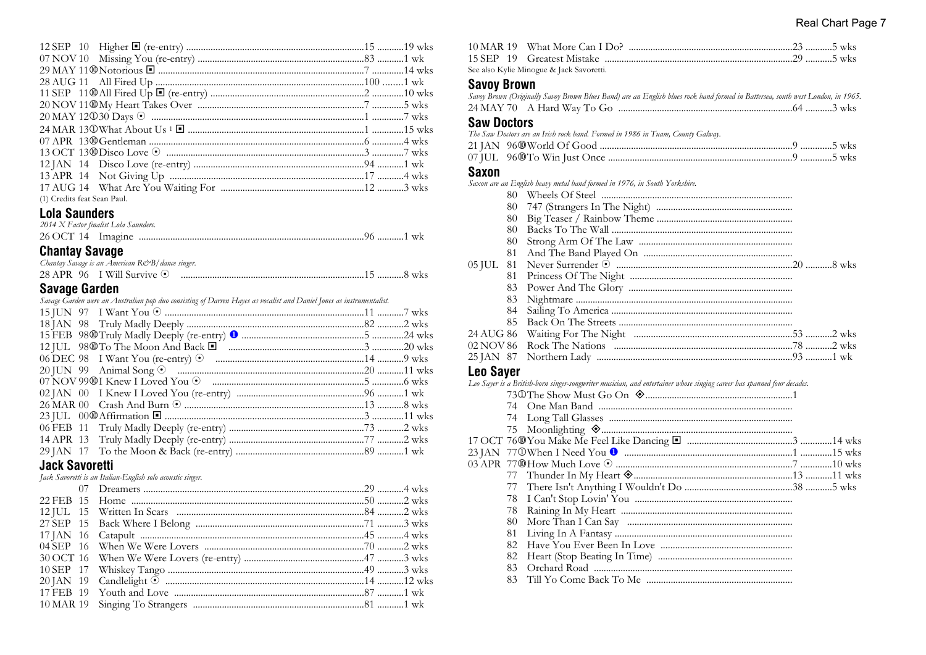| (1) Credits feat Sean Paul. |  |
|-----------------------------|--|

# Lola Saunders

| 2014 X Factor finalist Lola Saunders. |  |  |
|---------------------------------------|--|--|
|                                       |  |  |

# **Chantay Savage**

| Chantay Savage is an American R&B/ dance singer. |  |
|--------------------------------------------------|--|
| 28 APR 96 I Will Survive $\odot$                 |  |

# **Savage Garden**

|  |  |  | Savage Garden were an Australian pop duo consisting of Darren Hayes as vocalist and Daniel Jones as instrumentalist. |  |  |  |  |
|--|--|--|----------------------------------------------------------------------------------------------------------------------|--|--|--|--|
|  |  |  |                                                                                                                      |  |  |  |  |

#### **Jack Savoretti**

Jack Savoretti is an Italian-English solo acoustic singer.

| See also Kylie Minogue & Jack Savoretti. |  |
|------------------------------------------|--|

# See also Kylie Minog<br>Savoy Brown

| Savoy Brown (Originally Savoy Brown Blues Band) are an English blues rock band formed in Battersea, south west London, in 1965. |  |
|---------------------------------------------------------------------------------------------------------------------------------|--|
|                                                                                                                                 |  |

#### **Saw Doctors**

| The Saw Doctors are an Irish rock band. Formed in 1986 in Tuam, County Galway. |  |
|--------------------------------------------------------------------------------|--|
|                                                                                |  |
|                                                                                |  |

#### **Saxon**

Saxon are an English heavy metal band formed in 1976, in South Yorkshire.

| 80. |  |
|-----|--|
| 80  |  |
| 80  |  |
| 80  |  |
| 80  |  |
| 81  |  |
|     |  |
| 81. |  |
| 83  |  |
| 83. |  |
| 84  |  |
| 85  |  |
|     |  |
|     |  |
|     |  |

# Leo Saver

|     | Leo Sayer is a British-born singer-songwriter musician, and entertainer whose singing career has spanned four decades. |  |
|-----|------------------------------------------------------------------------------------------------------------------------|--|
|     |                                                                                                                        |  |
|     |                                                                                                                        |  |
|     |                                                                                                                        |  |
|     |                                                                                                                        |  |
|     |                                                                                                                        |  |
|     |                                                                                                                        |  |
|     |                                                                                                                        |  |
|     |                                                                                                                        |  |
| 77. |                                                                                                                        |  |
| 78  |                                                                                                                        |  |
| 78  |                                                                                                                        |  |
| 80  |                                                                                                                        |  |
| 81  |                                                                                                                        |  |
| 82  |                                                                                                                        |  |
| 82  |                                                                                                                        |  |
| 83  |                                                                                                                        |  |
| 83. |                                                                                                                        |  |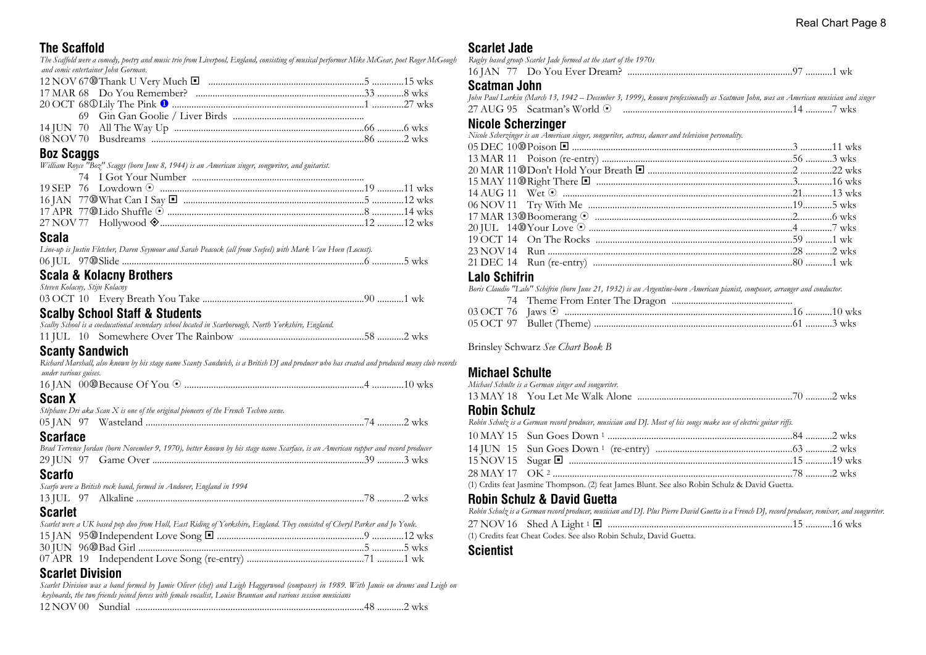# **The Scaffold**

*The Scaffold were a comedy, poetry and music trio from Liverpool, England, consisting of musical performer Mike McGear, poet Roger McGough and comic entertainer John Gorman.*

# **Boz Scaggs**

*William Royce "Boz" Scaggs (born June 8, 1944) is an American singer, songwriter, and guitarist.*

# **Scala**

| Line-up is Justin Fletcher, Daren Seymour and Sarah Peacock (all from Seefeel) with Mark Van Hoen (Locust). |  |
|-------------------------------------------------------------------------------------------------------------|--|
|                                                                                                             |  |

# **Scala & Kolacny Brothers**

| Steven Kolacny, Stijn Kolacny |  |
|-------------------------------|--|
|                               |  |
|                               |  |

# **Scalby School Staff & Students**

| Scalby School is a coeducational secondary school located in Scarborough, North Yorkshire, England. |  |  |
|-----------------------------------------------------------------------------------------------------|--|--|
|                                                                                                     |  |  |

# **Scanty Sandwich**

| Richard Marshall, also known by his stage name Scanty Sandwich, is a British DJ and producer who has created and produced many club records<br>under various guises. |  |
|----------------------------------------------------------------------------------------------------------------------------------------------------------------------|--|
|                                                                                                                                                                      |  |
| Scan X                                                                                                                                                               |  |
| Stéphane Dri aka Scan X is one of the original pioneers of the French Techno scene.                                                                                  |  |
|                                                                                                                                                                      |  |
| <b>Scarface</b><br>Brad Terrence Jordan (born November 9, 1970), better known by his stage name Scarface, is an American rapper and record producer                  |  |
|                                                                                                                                                                      |  |
| Scarfo                                                                                                                                                               |  |
| Scarfo were a British rock band, formed in Andover, England in 1994                                                                                                  |  |
|                                                                                                                                                                      |  |
| Scarlet                                                                                                                                                              |  |

#### *Scarlet were a UK based pop duo from Hull, East Riding of Yorkshire, England. They consisted of Cheryl Parker and Jo Youle.* 15 JAN 95s Independent Love Song ® .............................................................9 .............12 wks 30 JUN 96s Bad Girl .............................................................................................5 .............5 wks 07 APR 19 Independent Love Song (re-entry) ................................................71 ...........1 wk

# **Scarlet Division**

*Scarlet Division was a band formed by Jamie Oliver (chef) and Leigh Haggerwood (composer) in 1989. With Jamie on drums and Leigh on keyboards, the two friends joined forces with female vocalist, Louise Brannan and various session musicians*

| 12 NOV | 811116112 |  |  | WK5 |
|--------|-----------|--|--|-----|
|--------|-----------|--|--|-----|

# **Scarlet Jade**

| Rugby based group Scarlet Jade formed at the start of the 1970s |  |
|-----------------------------------------------------------------|--|
|                                                                 |  |

#### **Scatman John**

|  | John Paul Larkin (March 13, 1942 – December 3, 1999), known professionally as Scatman John, was an American musician and singer |
|--|---------------------------------------------------------------------------------------------------------------------------------|
|  |                                                                                                                                 |

# **Nicole Scherzinger**

| Nicole Scherzinger is an American singer, songwriter, actress, dancer and television personality. |  |
|---------------------------------------------------------------------------------------------------|--|
|                                                                                                   |  |
|                                                                                                   |  |
|                                                                                                   |  |
|                                                                                                   |  |
|                                                                                                   |  |
|                                                                                                   |  |
|                                                                                                   |  |
|                                                                                                   |  |
|                                                                                                   |  |
|                                                                                                   |  |
|                                                                                                   |  |
|                                                                                                   |  |

# **Lalo Schifrin**

| Boris Claudio "Lalo" Schifrin (born June 21, 1932) is an Argentine-born American pianist, composer, arranger and conductor. |  |
|-----------------------------------------------------------------------------------------------------------------------------|--|
|                                                                                                                             |  |
|                                                                                                                             |  |
|                                                                                                                             |  |

Brinsley Schwarz *See Chart Book B*

# **Michael Schulte**

| Michael Schulte is a German singer and songwriter. |  |
|----------------------------------------------------|--|
|                                                    |  |

#### **Robin Schulz**

*Robin Schulz is a German record producer, musician and DJ. Most of his songs make use of electric guitar riffs.*

| $\omega$ and $\tau$ in the set of the set of the set of the set of the set of the set of the set of the set of the set of the set of the set of the set of the set of the set of the set of the set of the set of the set of the se |  |
|-------------------------------------------------------------------------------------------------------------------------------------------------------------------------------------------------------------------------------------|--|

(1) Crdits feat Jasmine Thompson. (2) feat James Blunt. See also Robin Schulz & David Guetta.

# **Robin Schulz & David Guetta**

*Robin Schulz is a German record producer, musician and DJ. Plus Pierre David Guetta is a French DJ, record producer, remixer, and songwriter.* 27 NOV 16 Shed A Light <sup>1</sup> ® ............................................................................15 ...........16 wks

(1) Credits feat Cheat Codes. See also Robin Schulz, David Guetta.

#### **Scientist**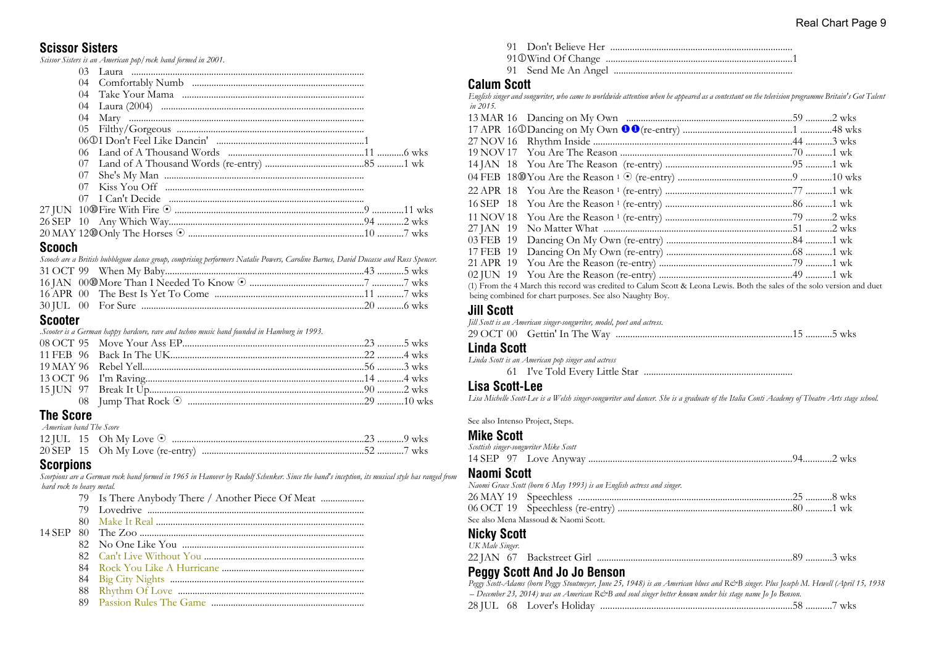#### **Scissor Sisters**

*Scissor Sisters is an American pop/rock band formed in 2001.*

| 04 |  |
|----|--|
|    |  |
|    |  |
|    |  |
|    |  |
|    |  |
|    |  |
|    |  |
|    |  |
|    |  |
|    |  |
|    |  |
|    |  |
|    |  |
|    |  |

#### **Scooch**

*Scooch are a British bubblegum dance group, comprising performers Natalie Powers, Caroline Barnes, David Ducasse and Russ Spencer.*

#### **Scooter**

*.Scooter is a German happy hardcore, rave and techno music band founded in Hamburg in 1993.*

# **The Score**

 *American band The Score*

#### **Scorpions**

*Scorpions are a German rock band formed in 1965 in Hanover by Rudolf Schenker. Since the band's inception, its musical style has ranged from hard rock to heavy metal.*

#### **Calum Scott**

*English singer and songwriter, who came to worldwide attention when he appeared as a contestant on the television programme Britain's Got Talent in 2015.*

91 Don't Believe Her ...........................................................................

| (1) From the 4 March this record was credited to Calum Scott & Leona Lewis. Both the sales of the solo version and duet |  |
|-------------------------------------------------------------------------------------------------------------------------|--|
| being combined for chart purposes. See also Naughty Boy.                                                                |  |

#### **Jill Scott**

*Jill Scott is an American singer-songwriter, model, poet and actress.* 29 OCT 00 Gettin' In The Way .........................................................................15 ...........5 wks

#### **Linda Scott**

*Linda Scott is an American pop singer and actress*

61 I've Told Every Little Star .............................................................

#### **Lisa Scott-Lee**

*Lisa Michelle Scott-Lee is a Welsh singer-songwriter and dancer. She is a graduate of the Italia Conti Academy of Theatre Arts stage school.*

See also Intenso Project, Steps.

#### **Mike Scott**

|    | Scottish singer-songwriter Mike Scott |  |
|----|---------------------------------------|--|
|    |                                       |  |
| -- |                                       |  |

#### **Naomi Scott**

*Naomi Grace Scott (born 6 May 1993) is an English actress and singer.*

| - See also Mena Massoud & Naomi Scott |  |
|---------------------------------------|--|

# **Nicky Scott**

| UK Male Singer. |  |  |
|-----------------|--|--|
|                 |  |  |

#### **Peggy Scott And Jo Jo Benson**

*Peggy Scott-Adams (born Peggy Stoutmeyer, June 25, 1948) is an American blues and R&B singer. Plus Joseph M. Hewell (April 15, 1938 – December 23, 2014) was an American R&B and soul singer better known under his stage name Jo Jo Benson.*

|  | 28 IUL 68 Lover's Holiday |  |  | <b>WKS</b> |
|--|---------------------------|--|--|------------|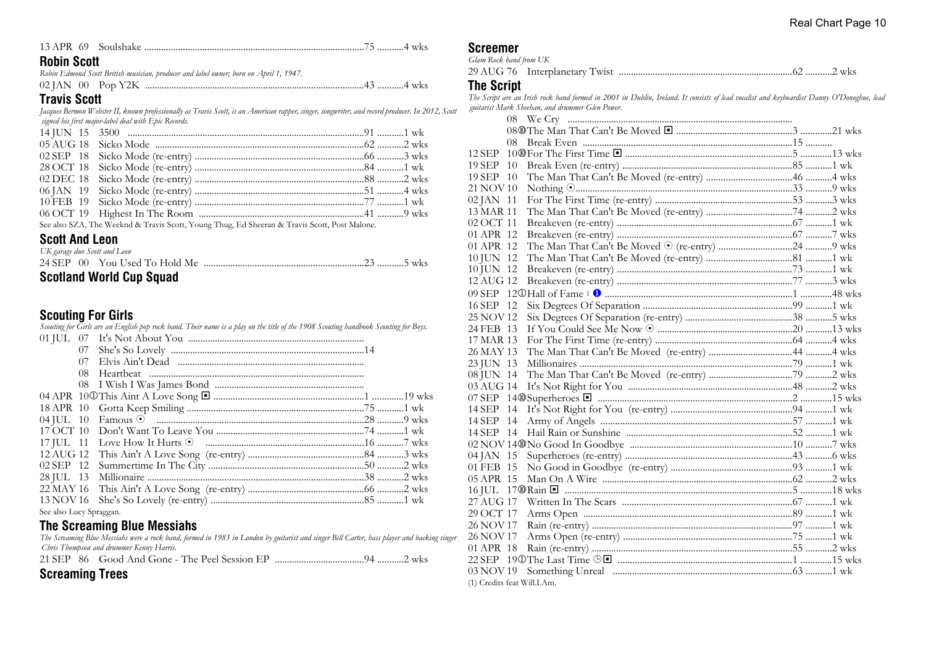|--|--|--|--|--|--|--|

#### **Robin Scott**

*Robin Edmond Scott British musician, producer and label owner; born on April 1, 1947.* 02 JAN 00 Pop Y2K ...........................................................................................43 ...........4 wks

#### **Travis Scott**

*Jacques Bermon Webster II, known professionally as Travis Scott, is an American rapper, singer, songwriter, and record producer. In 2012, Scott signed his first major-label deal with Epic Records.*

| See also SZA, The Weeknd & Travis Scott, Young Thug, Ed Sheeran & Travis Scott, Post Malone. |  |
|----------------------------------------------------------------------------------------------|--|

#### **Scott And Leon**

|  | UK garage duo Scott and Leon |  |  |
|--|------------------------------|--|--|
|  |                              |  |  |
|  |                              |  |  |

# **Scotland World Cup Squad**

#### **Scouting For Girls**

*Scouting for Girls are an English pop rock band. Their name is a play on the title of the 1908 Scouting handbook Scouting for Boys.*

|                         | 07 |  |  |
|-------------------------|----|--|--|
|                         | 07 |  |  |
|                         | 08 |  |  |
|                         |    |  |  |
|                         |    |  |  |
|                         |    |  |  |
|                         |    |  |  |
|                         |    |  |  |
|                         |    |  |  |
|                         |    |  |  |
|                         |    |  |  |
|                         |    |  |  |
|                         |    |  |  |
|                         |    |  |  |
| See also Lucy Spraggan. |    |  |  |

#### **The Screaming Blue Messiahs**

*The Screaming Blue Messiahs were a rock band, formed in 1983 in London by guitarist and singer Bill Carter, bass player and backing singer Chris Thompson and drummer Kenny Harris.*

21 SEP 86 Good And Gone - The Peel Session EP .....................................94 ...........2 wks

# **Screaming Trees**

| <b>Screemer</b> |
|-----------------|
|-----------------|

*Glam Rock band from UK*

29 AUG 76 Interplanetary Twist ........................................................................62 ...........2 wks

#### **The Script**

*The Script are an Irish rock band formed in 2001 in Dublin, Ireland. It consists of lead vocalist and keyboardist Danny O'Donoghue, lead guitarist Mark Sheehan, and drummer Glen Power.*

| 08                          |  |
|-----------------------------|--|
|                             |  |
| 08                          |  |
| 12 SEP                      |  |
| 19 SEP 10                   |  |
| 19 SEP 10                   |  |
| 21 NOV 10                   |  |
| 02 JAN 11                   |  |
| 13 MAR 11                   |  |
| 02 OCT 11                   |  |
| 01 APR 12                   |  |
| 01 APR 12                   |  |
| 10 JUN 12                   |  |
| 10 JUN 12                   |  |
| 12 AUG 12                   |  |
|                             |  |
| 16 SEP 12                   |  |
| 25 NOV 12                   |  |
| 24 FEB 13                   |  |
| 17 MAR 13                   |  |
| 26 MAY 13                   |  |
| 23 JUN 13                   |  |
| 08 JUN 14                   |  |
| 03 AUG 14                   |  |
|                             |  |
| 14 SEP 14                   |  |
| 14 SEP 14                   |  |
| 14 SEP 14                   |  |
|                             |  |
| 04 JAN 15                   |  |
| 01 FEB 15                   |  |
| 05 APR 15                   |  |
|                             |  |
| 27 AUG 17                   |  |
| 29 OCT 17                   |  |
| 26 NOV 17                   |  |
| 26 NOV 17                   |  |
| 01 APR 18                   |  |
|                             |  |
| 03 NOV 19                   |  |
| (1) Credits feat Will.I.Am. |  |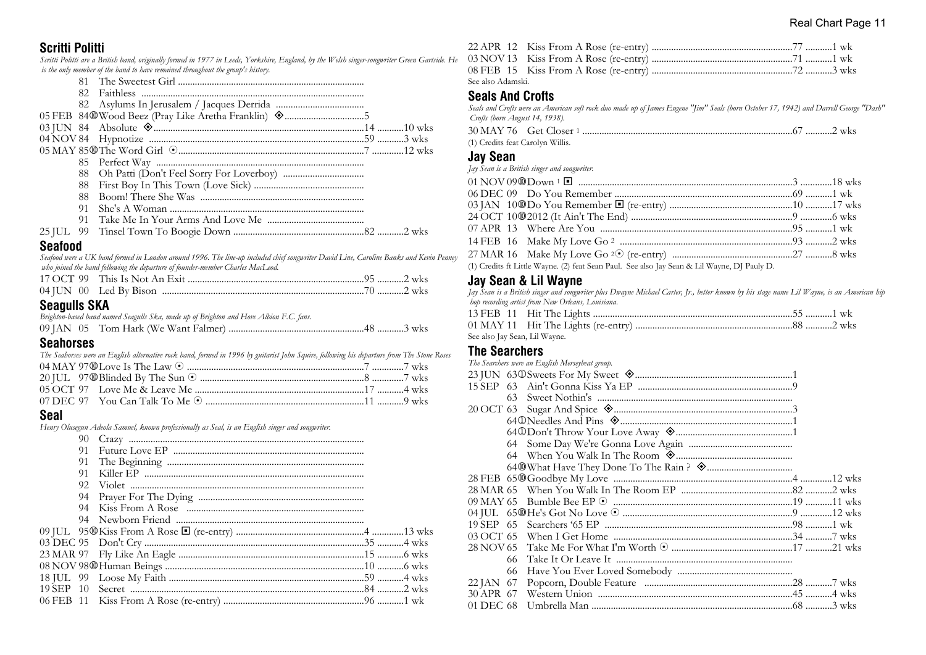#### **Scritti Politti**

*Scritti Politti are a British band, originally formed in 1977 in Leeds, Yorkshire, England, by the Welsh singer-songwriter Green Gartside. He is the only member of the band to have remained throughout the group's history.*

| 88. |  |  |
|-----|--|--|
| 91  |  |  |
| 91  |  |  |
|     |  |  |
|     |  |  |

#### **Seafood**

*Seafood were a UK band formed in London around 1996. The line-up included chief songwriter David Line, Caroline Banks and Kevin Penney who joined the band following the departure of founder-member Charles MacLeod.*

# **Seagulls SKA**

| Brighton-based band named Seagulls Ska, made up of Brighton and Hove Albion F.C. fans. |  |
|----------------------------------------------------------------------------------------|--|
|                                                                                        |  |

#### **Seahorses**

| The Seahorses were an English alternative rock band, formed in 1996 by guitarist John Squire, following his departure from The Stone Roses |  |
|--------------------------------------------------------------------------------------------------------------------------------------------|--|
|                                                                                                                                            |  |

#### **Seal**

*Henry Olusegun Adeola Samuel, known professionally as Seal, is an English singer and songwriter.*

| 90 |  |  |
|----|--|--|
| 91 |  |  |
|    |  |  |
| 91 |  |  |
|    |  |  |
|    |  |  |
|    |  |  |
|    |  |  |
|    |  |  |
|    |  |  |
|    |  |  |
|    |  |  |
|    |  |  |
|    |  |  |
|    |  |  |
|    |  |  |

| See also Adamski |  |
|------------------|--|

#### **Seals And Crofts**

*Seals and Crofts were an American soft rock duo made up of James Eugene "Jim" Seals (born October 17, 1942) and Darrell George "Dash" Crofts (born August 14, 1938).*

| (1) Credits feat Carolyn Willis. |  |  |
|----------------------------------|--|--|

# **Jay Sean**

*Jay Sean is a British singer and songwriter.*

| (1) Credits ft Little Wayne. (2) feat Sean Paul. See also Jay Sean & Lil Wayne, DJ Pauly D. |  |
|---------------------------------------------------------------------------------------------|--|

#### **Jay Sean & Lil Wayne**

*Jay Sean is a British singer and songwriter plus Dwayne Michael Carter, Jr., better known by his stage name Lil Wayne, is an American hip hop recording artist from New Orleans, Louisiana.* 13 FEB 11 Hit The Lights ..................................................................................55 ...........1 wk

| See also Jay Sean, Lil Wayne. |  |  |
|-------------------------------|--|--|

#### **The Searchers**

|                     | The Searchers were an English Merseybeat group. |  |
|---------------------|-------------------------------------------------|--|
|                     |                                                 |  |
| <b>15 SEP</b><br>63 |                                                 |  |
| 63.                 |                                                 |  |
|                     |                                                 |  |
|                     |                                                 |  |
|                     | 640Don't Throw Your Love Away <a></a>           |  |
|                     |                                                 |  |
|                     |                                                 |  |
|                     |                                                 |  |
|                     |                                                 |  |
|                     |                                                 |  |
|                     |                                                 |  |
|                     |                                                 |  |
|                     |                                                 |  |
| 03 OCT 65           |                                                 |  |
|                     |                                                 |  |
| 66                  |                                                 |  |
| 66                  |                                                 |  |
| 22 JAN 67           |                                                 |  |
| 30 APR 67           |                                                 |  |
| 01 DEC 68           |                                                 |  |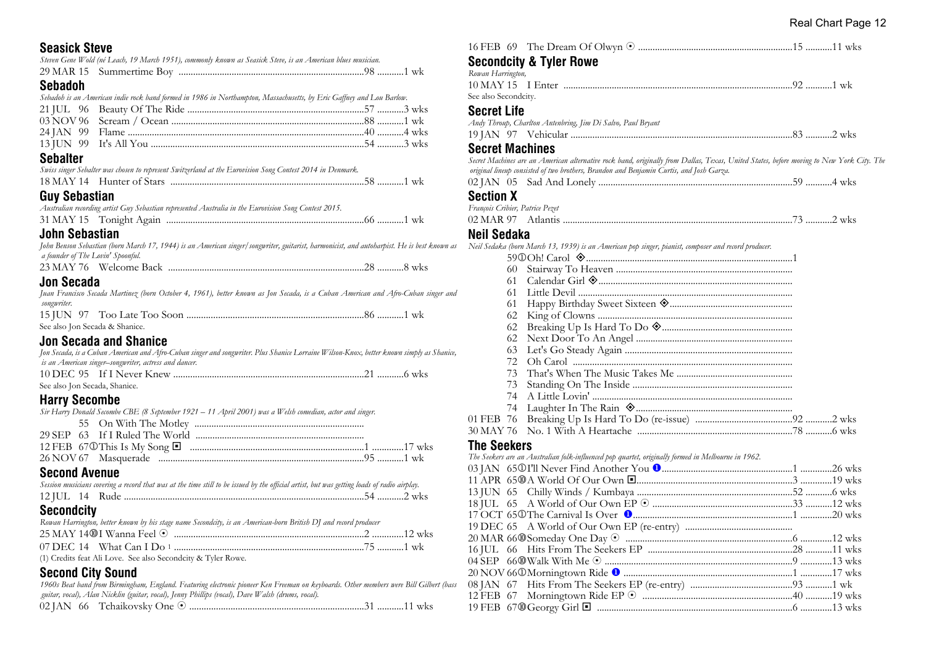# **Seasick Steve**

|  | Steven Gene Wold (né Leach, 19 March 1951), commonly known as Seasick Steve, is an American blues musician. |  |
|--|-------------------------------------------------------------------------------------------------------------|--|
|  |                                                                                                             |  |

# **Sebadoh**

|  | Sebadoh is an American indie rock band formed in 1986 in Northampton, Massachusetts, by Eric Gaffney and Lou Barlow. |
|--|----------------------------------------------------------------------------------------------------------------------|
|--|----------------------------------------------------------------------------------------------------------------------|

# **Sebalter**

|      |  |  | Swiss singer Sebalter was chosen to represent Switzerland at the Eurovision Song Contest 2014 in Denmark. |  |  |  |
|------|--|--|-----------------------------------------------------------------------------------------------------------|--|--|--|
|      |  |  |                                                                                                           |  |  |  |
| ____ |  |  |                                                                                                           |  |  |  |

# **Guy Sebastian**

|  | Australian recording artist Guy Sebastian represented Australia in the Eurovision Song Contest 2015. |  |
|--|------------------------------------------------------------------------------------------------------|--|
|  |                                                                                                      |  |

# **John Sebastian**

| John Benson Sebastian (born March 17, 1944) is an American singer/songwriter, guitarist, harmonicist, and autoharpist. He is best known as |  |  |  |
|--------------------------------------------------------------------------------------------------------------------------------------------|--|--|--|
| a founder of The Lovin' Spoonful.                                                                                                          |  |  |  |

|--|--|--|--|

# **Jon Secada**

|                                | Juan Francisco Secada Martinez (born October 4, 1961), better known as Jon Secada, is a Cuban American and Afro-Cuban singer ana |  |
|--------------------------------|----------------------------------------------------------------------------------------------------------------------------------|--|
| songwriter.                    |                                                                                                                                  |  |
|                                |                                                                                                                                  |  |
| See also Jon Secada & Shanice. |                                                                                                                                  |  |

# **Jon Secada and Shanice**

| Jon Secada, is a Cuban American and Afro-Cuban singer and songwriter. Plus Shanice Lorraine Wilson-Knox, better known simply as Shanice, |  |
|------------------------------------------------------------------------------------------------------------------------------------------|--|
| is an American singer–songwriter, actress and dancer.                                                                                    |  |
|                                                                                                                                          |  |

See also Jon Secada, Shanice.

# **Harry Secombe**

| Sir Harry Donald Secombe CBE (8 September 1921 – 11 April 2001) was a Welsh comedian, actor and singer. |  |  |
|---------------------------------------------------------------------------------------------------------|--|--|
|                                                                                                         |  |  |
|                                                                                                         |  |  |

# **Second Avenue**

|  | Session musicians covering a record that was at the time still to be issued by the official artist, but was getting loads of radio airplay. |  |
|--|---------------------------------------------------------------------------------------------------------------------------------------------|--|
|  |                                                                                                                                             |  |

# **Secondcity**

| Rowan Harrington, better known by his stage name Secondcity, is an American-born British DJ and record producer |  |  |  |  |  |
|-----------------------------------------------------------------------------------------------------------------|--|--|--|--|--|
|                                                                                                                 |  |  |  |  |  |
|                                                                                                                 |  |  |  |  |  |
| (1) Credits feat Ali Love. See also Secondcity & Tyler Rowe.                                                    |  |  |  |  |  |

# **Second City Sound**

*1960s Beat band from Birmingham, England. Featuring electronic pioneer Ken Freeman on keyboards. Other members were Bill Gilbert (bass guitar, vocal), Alan Nicklin (guitar, vocal), Jenny Phillips (vocal), Dave Walsh (drums, vocal).*

|--|--|--|--|

|                                 | <b>Secondcity &amp; Tyler Rowe</b>                                                                                                                                                                                                  |  |
|---------------------------------|-------------------------------------------------------------------------------------------------------------------------------------------------------------------------------------------------------------------------------------|--|
| Rowan Harrington,               |                                                                                                                                                                                                                                     |  |
|                                 |                                                                                                                                                                                                                                     |  |
| See also Secondcity.            |                                                                                                                                                                                                                                     |  |
| <b>Secret Life</b>              |                                                                                                                                                                                                                                     |  |
|                                 | Andy Throup, Charlton Antenbring, Jim Di Salvo, Paul Bryant                                                                                                                                                                         |  |
|                                 |                                                                                                                                                                                                                                     |  |
| <b>Secret Machines</b>          |                                                                                                                                                                                                                                     |  |
|                                 | Secret Machines are an American alternative rock band, originally from Dallas, Texas, United States, before moving to New York City. The<br>original lineup consisted of two brothers, Brandon and Benjamin Curtis, and Josh Garza. |  |
| 02 JAN 05                       |                                                                                                                                                                                                                                     |  |
| <b>Section X</b>                |                                                                                                                                                                                                                                     |  |
| François Cribier, Patrice Pezet |                                                                                                                                                                                                                                     |  |
|                                 |                                                                                                                                                                                                                                     |  |
| Neil Sedaka                     |                                                                                                                                                                                                                                     |  |
|                                 | Neil Sedaka (born March 13, 1939) is an American pop singer, pianist, composer and record producer.                                                                                                                                 |  |
|                                 |                                                                                                                                                                                                                                     |  |
| 60                              |                                                                                                                                                                                                                                     |  |
| 61                              |                                                                                                                                                                                                                                     |  |
| 61                              |                                                                                                                                                                                                                                     |  |
| 61                              |                                                                                                                                                                                                                                     |  |
| 62                              |                                                                                                                                                                                                                                     |  |
| 62                              |                                                                                                                                                                                                                                     |  |
| 62                              |                                                                                                                                                                                                                                     |  |
| 63                              |                                                                                                                                                                                                                                     |  |
| 72                              |                                                                                                                                                                                                                                     |  |
| 73                              |                                                                                                                                                                                                                                     |  |
| 73                              |                                                                                                                                                                                                                                     |  |
| 74                              |                                                                                                                                                                                                                                     |  |
| 74                              |                                                                                                                                                                                                                                     |  |
| 01 FEB<br>-76                   |                                                                                                                                                                                                                                     |  |

#### 30 MAY 76 No. 1 With A Heartache ................................................................78 ...........6 wks **The Seekers**

| The Seekers are an Australian folk-influenced pop quartet, originally formed in Melbourne in 1962. |  |
|----------------------------------------------------------------------------------------------------|--|
|                                                                                                    |  |
|                                                                                                    |  |
|                                                                                                    |  |
|                                                                                                    |  |
|                                                                                                    |  |
|                                                                                                    |  |
|                                                                                                    |  |
|                                                                                                    |  |
|                                                                                                    |  |
|                                                                                                    |  |
|                                                                                                    |  |
|                                                                                                    |  |
|                                                                                                    |  |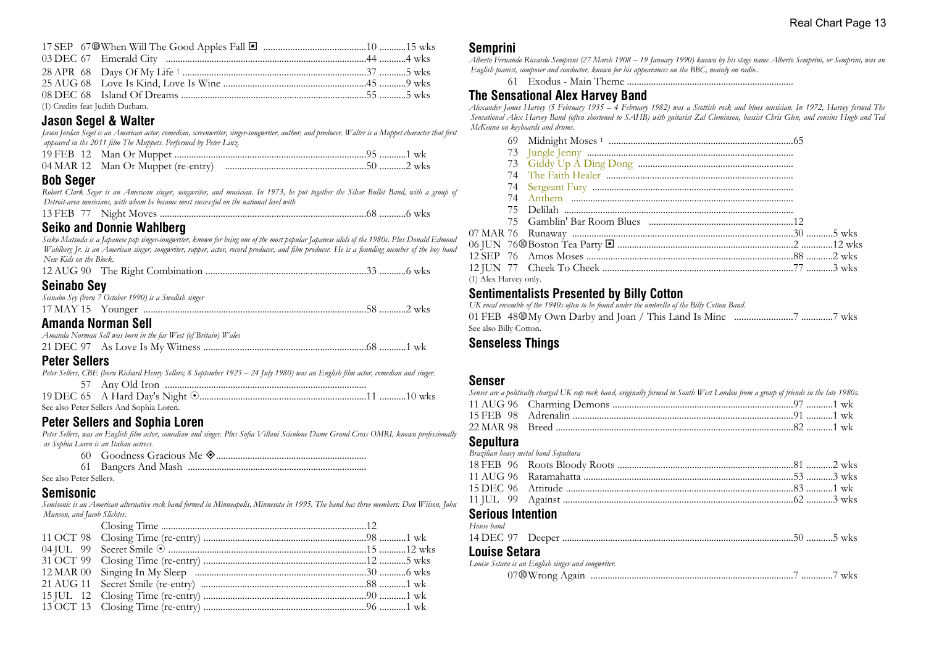| (1) Credits feat Judith Durham. |  |
|---------------------------------|--|

#### **Jason Segel & Walter**

*Jason Jordan Segel is an American actor, comedian, screenwriter, singer-songwriter, author, and producer. Walter is a Muppet character that first appeared in the 2011 film The Muppets. Performed by Peter Linz.*

#### **Bob Seger**

| Robert Clark Seger is an American singer, songwriter, and musician. In 1973, he put together the Silver Bullet Band, with a group of |  |  |
|--------------------------------------------------------------------------------------------------------------------------------------|--|--|
| Detroit-area musicians, with whom he became most successful on the national level with                                               |  |  |
|                                                                                                                                      |  |  |

# **Seiko and Donnie Wahlberg**

*Seiko Matsuda is a Japanese pop singer-songwriter, known for being one of the most popular Japanese idols of the 1980s. Plus Donald Edmond Wahlberg Jr. is an American singer, songwriter, rapper, actor, record producer, and film producer. He is a founding member of the boy band New Kids on the Block.* 12 AUG 90 The Right Combination ..................................................................33 ...........6 wks

# **Seinabo Sey**

| <b>OVINUMO OUT</b>                                    |  |
|-------------------------------------------------------|--|
| Seinabo Sey (born 7 October 1990) is a Swedish singer |  |
|                                                       |  |
| Amanda Norman Call                                    |  |

#### **Amanda Norman Sell**

| Amanda Norman Sell was born in the far West (of Britain) Wales |  |
|----------------------------------------------------------------|--|
|                                                                |  |

# **Peter Sellers**

| Peter Sellers, CBE (born Richard Henry Sellers; 8 September 1925 – 24 July 1980) was an English film actor, comedian and singer. |  |  |  |
|----------------------------------------------------------------------------------------------------------------------------------|--|--|--|
|                                                                                                                                  |  |  |  |
|                                                                                                                                  |  |  |  |
| See also Peter Sellers And Sophia Loren.                                                                                         |  |  |  |

#### **Peter Sellers and Sophia Loren**

*Peter Sellers, was an English film actor, comedian and singer. Plus Sofia Villani Scicolone Dame Grand Cross OMRI, known professionally as Sophia Loren is an Italian actress.*

- 60 Goodness Gracious Me ±..............................................................
- 61 Bangers And Mash ..........................................................................

See also Peter Sellers.

#### **Semisonic**

*Semisonic is an American alternative rock band formed in Minneapolis, Minnesota in 1995. The band has three members: Dan Wilson, John Munson, and Jacob Slichter.*

#### **Semprini**

*Alberto Fernando Riccardo Semprini (27 March 1908 – 19 January 1990) known by his stage name Alberto Semprini, or Semprini, was an English pianist, composer and conductor, known for his appearances on the BBC, mainly on radio..*

61 Exodus - Main Theme .....................................................................

#### **The Sensational Alex Harvey Band**

*Alexander James Harvey (5 February 1935 – 4 February 1982) was a Scottish rock and blues musician. In 1972, Harvey formed The Sensational Alex Harvey Band (often shortened to SAHB) with guitarist Zal Cleminson, bassist Chris Glen, and cousins Hugh and Ted McKenna on keyboards and drums.*

| (1) Alex Harvey only. |  |  |
|-----------------------|--|--|

# **Sentimentalists Presented by Billy Cotton**

*UK vocal ensemble of the 1940s often to be found under the umbrella of the Billy Cotton Band.* 01 FEB 48s My Own Darby and Joan / This Land Is Mine ........................7 .............7 wks See also Billy Cotton.

#### **Senseless Things**

#### **Senser**

| Senser are a politically charged UK rap rock band, originally formed in South West London from a group of friends in the late 1980s. |  |
|--------------------------------------------------------------------------------------------------------------------------------------|--|
|                                                                                                                                      |  |
|                                                                                                                                      |  |
| 22 MAR 98 Breed ………………………………………………………………………………………82 …………1 wk                                                                         |  |
|                                                                                                                                      |  |

#### **Sepultura**

|                          | Brazilian heavy metal band Sepultura |  |
|--------------------------|--------------------------------------|--|
|                          |                                      |  |
|                          |                                      |  |
|                          |                                      |  |
|                          |                                      |  |
| <b>Serious Intention</b> |                                      |  |
| House band               |                                      |  |
|                          |                                      |  |

#### **Louise Setara**

*Louise Setara is an English singer and songwriter.*

07s Wrong Again ....................................................................................7 .............7 wks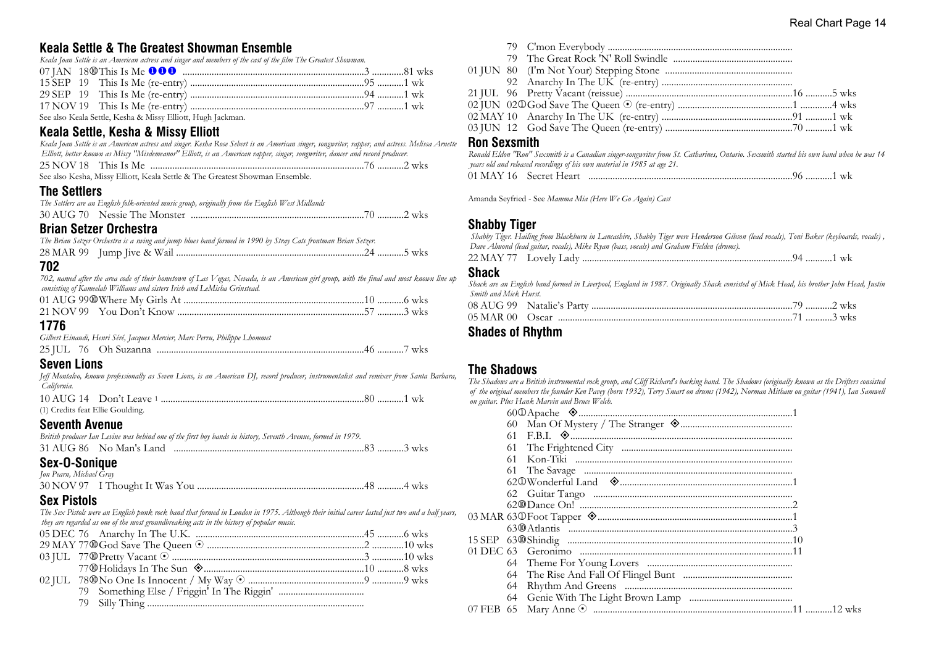# **Keala Settle & The Greatest Showman Ensemble**

*Keala Joan Settle is an American actress and singer and members of the cast of the film The Greatest Showman.*

|  | $\alpha$ is the state of the state of the state of the state of the state of the state of the state of the state of the state of the state of the state of the state of the state of the state of the state of the state of the s |  |
|--|-----------------------------------------------------------------------------------------------------------------------------------------------------------------------------------------------------------------------------------|--|

See also Keala Settle, Kesha & Missy Elliott, Hugh Jackman.

# **Keala Settle, Kesha & Missy Elliott**

*Keala Joan Settle is an American actress and singer. Kesha Rose Sebert is an American singer, songwriter, rapper, and actress. Melissa Arnette Elliott, better known as Missy "Misdemeanor" Elliott, is an American rapper, singer, songwriter, dancer and record producer.*

| See also Kesha, Missy Elliott, Keala Settle & The Greatest Showman Ensemble. |  |
|------------------------------------------------------------------------------|--|

#### **The Settlers**

|  | The Settlers are an English folk-oriented music group, originally from the English West Midlands |  |
|--|--------------------------------------------------------------------------------------------------|--|
|  |                                                                                                  |  |

# **Brian Setzer Orchestra**

| The Brian Setzer Orchestra is a swing and jump blues band formed in 1990 by Stray Cats frontman Brian Setzer. |  |  |  |
|---------------------------------------------------------------------------------------------------------------|--|--|--|
|                                                                                                               |  |  |  |

# **702**

*702, named after the area code of their hometown of Las Vegas, Nevada, is an American girl group, with the final and most known line up consisting of Kameelah Williams and sisters Irish and LeMisha Grinstead.*

# **1776**

|  | Gilbert Einaudi, Henri Séré, Jacques Mercier, Marc Perru, Philippe Lhommet |  |
|--|----------------------------------------------------------------------------|--|
|  |                                                                            |  |

# **Seven Lions**

*Jeff Montalvo, known professionally as Seven Lions, is an American DJ, record producer, instrumentalist and remixer from Santa Barbara, California.*

| (1) Credits feat Ellie Goulding. |  |  |
|----------------------------------|--|--|

# **Seventh Avenue**

| Sex-O-Sonique                                                                                                 |  |  |
|---------------------------------------------------------------------------------------------------------------|--|--|
|                                                                                                               |  |  |
| British producer Ian Levine was behind one of the first boy bands in history, Seventh Avenue, formed in 1979. |  |  |

# *Jon Pearn, Michael Gray*

# **Sex Pistols**

*The Sex Pistols were an English punk rock band that formed in London in 1975. Although their initial career lasted just two and a half years, they are regarded as one of the most groundbreaking acts in the history of popular music.*

79 Silly Thing ..........................................................................................

|  | 79 C'mon Everybody |  |
|--|--------------------|--|
|  |                    |  |

79 C'mon Everybody ............................................................................

#### **Ron Sexsmith**

|  | Ronald Eldon "Ron" Sexsmith is a Canadian singer-songwriter from St. Catharines, Ontario. Sexsmith started his own band when he was 14 |  |  |
|--|----------------------------------------------------------------------------------------------------------------------------------------|--|--|
|  | years old and released recordings of his own material in 1985 at age 21.                                                               |  |  |
|  |                                                                                                                                        |  |  |

Amanda Seyfried - See *Mamma Mia (Here We Go Again) Cast*

# **Shabby Tiger**

 *Shabby Tiger. Hailing from Blackburn in Lancashire, Shabby Tiger were Henderson Gibson (lead vocals), Toni Baker (keyboards, vocals) , Dave Almond (lead guitar, vocals), Mike Ryan (bass, vocals) and Graham Fielden (drums).*

| 22 MAY | Lovely<br>-agv |  |  |
|--------|----------------|--|--|
|--------|----------------|--|--|

#### **Shack**

| Shack are an English band formed in Liverpool, England in 1987. Originally Shack consisted of Mick Head, his brother John Head, Justin |           |
|----------------------------------------------------------------------------------------------------------------------------------------|-----------|
| Smith and Mick Hurst.                                                                                                                  |           |
| $\Omega$ AIL $\Omega$ $\Omega$ Motelle's Dectre                                                                                        | $2 \pi r$ |

#### **Shades of Rhythm**

#### **The Shadows**

*The Shadows are a British instrumental rock group, and Cliff Richard's backing band. The Shadows (originally known as the Drifters consisted of the original members the founder Ken Pavey (born 1932), Terry Smart on drums (1942), Norman Mitham on guitar (1941), Ian Samwell on guitar. Plus Hank Marvin and Bruce Welch.*

| 61 |  |
|----|--|
| 61 |  |
| 61 |  |
| 61 |  |
|    |  |
|    |  |
|    |  |
|    |  |
|    |  |
|    |  |
|    |  |
|    |  |
|    |  |
| 64 |  |
| 64 |  |
|    |  |
|    |  |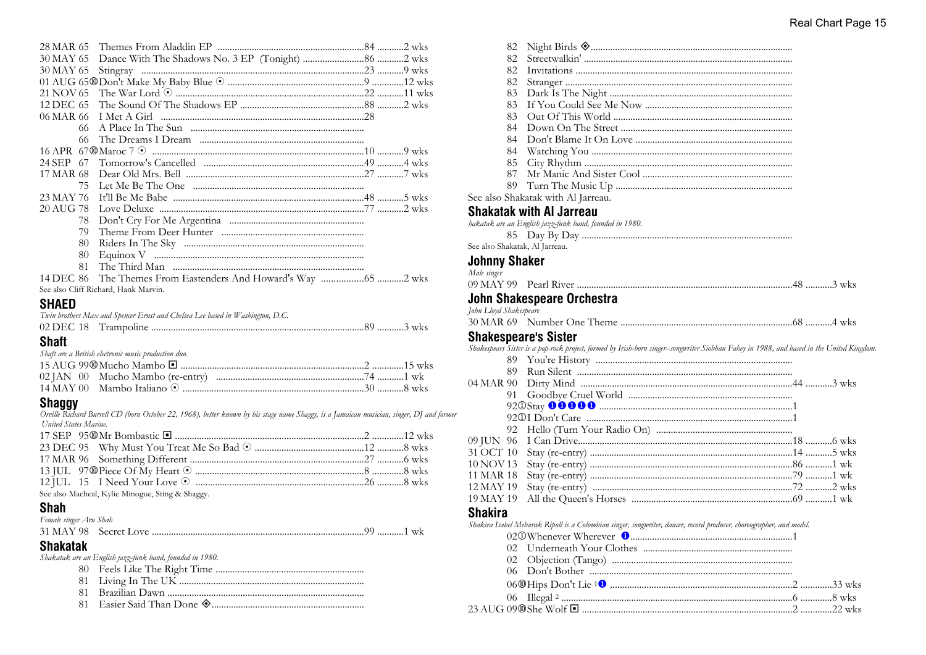| 30 MAY 65    |                                                   |  |
|--------------|---------------------------------------------------|--|
| 30 MAY 65    |                                                   |  |
|              |                                                   |  |
|              |                                                   |  |
|              |                                                   |  |
|              |                                                   |  |
| 66           |                                                   |  |
| 66           |                                                   |  |
|              |                                                   |  |
| 24 SEP 67    |                                                   |  |
| 17 MAR 68    |                                                   |  |
| 75           |                                                   |  |
| 23 MAY 76    |                                                   |  |
|              |                                                   |  |
| 78           |                                                   |  |
| 79           |                                                   |  |
| 80           |                                                   |  |
| 80           |                                                   |  |
| 81           |                                                   |  |
| 14 DEC 86    | The Themes From Eastenders And Howard's Way 2 wks |  |
|              | See also Cliff Richard, Hank Marvin.              |  |
| <b>CHAED</b> |                                                   |  |

#### **ЭПАЕ**Ц

|              | Twin brothers Max and Spencer Ernst and Chelsea Lee based in Washington, D.C. |  |
|--------------|-------------------------------------------------------------------------------|--|
|              |                                                                               |  |
| <b>Shaft</b> |                                                                               |  |
|              | Shaft are a British electronic music production duo.                          |  |

# **Shaggy**

Orville Richard Burrell CD (born October 22, 1968), better known by his stage name Shaggy, is a Jamaican musician, singer, DJ and former United States Marine.

| See also Macheal, Kylie Minogue, Sting & Shaggy. |  |
|--------------------------------------------------|--|

# **Shah**

| Female singer Aru Shah |  |  |
|------------------------|--|--|
|                        |  |  |

# **Shakatak**

Shakatak are an English jazz-funk band, founded in 1980.

- 
- 
- 81
- 

|                       | 82  |                                                                                                                                               |
|-----------------------|-----|-----------------------------------------------------------------------------------------------------------------------------------------------|
|                       | 82  |                                                                                                                                               |
|                       | 82  |                                                                                                                                               |
|                       | 82  |                                                                                                                                               |
|                       | 83  |                                                                                                                                               |
|                       | 83  |                                                                                                                                               |
|                       | 83  |                                                                                                                                               |
|                       | 84  |                                                                                                                                               |
|                       | 84  |                                                                                                                                               |
|                       | 84  |                                                                                                                                               |
|                       | 85  |                                                                                                                                               |
|                       | 87  |                                                                                                                                               |
|                       | 89  |                                                                                                                                               |
|                       |     | See also Shakatak with Al Jarreau.                                                                                                            |
|                       |     | Shakatak with Al Jarreau                                                                                                                      |
|                       |     | bakatak are an English jazz-funk band, founded in 1980.                                                                                       |
|                       |     |                                                                                                                                               |
|                       |     | see also Shakatak, Al Jarreau.                                                                                                                |
| Johnny Shaker         |     |                                                                                                                                               |
| Male singer           |     |                                                                                                                                               |
|                       |     |                                                                                                                                               |
|                       |     |                                                                                                                                               |
|                       |     | John Shakespeare Orchestra                                                                                                                    |
| ohn Lloyd Shakespeare |     |                                                                                                                                               |
|                       |     |                                                                                                                                               |
|                       |     | Shakespeare's Sister                                                                                                                          |
|                       |     | .<br>Shakespears Sister is a pop-rock project, formed by Irish-born singer–songwriter Siobhan Fahey in 1988, and based in the United Kingdom. |
|                       | 89. |                                                                                                                                               |
|                       | 89. |                                                                                                                                               |
| )4 MAR 90             |     |                                                                                                                                               |
|                       | 91  |                                                                                                                                               |
|                       |     |                                                                                                                                               |
|                       |     |                                                                                                                                               |
|                       | 92  |                                                                                                                                               |
| 09 JUN 96             |     |                                                                                                                                               |
| 31 OCT 10             |     |                                                                                                                                               |
| 10 NOV13              |     |                                                                                                                                               |
| 11 MAR 18             |     |                                                                                                                                               |
| 2 MAY 19              |     |                                                                                                                                               |
| 19 MAY 19             |     |                                                                                                                                               |
| Shakira               |     |                                                                                                                                               |

#### Shakira Isabel Mebarak Ripoll is a Colombian singer, songwriter, dancer, record producer, choreographer, and model.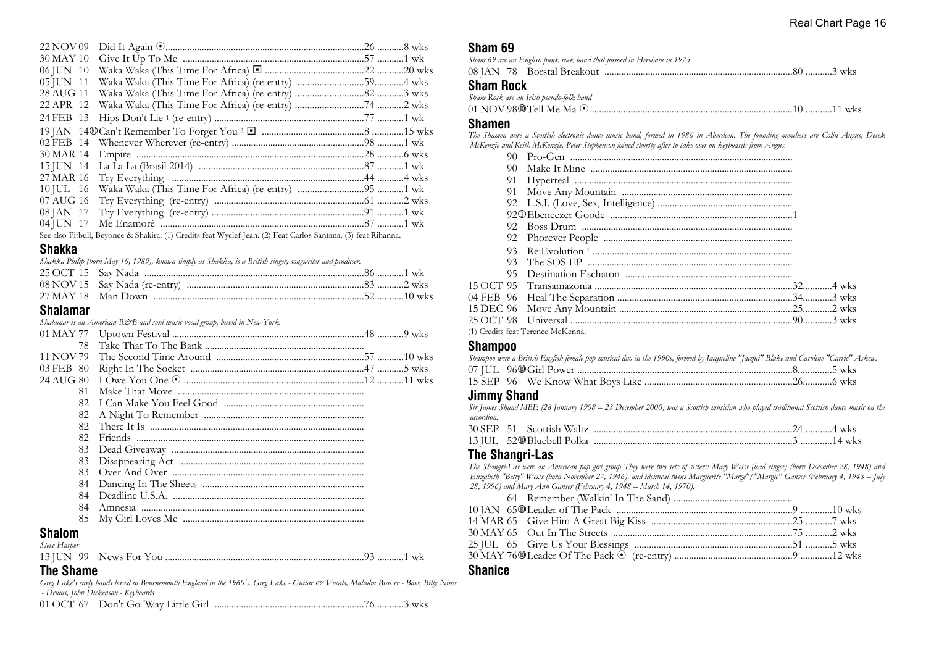| 22 NOV 09 |  |  |
|-----------|--|--|
| 30 MAY 10 |  |  |
| 06 JUN 10 |  |  |
| 05 JUN 11 |  |  |
| 28 AUG 11 |  |  |
| 22 APR 12 |  |  |
|           |  |  |
|           |  |  |
|           |  |  |
|           |  |  |
|           |  |  |
|           |  |  |
|           |  |  |
| 07 AUG 16 |  |  |
|           |  |  |
|           |  |  |

See also Pitbull, Beyonce & Shakira. (1) Credits feat Wyclef Jean. (2) Feat Carlos Santana. (3) feat Rihanna.

#### **Shakka**

*Shakka Philip (born May 16, 1989), known simply as Shakka, is a British singer, songwriter and producer.*

#### **Shalamar**

*Shalamar is an American R&B and soul music vocal group, based in New-York.*

| 24 AUG 80     |  |  |
|---------------|--|--|
| 81            |  |  |
| 82.           |  |  |
| 82            |  |  |
| 82.           |  |  |
| 82.           |  |  |
| 83            |  |  |
| 83            |  |  |
| 83            |  |  |
| 84            |  |  |
| 84            |  |  |
| 84            |  |  |
| 85.           |  |  |
| <b>Shalom</b> |  |  |

#### *Steve Harper*

# **The Shame**

*Greg Lake's early bands based in Bournemouth England in the 1960's. Greg Lake - Guitar & Vocals, Malcolm Braiser - Bass, Billy Nims - Drums, John Dickenson - Keyboards*

01 OCT 67 Don't Go 'Way Little Girl ..............................................................76 ...........3 wks

#### **Sham 69**

| Sham 69 are an English punk rock band that formed in Hersham in 1975. |  |
|-----------------------------------------------------------------------|--|
|                                                                       |  |
| <b>Sham Rock</b>                                                      |  |
| Sham Rock are an Irish pseudo-folk band                               |  |
|                                                                       |  |

#### **Shamen**

*The Shamen were a Scottish electronic dance music band, formed in 1986 in Aberdeen. The founding members are Colin Angus, Derek McKenzie and Keith McKenzie. Peter Stephenson joined shortly after to take over on keyboards from Angus.*

| 90. |                                                                                                                                                                                                 |  |
|-----|-------------------------------------------------------------------------------------------------------------------------------------------------------------------------------------------------|--|
| 91  |                                                                                                                                                                                                 |  |
|     |                                                                                                                                                                                                 |  |
|     |                                                                                                                                                                                                 |  |
|     |                                                                                                                                                                                                 |  |
|     |                                                                                                                                                                                                 |  |
|     |                                                                                                                                                                                                 |  |
|     |                                                                                                                                                                                                 |  |
|     |                                                                                                                                                                                                 |  |
|     |                                                                                                                                                                                                 |  |
|     |                                                                                                                                                                                                 |  |
|     |                                                                                                                                                                                                 |  |
|     |                                                                                                                                                                                                 |  |
|     |                                                                                                                                                                                                 |  |
|     | $\mathcal{A} \setminus \mathcal{C}$ is the state of $\mathcal{A} \setminus \mathcal{D}$ is the state of $\mathcal{A} \setminus \mathcal{C}$ is the state of $\mathcal{A} \setminus \mathcal{C}$ |  |

(1) Credits feat Terence McKenna.

#### **Shampoo**

|  | Shampoo were a British English female pop musical duo in the 1990s, formed by Jacqueline "Jacqui" Blake and Caroline "Carrie" Askew. |  |
|--|--------------------------------------------------------------------------------------------------------------------------------------|--|
|  |                                                                                                                                      |  |
|  |                                                                                                                                      |  |

#### **Jimmy Shand**

*Sir James Shand MBE (28 January 1908 – 23 December 2000) was a Scottish musician who played traditional Scottish dance music on the accordion.* 30 SEP 51 Scottish Waltz ..................................................................................24 ...........4 wks

#### **The Shangri-Las**

*The Shangri-Las were an American pop girl group They were two sets of sisters: Mary Weiss (lead singer) (born December 28, 1948) and Elizabeth "Betty" Weiss (born November 27, 1946), and identical twins Marguerite "Marge"/"Margie" Ganser (February 4, 1948 – July 28, 1996) and Mary Ann Ganser (February 4, 1948 – March 14, 1970).*

#### **Shanice**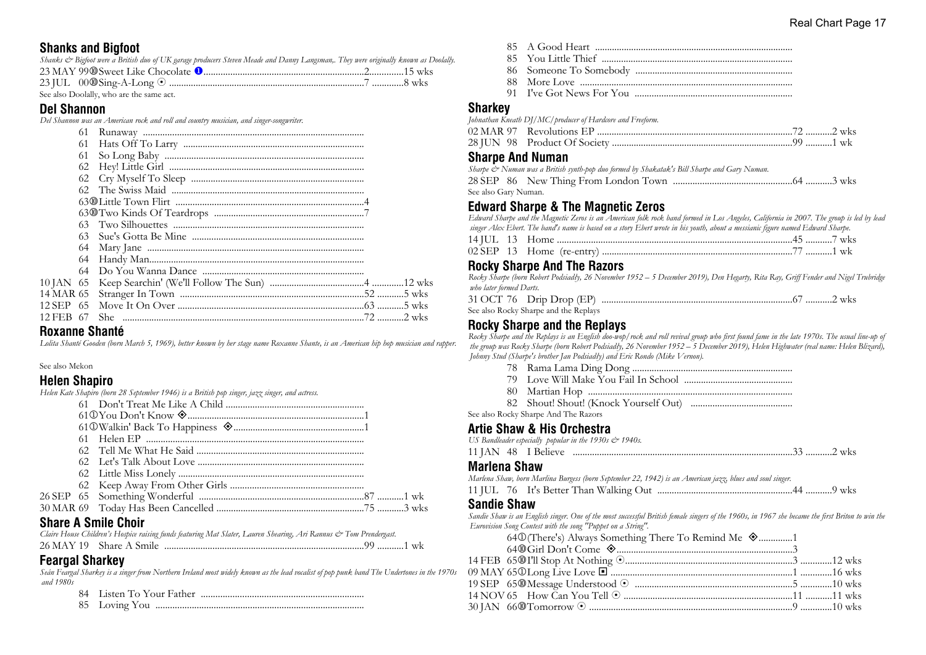# **Shanks and Bigfoot**

| Shanks & Bigfoot were a British duo of UK garage producers Steven Meade and Danny Langsman,. They were originally known as Doolally. |  |  |
|--------------------------------------------------------------------------------------------------------------------------------------|--|--|
|                                                                                                                                      |  |  |
|                                                                                                                                      |  |  |

See also Doolally, who are the same act.

#### **Del Shannon**

*Del Shannon was an American rock and roll and country musician, and singer-songwriter.*

|           | 61  |       |  |
|-----------|-----|-------|--|
|           | 61  |       |  |
|           | 61  |       |  |
|           |     |       |  |
|           |     |       |  |
|           |     |       |  |
|           |     |       |  |
|           |     |       |  |
|           |     |       |  |
|           | 63. |       |  |
|           | 64  |       |  |
|           | 64  |       |  |
|           |     |       |  |
|           |     |       |  |
|           |     |       |  |
|           |     |       |  |
| 12 FEB 67 |     | She - |  |
|           |     |       |  |

#### **Roxanne Shanté**

*Lolita Shanté Gooden (born March 5, 1969), better known by her stage name Roxanne Shante, is an American hip hop musician and rapper.*

#### See also Mekon

#### **Helen Shapiro**

*Helen Kate Shapiro (born 28 September 1946) is a British pop singer, jazz singer, and actress.*

|  | OL  A O!I. OL |
|--|---------------|

# **Share A Smile Choir**

*Claire House Children's Hospice raising funds featuring Mat Slater, Lauren Shearing, Ari Rannus & Tom Prendergast.* 26 MAY 19 Share A Smile ...................................................................................99 ...........1 wk

# **Feargal Sharkey**

*Seán Feargal Sharkey is a singer from Northern Ireland most widely known as the lead vocalist of pop punk band The Undertones in the 1970s and 1980s*

|--|--|--|--|

85 Loving You ......................................................................................

- 
- 85 A Good Heart .................................................................................. 85 You Little Thief ............................................................................... 86 Someone To Somebody ................................................................. 88 More Love ........................................................................................
- 91 I've Got News For You .................................................................

#### **Sharkey**

| Johnathan Kneath DJ/MC/producer of Hardcore and Freeform. |  |
|-----------------------------------------------------------|--|
|                                                           |  |
|                                                           |  |

#### **Sharpe And Numan**

| Sharpe & Numan was a British synth-pop duo formed by Shakatak's Bill Sharpe and Gary Numan. |  |  |  |  |  |
|---------------------------------------------------------------------------------------------|--|--|--|--|--|
|                                                                                             |  |  |  |  |  |
| See also Gary Numan.                                                                        |  |  |  |  |  |

# **Edward Sharpe & The Magnetic Zeros**

*Edward Sharpe and the Magnetic Zeros is an American folk rock band formed in Los Angeles, California in 2007. The group is led by lead*

|  | singer Alex Ebert. The band's name is based on a story Ebert wrote in his youth, about a messianic figure named Edward Sharpe. |  |  |
|--|--------------------------------------------------------------------------------------------------------------------------------|--|--|
|  |                                                                                                                                |  |  |
|  |                                                                                                                                |  |  |

# **Rocky Sharpe And The Razors**

*Rocky Sharpe (born Robert Podsiadły, 26 November 1952 – 5 December 2019), Den Hegarty, Rita Ray, Griff Fender and Nigel Trubridge who later formed Darts.*

|  |                          | 31 OCT 76 Drip Drop (EP) |  |  |  |  |
|--|--------------------------|--------------------------|--|--|--|--|
|  | $0 \t 1 \t 1 \t 1 \t 01$ |                          |  |  |  |  |

# See also Rocky Sharpe and the Replays

#### **Rocky Sharpe and the Replays**

*Rocky Sharpe and the Replays is an English doo-wop/rock and roll revival group who first found fame in the late 1970s. The usual line-up of the group was Rocky Sharpe (born Robert Podsiadły, 26 November 1952 – 5 December 2019), Helen Highwater (real name: Helen Blizard), Johnny Stud (Sharpe's brother Jan Podsiadły) and Eric Rondo (Mike Vernon).*

- 78 Rama Lama Ding Dong ..................................................................
- 79 Love Will Make You Fail In School .............................................
- 80 Martian Hop ....................................................................................
- 82 Shout! Shout! (Knock Yourself Out) ..........................................

See also Rocky Sharpe And The Razors

# **Artie Shaw & His Orchestra**<br>*IIS Bandleader estecially, popular in the 1930s*

|  | US Bandleader especially popular in the $1930s \ll 1940s$ . |
|--|-------------------------------------------------------------|
|--|-------------------------------------------------------------|

| <b>11 JAN</b> | - 48 | $TD-$<br>- Delleve |  | WKS |
|---------------|------|--------------------|--|-----|

#### **Marlena Shaw**

*Marlena Shaw, born Marlina Burgess (born September 22, 1942) is an American jazz, blues and soul singer.*

11 JUL 76 It's Better Than Walking Out ........................................................44 ...........9 wks

#### **Sandie Shaw**

*Sandie Shaw is an English singer. One of the most successful British female singers of the 1960s, in 1967 she became the first Briton to win the Eurovision Song Contest with the song "Puppet on a String".*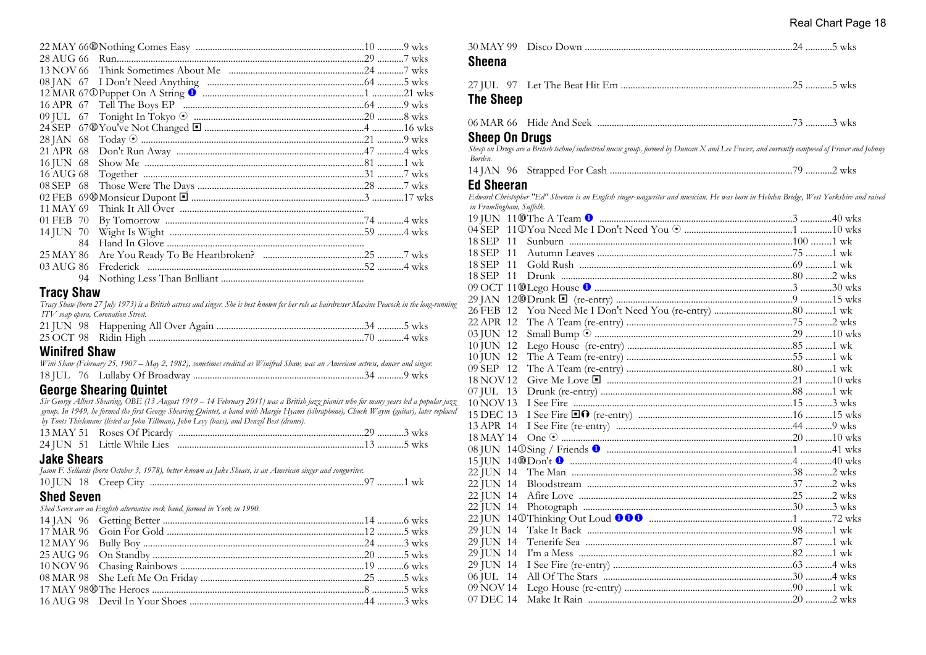| 13 NOV 66 |    |  |  |
|-----------|----|--|--|
|           |    |  |  |
|           |    |  |  |
|           |    |  |  |
|           |    |  |  |
|           |    |  |  |
| 28 JAN 68 |    |  |  |
| 21 APR 68 |    |  |  |
| 16 JUN 68 |    |  |  |
| 16 AUG 68 |    |  |  |
| 08 SEP 68 |    |  |  |
|           |    |  |  |
| 11 MAY 69 |    |  |  |
| 01 FEB 70 |    |  |  |
| 14 JUN 70 |    |  |  |
|           | 84 |  |  |
| 25 MAY 86 |    |  |  |
| 03 AUG 86 |    |  |  |
|           | 94 |  |  |
|           |    |  |  |

# **Tracy Shaw**

*Tracy Shaw (born 27 July 1973) is a British actress and singer. She is best known for her role as hairdresser Maxine Peacock in the long-running ITV soap opera, Coronation Street.*

#### **Winifred Shaw**

| Wini Shaw (February 25, 1907 – May 2, 1982), sometimes credited as Winifred Shaw, was an American actress, dancer and singer. |  |  |
|-------------------------------------------------------------------------------------------------------------------------------|--|--|
|                                                                                                                               |  |  |

# **George Shearing Quintet**

*Sir George Albert Shearing, OBE (13 August 1919 – 14 February 2011) was a British jazz pianist who for many years led a popular jazz group. In 1949, he formed the first George Shearing Quintet, a band with Margie Hyams (vibraphone), Chuck Wayne (guitar), later replaced by Toots Thielemans (listed as John Tillman), John Levy (bass), and Denzil Best (drums).*

# **Jake Shears**

| JANG VIIGAIJ      |                                                                                                              |  |
|-------------------|--------------------------------------------------------------------------------------------------------------|--|
|                   | Jason F. Sellards (born October 3, 1978), better known as Jake Shears, is an American singer and songwriter. |  |
|                   |                                                                                                              |  |
| <b>Shed Seven</b> |                                                                                                              |  |
|                   | Shed Seven are an English alternative rock band, formed in York in 1990.                                     |  |
|                   |                                                                                                              |  |
|                   |                                                                                                              |  |
|                   |                                                                                                              |  |
|                   |                                                                                                              |  |
|                   |                                                                                                              |  |
|                   |                                                                                                              |  |
|                   |                                                                                                              |  |
|                   |                                                                                                              |  |
|                   |                                                                                                              |  |

| <b>Sheena</b>            |                                                                                                                                            |  |
|--------------------------|--------------------------------------------------------------------------------------------------------------------------------------------|--|
|                          |                                                                                                                                            |  |
| <b>The Sheep</b>         |                                                                                                                                            |  |
|                          |                                                                                                                                            |  |
| <b>Sheep On Drugs</b>    |                                                                                                                                            |  |
| Borden.                  | Sheep on Drugs are a British techno/industrial music group, formed by Duncan X and Lee Fraser, and currently composed of Fraser and Johnny |  |
|                          |                                                                                                                                            |  |
| <b>Ed Sheeran</b>        |                                                                                                                                            |  |
|                          | Edward Christopher "Ed" Sheeran is an English singer-songwriter and musician. He was horn in Hebden Bridge, West Yorkshire and raised      |  |
| in Framlingham, Suffolk. |                                                                                                                                            |  |
|                          |                                                                                                                                            |  |
|                          |                                                                                                                                            |  |
| 18 SEP 11                |                                                                                                                                            |  |
| 18 SEP 11                |                                                                                                                                            |  |
| 18 SEP 11                |                                                                                                                                            |  |
| 18 SEP 11                |                                                                                                                                            |  |
|                          |                                                                                                                                            |  |
|                          |                                                                                                                                            |  |
| 26 FEB 12                |                                                                                                                                            |  |
| 22 APR 12                |                                                                                                                                            |  |
| 03 JUN 12                |                                                                                                                                            |  |
| 10 JUN 12                |                                                                                                                                            |  |
| 10 JUN 12                |                                                                                                                                            |  |
| 09 SEP 12                |                                                                                                                                            |  |
| 18 NOV 12                |                                                                                                                                            |  |
| 07 JUL 13                |                                                                                                                                            |  |
| 10 NOV 13                |                                                                                                                                            |  |
| 15 DEC 13                |                                                                                                                                            |  |
| 13 APR 14                |                                                                                                                                            |  |
| 18 MAY 14                |                                                                                                                                            |  |
|                          |                                                                                                                                            |  |
|                          |                                                                                                                                            |  |
|                          |                                                                                                                                            |  |
|                          |                                                                                                                                            |  |
|                          |                                                                                                                                            |  |
|                          |                                                                                                                                            |  |
|                          |                                                                                                                                            |  |
|                          |                                                                                                                                            |  |
| 29 JUN 14                |                                                                                                                                            |  |
| 29 JUN 14                |                                                                                                                                            |  |
| 29 JUN 14                |                                                                                                                                            |  |
| 06 JUL 14                |                                                                                                                                            |  |
| 09 NOV 14                |                                                                                                                                            |  |
|                          |                                                                                                                                            |  |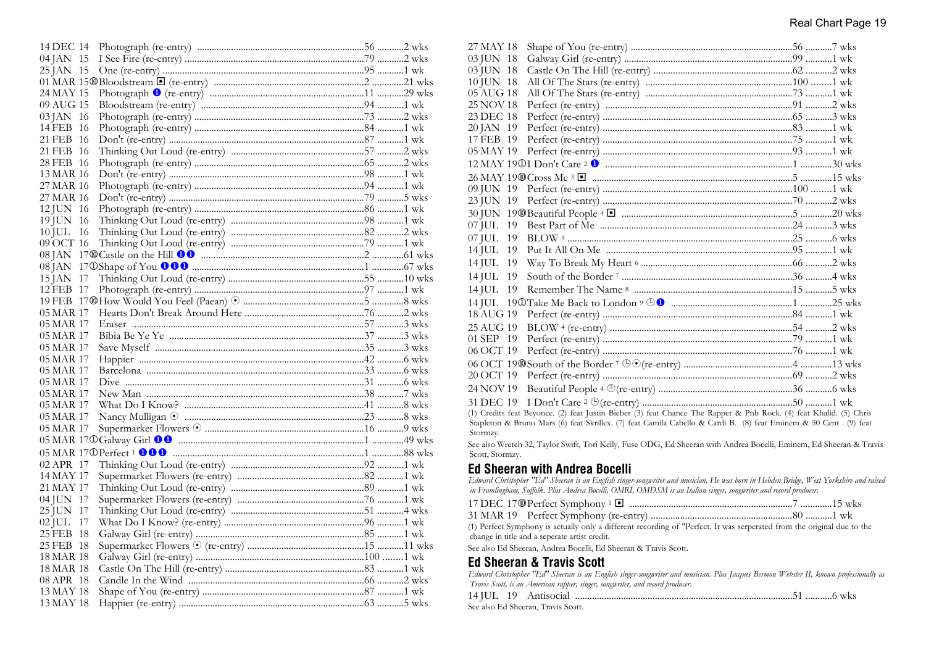| 14 DEC 14 |  |  |
|-----------|--|--|
| 04 JAN 15 |  |  |
| 25 JAN 15 |  |  |
|           |  |  |
| 24 MAY 15 |  |  |
| 09 AUG 15 |  |  |
| 03 JAN 16 |  |  |
| 14 FEB 16 |  |  |
| 21 FEB 16 |  |  |
| 21 FEB 16 |  |  |
| 28 FEB 16 |  |  |
| 13 MAR 16 |  |  |
| 27 MAR 16 |  |  |
| 27 MAR 16 |  |  |
| 12 JUN 16 |  |  |
| 19 JUN 16 |  |  |
| 10 JUL 16 |  |  |
| 09 OCT 16 |  |  |
|           |  |  |
|           |  |  |
| 15 JAN 17 |  |  |
| 12 FEB 17 |  |  |
|           |  |  |
| 05 MAR 17 |  |  |
|           |  |  |
| 05 MAR 17 |  |  |
| 05 MAR 17 |  |  |
| 05 MAR 17 |  |  |
| 05 MAR 17 |  |  |
| 05 MAR 17 |  |  |
| 05 MAR 17 |  |  |
| 05 MAR 17 |  |  |
| 05 MAR 17 |  |  |
| 05 MAR 17 |  |  |
| 05 MAR 17 |  |  |
|           |  |  |
|           |  |  |
| 02 APR 17 |  |  |
| 14 MAY 17 |  |  |
| 21 MAY 17 |  |  |
| 04 JUN 17 |  |  |
| 25 JUN 17 |  |  |
| 02 JUL 17 |  |  |
| 25 FEB 18 |  |  |
| 25 FEB 18 |  |  |
| 18 MAR 18 |  |  |
| 18 MAR 18 |  |  |
| 08 APR 18 |  |  |
| 13 MAY 18 |  |  |
| 13 MAY 18 |  |  |
|           |  |  |

| 27 MAY 18       |                                                                                                                                                          |  |
|-----------------|----------------------------------------------------------------------------------------------------------------------------------------------------------|--|
| 03 JUN 18       |                                                                                                                                                          |  |
| 03 JUN 18       |                                                                                                                                                          |  |
| 10 JUN 18       |                                                                                                                                                          |  |
| 05 AUG 18       |                                                                                                                                                          |  |
| 25 NOV 18       |                                                                                                                                                          |  |
| 23 DEC 18       |                                                                                                                                                          |  |
| 20 JAN 19       |                                                                                                                                                          |  |
| 17 FEB 19       |                                                                                                                                                          |  |
| 05 MAY 19       |                                                                                                                                                          |  |
|                 |                                                                                                                                                          |  |
|                 |                                                                                                                                                          |  |
| 09 JUN 19       |                                                                                                                                                          |  |
| 23 JUN 19       |                                                                                                                                                          |  |
|                 |                                                                                                                                                          |  |
| 07 JUL<br>19    |                                                                                                                                                          |  |
| $07$ JUL<br>19  |                                                                                                                                                          |  |
| $14$ JUL<br>19  |                                                                                                                                                          |  |
| $14$ JUL<br>19  |                                                                                                                                                          |  |
| $14$ JUL<br>-19 |                                                                                                                                                          |  |
| $14$ JUL<br>19  |                                                                                                                                                          |  |
|                 |                                                                                                                                                          |  |
| 18 AUG 19       |                                                                                                                                                          |  |
| 25 AUG 19       |                                                                                                                                                          |  |
| 01 SEP 19       |                                                                                                                                                          |  |
| 06 OCT 19       |                                                                                                                                                          |  |
|                 |                                                                                                                                                          |  |
| 20 OCT 19       |                                                                                                                                                          |  |
| 24 NOV 19       |                                                                                                                                                          |  |
| 31 DEC 19       |                                                                                                                                                          |  |
|                 | (1) Credits feat Beyonce. (2) feat Justin Bieber (3) feat Chance The Rapper & Pnb Rock. (4) feat Khalid. (5) Chris                                       |  |
|                 | Stapleton & Bruno Mars (6) feat Skrillex. (7) feat Camila Cabello & Cardi B. (8) feat Eminem & 50 Cent . (9) feat                                        |  |
| Stormzy.        | $\alpha$ ) $\overline{w}$ (120.501) $\alpha$ (25.500) $\overline{w}$ (120) $\overline{w}$ (120) $\overline{w}$ (130) $\overline{w}$ (120) $\alpha$ (500) |  |
|                 |                                                                                                                                                          |  |

See also Wretch 32, Taylor Swift, Tori Kelly, Fuse ODG, Ed Sheeran with Andrea Bocelli, Eminem, Ed Sheeran & Travis Scott, Stormzy.

# **Ed Sheeran with Andrea Bocelli**

*Edward Christopher "Ed" Sheeran is an English singer-songwriter and musician. He was born in Hebden Bridge, West Yorkshire and raised in Framlingham, Suffolk. Plus Andrea Bocelli, OMRI, OMDSM is an Italian singer, songwriter and record producer.*

(1) Perfect Symphony is actually only a different recording of "Perfect. It was serperated from the original due to the change in title and a seperate artist credit.

See also Ed Sheeran, Andrea Bocelli, Ed Sheeran & Travis Scott.

# **Ed Sheeran & Travis Scott**

| Edward Christopher "Ed" Sheeran is an English singer-songwriter and musician. Plus Jacques Bermon Webster II, known professionally as |  |
|---------------------------------------------------------------------------------------------------------------------------------------|--|
| Travis Scott, is an American rapper, singer, songwriter, and record producer.                                                         |  |
|                                                                                                                                       |  |

See also Ed Sheeran, Travis Scott.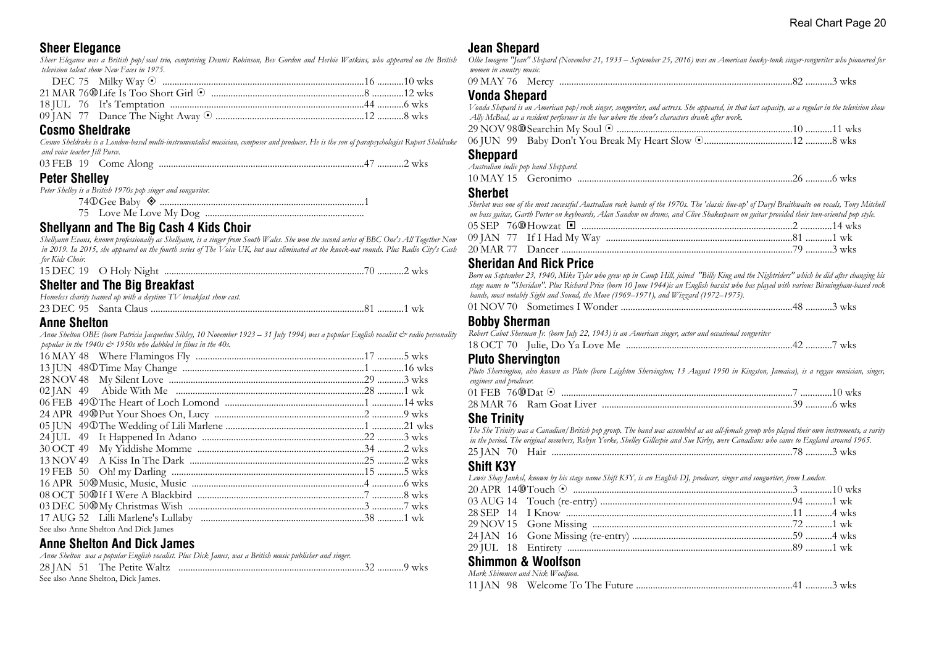# **Sheer Elegance**

*Sheer Elegance was a British pop/soul trio, comprising Dennis Robinson, Bev Gordon and Herbie Watkins, who appeared on the British television talent show New Faces in 1975.*

### **Cosmo Sheldrake**

*Cosmo Sheldrake is a London-based multi-instrumentalist musician, composer and producer. He is the son of parapsychologist Rupert Sheldrake and voice teacher Jill Purce.*

| Dator Challoy |  |  |  |
|---------------|--|--|--|
|               |  |  |  |

# **Peter Shelley**

| Peter Shelley is a British 1970s pop singer and songwriter. |  |
|-------------------------------------------------------------|--|
|                                                             |  |
|                                                             |  |

# **Shellyann and The Big Cash 4 Kids Choir**

*Shellyann Evans, known professionally as Shellyann, is a singer from South Wales. She won the second series of BBC One's All Together Now in 2019. In 2015, she appeared on the fourth series of The Voice UK, but was eliminated at the knock-out rounds. Plus Radio City's Cash for Kids Choir.*

| 15 DEC 19 O Holy Night |  |
|------------------------|--|

#### **Shelter and The Big Breakfast**

| Homeless charity teamed up with a daytime TV breakfast show cast. |  |
|-------------------------------------------------------------------|--|
|                                                                   |  |

#### **Anne Shelton**

*Anne Shelton OBE (born Patricia Jacqueline Sibley, 10 November 1923 – 31 July 1994) was a popular English vocalist & radio personality popular in the 1940s & 1950s who dabbled in films in the 40s.*

| See also Anne Shelton And Dick James |  |
|--------------------------------------|--|
|                                      |  |

# **Anne Shelton And Dick James**

|                                    | Anne Shelton was a popular English vocalist. Plus Dick James, was a British music publisher and singer. |  |  |
|------------------------------------|---------------------------------------------------------------------------------------------------------|--|--|
|                                    |                                                                                                         |  |  |
| See also Anne Shelton, Dick James. |                                                                                                         |  |  |

# **Jean Shepard**

| Ollie Imogene "Jean" Shepard (November 21, 1933 – September 25, 2016) was an American honky-tonk singer-songwriter who pioneered for |  |  |
|--------------------------------------------------------------------------------------------------------------------------------------|--|--|
| women in country music.                                                                                                              |  |  |

| 09 M<br>-wiero |  |  | WKS. |  |
|----------------|--|--|------|--|
|----------------|--|--|------|--|

#### **Vonda Shepard**

*Vonda Shepard is an American pop/rock singer, songwriter, and actress. She appeared, in that last capacity, as a regular in the television show Ally McBeal, as a resident performer in the bar where the show's characters drank after work.*

#### **Sheppard**

| Australian indie pop band Sheppard. |  |  |
|-------------------------------------|--|--|
|                                     |  |  |
|                                     |  |  |

#### **Sherbet**

*Sherbet was one of the most successful Australian rock bands of the 1970s. The 'classic line-up' of Daryl Braithwaite on vocals, Tony Mitchell on bass guitar, Garth Porter on keyboards, Alan Sandow on drums, and Clive Shakespeare on guitar provided their teen-oriented pop style.* 05 SEP 76s Howzat ® .......................................................................................2 .............14 wks

| 09 JAN 77 If I Had My Way |  |  |
|---------------------------|--|--|
|                           |  |  |

#### **Sheridan And Rick Price**

*Born on September 23, 1940, Mike Tyler who grew up in Camp Hill, joined "Billy King and the Nightriders" which he did after changing his stage name to "Sheridan". Plus Richard Price (born 10 June 1944)is an English bassist who has played with various Birmingham-based rock bands, most notably Sight and Sound, the Move (1969–1971), and Wizzard (1972–1975).*

#### **Bobby Sherman**

| Robert Cabot Sherman Jr. (born July 22, 1943) is an American singer, actor and occasional songwriter |  |  |  |
|------------------------------------------------------------------------------------------------------|--|--|--|
|                                                                                                      |  |  |  |

#### **Pluto Shervington**

*Pluto Shervington, also known as Pluto (born Leighton Shervington; 13 August 1950 in Kingston, Jamaica), is a reggae musician, singer, engineer and producer.*

|  |  | 01 FEB 76@Dat © ………………………………………………………………………………………7 …………10 wks |  |
|--|--|---------------------------------------------------------------|--|
|  |  |                                                               |  |

#### **She Trinity**

*The She Trinity was a Canadian/British pop group. The band was assembled as an all-female group who played their own instruments, a rarity in the period. The original members, Robyn Yorke, Shelley Gillespie and Sue Kirby, were Canadians who came to England around 1965.* 25 JAN 70 Hair ....................................................................................................78 ...........3 wks

# **Shift K3Y**

|  | Lewis Shay Jankel, known by his stage name Shift K3Y, is an English DJ, producer, singer and songwriter, from London. |  |
|--|-----------------------------------------------------------------------------------------------------------------------|--|
|  |                                                                                                                       |  |
|  |                                                                                                                       |  |
|  |                                                                                                                       |  |
|  |                                                                                                                       |  |
|  |                                                                                                                       |  |
|  |                                                                                                                       |  |

#### **Shimmon & Woolfson** *Mark Shimmon and Nick Woolfson.*

| <i>INIATR, SHIMMON ANA INICR, WOOITSON,</i> |  |
|---------------------------------------------|--|
|                                             |  |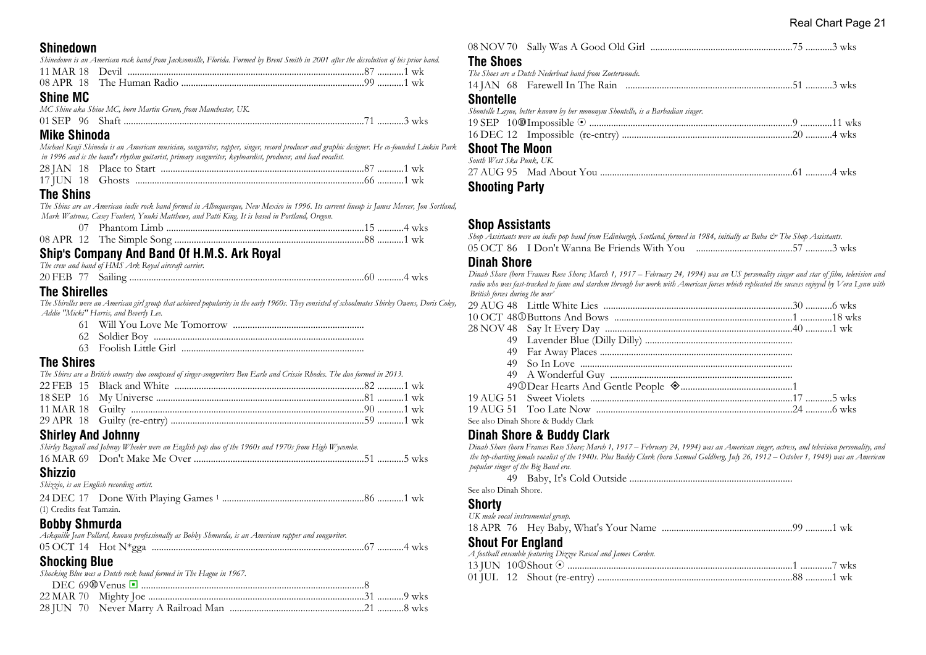#### **Shinedown**

| Shinedown is an American rock band from Jacksonville, Florida. Formed by Brent Smith in 2001 after the dissolution of his prior band. |  |
|---------------------------------------------------------------------------------------------------------------------------------------|--|
|                                                                                                                                       |  |
|                                                                                                                                       |  |
| <b>Shine MC</b><br>MC Shine aka Shine MC, born Martin Green, from Manchester, UK.                                                     |  |

# 01 SEP 96 Shaft ...................................................................................................71 ...........3 wks

#### **Mike Shinoda**

*Michael Kenji Shinoda is an American musician, songwriter, rapper, singer, record producer and graphic designer. He co-founded Linkin Park in 1996 and is the band's rhythm guitarist, primary songwriter, keyboardist, producer, and lead vocalist.*

# **The Shins**

*The Shins are an American indie rock band formed in Albuquerque, New Mexico in 1996. Its current lineup is James Mercer, Jon Sortland, Mark Watrous, Casey Foubert, Yuuki Matthews, and Patti King. It is based in Portland, Oregon.*

# **Ship's Company And Band Of H.M.S. Ark Royal**

*The crew and band of HMS Ark Royal aircraft carrier.*

| 20 F |  |  |  | . T | W N.S |
|------|--|--|--|-----|-------|
|------|--|--|--|-----|-------|

# **The Shirelles**

*The Shirelles were an American girl group that achieved popularity in the early 1960s. They consisted of schoolmates Shirley Owens, Doris Coley, Addie "Micki" Harris, and Beverly Lee.*

| 62 Soldier Boy |
|----------------|

63 Foolish Little Girl ...........................................................................

# **The Shires**

*The Shires are a British country duo composed of singer-songwriters Ben Earle and Crissie Rhodes. The duo formed in 2013.*

#### **Shirley And Johnny**

| Chizzio |                                                                                                      |  |  |  |
|---------|------------------------------------------------------------------------------------------------------|--|--|--|
|         |                                                                                                      |  |  |  |
|         | Shirley Bagnall and Johnny Wheeler were an English pop duo of the 1960s and 1970s from High Wycombe. |  |  |  |

#### **Shizzio**

*Shizzio, is an English recording artist.*

| (1) Credits feat Tamzin. |  |
|--------------------------|--|

# **Bobby Shmurda**

| <b>Chooking Dlug</b>                                                                                 |  |
|------------------------------------------------------------------------------------------------------|--|
|                                                                                                      |  |
| Ackquille Jean Pollard, known professionally as Bobby Shmurda, is an American rapper and songwriter. |  |
|                                                                                                      |  |

# **Shocking Blue**

| Shocking Blue was a Dutch rock band formed in The Hague in 1967. |  |
|------------------------------------------------------------------|--|
|                                                                  |  |
|                                                                  |  |
|                                                                  |  |

| <b>The Shoes</b>                                                                                   |  |
|----------------------------------------------------------------------------------------------------|--|
| The Shoes are a Dutch Nederbeat band from Zoeterwoude.                                             |  |
|                                                                                                    |  |
| <b>Shontelle</b><br>Shontelle Layne, better known by her mononym Shontelle, is a Barbadian singer. |  |
|                                                                                                    |  |
|                                                                                                    |  |
| <b>Shoot The Moon</b><br>South West Ska Punk, UK.                                                  |  |
|                                                                                                    |  |

# **Shooting Party**

# **Shop Assistants**

*Shop Assistants were an indie pop band from Edinburgh, Scotland, formed in 1984, initially as Buba & The Shop Assistants.* 05 OCT 86 I Don't Wanna Be Friends With You ........................................57 ...........3 wks

#### **Dinah Shore**

*Dinah Shore (born Frances Rose Shore; March 1, 1917 – February 24, 1994) was an US personality singer and star of film, television and radio who was fast-tracked to fame and stardom through her work with American forces which replicated the success enjoyed by Vera Lynn with British forces during the war'*

| See also Dinah Shore & Buddy Clark |  |
|------------------------------------|--|
|                                    |  |

#### **Dinah Shore & Buddy Clark**

*Dinah Shore (born Frances Rose Shore; March 1, 1917 – February 24, 1994) was an American singer, actress, and television personality, and the top-charting female vocalist of the 1940s. Plus Buddy Clark (born Samuel Goldberg, July 26, 1912 – October 1, 1949) was an American popular singer of the Big Band era.*

 49 Baby, It's Cold Outside ................................................................... See also Dinah Shore.

# **Shorty**

*UK male vocal instrumental group.*

#### **Shout For England**

|  | A football ensemble featuring Dizzee Rascal and James Corden. |  |
|--|---------------------------------------------------------------|--|
|  |                                                               |  |
|  |                                                               |  |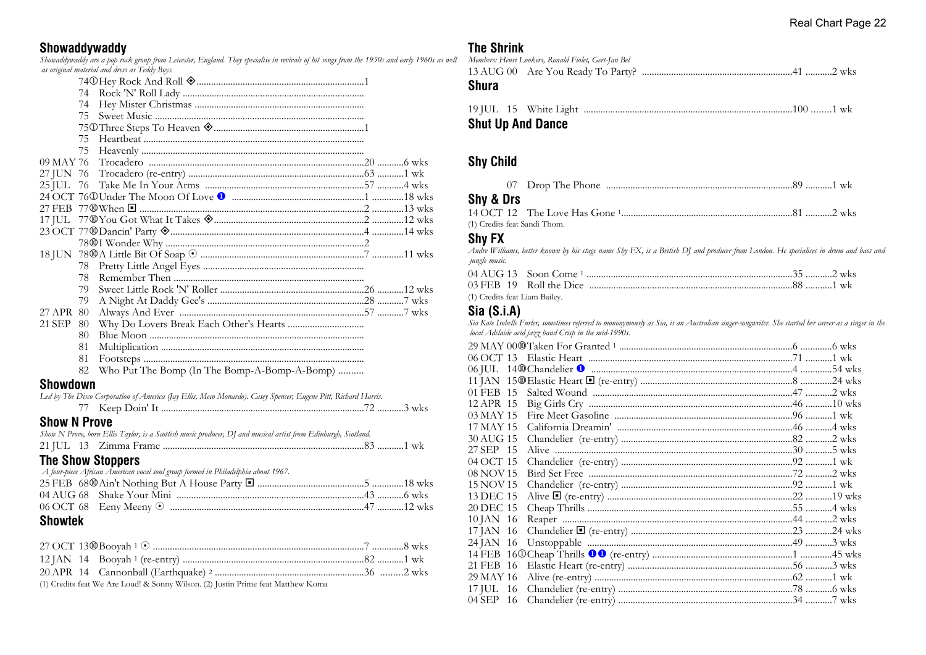# **Showaddywaddy**

*Showaddywaddy are a pop rock group from Leicester, England. They specialise in revivals of hit songs from the 1950s and early 1960s as well as original material and dress as Teddy Boys.*

|                | 74                                                                                                             |  |
|----------------|----------------------------------------------------------------------------------------------------------------|--|
|                | 74                                                                                                             |  |
|                | 75                                                                                                             |  |
|                |                                                                                                                |  |
|                | 75                                                                                                             |  |
|                | 75                                                                                                             |  |
| 09 MAY 76      |                                                                                                                |  |
| 27 JUN 76      |                                                                                                                |  |
| 25 JUL         | 76                                                                                                             |  |
|                |                                                                                                                |  |
|                |                                                                                                                |  |
|                |                                                                                                                |  |
|                |                                                                                                                |  |
|                |                                                                                                                |  |
|                |                                                                                                                |  |
|                | 78                                                                                                             |  |
|                | 78                                                                                                             |  |
|                | 79.                                                                                                            |  |
|                | 79                                                                                                             |  |
| 27 APR 80      |                                                                                                                |  |
| 21 SEP 80      |                                                                                                                |  |
|                | 80                                                                                                             |  |
|                | 81                                                                                                             |  |
|                | 81                                                                                                             |  |
|                | 82<br>Who Put The Bomp (In The Bomp-A-Bomp-A-Bomp)                                                             |  |
| Showdown       |                                                                                                                |  |
|                | Led by The Disco Corporation of America (Jay Ellis, Meco Monardo). Casey Spencer, Eugene Pitt, Richard Harris. |  |
|                |                                                                                                                |  |
|                | <b>Show N Prove</b>                                                                                            |  |
|                | Show N Prove, born Ellis Taylor, is a Scottish music producer, DJ and musical artist from Edinburgh, Scotland. |  |
|                |                                                                                                                |  |
|                | <b>The Show Stoppers</b>                                                                                       |  |
|                | A four-piece African American vocal soul group formed in Philadelphia about 1967.                              |  |
|                |                                                                                                                |  |
| 04 AUG 68      |                                                                                                                |  |
|                |                                                                                                                |  |
|                |                                                                                                                |  |
| <b>Showtek</b> |                                                                                                                |  |
|                |                                                                                                                |  |
|                |                                                                                                                |  |
|                |                                                                                                                |  |
| 20 APR 14      |                                                                                                                |  |

(1) Credits feat We Are Loud! & Sonny Wilson. (2) Justin Prime feat Matthew Koma

# **The Shrink**

| Members: Henri Lookers, Ronald Fiolet, Gert-Jan Bel<br>Shura |  |
|--------------------------------------------------------------|--|
| <b>Chut the And Dense</b>                                    |  |

#### **Shut Up And Dance**

#### **Shy Child**

|  | . Jron i<br>Phone<br>t ne. |  |  |
|--|----------------------------|--|--|
|--|----------------------------|--|--|

## **Shy & Drs**

| (1) Credits feat Sandi Thom. |  |
|------------------------------|--|

# **Shy FX**

*Andre Williams, better known by his stage name Shy FX, is a British DJ and producer from London. He specialises in drum and bass and jungle music.*

| (1) Credits feat Liam Bailey. |  |  |
|-------------------------------|--|--|

# **Sia (S.i.A)**

*Sia Kate Isobelle Furler, sometimes referred to mononymously as Sia, is an Australian singer-songwriter. She started her career as a singer in the local Adelaide acid jazz band Crisp in the mid-1990s.*

| 01 FEB 15 |  |
|-----------|--|
| 12 APR 15 |  |
| 03 MAY 15 |  |
| 17 MAY 15 |  |
| 30 AUG 15 |  |
| 27 SEP 15 |  |
| 04 OCT 15 |  |
| 08 NOV 15 |  |
| 15 NOV 15 |  |
| 13 DEC 15 |  |
| 20 DEC 15 |  |
| 10 JAN 16 |  |
| 17 JAN 16 |  |
| 24 JAN 16 |  |
|           |  |
| 21 FEB 16 |  |
| 29 MAY 16 |  |
| 17 JUL 16 |  |
| 04 SEP 16 |  |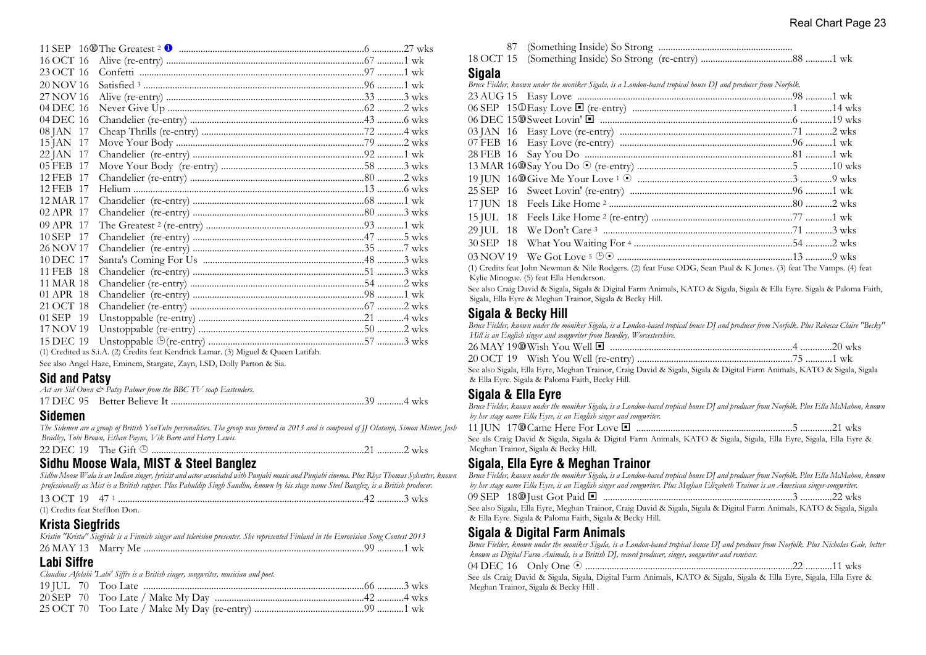| 16 OCT 16     |                                                                                     |  |
|---------------|-------------------------------------------------------------------------------------|--|
| 23 OCT 16     |                                                                                     |  |
| 20 NOV 16     |                                                                                     |  |
| 27 NOV 16     |                                                                                     |  |
| 04 DEC 16     |                                                                                     |  |
| 04 DEC 16     |                                                                                     |  |
| 08 JAN 17     |                                                                                     |  |
| 15 JAN 17     |                                                                                     |  |
| 22 JAN 17     |                                                                                     |  |
| 05 FEB 17     |                                                                                     |  |
| 12 FEB 17     |                                                                                     |  |
| 12 FEB 17     |                                                                                     |  |
| 12 MAR 17     |                                                                                     |  |
| 02 APR 17     |                                                                                     |  |
| 09 APR 17     |                                                                                     |  |
| $10$ SEP $17$ |                                                                                     |  |
| 26 NOV 17     |                                                                                     |  |
| 10 DEC 17     |                                                                                     |  |
| 11 FEB 18     |                                                                                     |  |
| 11 MAR 18     |                                                                                     |  |
| 01 APR 18     |                                                                                     |  |
| 21 OCT 18     |                                                                                     |  |
| 01 SEP 19     |                                                                                     |  |
| 17 NOV 19     |                                                                                     |  |
| 15 DEC 19     |                                                                                     |  |
|               | (1) Credited as S.i.A. (2) Credits feat Kendrick Lamar. (3) Miguel & Queen Latifah. |  |

See also Angel Haze, Eminem, Stargate, Zayn, LSD, Dolly Parton & Sia.

#### **Sid and Patsy**

| Act are Sid Owen $\mathcal O$ Patsy Palmer from the BBC TV soap Eastenders. |  |
|-----------------------------------------------------------------------------|--|
|                                                                             |  |

#### **Sidemen**

*The Sidemen are a group of British YouTube personalities. The group was formed in 2013 and is composed of JJ Olatunji, Simon Minter, Josh Bradley, Tobi Brown, Ethan Payne, Vik Barn and Harry Lewis.* 22 DEC 19 The Gift ¹ ........................................................................................21 ...........2 wks

#### **Sidhu Moose Wala, MIST & Steel Banglez**

*Sidhu Moose Wala is an Indian singer, lyricist and actor associated with Punjabi music and Punjabi cinema. Plus Rhys Thomas Sylvester, known professionally as Mist is a British rapper. Plus Pahuldip Singh Sandhu, known by his stage name Steel Banglez, is a British producer.*

| 13 OCT 19 47 1                 |  |  |
|--------------------------------|--|--|
| (1) Credits feat Stefflon Don. |  |  |

# **Krista Siegfrids**

| Kristin "Krista" Siegfrids is a Finnish singer and television presenter. She represented Finland in the Eurovision Song Contest 2013 |  |
|--------------------------------------------------------------------------------------------------------------------------------------|--|
|                                                                                                                                      |  |

# **Labi Siffre**

*Claudius Afolabi 'Labi' Siffre is a British singer, songwriter, musician and poet.*

18 OCT 15 (Something Inside) So Strong (re-entry) ......................................88 ...........1 wk

#### **Sigala**

*Bruce Fielder, known under the moniker Sigala, is a London-based tropical house DJ and producer from Norfolk.*

| $\mathcal{A} \setminus \mathcal{O}$ . It is a contract to the concern of the concern three concerns $\mathcal{A} \setminus \mathcal{O}$ |  |
|-----------------------------------------------------------------------------------------------------------------------------------------|--|

(1) Credits feat John Newman & Nile Rodgers. (2) feat Fuse ODG, Sean Paul & K Jones. (3) feat The Vamps. (4) feat Kylie Minogue. (5) feat Ella Henderson.

See also Craig David & Sigala, Sigala & Digital Farm Animals, KATO & Sigala, Sigala & Ella Eyre. Sigala & Paloma Faith, Sigala, Ella Eyre & Meghan Trainor, Sigala & Becky Hill.

# **Sigala & Becky Hill**

*Bruce Fielder, known under the moniker Sigala, is a London-based tropical house DJ and producer from Norfolk. Plus Rebecca Claire "Becky" Hill is an English singer and songwriter from Bewdley, Worcestershire.*

See also Sigala, Ella Eyre, Meghan Trainor, Craig David & Sigala, Sigala & Digital Farm Animals, KATO & Sigala, Sigala & Ella Eyre. Sigala & Paloma Faith, Becky Hill.

# **Sigala & Ella Eyre**

*Bruce Fielder, known under the moniker Sigala, is a London-based tropical house DJ and producer from Norfolk. Plus Ella McMahon, known by her stage name Ella Eyre, is an English singer and songwriter.*

|--|

See als Craig David & Sigala, Sigala & Digital Farm Animals, KATO & Sigala, Sigala, Ella Eyre, Sigala, Ella Eyre & Meghan Trainor, Sigala & Becky Hill.

# **Sigala, Ella Eyre & Meghan Trainor**

| Bruce Fielder, known under the moniker Sigala, is a London-based tropical house DJ and producer from Norfolk. Plus Ella McMahon, known                                             |  |
|------------------------------------------------------------------------------------------------------------------------------------------------------------------------------------|--|
| by her stage name Ella Eyre, is an English singer and songwriter. Plus Meghan Elizabeth Trainor is an American singer-songwriter.                                                  |  |
|                                                                                                                                                                                    |  |
| See also Sigala, Ella Eyre, Meghan Trainor, Craig David & Sigala, Sigala & Digital Farm Animals, KATO & Sigala, Sigala<br>& Ella Eyre. Sigala & Paloma Faith, Sigala & Becky Hill. |  |

#### **Sigala & Digital Farm Animals**

*Bruce Fielder, known under the moniker Sigala, is a London-based tropical house DJ and producer from Norfolk. Plus Nicholas Gale, better known as Digital Farm Animals, is a British DJ, record producer, singer, songwriter and remixer.*

| 04 DEC 16<br>Only One |  |  |  |  |  |
|-----------------------|--|--|--|--|--|
|-----------------------|--|--|--|--|--|

See als Craig David & Sigala, Sigala, Digital Farm Animals, KATO & Sigala, Sigala & Ella Eyre, Sigala, Ella Eyre & Meghan Trainor, Sigala & Becky Hill .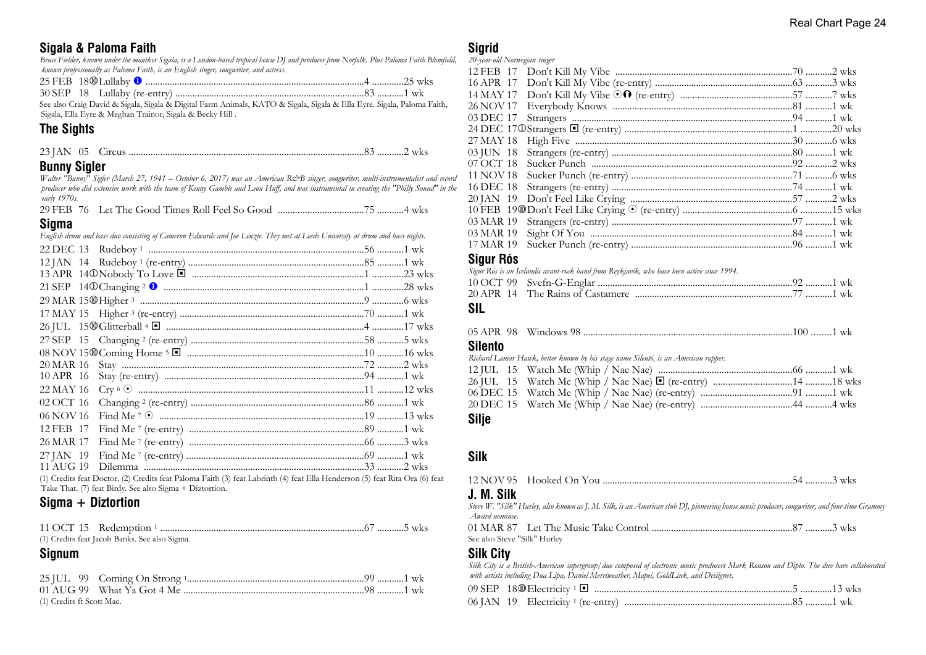# **Sigala & Paloma Faith**

*Bruce Fielder, known under the moniker Sigala, is a London-based tropical house DJ and producer from Norfolk. Plus Paloma Faith Blomfield, known professionally as Paloma Faith, is an English singer, songwriter, and actress.*

| 25 EED<br>-45 FED      | $1800$ Lullaby |  |  | <b>WKS</b> |
|------------------------|----------------|--|--|------------|
| $20.0$ $\overline{CD}$ |                |  |  |            |

30 SEP 18 Lullaby (re-entry) ..............................................................................83 ...........1 wk See also Craig David & Sigala, Sigala & Digital Farm Animals, KATO & Sigala, Sigala & Ella Eyre. Sigala, Paloma Faith, Sigala, Ella Eyre & Meghan Trainor, Sigala & Becky Hill .

# **The Sights**

| 22IAT |  |  | WKS |  |
|-------|--|--|-----|--|
|-------|--|--|-----|--|

# **Bunny Sigler**

*Walter "Bunny" Sigler (March 27, 1941 – October 6, 2017) was an American Re>B singer, songwriter, multi-instrumentalist and record producer who did extensive work with the team of Kenny Gamble and Leon Huff, and was instrumental in creating the "Philly Sound" in the early 1970s.*

29 FEB 76 Let The Good Times Roll Feel So Good ...................................75 ...........4 wks

#### **Sigma**

|           | English drum and bass duo consisting of Cameron Edwards and Joe Lenzie. They met at Leeds University at drum and bass nights. |  |
|-----------|-------------------------------------------------------------------------------------------------------------------------------|--|
|           |                                                                                                                               |  |
|           |                                                                                                                               |  |
|           |                                                                                                                               |  |
|           |                                                                                                                               |  |
|           |                                                                                                                               |  |
|           |                                                                                                                               |  |
|           |                                                                                                                               |  |
|           |                                                                                                                               |  |
|           |                                                                                                                               |  |
| 20 MAR 16 |                                                                                                                               |  |
| 10 APR 16 |                                                                                                                               |  |
| 22 MAY 16 |                                                                                                                               |  |
| 02 OCT 16 |                                                                                                                               |  |
| 06 NOV 16 |                                                                                                                               |  |
| 12 FEB 17 |                                                                                                                               |  |
| 26 MAR 17 |                                                                                                                               |  |
| 27 JAN 19 |                                                                                                                               |  |
|           | والسراد والمعاشرة والمتحدث والمتحدث والمتحدث والمتحدث المتحدث                                                                 |  |
|           |                                                                                                                               |  |

(1) Credits feat Doctor. (2) Credits feat Paloma Faith (3) feat Labrinth (4) feat Ella Henderson (5) feat Rita Ora (6) feat Take That. (7) feat Birdy. See also Sigma + Diztortion.

# **Sigma + Diztortion**

| (1) Credits feat Jacob Banks. See also Sigma. |  |
|-----------------------------------------------|--|

# **Signum**

| (1) Credits ft Scott Mac. |  |  |
|---------------------------|--|--|

# **Sinrid**

| Cinur Dáo                    |  |  |
|------------------------------|--|--|
| 17 MAR 19                    |  |  |
| 03 MAR 19                    |  |  |
| 03 MAR 19                    |  |  |
|                              |  |  |
| 20 JAN 19                    |  |  |
| 16 DEC 18                    |  |  |
| 11 NOV 18                    |  |  |
| 07 OCT 18                    |  |  |
| 03 JUN 18                    |  |  |
| 27 MAY 18                    |  |  |
|                              |  |  |
| 03 DEC 17                    |  |  |
| 26 NOV 17                    |  |  |
| 14 MAY 17                    |  |  |
|                              |  |  |
|                              |  |  |
| 20-year-old Norwegian singer |  |  |
|                              |  |  |

#### **Sigur Rós**

| Sigur Rós is an Icelandic avant-rock band from Reykjavík, who have been active since 1994. |  |  |
|--------------------------------------------------------------------------------------------|--|--|
|                                                                                            |  |  |
|                                                                                            |  |  |

# **SIL**

| Silento |                                                                                    |  |
|---------|------------------------------------------------------------------------------------|--|
|         | Richard Lamar Hawk, better known by his stage name Silentó, is an American rapper. |  |

| <b>Silje</b> |  |  |  |
|--------------|--|--|--|
|              |  |  |  |
|              |  |  |  |
|              |  |  |  |
|              |  |  |  |

# **Silk**

# **J. M. Silk**

*Steve W. "Silk" Hurley, also known as J. M. Silk, is an American club DJ, pioneering house music producer, songwriter, and four-time Grammy Award nominee.* 01 MAR 87 Let The Music Take Control ..........................................................87 ...........3 wks See also Steve "Silk" Hurley

#### **Silk City**

*Silk City is a British-American supergroup/duo composed of electronic music producers Mark Ronson and Diplo. The duo have collaborated with artists including Dua Lipa, Daniel Merriweather, Mapei, GoldLink, and Desiigner.*  $09$  SEP  $18$   $\textcircled{10}$  Electricity 1  $\blacksquare$ 

|  | 06 JAN 19 Electricity 1 (re-entry) |  |  |
|--|------------------------------------|--|--|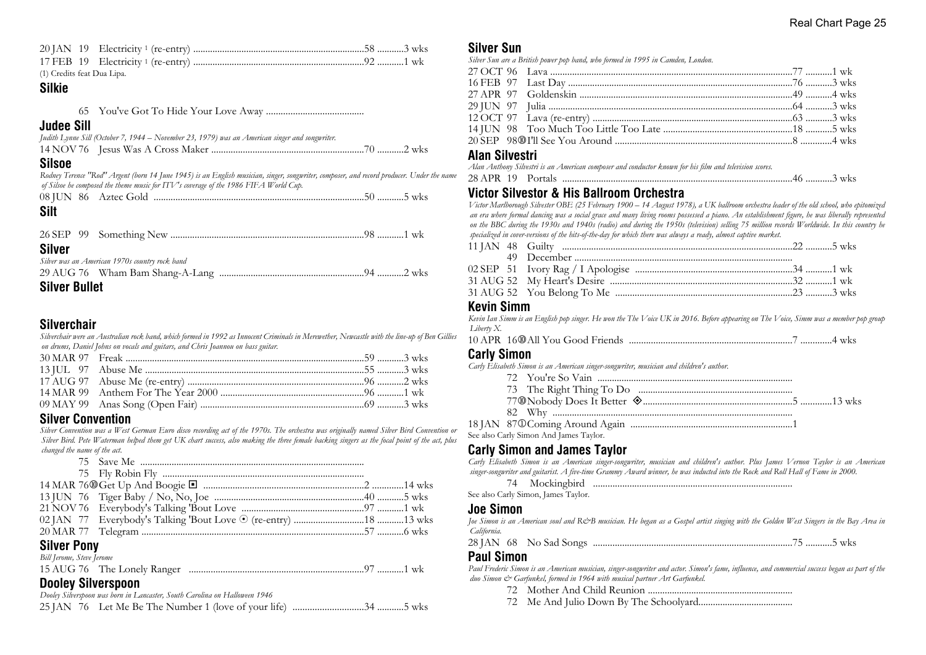| (1) Credits feat Dua Lipa. |  |  |
|----------------------------|--|--|

# **Silkie**

|--|--|--|

#### **Judee Sill**

| Judith Lynne Sill (October 7, 1944 – November 23, 1979) was an American singer and songwriter. |  |
|------------------------------------------------------------------------------------------------|--|
|                                                                                                |  |

#### **Silsoe**

*Rodney Terence "Rod" Argent (born 14 June 1945) is an English musician, singer, songwriter, composer, and record producer. Under the name of Silsoe he composed the theme music for ITV's coverage of the 1986 FIFA World Cup.*

| <b>Silt</b>   |                                                |  |
|---------------|------------------------------------------------|--|
| <b>Silver</b> |                                                |  |
|               | Silver was an American 1970s country rock band |  |
|               |                                                |  |

# **Silver Bullet**

# **Silverchair**

*Silverchair were an Australian rock band, which formed in 1992 as Innocent Criminals in Merewether, Newcastle with the line-up of Ben Gillies on drums, Daniel Johns on vocals and guitars, and Chris Joannou on bass guitar.*

#### **Silver Convention**

*Silver Convention was a West German Euro disco recording act of the 1970s. The orchestra was originally named Silver Bird Convention or Silver Bird. Pete Waterman helped them get UK chart success, also making the three female backing singers as the focal point of the act, plus changed the name of the act.*

| $\mathbf{A}$ |  |  |
|--------------|--|--|

#### **Silver Pony** *Bill Jerome, Steve Jerome*

| Du ferome, Sieve ferome |                             |         |
|-------------------------|-----------------------------|---------|
|                         | 15 AUG 76 The Lonely Ranger | 97 1 wk |

#### **Dooley Silverspoon**

*Dooley Silverspoon was born in Lancaster, South Carolina on Halloween 1946*

# **Silver Sun**

*Silver Sun are a British power pop band, who formed in 1995 in Camden, London.*

#### **Alan Silvestri**

*Alan Anthony Silvestri is an American composer and conductor known for his film and television scores.*

| $20^{\circ}$<br>υπ<br>.tais | <b>WKS</b> |
|-----------------------------|------------|
|-----------------------------|------------|

# **Victor Silvestor & His Ballroom Orchestra**

*Victor Marlborough Silvester OBE (25 February 1900 – 14 August 1978), a UK ballroom orchestra leader of the old school, who epitomized an era where formal dancing was a social grace and many living rooms possessed a piano. An establishment figure, he was liberally represented on the BBC during the 1930s and 1940s (radio) and during the 1950s (television) selling 75 million records Worldwide. In this country he specialized in cover-versions of the hits-of-the-day for which there was always a ready, almost captive market.*

# **Kevin Simm**

*Kevin Ian Simm is an English pop singer. He won the The Voice UK in 2016. Before appearing on The Voice, Simm was a member pop group Liberty X.*

|  |  |  | 7 4 wks |  |  |
|--|--|--|---------|--|--|
|--|--|--|---------|--|--|

#### **Carly Simon**

*Carly Elisabeth Simon is an American singer-songwriter, musician and children's author.*

| See also Carly Simon And James Taylor. |  |
|----------------------------------------|--|

# **Carly Simon and James Taylor**

*Carly Elisabeth Simon is an American singer-songwriter, musician and children's author. Plus James Vernon Taylor is an American singer-songwriter and guitarist. A five-time Grammy Award winner, he was inducted into the Rock and Roll Hall of Fame in 2000.*

74 Mockingbird ..................................................................................

See also Carly Simon, James Taylor.

#### **Joe Simon**

*Joe Simon is an American soul and R&B musician. He began as a Gospel artist singing with the Golden West Singers in the Bay Area in California.*

|--|--|--|--|--|--|--|--|--|

#### **Paul Simon**

*Paul Frederic Simon is an American musician, singer-songwriter and actor. Simon's fame, influence, and commercial success began as part of the duo Simon & Garfunkel, formed in 1964 with musical partner Art Garfunkel.*

- 72 Mother And Child Reunion ............................................................
- 72 Me And Julio Down By The Schoolyard.......................................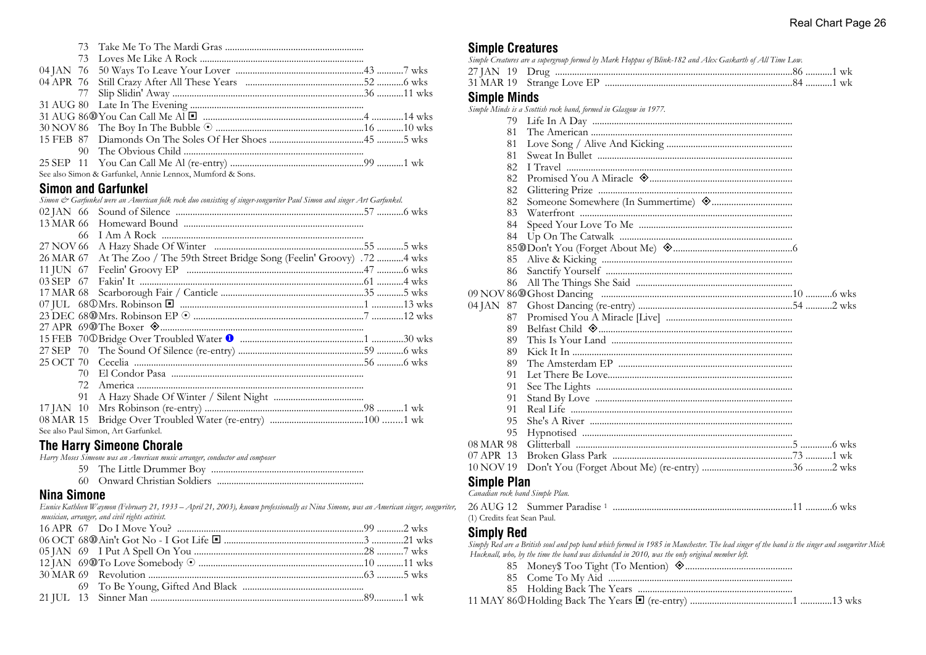| See also Simon & Garfunkel, Annie Lennox, Mumford & Sons. |  |
|-----------------------------------------------------------|--|

#### **Simon and Garfunkel**

| Simon & Garfunkel were an American folk rock duo consisting of singer-songwriter Paul Simon and singer Art Garfunkel.                                                                                                                     |  |
|-------------------------------------------------------------------------------------------------------------------------------------------------------------------------------------------------------------------------------------------|--|
|                                                                                                                                                                                                                                           |  |
|                                                                                                                                                                                                                                           |  |
| 66.                                                                                                                                                                                                                                       |  |
| 27 NOV 66                                                                                                                                                                                                                                 |  |
| At The Zoo / The 59th Street Bridge Song (Feelin' Groovy) .72  wks<br>26 MAR 67                                                                                                                                                           |  |
|                                                                                                                                                                                                                                           |  |
| 03 SEP 67                                                                                                                                                                                                                                 |  |
|                                                                                                                                                                                                                                           |  |
|                                                                                                                                                                                                                                           |  |
|                                                                                                                                                                                                                                           |  |
| 27 APR 69 <sup>®</sup> The Boxer  Summing Communication and the continuum contract of the contract of the contract of the contract of the contract of the contract of the contract of the contract of the contract of the contract of the |  |
|                                                                                                                                                                                                                                           |  |
|                                                                                                                                                                                                                                           |  |
| 25 OCT 70                                                                                                                                                                                                                                 |  |
| 70.                                                                                                                                                                                                                                       |  |
| 72.                                                                                                                                                                                                                                       |  |
| 91                                                                                                                                                                                                                                        |  |
|                                                                                                                                                                                                                                           |  |
|                                                                                                                                                                                                                                           |  |
| See also Paul Simon, Art Garfunkel.                                                                                                                                                                                                       |  |
|                                                                                                                                                                                                                                           |  |

# **The Harry Simeone Chorale**

*Harry Moses Simeone was an American music arranger, conductor and composer*

| 59 The Little Drummer Boy |  |  |  |
|---------------------------|--|--|--|
|                           |  |  |  |

60 Onward Christian Soldiers .............................................................

# **Nina Simone**

*Eunice Kathleen Waymon (February 21, 1933 – April 21, 2003), known professionally as Nina Simone, was an American singer, songwriter, musician, arranger, and civil rights activist.*

# **Simple Creatures**

| <b>Supple Greatures</b> |     |                                                                                                         |
|-------------------------|-----|---------------------------------------------------------------------------------------------------------|
|                         |     | Simple Creatures are a supergroup formed by Mark Hoppus of Blink-182 and Alex Gaskarth of All Time Low. |
|                         |     |                                                                                                         |
| 31 MAR 19               |     |                                                                                                         |
| <b>Simple Minds</b>     |     |                                                                                                         |
|                         |     | Simple Minds is a Scottish rock band, formed in Glasgow in 1977.                                        |
|                         | 79. |                                                                                                         |
|                         | 81  |                                                                                                         |
|                         | 81  |                                                                                                         |
|                         | 81  |                                                                                                         |
|                         | 82  |                                                                                                         |
|                         | 82  |                                                                                                         |
|                         | 82  |                                                                                                         |
|                         | 82  |                                                                                                         |
|                         | 83  |                                                                                                         |
|                         | 84  |                                                                                                         |
|                         | 84  |                                                                                                         |
|                         |     |                                                                                                         |
|                         | 85  |                                                                                                         |
|                         | 86  |                                                                                                         |
|                         | 86  |                                                                                                         |
|                         |     |                                                                                                         |
| 04 JAN 87               |     |                                                                                                         |
|                         | 87  |                                                                                                         |
|                         | 89  |                                                                                                         |
|                         | 89  |                                                                                                         |
|                         | 89  |                                                                                                         |
|                         | 89  |                                                                                                         |
|                         | 91  |                                                                                                         |
|                         | 91  |                                                                                                         |
|                         | 91  |                                                                                                         |
|                         | 91  |                                                                                                         |
|                         | 95  |                                                                                                         |
|                         | 95  |                                                                                                         |
| 08 MAR 98               |     |                                                                                                         |
| 07 APR 13               |     |                                                                                                         |
| 10 NOV 19               |     |                                                                                                         |
| Simnla Dlan             |     |                                                                                                         |

#### **Simple Plan** *Canadian rock band Simple Plan.*

|                             | 26 AUG 12 Summer Paradise 1 |  |
|-----------------------------|-----------------------------|--|
| (1) Credits feat Sean Paul. |                             |  |

#### **Simply Red**

*Simply Red are a British soul and pop band which formed in 1985 in Manchester. The lead singer of the band is the singer and songwriter Mick Hucknall, who, by the time the band was disbanded in 2010, was the only original member left.*

- 85 Money\$ Too Tight (To Mention) ±............................................
- 85 Come To My Aid ............................................................................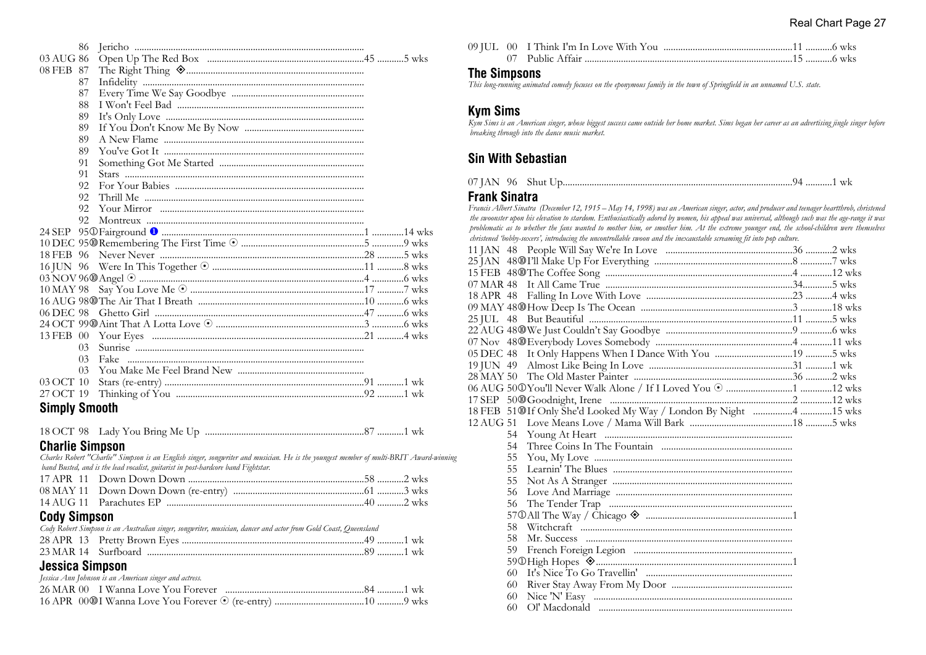| 86                   |  |
|----------------------|--|
| 03 AUG 86            |  |
| 08 FEB 87            |  |
| 87                   |  |
| 87                   |  |
| 88                   |  |
| 89                   |  |
| 89                   |  |
| 89                   |  |
| 89                   |  |
| 91                   |  |
| 91                   |  |
| 92                   |  |
| 92.                  |  |
| 92                   |  |
| 92                   |  |
|                      |  |
|                      |  |
|                      |  |
|                      |  |
|                      |  |
|                      |  |
|                      |  |
| 06 DEC 98            |  |
|                      |  |
|                      |  |
| 03                   |  |
| 0 <sub>3</sub>       |  |
| 03                   |  |
| 03 OCT 10            |  |
| 27 OCT 19            |  |
| <b>Simply Smooth</b> |  |

|  |  |  | ′ …………1 wk |
|--|--|--|------------|
|--|--|--|------------|

#### **Charlie Simpson**

*Charles Robert "Charlie" Simpson is an English singer, songwriter and musician. He is the youngest member of multi-BRIT Award-winning band Busted, and is the lead vocalist, guitarist in post-hardcore band Fightstar.*

# **Cody Simpson**

| Cody Robert Simpson is an Australian singer, songwriter, musician, dancer and actor from Gold Coast, Queensland |  |  |
|-----------------------------------------------------------------------------------------------------------------|--|--|
|                                                                                                                 |  |  |
|                                                                                                                 |  |  |

# **Jessica Simpson**

| Jessica Ann Johnson is an American singer and actress. |  |  |
|--------------------------------------------------------|--|--|
|                                                        |  |  |
|                                                        |  |  |

# **The Simpsons**

*This long-running animated comedy focuses on the eponymous family in the town of Springfield in an unnamed U.S. state.*

#### **Kym Sims**

*Kym Sims is an American singer, whose biggest success came outside her home market. Sims began her career as an advertising jingle singer before breaking through into the dance music market.*

# **Sin With Sebastian**

| 07 J AN<br>96 | - Shut | . 1 | - W.N |
|---------------|--------|-----|-------|
|---------------|--------|-----|-------|

# **Frank Sinatra**

*Francis Albert Sinatra (December 12, 1915 – May 14, 1998) was an American singer, actor, and producer and teenager heartthrob, christened the swoonster upon his elevation to stardom. Enthusiastically adored by women, his appeal was universal, although such was the age-range it was problematic as to whether the fans wanted to mother him, or smother him. At the extreme younger end, the school-children were themselves christened 'bobby-soxers', introducing the uncontrollable swoon and the inexaustable screaming fit into pop culture.*

|     | 18 FEB 51@If Only She'd Looked My Way / London By Night 4 15 wks |  |
|-----|------------------------------------------------------------------|--|
|     |                                                                  |  |
|     |                                                                  |  |
| 54  |                                                                  |  |
| 55  |                                                                  |  |
| 55  |                                                                  |  |
| 55  |                                                                  |  |
| 56  |                                                                  |  |
| 56  |                                                                  |  |
|     |                                                                  |  |
| 58. |                                                                  |  |
| 58. |                                                                  |  |
|     |                                                                  |  |
|     |                                                                  |  |
| 60  |                                                                  |  |
| 60  |                                                                  |  |
| 60  |                                                                  |  |
| 60  |                                                                  |  |
|     |                                                                  |  |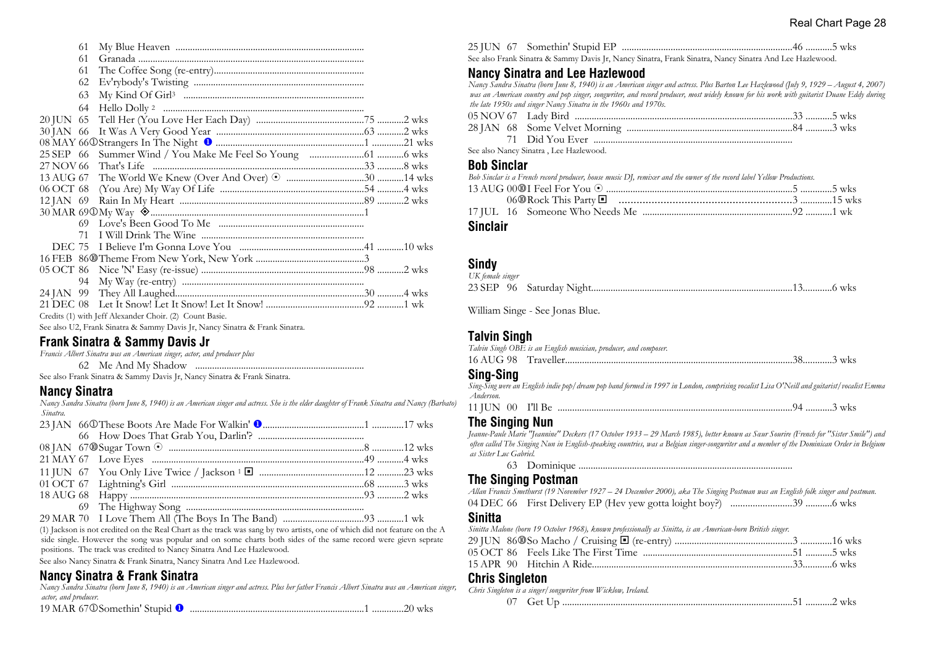|             | 61 |                                                                             |  |  |
|-------------|----|-----------------------------------------------------------------------------|--|--|
|             | 61 |                                                                             |  |  |
|             | 61 |                                                                             |  |  |
|             | 62 |                                                                             |  |  |
|             | 63 |                                                                             |  |  |
|             | 64 |                                                                             |  |  |
| 20 JUN 65   |    |                                                                             |  |  |
| 30 JAN 66   |    |                                                                             |  |  |
|             |    |                                                                             |  |  |
|             |    |                                                                             |  |  |
|             |    |                                                                             |  |  |
|             |    |                                                                             |  |  |
|             |    |                                                                             |  |  |
| $12$ JAN 69 |    |                                                                             |  |  |
|             |    |                                                                             |  |  |
|             | 69 |                                                                             |  |  |
|             | 71 |                                                                             |  |  |
| DEC 75      |    |                                                                             |  |  |
|             |    |                                                                             |  |  |
|             |    |                                                                             |  |  |
|             | 94 |                                                                             |  |  |
|             |    |                                                                             |  |  |
|             |    |                                                                             |  |  |
|             |    | Credits (1) with Jeff Alexander Choir. (2) Count Basie.                     |  |  |
|             |    | See also U2, Frank Sinatra & Sammy Davis Jr, Nancy Sinatra & Frank Sinatra. |  |  |

#### **Frank Sinatra & Sammy Davis Jr**

*Francis Albert Sinatra was an American singer, actor, and producer plus*

62 Me And My Shadow ......................................................................

See also Frank Sinatra & Sammy Davis Jr, Nancy Sinatra & Frank Sinatra.

#### **Nancy Sinatra**

*Nancy Sandra Sinatra (born June 8, 1940) is an American singer and actress. She is the elder daughter of Frank Sinatra and Nancy (Barbato) Sinatra.*

(1) Jackson is not credited on the Real Chart as the track was sang by two artists, one of which did not feature on the A side single. However the song was popular and on some charts both sides of the same record were gievn seprate positions. The track was credited to Nancy Sinatra And Lee Hazlewood.

See also Nancy Sinatra & Frank Sinatra, Nancy Sinatra And Lee Hazlewood.

# **Nancy Sinatra & Frank Sinatra**

*Nancy Sandra Sinatra (born June 8, 1940) is an American singer and actress. Plus her father Francis Albert Sinatra was an American singer, actor, and producer.* 19 MAR 67j Somethin' Stupid u ........................................................................1 .............20 wks

| 19 MAR 67 © Somethin' Stupid <sup>1</sup> |  |  |
|-------------------------------------------|--|--|
|-------------------------------------------|--|--|

25 JUN 67 Somethin' Stupid EP ......................................................................46 ...........5 wks

#### See also Frank Sinatra & Sammy Davis Jr, Nancy Sinatra, Frank Sinatra, Nancy Sinatra And Lee Hazlewood.

# **Nancy Sinatra and Lee Hazlewood**

*Nancy Sandra Sinatra (born June 8, 1940) is an American singer and actress. Plus Barton Lee Hazlewood (July 9, 1929 – August 4, 2007) was an American country and pop singer, songwriter, and record producer, most widely known for his work with guitarist Duane Eddy during the late 1950s and singer Nancy Sinatra in the 1960s and 1970s.*

| See also Nancy Sinatra, Lee Hazlewood. |  |
|----------------------------------------|--|

#### **Bob Sinclar**

*Bob Sinclar is a French record producer, house music DJ, remixer and the owner of the record label Yellow Productions.* 13 AUG 00s I Feel For You 8 .............................................................................5 .............5 wks 06s Rock This Party ® ..........................................................3 .............15 wks 17 JUL 16 Someone Who Needs Me ..............................................................92 ...........1 wk

#### **Sinclair**

#### **Sindy**

| UK female singer |  |  |
|------------------|--|--|
|                  |  |  |

William Singe - See Jonas Blue.

# **Talvin Singh**

| Talvin Singh OBE is an English musician, producer, and composer. |  |  |  |
|------------------------------------------------------------------|--|--|--|
|                                                                  |  |  |  |

# **Sing-Sing**

*Sing-Sing were an English indie pop/dream pop band formed in 1997 in London, comprising vocalist Lisa O'Neill and guitarist/vocalist Emma Anderson.*

11 JUN 00 I'll Be .................................................................................................94 ...........3 wks

#### **The Singing Nun**

*Jeanne-Paule Marie "Jeannine" Deckers (17 October 1933 – 29 March 1985), better known as Sœur Sourire (French for ''Sister Smile'') and often called The Singing Nun in English-speaking countries, was a Belgian singer-songwriter and a member of the Dominican Order in Belgium as Sister Luc Gabriel.*

63 Dominique ........................................................................................

# **The Singing Postman**

*Allan Francis Smethurst (19 November 1927 – 24 December 2000), aka The Singing Postman was an English folk singer and postman.*

04 DEC 66 First Delivery EP (Hev yew gotta loight boy?) .........................39 ...........6 wks

#### **Sinitta**

*Sinitta Malone (born 19 October 1968), known professionally as Sinitta, is an American-born British singer.*

|  | 05 OCT 86 Feels Like The First Time ………………………………………………………51 …………5 wks |  |
|--|-----------------------------------------------------------------------|--|
|  |                                                                       |  |

## **Chris Singleton**

*Chris Singleton is a singer/songwriter from Wicklow, Ireland.*

|--|--|--|--|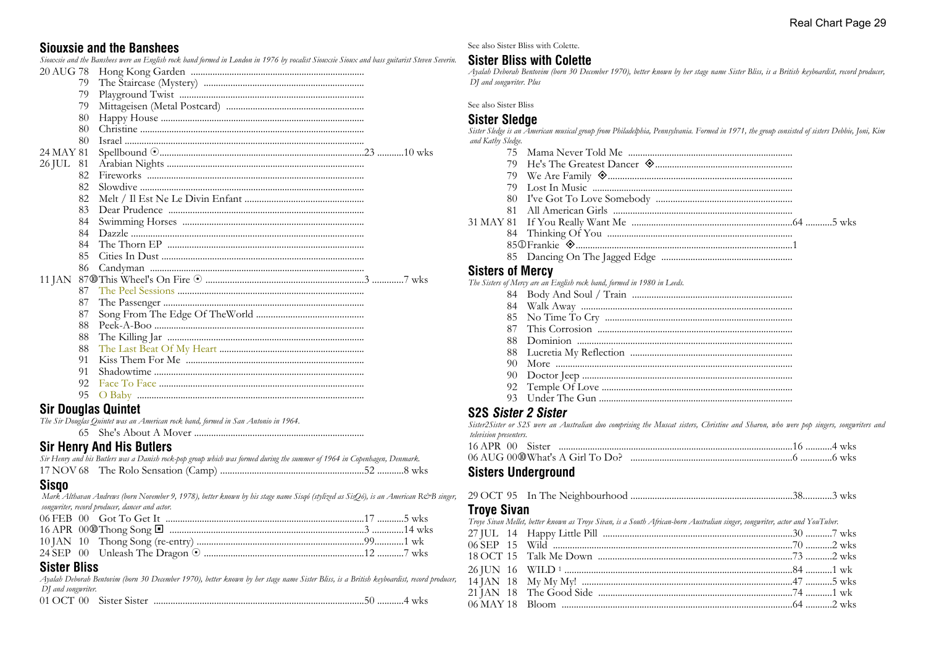#### **Siouxsie and the Banshees**

*Siouxsie and the Banshees were an English rock band formed in London in 1976 by vocalist Siouxsie Sioux and bass guitarist Steven Severin.*

| 20 AUG 78 |    |  |
|-----------|----|--|
|           | 79 |  |
|           | 79 |  |
|           | 79 |  |
|           | 80 |  |
|           | 80 |  |
|           | 80 |  |
| 24 MAY 81 |    |  |
| 26 JUL 81 |    |  |
|           | 82 |  |
|           | 82 |  |
|           | 82 |  |
|           | 83 |  |
|           | 84 |  |
|           | 84 |  |
|           | 84 |  |
|           | 85 |  |
|           | 86 |  |
|           |    |  |
|           | 87 |  |
|           | 87 |  |
|           | 87 |  |
|           | 88 |  |
|           | 88 |  |
|           | 88 |  |
|           | 91 |  |
|           | 91 |  |
|           | 92 |  |
|           | 95 |  |
|           |    |  |

#### **Sir Douglas Quintet**

*The Sir Douglas Quintet was an American rock band, formed in San Antonio in 1964.*

65 She's About A Mover ......................................................................

#### **Sir Henry And His Butlers**

| Sir Henry and his Butlers was a Danish rock-pop group which was formed during the summer of 1964 in Copenhagen, Denmark. |  |  |  |
|--------------------------------------------------------------------------------------------------------------------------|--|--|--|
|                                                                                                                          |  |  |  |

#### **Sisqo**

 *Mark Althavan Andrews (born November 9, 1978), better known by his stage name Sisqó (stylized as SisQó), is an American R&B singer, songwriter, record producer, dancer and actor.*

# **Sister Bliss**

*Ayalah Deborah Bentovim (born 30 December 1970), better known by her stage name Sister Bliss, is a British keyboardist, record producer, DJ and songwriter.*

|--|--|--|--|--|

See also Sister Bliss with Colette.

# **Sister Bliss with Colette**

*Ayalah Deborah Bentovim (born 30 December 1970), better known by her stage name Sister Bliss, is a British keyboardist, record producer, DJ and songwriter. Plus*

See also Sister Bliss

#### **Sister Sledge**

*Sister Sledge is an American musical group from Philadelphia, Pennsylvania. Formed in 1971, the group consisted of sisters Debbie, Joni, Kim and Kathy Sledge.*

| 79                      |                                                                         |
|-------------------------|-------------------------------------------------------------------------|
|                         |                                                                         |
|                         |                                                                         |
|                         |                                                                         |
|                         |                                                                         |
|                         |                                                                         |
|                         |                                                                         |
|                         |                                                                         |
|                         |                                                                         |
| <b>Sisters of Mercy</b> |                                                                         |
|                         | The Sisters of Mercy are an English rock band, formed in 1980 in Leeds. |
|                         |                                                                         |
|                         |                                                                         |

 85 No Time To Cry ............................................................................. 87 This Corrosion ................................................................................. 88 Dominion ......................................................................................... 88 Lucretia My Reflection ................................................................... 90 More ..................................................................................................

 90 Doctor Jeep ....................................................................................... 92 Temple Of Love ............................................................................... 93 Under The Gun ................................................................................

# **S2S** *Sister 2 Sister*

*Sister2Sister or S2S were an Australian duo comprising the Muscat sisters, Christine and Sharon, who were pop singers, songwriters and television presenters.*

#### **Sisters Underground**

|--|--|--|--|

#### **Troye Sivan**

*Troye Sivan Mellet, better known as Troye Sivan, is a South African-born Australian singer, songwriter, actor and YouTuber.*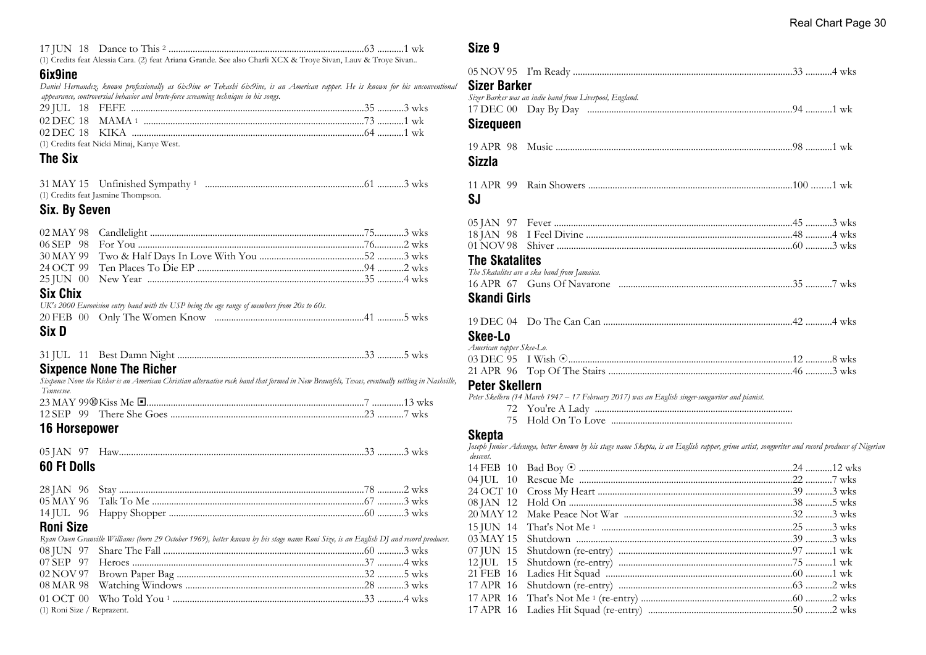|  | 17 JUN 18 Dance to This 2 |  |  |  |
|--|---------------------------|--|--|--|
|--|---------------------------|--|--|--|

(1) Credits feat Alessia Cara. (2) feat Ariana Grande. See also Charli XCX & Troye Sivan, Lauv & Troye Sivan..

#### **6ix9ine**

*Daniel Hernandez, known professionally as 6ix9ine or Tekashi 6ix9ine, is an American rapper. He is known for his unconventional appearance, controversial behavior and brute-force screaming technique in his songs.*

| 02 DEC 18 MAMA 1 $\ldots$ $\ldots$ $\ldots$ $\ldots$ $\ldots$ $\ldots$ $\ldots$ $\ldots$ $\ldots$ $\ldots$ $\ldots$ $\ldots$ $\ldots$ $\ldots$ $\ldots$ $\ldots$ $\ldots$ $\ldots$ $\ldots$ $\ldots$ $\ldots$ $\ldots$ $\ldots$ $\ldots$ $\ldots$ $\ldots$ $\ldots$ $\ldots$ $\ldots$ $\ldots$ $\ldots$ |  |
|---------------------------------------------------------------------------------------------------------------------------------------------------------------------------------------------------------------------------------------------------------------------------------------------------------|--|
|                                                                                                                                                                                                                                                                                                         |  |
| (1) Credits feat Nicki Minaj, Kanye West.                                                                                                                                                                                                                                                               |  |

#### **The Six**

| 31 MAY 15 Unfinished Sympathy 1    |  |
|------------------------------------|--|
| (1) Credits feat Jasmine Thompson. |  |

#### **Six. By Seven**

| <b>Siv Chiv</b> |  |  |
|-----------------|--|--|

#### **Six Chix**

|       | UK's 2000 Eurovision entry band with the USP being the age range of members from 20s to 60s. |  |
|-------|----------------------------------------------------------------------------------------------|--|
|       |                                                                                              |  |
| Six D |                                                                                              |  |

|--|--|

#### **Sixpence None The Richer**

*Sixpence None the Richer is an American Christian alternative rock band that formed in New Braunfels, Texas, eventually settling in Nashville, Tennessee.*

# **16 Horsepower**

05 JAN 97 Haw.....................................................................................................33 ...........3 wks

#### **60 Ft Dolls**

#### **Roni Size**

*Ryan Owen Granville Williams (born 29 October 1969), better known by his stage name Roni Size, is an English DJ and record producer.* 08 JUN 97 Share The Fall ...................................................................................60 ...........3 wks 07 SEP 97 Heroes ................................................................................................37 ...........4 wks 02 NOV 97 Brown Paper Bag .............................................................................32 ...........5 wks 08 MAR 98 Watching Windows ..........................................................................28 ...........3 wks

01 OCT 00 Who Told You <sup>1</sup> ...............................................................................33 ...........4 wks

(1) Roni Size / Reprazent.

#### **Size 9**

| <b>Sizer Barker</b>      |                                                                                                                                                                                                                                  |  |
|--------------------------|----------------------------------------------------------------------------------------------------------------------------------------------------------------------------------------------------------------------------------|--|
|                          | Sizer Barker was an indie band from Liverpool, England.                                                                                                                                                                          |  |
|                          |                                                                                                                                                                                                                                  |  |
| <b>Sizequeen</b>         |                                                                                                                                                                                                                                  |  |
| Sizzla                   |                                                                                                                                                                                                                                  |  |
|                          |                                                                                                                                                                                                                                  |  |
| SJ                       |                                                                                                                                                                                                                                  |  |
|                          |                                                                                                                                                                                                                                  |  |
|                          |                                                                                                                                                                                                                                  |  |
|                          |                                                                                                                                                                                                                                  |  |
| <b>The Skatalites</b>    |                                                                                                                                                                                                                                  |  |
|                          | The Skatalites are a ska band from Jamaica.                                                                                                                                                                                      |  |
|                          |                                                                                                                                                                                                                                  |  |
| <b>Skandi Girls</b>      |                                                                                                                                                                                                                                  |  |
|                          |                                                                                                                                                                                                                                  |  |
| <b>Skee-Lo</b>           |                                                                                                                                                                                                                                  |  |
| American rapper Skee-Lo. |                                                                                                                                                                                                                                  |  |
|                          | 03 DEC 95 I Wish $\odot$ manufacture of the contract of the set of the set of the set of the set of the set of the set of the set of the set of the set of the set of the set of the set of the set of the set of the set of the |  |
|                          |                                                                                                                                                                                                                                  |  |

#### **Peter Skellern**

*Peter Skellern (14 March 1947 – 17 February 2017) was an English singer-songwriter and pianist.*

 72 You're A Lady .................................................................................. 75 Hold On To Love ...........................................................................

# **Skepta**

*Joseph Junior Adenuga, better known by his stage name Skepta, is an English rapper, grime artist, songwriter and record producer of Nigerian descent.* 14 FEB 10 Bad Boy 8 ........................................................................................24 ...........12 wks 04 JUL 10 Rescue Me ........................................................................................22 ...........7 wks 24 OCT 10 Cross My Heart ................................................................................39 ...........3 wks 08 JAN 12 Hold On ............................................................................................38 ...........5 wks 20 MAY 12 Make Peace Not War ......................................................................32 ...........3 wks 15 JUN 14 That's Not Me <sup>1</sup> ...............................................................................25 ...........3 wks 03 MAY 15 Shutdown .........................................................................................39 ...........3 wks 07 JUN 15 Shutdown (re-entry) ........................................................................97 ...........1 wk 12 JUL 15 Shutdown (re-entry) ........................................................................75 ...........1 wk 21 FEB 16 Ladies Hit Squad .............................................................................60 ...........1 wk 17 APR 16 Shutdown (re-entry) ........................................................................63 ...........2 wks 17 APR 16 That's Not Me <sup>1</sup> (re-entry) ..............................................................60 ...........2 wks 17 APR 16 Ladies Hit Squad (re-entry) ............................................................50 ...........2 wks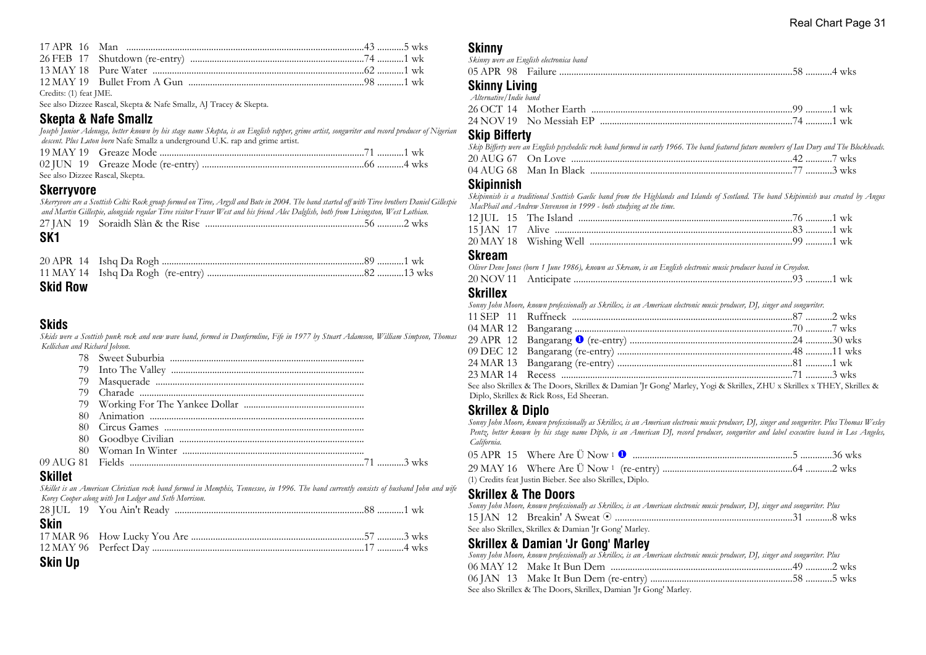| Credits: (1) feat IME. |  |  |
|------------------------|--|--|

See also Dizzee Rascal, Skepta & Nafe Smallz, AJ Tracey & Skepta.

# **Skepta & Nafe Smallz**

*Joseph Junior Adenuga, better known by his stage name Skepta, is an English rapper, grime artist, songwriter and record producer of Nigerian descent. Plus Luton born* Nafe Smallz a underground U.K. rap and grime artist.

| See also Dizzee Rascal, Skepta. |  |  |
|---------------------------------|--|--|

#### **Skerryvore**

*Skerryvore are a Scottish Celtic Rock group formed on Tiree, Argyll and Bute in 2004. The band started off with Tiree brothers Daniel Gillespie and Martin Gillespie, alongside regular Tiree visitor Fraser West and his friend Alec Dalglish, both from Livingston, West Lothian.*

#### **SK1**

| . |  |  |
|---|--|--|
|   |  |  |
|   |  |  |

#### **Skid Row**

## **Skids**

*Skids were a Scottish punk rock and new wave band, formed in Dunfermline, Fife in 1977 by Stuart Adamson, William Simpson, Thomas Kellichan and Richard Jobson.*

#### **Skillet**

*Skillet is an American Christian rock band formed in Memphis, Tennessee, in 1996. The band currently consists of husband John and wife Korey Cooper along with Jen Ledger and Seth Morrison.*

| <b>Skin</b> |  |  |  |
|-------------|--|--|--|
|             |  |  |  |
|             |  |  |  |

# **Skin Up**

#### **Skinny**

| --------                                                                                                        | Skinny were an English electronica band                             |  |
|-----------------------------------------------------------------------------------------------------------------|---------------------------------------------------------------------|--|
|                                                                                                                 | 05 APR   98    Failure ……………………………………………………………………………………58 …………4 wks |  |
| <b>Skinny Living</b><br>$\lambda_1, \ldots, \lambda_n, \ldots, \lambda_n, \ldots, \lambda_n, \ldots, \lambda_n$ |                                                                     |  |

# *Alternative/Indie band*

#### **Skip Bifferty**

| Skip Bifferty were an English psychedelic rock band formed in early 1966. The band featured future members of Ian Dury and The Blockheads. |  |
|--------------------------------------------------------------------------------------------------------------------------------------------|--|
|                                                                                                                                            |  |
|                                                                                                                                            |  |

#### **Skipinnish**

*Skipinnish is a traditional Scottish Gaelic band from the Highlands and Islands of Scotland. The band Skipinnish was created by Angus MacPhail and Andrew Stevenson in 1999 - both studying at the time.*

#### **Skream**

*Oliver Dene Jones (born 1 June 1986), known as Skream, is an English electronic music producer based in Croydon.*

| 20 NOV 11 |  |  |  | WК |
|-----------|--|--|--|----|
|-----------|--|--|--|----|

# **Skrillex**

*Sonny John Moore, known professionally as Skrillex, is an American electronic music producer, DJ, singer and songwriter.*

| $\alpha$ in the contract in the contract of $\alpha$ is the contract of $\alpha$ in the contract of the contract of the contract of the contract of the contract of the contract of the contract of the contract of the contract of the c |  |
|-------------------------------------------------------------------------------------------------------------------------------------------------------------------------------------------------------------------------------------------|--|

See also Skrillex & The Doors, Skrillex & Damian 'Jr Gong' Marley, Yogi & Skrillex, ZHU x Skrillex x THEY, Skrillex & Diplo, Skrillex & Rick Ross, Ed Sheeran.

#### **Skrillex & Diplo**

*Sonny John Moore, known professionally as Skrillex, is an American electronic music producer, DJ, singer and songwriter. Plus Thomas Wesley Pentz, better known by his stage name Diplo, is an American DJ, record producer, songwriter and label executive based in Los Angeles, California.*

| (1) Credits feat Justin Bieber. See also Skrillex, Diplo. |  |
|-----------------------------------------------------------|--|

# **Skrillex & The Doors**

| Sonny John Moore, known professionally as Skrillex, is an American electronic music producer, DJ, singer and songwriter. Plus |  |
|-------------------------------------------------------------------------------------------------------------------------------|--|
|                                                                                                                               |  |
| See also Skrillex, Skrillex & Damian 'Jr Gong' Marley.                                                                        |  |

#### **Skrillex & Damian 'Jr Gong' Marley**

| Sonny John Moore, known professionally as Skrillex, is an American electronic music producer, DJ, singer and songwriter. Plus |  |
|-------------------------------------------------------------------------------------------------------------------------------|--|
|                                                                                                                               |  |
| 06 JAN   13   Make It Bun Dem (re-entry) ………………………………………………………58 …………5 wks                                                    |  |
| See also Skrillex & The Doors, Skrillex, Damian 'Jr Gong' Marley.                                                             |  |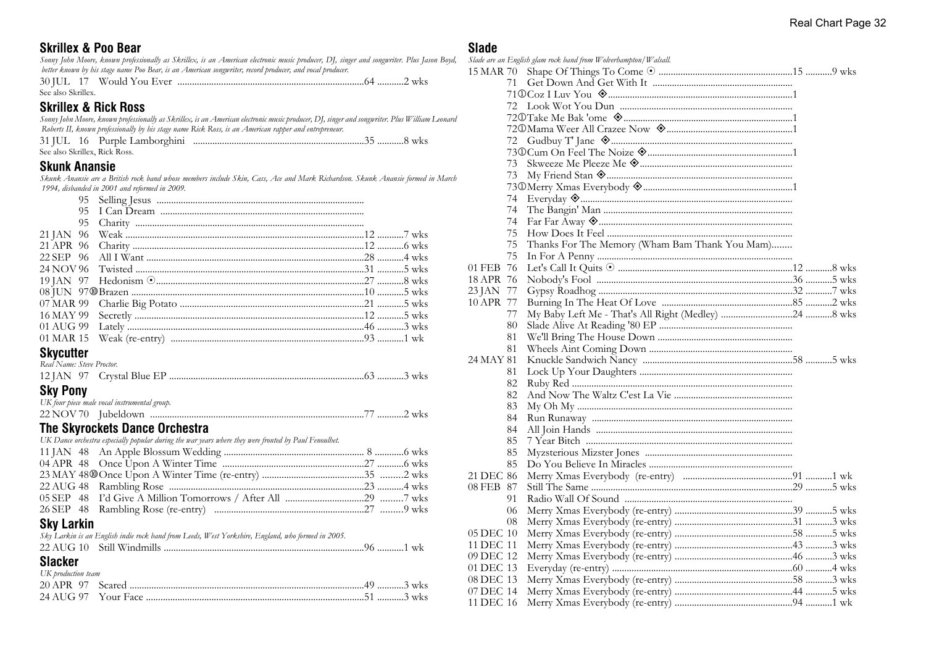# **Skrillex & Poo Bear**

#### *Sonny John Moore, known professionally as Skrillex, is an American electronic music producer, DJ, singer and songwriter. Plus Jason Boyd, better known by his stage name Poo Bear, is an American songwriter, record producer, and vocal producer.* 30 JUL 17 Would You Ever .............................................................................64 ...........2 wks

# See also Skrillex.

#### **Skrillex & Rick Ross**

*Sonny John Moore, known professionally as Skrillex, is an American electronic music producer, DJ, singer and songwriter. Plus William Leonard Roberts II, known professionally by his stage name Rick Ross, is an American rapper and entrepreneur.*

|  | See also Skrillex, Rick Ross. |  |
|--|-------------------------------|--|

# **Skunk Anansie**

*Skunk Anansie are a British rock band whose members include Skin, Cass, Ace and Mark Richardson. Skunk Anansie formed in March 1994, disbanded in 2001 and reformed in 2009.*

| $\sim$ $\sim$ |  |  |  |
|---------------|--|--|--|

#### **Skycutter**

| <b>Chi Donu</b>           |  |  |
|---------------------------|--|--|
|                           |  |  |
| Real Name: Steve Proctor. |  |  |

#### **Sky Pony**

| UK four piece male vocal instrumental group. |  |  |
|----------------------------------------------|--|--|
|                                              |  |  |

# **The Skyrockets Dance Orchestra**

*UK Dance orchestra especially popular during the war years where they were fronted by Paul Fenoulhet.*

# **Sky Larkin**

*Sky Larkin is an English indie rock band from Leeds, West Yorkshire, England, who formed in 2005.*

# **Slacker**

| UK production team |  |  |
|--------------------|--|--|
|                    |  |  |
|                    |  |  |

#### **Slade**

|           |    | Slade are an English glam rock band from Wolverhampton/Walsall.     |  |
|-----------|----|---------------------------------------------------------------------|--|
|           |    |                                                                     |  |
|           | 71 |                                                                     |  |
|           |    |                                                                     |  |
|           |    |                                                                     |  |
|           |    |                                                                     |  |
|           |    |                                                                     |  |
|           |    |                                                                     |  |
|           |    |                                                                     |  |
|           |    |                                                                     |  |
|           | 73 | My Friend Stan <a> Summann<br/>mmann-mmann-mmann-mmann-mmann-mm</a> |  |
|           |    |                                                                     |  |
|           | 74 |                                                                     |  |
|           | 74 |                                                                     |  |
|           | 74 |                                                                     |  |
|           | 75 |                                                                     |  |
|           | 75 | Thanks For The Memory (Wham Bam Thank You Mam)                      |  |
|           | 75 |                                                                     |  |
| 01 FEB 76 |    |                                                                     |  |
| 18 APR 76 |    |                                                                     |  |
| 23 JAN 77 |    |                                                                     |  |
| 10 APR 77 |    |                                                                     |  |
|           | 77 |                                                                     |  |
|           | 80 |                                                                     |  |
|           | 81 |                                                                     |  |
|           | 81 |                                                                     |  |
| 24 MAY 81 |    |                                                                     |  |
|           | 81 |                                                                     |  |
|           | 82 |                                                                     |  |
|           | 82 |                                                                     |  |
|           | 83 |                                                                     |  |
|           | 84 |                                                                     |  |
|           | 84 |                                                                     |  |
|           | 85 |                                                                     |  |
|           | 85 |                                                                     |  |
|           | 85 |                                                                     |  |
| 21 DEC 86 |    |                                                                     |  |
| 08 FEB 87 |    |                                                                     |  |
|           | 91 |                                                                     |  |
|           | 06 |                                                                     |  |
|           | 08 |                                                                     |  |
| 05 DEC 10 |    |                                                                     |  |
| 11 DEC 11 |    |                                                                     |  |
| 09 DEC 12 |    |                                                                     |  |
| 01 DEC 13 |    |                                                                     |  |
| 08 DEC 13 |    |                                                                     |  |
| 07 DEC 14 |    |                                                                     |  |
| 11 DEC 16 |    |                                                                     |  |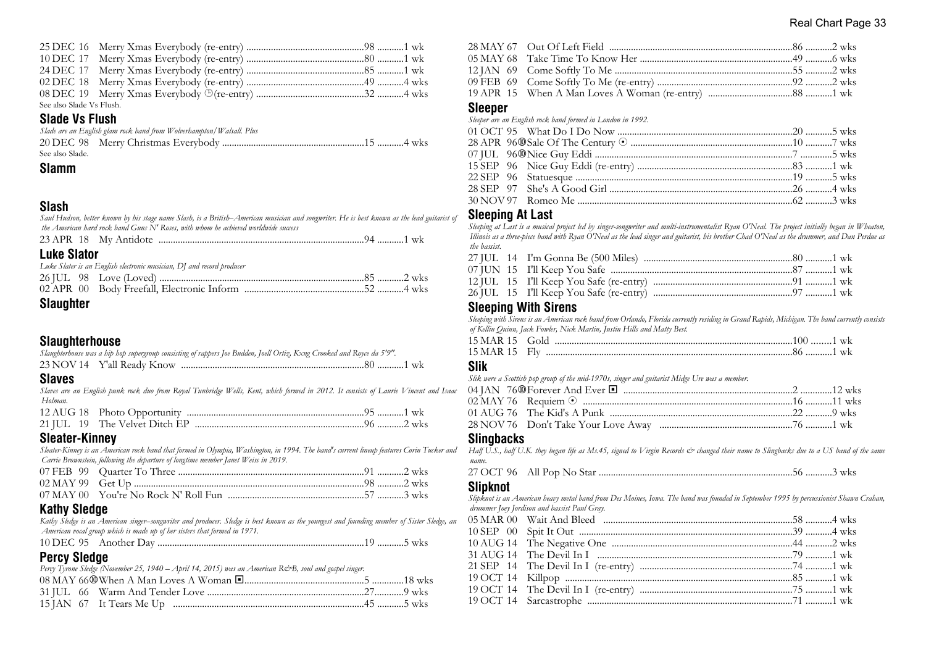| See also Slade Vs Flush. |  |  |
|--------------------------|--|--|

# **Slade Vs Flush**

|                 | Slade are an English glam rock band from Wolverhampton/Walsall. Plus |  |
|-----------------|----------------------------------------------------------------------|--|
|                 |                                                                      |  |
| See also Slade. |                                                                      |  |

#### **Slamm**

# **Slash**

*Saul Hudson, better known by his stage name Slash, is a British–American musician and songwriter. He is best known as the lead guitarist of the American hard rock band Guns N' Roses, with whom he achieved worldwide success*

| <b>Luke Slator</b> |                                                                       |  |
|--------------------|-----------------------------------------------------------------------|--|
|                    | Luke Slater is an English electronic musician, DJ and record producer |  |
|                    |                                                                       |  |
|                    |                                                                       |  |
|                    |                                                                       |  |

#### **Slaughter**

#### **Slaughterhouse**

| Slaughterhouse was a hip hop supergroup consisting of rappers Joe Budden, Joell Ortiz, Kxng Crooked and Royce da 5'9". |  |  |
|------------------------------------------------------------------------------------------------------------------------|--|--|
|                                                                                                                        |  |  |

#### **Slaves**

*Slaves are an English punk rock duo from Royal Tunbridge Wells, Kent, which formed in 2012. It consists of Laurie Vincent and Isaac Holman.*

#### **Sleater-Kinney**

*Sleater-Kinney is an American rock band that formed in Olympia, Washington, in 1994. The band's current lineup features Corin Tucker and Carrie Brownstein, following the departure of longtime member Janet Weiss in 2019.*

# **Kathy Sledge**

*Kathy Sledge is an American singer–songwriter and producer. Sledge is best known as the youngest and founding member of Sister Sledge, an American vocal group which is made up of her sisters that formed in 1971.*

10 DEC 95 Another Day .....................................................................................19 ...........5 wks

# **Percy Sledge**

| Percy Tyrone Sledge (November 25, 1940 – April 14, 2015) was an American R&B, soul and gospel singer. |  |  |  |
|-------------------------------------------------------------------------------------------------------|--|--|--|
|                                                                                                       |  |  |  |
|                                                                                                       |  |  |  |
|                                                                                                       |  |  |  |
|                                                                                                       |  |  |  |

#### **Sleeper**

*Sleeper are an English rock band formed in London in 1992.*

#### **Sleeping At Last**

*Sleeping at Last is a musical project led by singer-songwriter and multi-instrumentalist Ryan O'Neal. The project initially began in Wheaton, Illinois as a three-piece band with Ryan O'Neal as the lead singer and guitarist, his brother Chad O'Neal as the drummer, and Dan Perdue as the bassist.*

# **Sleeping With Sirens**

*Sleeping with Sirens is an American rock band from Orlando, Florida currently residing in Grand Rapids, Michigan. The band currently consists of Kellin Quinn, Jack Fowler, Nick Martin, Justin Hills and Matty Best.*

| 15 MAR 15 Gold |  |  |
|----------------|--|--|
| 15 MAR 15 Flv  |  |  |

#### **Slik**

*Slik were a Scottish pop group of the mid-1970s, singer and guitarist Midge Ure was a member.*

#### **Slingbacks**

*Half U.S., half U.K. they began life as Ms.45, signed to Virgin Records & changed their name to Slingbacks due to a US band of the same name.*

|--|--|--|--|

#### **Slipknot**

*Slipknot is an American heavy metal band from Des Moines, Iowa. The band was founded in September 1995 by percussionist Shawn Crahan, drummer Joey Jordison and bassist Paul Gray.*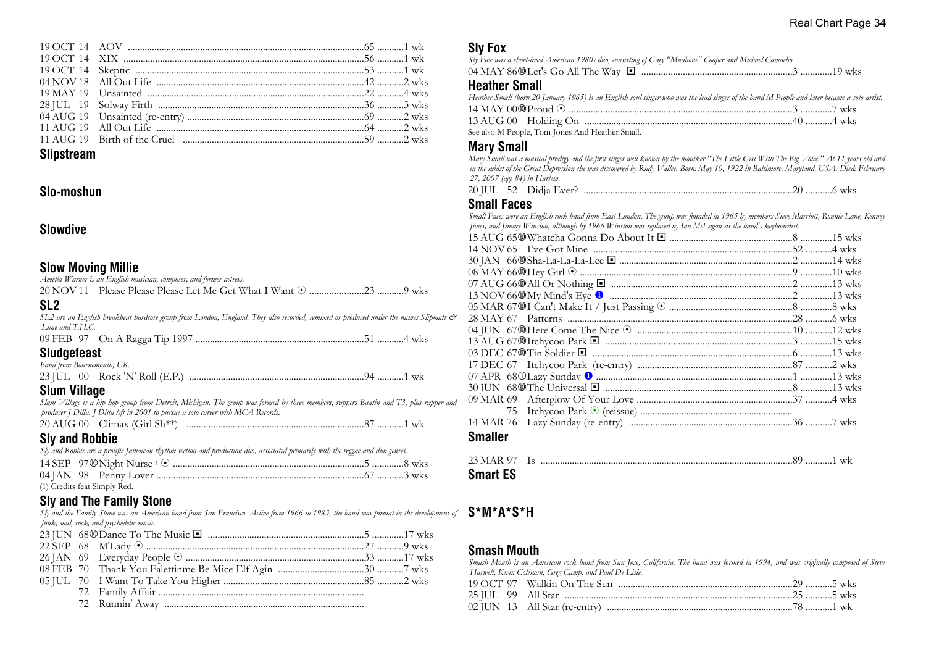#### **Slipstream**

#### **Slo-moshun**

#### **Slowdive**

#### **Slow Moving Millie**

| Amelia Warner is an English musician, composer, and former actress. |  |
|---------------------------------------------------------------------|--|
|                                                                     |  |

# **SL2**

| ◡∟∠                                                                                                                                  |  |
|--------------------------------------------------------------------------------------------------------------------------------------|--|
| SL2 are an English breakbeat hardcore group from London, England. They also recorded, remixed or produced under the names Slipmatt & |  |
| Lime and T.H.C.                                                                                                                      |  |
| 09 FEB   97    On A Ragga Tip 1997 ………………………………………………………………51 …………4 wks                                                              |  |
| Sludgefeast                                                                                                                          |  |

#### *Band from Bournemouth, UK.*

# **Slum Village**

*Slum Village is a hip hop group from Detroit, Michigan. The group was formed by three members, rappers Baatin and T3, plus rapper and producer J Dilla. J Dilla left in 2001 to pursue a solo career with MCA Records.*

```
20 AUG 00 Climax (Girl Sh**) .........................................................................87 ...........1 wk
```
# **Sly and Robbie**

*Sly and Robbie are a prolific Jamaican rhythm section and production duo, associated primarily with the reggae and dub genres.*

| (1) Credits feat Simply Red. |  |
|------------------------------|--|

# **Sly and The Family Stone**

*Sly and the Family Stone was an American band from San Francisco. Active from 1966 to 1983, the band was pivotal in the development of funk, soul, rock, and psychedelic music.*

72 Runnin' Away ...................................................................................

# **Sly Fox**

| Sly Fox was a short-lived American 1980s duo, consisting of Gary "Mudbone" Cooper and Michael Camacho. |  |
|--------------------------------------------------------------------------------------------------------|--|
|                                                                                                        |  |
| .                                                                                                      |  |

#### **Heather Small**

| Heather Small (born 20 January 1965) is an English soul singer who was the lead singer of the band M People and later became a solo artist. |  |
|---------------------------------------------------------------------------------------------------------------------------------------------|--|
|                                                                                                                                             |  |
|                                                                                                                                             |  |

See also M People, Tom Jones And Heather Small.

#### **Mary Small**

*Mary Small was a musical prodigy and the first singer well known by the moniker "The Little Girl With The Big Voice." At 11 years old and in the midst of the Great Depression she was discovered by Rudy Vallee. Born: May 10, 1922 in Baltimore, Maryland, USA. Died: February 27, 2007 (age 84) in Harlem.*

20 JUL 52 Didja Ever? ......................................................................................20 ...........6 wks

#### **Small Faces**

*Small Faces were an English rock band from East London. The group was founded in 1965 by members Steve Marriott, Ronnie Lane, Kenney Jones, and Jimmy Winston, although by 1966 Winston was replaced by Ian McLagan as the band's keyboardist.*

| <b>Smaller</b> |  |
|----------------|--|

| 23 MAR 97       |  |  |
|-----------------|--|--|
| <b>Smart ES</b> |  |  |

# **S\*M\*A\*S\*H**

# **Smash Mouth**

*Smash Mouth is an American rock band from San Jose, California. The band was formed in 1994, and was originally composed of Steve Harwell, Kevin Coleman, Greg Camp, and Paul De Lisle.*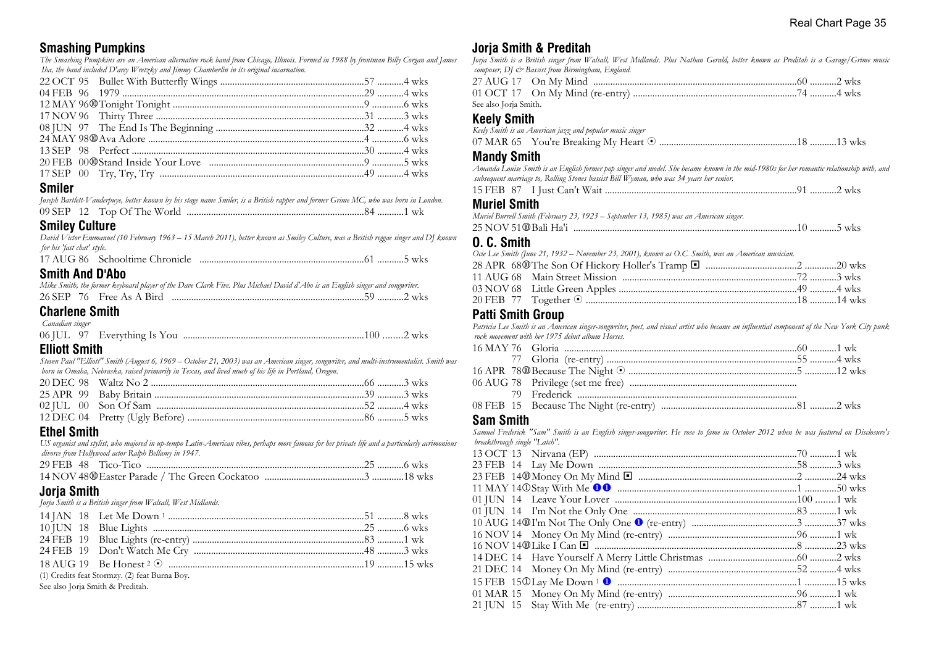# **Smashing Pumpkins**

*The Smashing Pumpkins are an American alternative rock band from Chicago, Illinois. Formed in 1988 by frontman Billy Corgan and James Iha, the band included D'arcy Wretzky and Jimmy Chamberlin in its original incarnation.*

# **Smiler**

|         | Joseph Bartlett-Vanderpuye, better known by his stage name Smiler, is a British rapper and former Grime MC, who was born in London. |  |
|---------|-------------------------------------------------------------------------------------------------------------------------------------|--|
|         |                                                                                                                                     |  |
| - - - - |                                                                                                                                     |  |

#### **Smiley Culture**

*David Victor Emmanuel (10 February 1963 – 15 March 2011), better known as Smiley Culture, was a British reggae singer and DJ known for his 'fast chat' style.* 17 AUG 86 Schooltime Chronicle ....................................................................61 ...........5 wks

|  | <b>Smith And D'Abo</b> |
|--|------------------------|
|  |                        |

| Mike Smith, the former keyboard player of the Dave Clark Five. Plus Michael David d'Abo is an English singer and songwriter. |  |  |  |  |  |  |  |  |  |
|------------------------------------------------------------------------------------------------------------------------------|--|--|--|--|--|--|--|--|--|
|                                                                                                                              |  |  |  |  |  |  |  |  |  |

#### **Charlene Smith**

 *Canadian singer*

|--|--|--|--|--|--|

# **Elliott Smith**

*Steven Paul "Elliott" Smith (August 6, 1969 – October 21, 2003) was an American singer, songwriter, and multi-instrumentalist. Smith was born in Omaha, Nebraska, raised primarily in Texas, and lived much of his life in Portland, Oregon.*

# **Ethel Smith**

*US organist and stylist, who majored in up-tempo Latin-American vibes, perhaps more famous for her private life and a particularly acrimonious divorce from Hollywood actor Ralph Bellamy in 1947.*

# **Jorja Smith**

*Jorja Smith is a British singer from Walsall, West Midlands.*

| (1) Credits feat Stormzy. (2) feat Burna Boy. |  |
|-----------------------------------------------|--|

See also Jorja Smith & Preditah.

# **Jorja Smith & Preditah**

*Jorja Smith is a British singer from Walsall, West Midlands. Plus Nathan Gerald, better known as Preditah is a Garage/Grime music composer, DJ & Bassist from Birmingham, England.*

| See also Joria Smith. |  |  |
|-----------------------|--|--|

# **Keely Smith**

*Keely Smith is an American jazz and popular music singer*

|--|--|

#### **Mandy Smith**

*Amanda Louise Smith is an English former pop singer and model. She became known in the mid-1980s for her romantic relationship with, and subsequent marriage to, Rolling Stones bassist Bill Wyman, who was 34 years her senior.*

| 15 FEB 87 |  |  |  | WKS |  |
|-----------|--|--|--|-----|--|
|-----------|--|--|--|-----|--|

#### **Muriel Smith**

| Muriel Burrell Smith (February 23, 1923 – September 13, 1985) was an American singer. |  |  |
|---------------------------------------------------------------------------------------|--|--|
|                                                                                       |  |  |

|--|--|--|

#### **O. C. Smith**

| Ocie Lee Smith (June 21, 1932 – November 23, 2001), known as O.C. Smith, was an American musician. |  |
|----------------------------------------------------------------------------------------------------|--|
|                                                                                                    |  |
|                                                                                                    |  |
|                                                                                                    |  |
|                                                                                                    |  |
|                                                                                                    |  |

#### **Patti Smith Group**

*Patricia Lee Smith is an American singer-songwriter, poet, and visual artist who became an influential component of the New York City punk rock movement with her 1975 debut album Horses.*

#### **Sam Smith**

*Samuel Frederick "Sam" Smith is an English singer-songwriter. He rose to fame in October 2012 when he was featured on Disclosure's breakthrough single "Latch".*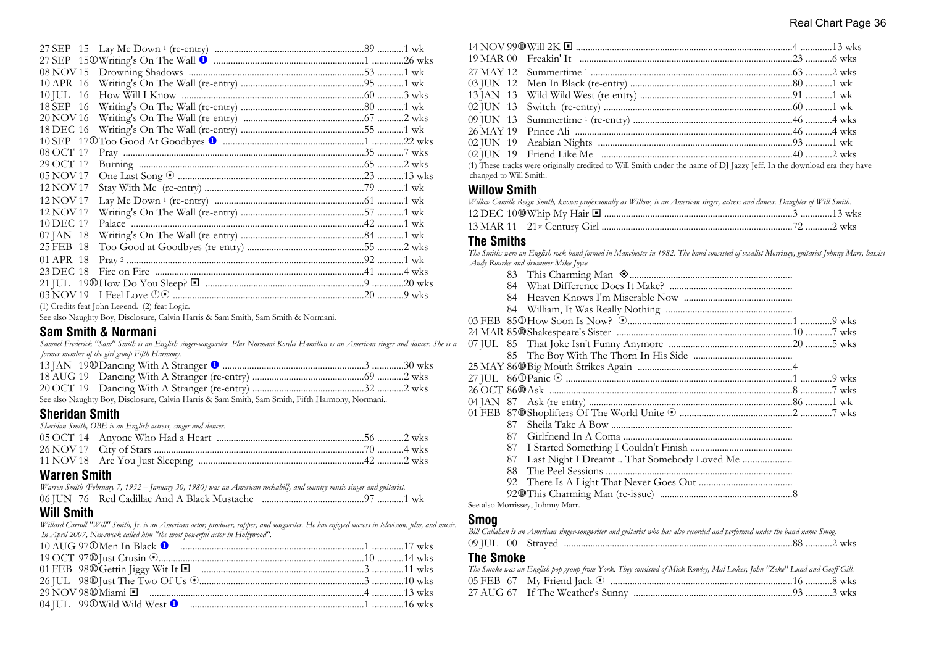| 10 APR 16 |  |  |
|-----------|--|--|
| 10 JUL 16 |  |  |
| 18 SEP 16 |  |  |
| 20 NOV 16 |  |  |
| 18 DEC 16 |  |  |
|           |  |  |
| 08 OCT 17 |  |  |
| 29 OCT 17 |  |  |
| 05 NOV 17 |  |  |
| 12 NOV 17 |  |  |
| 12 NOV 17 |  |  |
| 12 NOV 17 |  |  |
| 10 DEC 17 |  |  |
| 07 JAN 18 |  |  |
| 25 FEB 18 |  |  |
| 01 APR 18 |  |  |
| 23 DEC 18 |  |  |
|           |  |  |
|           |  |  |
|           |  |  |

(1) Credits feat John Legend. (2) feat Logic.

See also Naughty Boy, Disclosure, Calvin Harris & Sam Smith, Sam Smith & Normani.

#### **Sam Smith & Normani**

*Samuel Frederick "Sam" Smith is an English singer-songwriter. Plus Normani Kordei Hamilton is an American singer and dancer. She is a former member of the girl group Fifth Harmony.*

| Consider Microbian Dam Disabatuan Calain Hamin O Can Carida Can Carida Elfdd. Hannau am Mannach |  |
|-------------------------------------------------------------------------------------------------|--|

See also Naughty Boy, Disclosure, Calvin Harris & Sam Smith, Sam Smith, Fifth Harmony, Normani..

# **Sheridan Smith**

| Sheridan Smith, OBE is an English actress, singer and dancer. |  |
|---------------------------------------------------------------|--|
|                                                               |  |
|                                                               |  |
|                                                               |  |
|                                                               |  |

#### **Warren Smith**

*Warren Smith (February 7, 1932 – January 30, 1980) was an American rockabilly and country music singer and guitarist.* 06 JUN 76 Red Cadillac And A Black Mustache ..........................................97 ...........1 wk

# **Will Smith**

*Willard Carroll "Will" Smith, Jr. is an American actor, producer, rapper, and songwriter. He has enjoyed success in television, film, and music. In April 2007, Newsweek called him "the most powerful actor in Hollywood".*

|  | $\overline{a}$ and the contract of the contract of the contract of the contract of the contract of the contract of the contract of the contract of the contract of the contract of the contract of the contract of the contract of |  |  |
|--|------------------------------------------------------------------------------------------------------------------------------------------------------------------------------------------------------------------------------------|--|--|

(1) These tracks were originally credited to Will Smith under the name of DJ Jazzy Jeff. In the download era they have changed to Will Smith.

#### **Willow Smith**

| Willow Camille Reign Smith, known professionally as Willow, is an American singer, actress and dancer. Daughter of Will Smith. |  |
|--------------------------------------------------------------------------------------------------------------------------------|--|
|                                                                                                                                |  |
|                                                                                                                                |  |

#### **The Smiths**

*The Smiths were an English rock band formed in Manchester in 1982. The band consisted of vocalist Morrissey, guitarist Johnny Marr, bassist Andy Rourke and drummer Mike Joyce.*

| 84  |                                             |  |
|-----|---------------------------------------------|--|
| 84  |                                             |  |
|     |                                             |  |
|     |                                             |  |
|     |                                             |  |
|     |                                             |  |
|     |                                             |  |
|     |                                             |  |
|     |                                             |  |
|     |                                             |  |
|     |                                             |  |
|     |                                             |  |
| 87. |                                             |  |
| 87  |                                             |  |
|     |                                             |  |
| 87  | Last Night I Dreamt  That Somebody Loved Me |  |
| 88. |                                             |  |
|     |                                             |  |
|     |                                             |  |
|     | $\circ$ 1 M $\cdot$ 11 M                    |  |

See also Morrissey, Johnny Marr.

#### **Smog**

| Bill Callahan is an American singer-songwriter and guitarist who has also recorded and performed under the band name Smog. |  |
|----------------------------------------------------------------------------------------------------------------------------|--|
|                                                                                                                            |  |
| <b>The Smoke</b>                                                                                                           |  |
| The Smoke was an English pop group from York. They consisted of Mick Rowley, Mal Luker, John "Zeke" Lund and Geoff Gill.   |  |
|                                                                                                                            |  |

27 AUG 67 If The Weather's Sunny ..................................................................93 ...........3 wks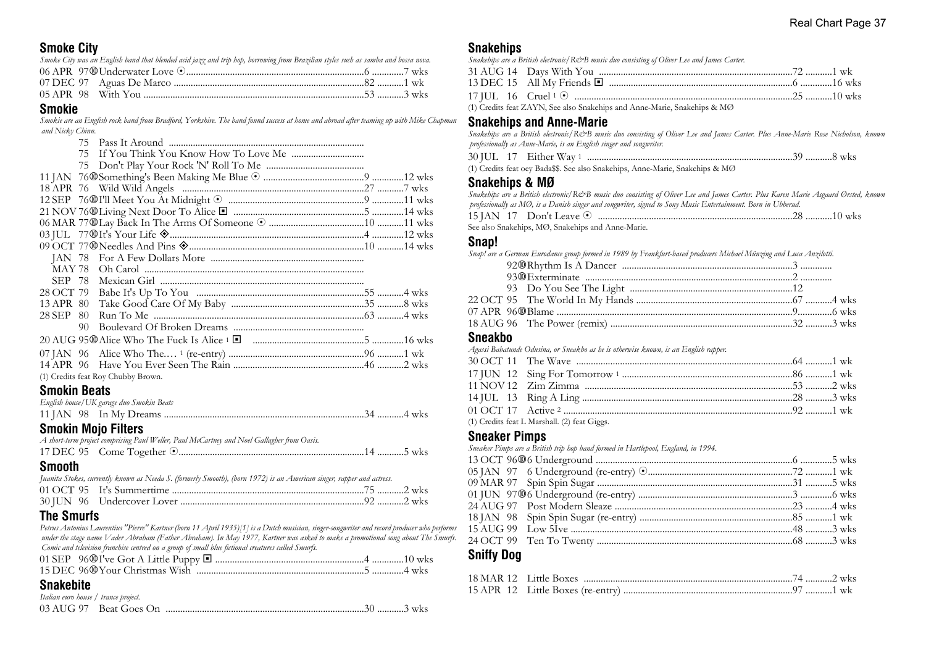# **Smoke City**

| Smoke City was an English band that blended acid jazz and trip hop, borrowing from Brazilian styles such as samba and bossa nova. |  |
|-----------------------------------------------------------------------------------------------------------------------------------|--|
|                                                                                                                                   |  |
|                                                                                                                                   |  |
|                                                                                                                                   |  |
|                                                                                                                                   |  |

#### **Smokie**

*Smokie are an English rock band from Bradford, Yorkshire. The band found success at home and abroad after teaming up with Mike Chapman and Nicky Chinn.*

|                     | 75 |                                          |  |
|---------------------|----|------------------------------------------|--|
|                     | 75 |                                          |  |
|                     |    |                                          |  |
|                     |    |                                          |  |
|                     |    |                                          |  |
|                     |    |                                          |  |
|                     |    |                                          |  |
|                     |    |                                          |  |
|                     |    |                                          |  |
|                     |    |                                          |  |
|                     |    |                                          |  |
| SEP 78              |    |                                          |  |
| 28 OCT 79           |    |                                          |  |
| 13 APR 80           |    |                                          |  |
| 28 SEP              | 80 |                                          |  |
|                     | 90 |                                          |  |
|                     |    |                                          |  |
|                     |    |                                          |  |
|                     |    |                                          |  |
|                     |    | (1) Credits feat Roy Chubby Brown.       |  |
| <b>Smokin Beats</b> |    |                                          |  |
|                     |    | English house/UK garage duo Smokin Beats |  |
|                     |    |                                          |  |

# **Smokin Mojo Filters**

| <b>Cmnnth</b> |                                                                                            |  |
|---------------|--------------------------------------------------------------------------------------------|--|
|               |                                                                                            |  |
|               | A short-term project comprising Paul Weller, Paul McCartney and Noel Gallagher from Oasis. |  |

| UIIIUUUII |                                                                                                                       |  |
|-----------|-----------------------------------------------------------------------------------------------------------------------|--|
|           | Juanita Stokes, currently known as Needa S. (formerly Smooth), (born 1972) is an American singer, rapper and actress. |  |
|           |                                                                                                                       |  |
|           |                                                                                                                       |  |

# **The Smurfs**

*Petrus Antonius Laurentius "Pierre" Kartner (born 11 April 1935)[1] is a Dutch musician, singer-songwriter and record producer who performs under the stage name Vader Abraham (Father Abraham). In May 1977, Kartner was asked to make a promotional song about The Smurfs. Comic and television franchise centred on a group of small blue fictional creatures called Smurfs.*

#### **Snakebite**

| Italian euro house / trance project. |  |  |
|--------------------------------------|--|--|
|                                      |  |  |

#### **Snakehips**

| Snakehips are a British electronic/R&B music duo consisting of Oliver Lee and James Carter. |  |
|---------------------------------------------------------------------------------------------|--|
|                                                                                             |  |
|                                                                                             |  |
|                                                                                             |  |
| (1) Credits feat ZAYN, See also Snakehips and Anne-Marie, Snakehips & MØ                    |  |

# **Snakehips and Anne-Marie**

*Snakehips are a British electronic/R&B music duo consisting of Oliver Lee and James Carter. Plus Anne-Marie Rose Nicholson, known professionally as Anne-Marie, is an English singer and songwriter.*

|  | 30 JUL 17 Either Way $1$ . |                                                                                       |  |  |
|--|----------------------------|---------------------------------------------------------------------------------------|--|--|
|  |                            | (1) Credits feat oey Bada \$\$. See also Snakehips, Anne-Marie, Snakehips & $M\Omega$ |  |  |

#### **Snakehips & MØ**

| Snakehips are a British electronic/R&B music duo consisting of Oliver Lee and James Carter. Plus Karen Marie Asgaard Ørsted, known |  |
|------------------------------------------------------------------------------------------------------------------------------------|--|
| professionally as MO, is a Danish singer and songwriter, signed to Sony Music Entertainment. Born in Ubberud.                      |  |
|                                                                                                                                    |  |
| See also Snakehips, MØ, Snakehips and Anne-Marie.                                                                                  |  |
|                                                                                                                                    |  |

#### **Snap!**

| Snap! are a German Eurodance group formed in 1989 by Frankfurt-based producers Michael Münzing and Luca Anzilotti. |  |
|--------------------------------------------------------------------------------------------------------------------|--|
|                                                                                                                    |  |
|                                                                                                                    |  |
|                                                                                                                    |  |
|                                                                                                                    |  |
|                                                                                                                    |  |
|                                                                                                                    |  |
|                                                                                                                    |  |

#### **Sneakbo**

*Agassi Babatunde Odusina, or Sneakbo as he is otherwise known, is an English rapper.*

| (1) Credits feat L Marshall. (2) feat Giggs. |  |  |
|----------------------------------------------|--|--|

#### **Sneaker Pimps**

| Sneaker Pimps are a British trip hop band formed in Hartlepool, England, in 1994. |  |  |
|-----------------------------------------------------------------------------------|--|--|
|                                                                                   |  |  |
|                                                                                   |  |  |
|                                                                                   |  |  |
|                                                                                   |  |  |
|                                                                                   |  |  |
|                                                                                   |  |  |
|                                                                                   |  |  |
|                                                                                   |  |  |
|                                                                                   |  |  |

# **Sniffy Dog**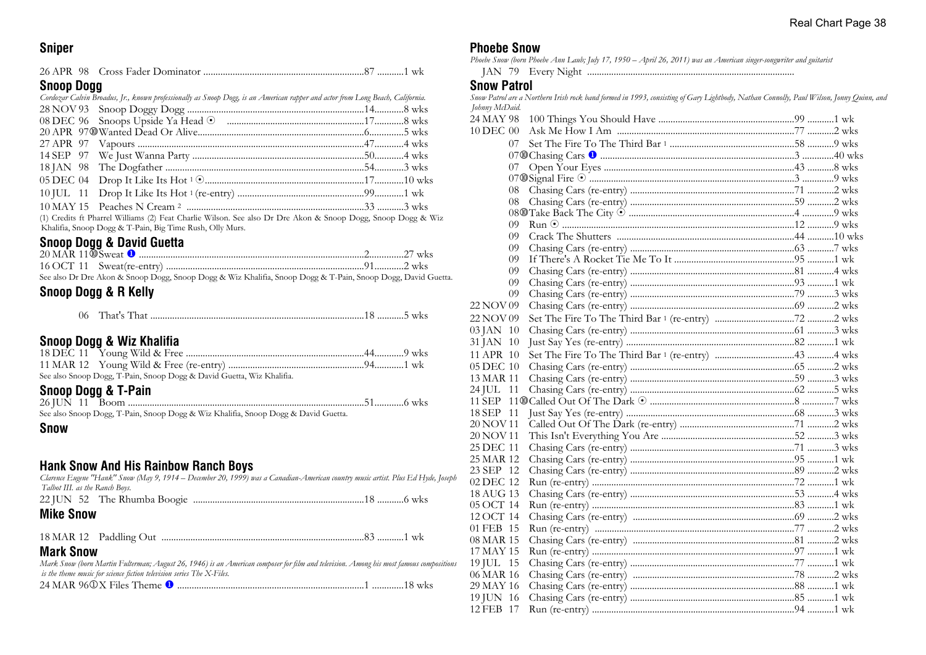#### **Sniper**

# **Snoop Dogg**

| Cordozar Calvin Broadus, Jr., known professionally as Snoop Dogg, is an American rapper and actor from Long Beach, California. |  |
|--------------------------------------------------------------------------------------------------------------------------------|--|
|                                                                                                                                |  |
|                                                                                                                                |  |
|                                                                                                                                |  |
|                                                                                                                                |  |
|                                                                                                                                |  |
|                                                                                                                                |  |
|                                                                                                                                |  |
|                                                                                                                                |  |
|                                                                                                                                |  |
| (1) Credits ft Pharrel Williams (2) Feat Charlie Wilson. See also Dr Dre Akon & Snoop Dogg. Snoop Dogg & V                     |  |

(1) Credits ft Pharrel Williams (2) Feat Charlie Wilson. See also Dr Dre Akon & Snoop Dogg, Snoop Dogg & Wiz Khalifia, Snoop Dogg & T-Pain, Big Time Rush, Olly Murs.

# **Snoop Dogg & David Guetta**

See also Dr Dre Akon & Snoop Dogg, Snoop Dogg & Wiz Khalifia, Snoop Dogg & T-Pain, Snoop Dogg, David Guetta.

# **Snoop Dogg & R Kelly**

| - 112 L |  |  |
|---------|--|--|
|---------|--|--|

#### **Snoop Dogg & Wiz Khalifia**

| See also Snoop Dogg, T-Pain, Snoop Dogg & David Guetta, Wiz Khalifia. |  |
|-----------------------------------------------------------------------|--|

# **Snoop Dogg & T-Pain**

| See also Snoop Dogg, T-Pain, Snoop Dogg & Wiz Khalifia, Snoop Dogg & David Guetta. |  |
|------------------------------------------------------------------------------------|--|

#### **Snow**

# **Hank Snow And His Rainbow Ranch Boys**

| <b>Mike Snow</b>                                                                                                                 |  |
|----------------------------------------------------------------------------------------------------------------------------------|--|
|                                                                                                                                  |  |
| Talbot III. as the Ranch Boys.                                                                                                   |  |
| Clarence Eugene "Hank" Snow (May 9, 1914 – December 20, 1999) was a Canadian-American country music artist. Plus Ed Hyde, Joseph |  |

18 MAR 12 Paddling Out ....................................................................................83 ...........1 wk

#### **Mark Snow**

*Mark Snow (born Martin Fulterman; August 26, 1946) is an American composer for film and television. Among his most famous compositions is the theme music for science fiction television series The X-Files.*

24 MAR 96j X Files Theme u .............................................................................1 .............18 wks

#### **Phoebe Snow**

*Phoebe Snow (born Phoebe Ann Laub; July 17, 1950 – April 26, 2011) was an American singer-songwriter and guitarist* JAN 79 Every Night ......................................................................................

#### **Snow Patrol**

*Snow Patrol are a Northern Irish rock band formed in 1993, consisting of Gary Lightbody, Nathan Connolly, Paul Wilson, Jonny Quinn, and Johnny McDaid.*

| 24 MAY 98 |    |  |  |
|-----------|----|--|--|
| 10 DEC 00 |    |  |  |
|           | 07 |  |  |
|           |    |  |  |
|           | 07 |  |  |
|           |    |  |  |
|           | 08 |  |  |
|           | 08 |  |  |
|           |    |  |  |
|           | 09 |  |  |
|           | 09 |  |  |
|           | 09 |  |  |
|           | 09 |  |  |
|           | 09 |  |  |
|           | 09 |  |  |
|           | 09 |  |  |
| 22 NOV 09 |    |  |  |
| 22 NOV 09 |    |  |  |
| 03 JAN 10 |    |  |  |
| 31 JAN 10 |    |  |  |
| 11 APR 10 |    |  |  |
| 05 DEC 10 |    |  |  |
| 13 MAR 11 |    |  |  |
| 24 JUL 11 |    |  |  |
|           |    |  |  |
| 18 SEP 11 |    |  |  |
| 20 NOV 11 |    |  |  |
| 20 NOV 11 |    |  |  |
| 25 DEC 11 |    |  |  |
| 25 MAR 12 |    |  |  |
| 23 SEP 12 |    |  |  |
| 02 DEC 12 |    |  |  |
| 18 AUG 13 |    |  |  |
| 05 OCT 14 |    |  |  |
| 12 OCT 14 |    |  |  |
| 01 FEB 15 |    |  |  |
| 08 MAR 15 |    |  |  |
| 17 MAY 15 |    |  |  |
| 19 JUL 15 |    |  |  |
| 06 MAR 16 |    |  |  |
| 29 MAY 16 |    |  |  |
| 19 JUN 16 |    |  |  |
| 12 FEB 17 |    |  |  |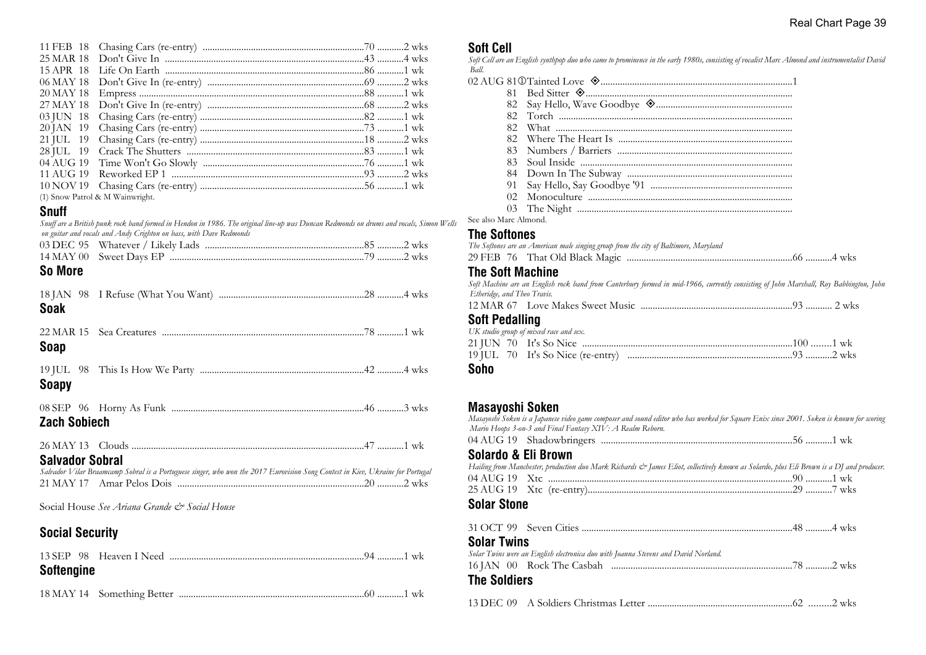| (1) Snow Patrol & M Wainwright. |  |
|---------------------------------|--|

# **Snuff**

*Snuff are a British punk rock band formed in Hendon in 1986. The original line-up was Duncan Redmonds on drums and vocals, Simon Wells on guitar and vocals and Andy Crighton on bass, with Dave Redmonds*

# **So More**

| <b>Soak</b> |  |  |
|-------------|--|--|
| Soap        |  |  |
|             |  |  |

# **Soapy**

| <b>Zach Sobiech</b> |  |  |
|---------------------|--|--|

| 26 MAY 12 | 1 | WК |
|-----------|---|----|
|           |   |    |

# **Salvador Sobral**

*Salvador Vilar Braamcamp Sobral is a Portuguese singer, who won the 2017 Eurovision Song Contest in Kiev, Ukraine for Portugal* 21 MAY 17 Amar Pelos Dois .............................................................................20 ...........2 wks

Social House *See Ariana Grande & Social House*

# **Social Security**

| Softengine |  |  |
|------------|--|--|
|            |  |  |

# **Soft Cell**

*Soft Cell are an English synthpop duo who came to prominence in the early 1980s, consisting of vocalist Marc Almond and instrumentalist David Ball.*<br>02 *A* 

| 82  |  |
|-----|--|
|     |  |
| 82. |  |
| 82. |  |
| 83  |  |
| 83. |  |
|     |  |
| 91  |  |
| 02  |  |
|     |  |

See also Marc Almond.

#### **The Softones**

| The Softones are an American male singing group from the city of Baltimore, Maryland                                                  |  |
|---------------------------------------------------------------------------------------------------------------------------------------|--|
|                                                                                                                                       |  |
| <b>The Soft Machine</b>                                                                                                               |  |
| Soft Machine are an English rock band from Canterbury formed in mid-1966, currently consisting of John Marshall, Roy Babbington, John |  |
| Etheridge, and Theo Travis.                                                                                                           |  |
|                                                                                                                                       |  |
| <b>Soft Pedalling</b>                                                                                                                 |  |
| UK studio group of mixed race and sex.                                                                                                |  |
|                                                                                                                                       |  |
|                                                                                                                                       |  |
|                                                                                                                                       |  |

#### **Soho**

# **Masayoshi Soken**

| IIIUUUTUUIII UURUII | Masayoshi Soken is a Japanese video game composer and sound editor who has worked for Square Enix since 2001. Soken is known for scoring<br>Mario Hoops 3-on-3 and Final Fantasy XIV: A Realm Reborn. |  |
|---------------------|-------------------------------------------------------------------------------------------------------------------------------------------------------------------------------------------------------|--|
|                     |                                                                                                                                                                                                       |  |
| Solardo & Eli Brown | Hailing from Manchester, production duo Mark Richards & James Eliot, collectively known as Solardo, plus Eli Brown is a DJ and producer.                                                              |  |
|                     |                                                                                                                                                                                                       |  |
|                     |                                                                                                                                                                                                       |  |
| <b>Solar Stone</b>  |                                                                                                                                                                                                       |  |
|                     |                                                                                                                                                                                                       |  |
| <b>Solar Twins</b>  |                                                                                                                                                                                                       |  |
|                     | Solar Twins were an English electronica duo with Joanna Stevens and David Norland.                                                                                                                    |  |
|                     |                                                                                                                                                                                                       |  |
| <b>The Soldiers</b> |                                                                                                                                                                                                       |  |
|                     |                                                                                                                                                                                                       |  |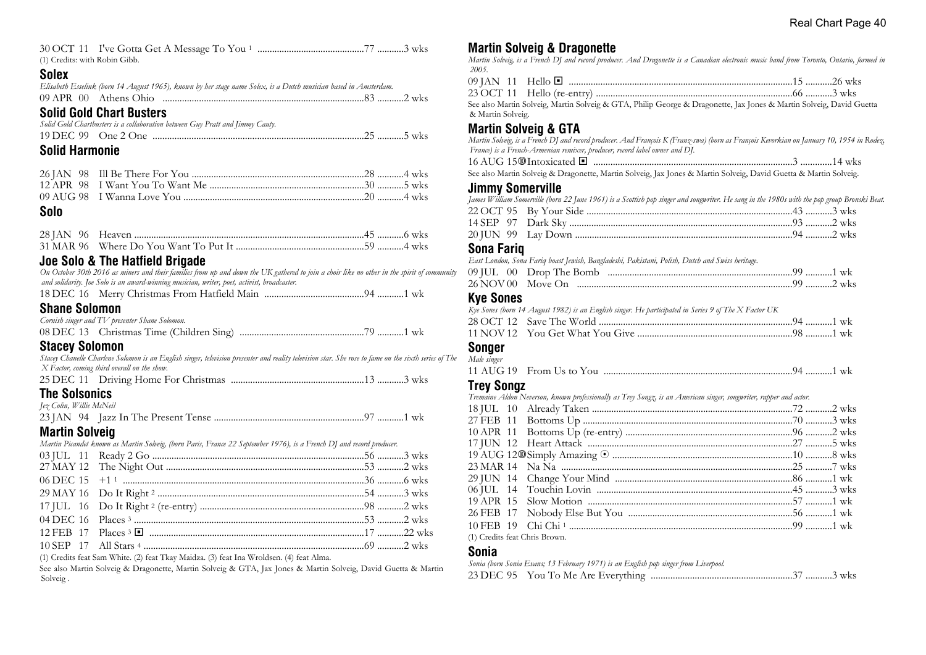| (1) Credits: with Robin Gibb. |  |  |  |
|-------------------------------|--|--|--|

#### **Solex**

|  | Elisabeth Esselink (born 14 August 1965), known by her stage name Solex, is a Dutch musician based in Amsterdam. |  |
|--|------------------------------------------------------------------------------------------------------------------|--|
|  |                                                                                                                  |  |

# **Solid Gold Chart Busters**

*Solid Gold Chartbusters is a collaboration between Guy Pratt and Jimmy Cauty.*

| 19 DEC -<br>99 | One |  |  |
|----------------|-----|--|--|
|                |     |  |  |

#### **Solid Harmonie**

#### **Solo**

# **Joe Solo & The Hatfield Brigade**

*On October 30th 2016 as miners and their families from up and down the UK gathered to join a choir like no other in the spirit of community and solidarity. Joe Solo is an award-winning musician, writer, poet, activist, broadcaster.*

|--|--|--|--|

#### **Shane Solomon**

| Cornish singer and TV presenter Shane Solomon. |  |
|------------------------------------------------|--|
|                                                |  |

#### **Stacey Solomon**

*Stacey Chanelle Charlene Solomon is an English singer, television presenter and reality television star. She rose to fame on the sixth series of The X Factor, coming third overall on the show.*

|--|--|

#### **The Solsonics** *Jez Colin, Willie McNeil*

| jez Coun, w une Maxen |  |  |
|-----------------------|--|--|
|                       |  |  |

# **Martin Solveig**

| Martin Picandet known as Martin Solveig, (born Paris, France 22 September 1976), is a French DJ and record producer. |  |  |  |  |
|----------------------------------------------------------------------------------------------------------------------|--|--|--|--|
|                                                                                                                      |  |  |  |  |
|                                                                                                                      |  |  |  |  |
|                                                                                                                      |  |  |  |  |
|                                                                                                                      |  |  |  |  |
|                                                                                                                      |  |  |  |  |
|                                                                                                                      |  |  |  |  |
|                                                                                                                      |  |  |  |  |
|                                                                                                                      |  |  |  |  |
|                                                                                                                      |  |  |  |  |

(1) Credits feat Sam White. (2) feat Tkay Maidza. (3) feat Ina Wroldsen. (4) feat Alma.

See also Martin Solveig & Dragonette, Martin Solveig & GTA, Jax Jones & Martin Solveig, David Guetta & Martin Solveig .

# **Martin Solveig & Dragonette**

*Martin Solveig, is a French DJ and record producer. And Dragonette is a Canadian electronic music band from Toronto, Ontario, formed in 2005.*

| 09 JAN 11 Hello $\blacksquare$ |  |
|--------------------------------|--|
|                                |  |

See also Martin Solveig, Martin Solveig & GTA, Philip George & Dragonette, Jax Jones & Martin Solveig, David Guetta & Martin Solveig.

# **Martin Solveig & GTA**

*Martin Solveig, is a French DJ and record producer. And François K (Franz-swa) (born as François Kevorkian on January 10, 1954 in Rodez, France) is a French-Armenian remixer, producer, record label owner and DJ.*

16 AUG 15s Intoxicated ® ..................................................................................3 .............14 wks See also Martin Solveig & Dragonette, Martin Solveig, Jax Jones & Martin Solveig, David Guetta & Martin Solveig.

#### **Jimmy Somerville**

*James William Somerville (born 22 June 1961) is a Scottish pop singer and songwriter. He sang in the 1980s with the pop group Bronski Beat.* 22 OCT 95 By Your Side .....................................................................................43 ...........3 wks 14 SEP 97 Dark Sky ............................................................................................93 ...........2 wks

|  | 20 IUN 99 Lav Down |  | + …………∠ WKS |  |
|--|--------------------|--|-------------|--|
|  |                    |  |             |  |

#### **Sona Fariq**

*East London, Sona Fariq boast Jewish, Bangladeshi, Pakistani, Polish, Dutch and Swiss heritage.*

#### **Kye Sones**

*Kye Sones (born 14 August 1982) is an English singer. He participated in Series 9 of The X Factor UK* 28 OCT 12 Save The World ................................................................................94 ...........1 wk

#### **Songer** *Male singer*

| <b><i>LILLER OFINGER</i></b> |  |  |
|------------------------------|--|--|
|                              |  |  |

#### **Trey Songz**

*Tremaine Aldon Neverson, known professionally as Trey Songz, is an American singer, songwriter, rapper and actor.*

| (1) Credits feat Chris Brown. |  |  |
|-------------------------------|--|--|

#### **Sonia**

*Sonia (born Sonia Evans; 13 February 1971) is an English pop singer from Liverpool.* 23 DEC 95 You To Me Are Everything ..........................................................37 ...........3 wks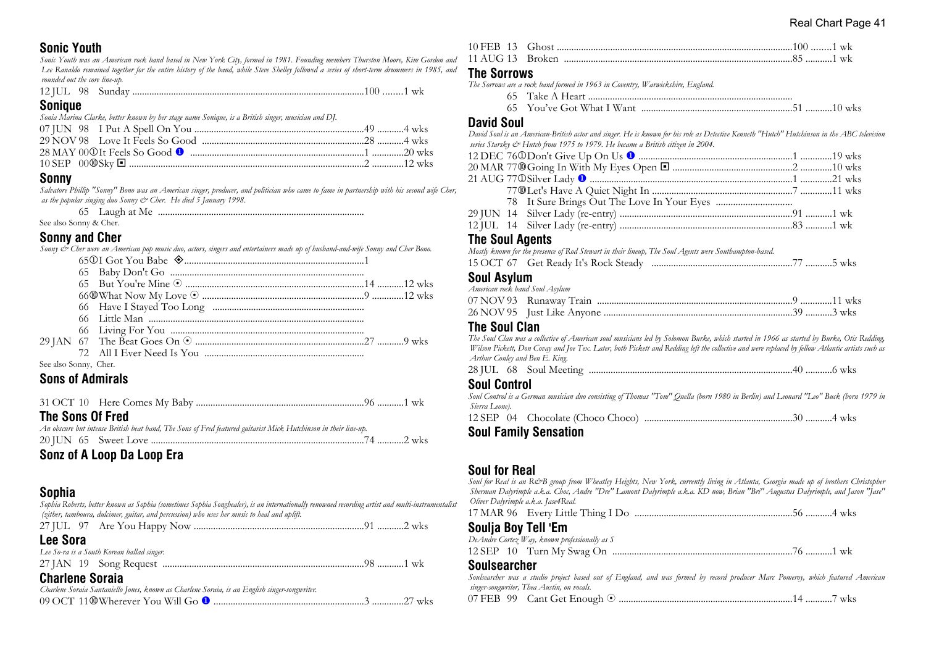# **Sonic Youth**

*Sonic Youth was an American rock band based in New York City, formed in 1981. Founding members Thurston Moore, Kim Gordon and Lee Ranaldo remained together for the entire history of the band, while Steve Shelley followed a series of short-term drummers in 1985, and rounded out the core line-up.*

| <b>12 JUL</b> | 98 |  |  |  |  |
|---------------|----|--|--|--|--|
|---------------|----|--|--|--|--|

#### **Sonique**

*Sonia Marina Clarke, better known by her stage name Sonique, is a British singer, musician and DJ.*

#### **Sonny**

*Salvatore Phillip "Sonny" Bono was an American singer, producer, and politician who came to fame in partnership with his second wife Cher, as the popular singing duo Sonny & Cher. He died 5 January 1998.*

|  |  | 65 Laugh at Me |  |
|--|--|----------------|--|
|  |  |                |  |

See also Sonny & Cher.

# **Sonny and Cher**

*Sonny & Cher were an American pop music duo, actors, singers and entertainers made up of husband-and-wife Sonny and Cher Bono.*

| See also Sonny, Cher. |  |  |
|-----------------------|--|--|

# **Sons of Admirals**

|--|--|--|--|--|

# **The Sons Of Fred**

| An obscure but intense British beat band, The Sons of Fred featured guitarist Mick Hutchinson in their line-up. |  |
|-----------------------------------------------------------------------------------------------------------------|--|
|                                                                                                                 |  |

**Sonz of A Loop Da Loop Era**

# **Sophia**

*Sophia Roberts, better known as Sophia (sometimes Sophia Songhealer), is an internationally renowned recording artist and multi-instrumentalist (zither, tamboura, dulcimer, guitar, and percussion) who uses her music to heal and uplift.*

| <b>Lee Sora</b>                                                                               |  |
|-----------------------------------------------------------------------------------------------|--|
| Lee So-ra is a South Korean ballad singer.                                                    |  |
|                                                                                               |  |
| <b>Charlene Soraia</b>                                                                        |  |
| Charlene Soraia Santaniello Jones, known as Charlene Soraia, is an English singer-songwriter. |  |
|                                                                                               |  |
|                                                                                               |  |

# **The Sorrows**

|                   | The Sorrows are a rock band formed in 1963 in Coventry, Warwickshire, England.                                                             |  |  |
|-------------------|--------------------------------------------------------------------------------------------------------------------------------------------|--|--|
|                   |                                                                                                                                            |  |  |
|                   |                                                                                                                                            |  |  |
| <b>David Soul</b> |                                                                                                                                            |  |  |
|                   | David Soul is an American-British actor and singer. He is known for his role as Detective Kenneth "Hutch" Hutchinson in the ABC television |  |  |
|                   | series Starsky & Hutch from 1975 to 1979. He became a British citizen in 2004.                                                             |  |  |
|                   |                                                                                                                                            |  |  |
|                   |                                                                                                                                            |  |  |
|                   |                                                                                                                                            |  |  |
|                   |                                                                                                                                            |  |  |

# **The Soul Agents**

|  | Mostly known for the presence of Rod Stewart in their lineup, The Soul Agents were Southampton-based. |  |
|--|-------------------------------------------------------------------------------------------------------|--|
|  |                                                                                                       |  |

# **Soul Asylum**

| American rock band Soul Asylum |  |  |
|--------------------------------|--|--|
|                                |  |  |
|                                |  |  |
|                                |  |  |

#### **The Soul Clan**

*The Soul Clan was a collective of American soul musicians led by Solomon Burke, which started in 1966 as started by Burke, Otis Redding, Wilson Pickett, Don Covay and Joe Tex. Later, both Pickett and Redding left the collective and were replaced by fellow Atlantic artists such as Arthur Conley and Ben E. King.*

|  |  | 28 JUL 68 Soul Meeting. |  |  |
|--|--|-------------------------|--|--|
|--|--|-------------------------|--|--|

#### **Soul Control**

*Soul Control is a German musician duo consisting of Thomas "Tom" Quella (born 1980 in Berlin) and Leonard "Leo" Buck (born 1979 in Sierra Leone).*

|--|--|--|--|

# **Soul Family Sensation**

# **Soul for Real**

Soul for Real is an R&B group from Wheatley Heights, New York, currently living in Atlanta, Georgia made up of brothers Christopher *Sherman Dalyrimple a.k.a. Choc, Andre "Dre" Lamont Dalyrimple a.k.a. KD now, Brian "Bri" Augustus Dalyrimple, and Jason "Jase" Oliver Dalyrimple a.k.a. Jase4Real.*

17 MAR 96 Every Little Thing I Do .................................................................56 ...........4 wks

#### **Soulja Boy Tell 'Em**

|  | De Andre Cortez Way, known professionally as $S$ |  |
|--|--------------------------------------------------|--|
|  |                                                  |  |

#### **Soulsearcher**

*Soulsearcher was a studio project based out of England, and was formed by record producer Marc Pomeroy, which featured American singer-songwriter, Thea Austin, on vocals.*

| 07 FEB 99 |  |  |  |  |  | - wks |
|-----------|--|--|--|--|--|-------|
|-----------|--|--|--|--|--|-------|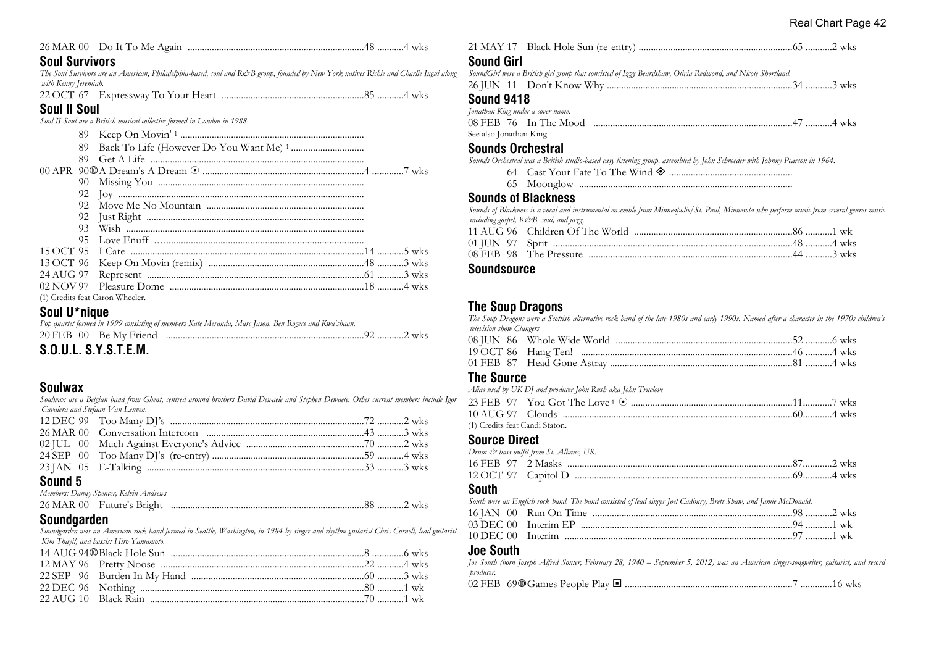|--|--|--|--|

#### **Soul Survivors**

*The Soul Survivors are an American, Philadelphia-based, soul and R&B group, founded by New York natives Richie and Charlie Ingui along with Kenny Jeremiah.*

22 OCT 67 Expressway To Your Heart ...........................................................85 ...........4 wks

### **Soul II Soul**

*Soul II Soul are a British musical collective formed in London in 1988.*

| 89  |                                 |  |
|-----|---------------------------------|--|
| 89. |                                 |  |
|     |                                 |  |
|     |                                 |  |
|     |                                 |  |
|     |                                 |  |
|     |                                 |  |
| 93. |                                 |  |
| 95. |                                 |  |
|     |                                 |  |
|     |                                 |  |
|     |                                 |  |
|     |                                 |  |
|     | (1) Credits feat Caron Wheeler. |  |
|     |                                 |  |

#### **Soul U\*nique**

| COUL CVCTFM |                                                                                                      |  |
|-------------|------------------------------------------------------------------------------------------------------|--|
|             |                                                                                                      |  |
|             | Pop quartet formed in 1999 consisting of members Kate Meranda, Marc Jason, Ben Rogers and Kwa'shaan. |  |

# **S.O.U.L. S.Y.S.T.E.M.**

# **Soulwax**

*Soulwax are a Belgian band from Ghent, centred around brothers David Dewaele and Stephen Dewaele. Other current members include Igor Cavalera and Stefaan Van Leuven.*

#### **Sound 5**

| Members: Danny Spencer, Kelvin Andrews |  |
|----------------------------------------|--|
|                                        |  |

# **Soundgarden**

*Soundgarden was an American rock band formed in Seattle, Washington, in 1984 by singer and rhythm guitarist Chris Cornell, lead guitarist Kim Thayil, and bassist Hiro Yamamoto.*

| $\mathbf{S}$ |                                                                                                             |  |
|--------------|-------------------------------------------------------------------------------------------------------------|--|
|              | <b>Sound Girl</b>                                                                                           |  |
| ngui along   | SoundGirl were a British girl group that consisted of Izzy Beardshaw, Olivia Redmond, and Nicole Shortland. |  |
|              |                                                                                                             |  |
|              | <b>Sound 9418</b>                                                                                           |  |
|              | Jonathan King under a cover name.                                                                           |  |
|              | 08 FEB 76 In The Mood municipal measures and the way 47 minutes who was                                     |  |
|              | See also Jonathan King                                                                                      |  |
|              | <b>Coundo Ovehootrol</b>                                                                                    |  |

#### **Sounds Orchestral**

*Sounds Orchestral was a British studio-based easy listening group, assembled by John Schroeder with Johnny Pearson in 1964.*

- 64 Cast Your Fate To The Wind ± ...................................................
- 65 Moonglow ........................................................................................

#### **Sounds of Blackness**

*Sounds of Blackness is a vocal and instrumental ensemble from Minneapolis/St. Paul, Minnesota who perform music from several genres music including gospel, R&B, soul, and jazz.*

# **Soundsource**

# **The Soup Dragons**

*The Soup Dragons were a Scottish alternative rock band of the late 1980s and early 1990s. Named after a character in the 1970s children's television show Clangers*

#### **The Source**

*Alias used by UK DJ and producer John Rush aka John Truelove*

| (1) Credits feat Candi Staton. |  |  |
|--------------------------------|--|--|

#### **Source Direct**

| Drum & bass outfit from St. Albans, UK. |  |
|-----------------------------------------|--|
|                                         |  |
|                                         |  |

#### **South**

*South were an English rock band. The band consisted of lead singer Joel Cadbury, Brett Shaw, and Jamie McDonald.* 16 JAN 00 Run On Time ...................................................................................98 ...........2 wks

03 DEC 00 Interim EP ........................................................................................94 ...........1 wk 10 DEC 00 Interim ..............................................................................................97 ...........1 wk

#### **Joe South**

*Joe South (born Joseph Alfred Souter; February 28, 1940 – September 5, 2012) was an American singer-songwriter, guitarist, and record producer.* 02 FEB 69s Games People Play ® .....................................................................7 .............16 wks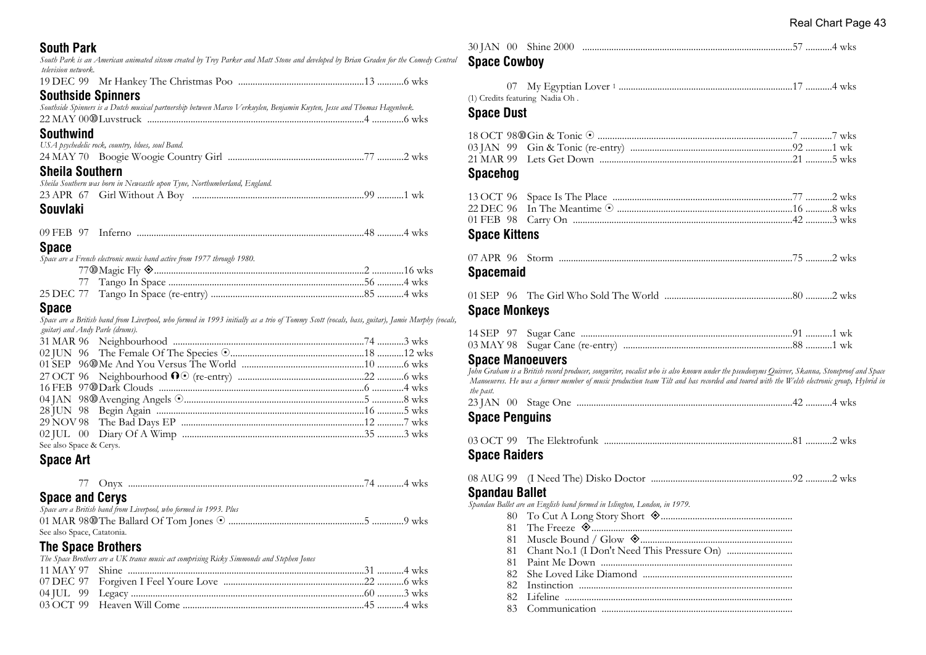**South Park** *South Park is an American animated sitcom created by Trey Parker and Matt Stone and developed by Brian Graden for the Comedy Central television network.* 19 DEC 99 Mr Hankey The Christmas Poo ....................................................13 ...........6 wks **Southside Spinners** *Southside Spinners is a Dutch musical partnership between Marco Verkuylen, Benjamin Kuyten, Jesse and Thomas Hagenbeek.* 22 MAY 00s Luvstruck ..........................................................................................4 .............6 wks **Southwind** *USA psychedelic rock, country, blues, soul Band.* 24 MAY 70 Boogie Woogie Country Girl ........................................................77 ...........2 wks **Sheila Southern** *Sheila Southern was born in Newcastle upon Tyne, Northumberland, England.* 23 APR 67 Girl Without A Boy .......................................................................99 ...........1 wk **Souvlaki** 09 FEB 97 Inferno ..............................................................................................48 ...........4 wks **Space** *Space are a French electronic music band active from 1977 through 1980.* 77s Magic Fly ±.......................................................................................2 .............16 wks 77 Tango In Space .................................................................................56 ...........4 wks 25 DEC 77 Tango In Space (re-entry) ...............................................................85 ...........4 wks **Space** *Space are a British band from Liverpool, who formed in 1993 initially as a trio of Tommy Scott (vocals, bass, guitar), Jamie Murphy (vocals, guitar) and Andy Parle (drums).* 31 MAR 96 Neighbourhood ...............................................................................74 ...........3 wks 02 JUN 96 The Female Of The Species 8.......................................................18 ...........12 wks

| See also Space & Cerys. |  |
|-------------------------|--|

# **Space Art**

| __ |  |
|----|--|
|----|--|

# **Space and Cerys**

| Space are a British band from Liverpool, who formed in 1993. Plus |  |
|-------------------------------------------------------------------|--|
|                                                                   |  |
| See also Space, Catatonia.                                        |  |

# **The Space Brothers**

*The Space Brothers are a UK trance music act comprising Ricky Simmonds and Stephen Jones*

| <b>Space Cowboy</b>                                                                      |                                                                                                                                                                                                                                                                                        |  |
|------------------------------------------------------------------------------------------|----------------------------------------------------------------------------------------------------------------------------------------------------------------------------------------------------------------------------------------------------------------------------------------|--|
| 07<br>(1) Credits featuring Nadia Oh.<br><b>Space Dust</b>                               |                                                                                                                                                                                                                                                                                        |  |
| 03 JAN 99<br>21 MAR 99<br><b>Spacehog</b>                                                |                                                                                                                                                                                                                                                                                        |  |
| 13 OCT 96<br>22 DEC 96<br>01 FEB 98<br><b>Space Kittens</b>                              |                                                                                                                                                                                                                                                                                        |  |
| <b>Spacemaid</b>                                                                         |                                                                                                                                                                                                                                                                                        |  |
| <b>Space Monkeys</b>                                                                     |                                                                                                                                                                                                                                                                                        |  |
| 14 SEP 97<br>03 MAY 98<br><b>Space Manoeuvers</b>                                        | John Graham is a British record producer, songwriter, vocalist who is also known under the pseudonyms Quivver, Skanna, Stoneproof and Space<br>Manoeuvres. He was a former member of music production team Tilt and has recorded and toured with the Welsh electronic group, Hybrid in |  |
| the past.<br><b>Space Penguins</b>                                                       |                                                                                                                                                                                                                                                                                        |  |
| <b>Space Raiders</b>                                                                     |                                                                                                                                                                                                                                                                                        |  |
| 08 AUG 99<br><b>Spandau Ballet</b><br>80<br>81<br>81<br>81<br>81<br>82<br>82<br>82<br>83 | Spandau Ballet are an English band formed in Islington, London, in 1979.                                                                                                                                                                                                               |  |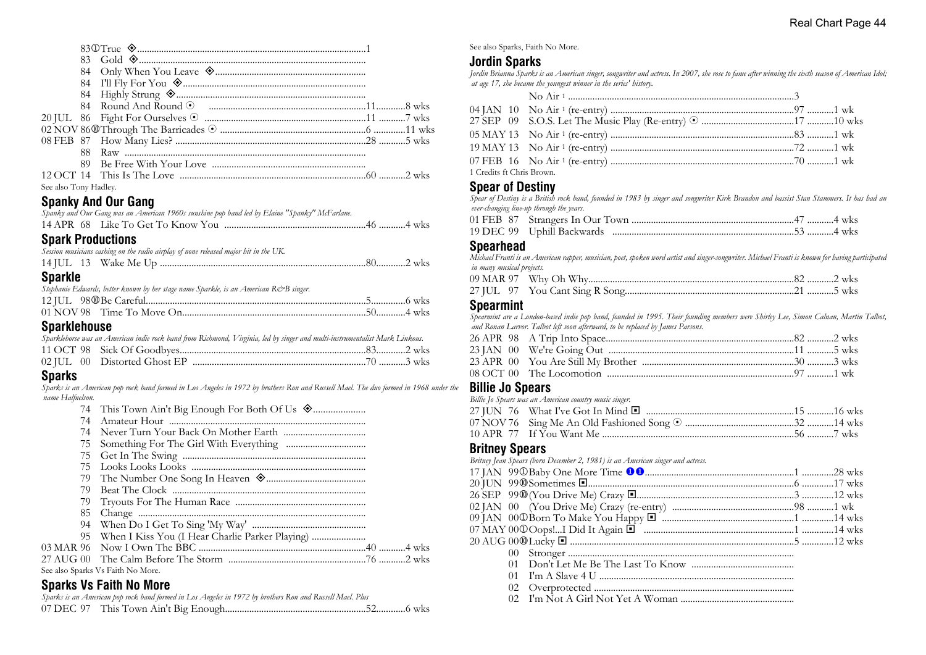| See also Tony Hadley. |  |  |
|-----------------------|--|--|

#### **Spanky And Our Gang**

| Spanky and Our Gang was an American 1960s sunshine pop band led by Elaine "Spanky" McFarlane. |  |
|-----------------------------------------------------------------------------------------------|--|
|                                                                                               |  |
| - - - -                                                                                       |  |

#### **Spark Productions**

|         |  | Session musicians cashing on the radio airplay of none released major hit in the UK. |  |
|---------|--|--------------------------------------------------------------------------------------|--|
|         |  |                                                                                      |  |
| Snarkle |  |                                                                                      |  |

#### **Sparkle**

| Stephanie Edwards, better known by her stage name Sparkle, is an American R&B singer. |  |
|---------------------------------------------------------------------------------------|--|
|                                                                                       |  |
|                                                                                       |  |
| -                                                                                     |  |

#### **Sparklehouse**

|  | Sparklehorse was an American indie rock band from Richmond, Virginia, led by singer and multi-instrumentalist Mark Linkous. |  |  |  |  |
|--|-----------------------------------------------------------------------------------------------------------------------------|--|--|--|--|
|  |                                                                                                                             |  |  |  |  |
|  |                                                                                                                             |  |  |  |  |

# **Sparks**

*Sparks is an American pop rock band formed in Los Angeles in 1972 by brothers Ron and Russell Mael. The duo formed in 1968 under the name Halfnelson.*

- 
- 74 Amateur Hour ................................................................................. 74 Never Turn Your Back On Mother Earth ..................................
- 75 Something For The Girl With Everything .................................
- 75 Get In The Swing ............................................................................
- 
- 75 Looks Looks Looks ........................................................................ 79 The Number One Song In Heaven ±.........................................
- 79 Beat The Clock ................................................................................
- 79 Tryouts For The Human Race ......................................................
- 
- 85 Change .............................................................................................. 94 When Do I Get To Sing 'My Way' ...............................................
- 95 When I Kiss You (I Hear Charlie Parker Playing) ...................... 03 MAR 96 Now I Own The BBC .....................................................................40 ...........4 wks

| See also Sparks Vs Faith No More. |  |  |
|-----------------------------------|--|--|

# **Sparks Vs Faith No More**

|  | Sparks is an American pop rock band formed in Los Angeles in 1972 by brothers Ron and Russell Mael. Plus |  |
|--|----------------------------------------------------------------------------------------------------------|--|
|  |                                                                                                          |  |

See also Sparks, Faith No More.

# **Jordin Sparks**

*Jordin Brianna Sparks is an American singer, songwriter and actress. In 2007, she rose to fame after winning the sixth season of American Idol; at age 17, she became the youngest winner in the series' history.*

| 1 Credits ft Chris Brown. |  |  |
|---------------------------|--|--|

# **Spear of Destiny**

*Spear of Destiny is a British rock band, founded in 1983 by singer and songwriter Kirk Brandon and bassist Stan Stammers. It has had an ever-changing line-up through the years.*

#### **Spearhead**

*Michael Franti is an American rapper, musician, poet, spoken word artist and singer-songwriter. Michael Franti is known for having participated in many musical projects.*

# **Spearmint**

*Spearmint are a London-based indie pop band, founded in 1995. Their founding members were Shirley Lee, Simon Calnan, Martin Talbot, and Ronan Larvor. Talbot left soon afterward, to be replaced by James Parsons.*

#### **Billie Jo Spears**

*Billie Jo Spears was an American country music singer.* 27 JUN 76 What I've Got In Mind ® .............................................................15 ...........16 wks 07 NOV 76 Sing Me An Old Fashioned Song 8 .............................................32 ...........14 wks 10 APR 77 If You Want Me ...............................................................................56 ...........7 wks

#### **Britney Spears**

*Britney Jean Spears (born December 2, 1981) is an American singer and actress.* 17 JAN 99j Baby One More Time uu..............................................................1 .............28 wks 20 JUN 99s Sometimes ®.....................................................................................6 .............17 wks 26 SEP 99s (You Drive Me) Crazy ®.................................................................3 .............12 wks 02 JAN 00 (You Drive Me) Crazy (re-entry) ..................................................98 ...........1 wk 09 JAN 00j Born To Make You Happy ® ......................................................1 .............14 wks 07 MAY 00j Oops!...I Did It Again ® ..............................................................1 .............14 wks 20 AUG 00s Lucky ® .............................................................................................5 .............12 wks 00 Stronger ............................................................................................. 01 Don't Let Me Be The Last To Know .......................................... 01 I'm A Slave 4 U ................................................................................ 02 Overprotected ................................................................................... 02 I'm Not A Girl Not Yet A Woman ...............................................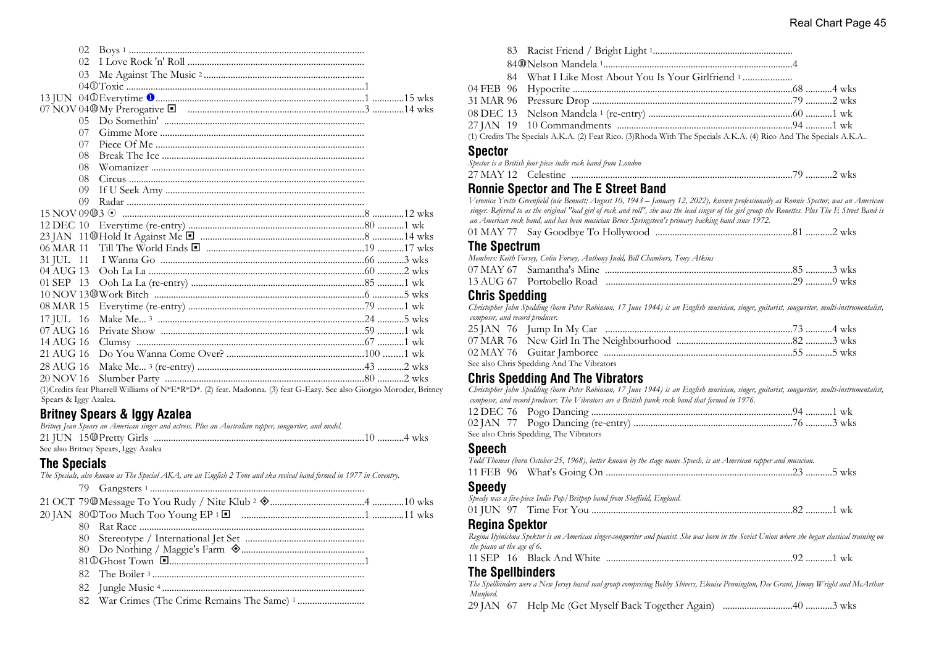|               | 02             |                                                                                                                                                                                                                                                                                                                                                                                                                    |  |
|---------------|----------------|--------------------------------------------------------------------------------------------------------------------------------------------------------------------------------------------------------------------------------------------------------------------------------------------------------------------------------------------------------------------------------------------------------------------|--|
|               | 02.            |                                                                                                                                                                                                                                                                                                                                                                                                                    |  |
|               | 0 <sub>3</sub> |                                                                                                                                                                                                                                                                                                                                                                                                                    |  |
|               |                |                                                                                                                                                                                                                                                                                                                                                                                                                    |  |
|               |                |                                                                                                                                                                                                                                                                                                                                                                                                                    |  |
|               |                |                                                                                                                                                                                                                                                                                                                                                                                                                    |  |
|               | $05 -$         |                                                                                                                                                                                                                                                                                                                                                                                                                    |  |
|               | 07             |                                                                                                                                                                                                                                                                                                                                                                                                                    |  |
|               | 07             |                                                                                                                                                                                                                                                                                                                                                                                                                    |  |
|               | 08             |                                                                                                                                                                                                                                                                                                                                                                                                                    |  |
|               | 08             |                                                                                                                                                                                                                                                                                                                                                                                                                    |  |
|               | 08             |                                                                                                                                                                                                                                                                                                                                                                                                                    |  |
|               | 09             |                                                                                                                                                                                                                                                                                                                                                                                                                    |  |
|               | 09             |                                                                                                                                                                                                                                                                                                                                                                                                                    |  |
|               |                |                                                                                                                                                                                                                                                                                                                                                                                                                    |  |
|               |                |                                                                                                                                                                                                                                                                                                                                                                                                                    |  |
|               |                |                                                                                                                                                                                                                                                                                                                                                                                                                    |  |
|               |                |                                                                                                                                                                                                                                                                                                                                                                                                                    |  |
| 31 JUL 11     |                |                                                                                                                                                                                                                                                                                                                                                                                                                    |  |
| $04$ AUG 13   |                |                                                                                                                                                                                                                                                                                                                                                                                                                    |  |
| 01 SEP 13     |                |                                                                                                                                                                                                                                                                                                                                                                                                                    |  |
|               |                |                                                                                                                                                                                                                                                                                                                                                                                                                    |  |
| 08 MAR 15     |                |                                                                                                                                                                                                                                                                                                                                                                                                                    |  |
| $17$ JUL $16$ |                |                                                                                                                                                                                                                                                                                                                                                                                                                    |  |
| 07 AUG 16     |                |                                                                                                                                                                                                                                                                                                                                                                                                                    |  |
| 14 AUG 16     |                |                                                                                                                                                                                                                                                                                                                                                                                                                    |  |
| 21 AUG 16     |                |                                                                                                                                                                                                                                                                                                                                                                                                                    |  |
| 28 AUG 16     |                |                                                                                                                                                                                                                                                                                                                                                                                                                    |  |
| 20 NOV 16     |                |                                                                                                                                                                                                                                                                                                                                                                                                                    |  |
|               |                | $(2.14 \text{ F} + \text{F} + \text{F} + \text{F} + \text{F} + \text{F} + \text{F} + \text{F} + \text{F} + \text{F} + \text{F} + \text{F} + \text{F} + \text{F} + \text{F} + \text{F} + \text{F} + \text{F} + \text{F} + \text{F} + \text{F} + \text{F} + \text{F} + \text{F} + \text{F} + \text{F} + \text{F} + \text{F} + \text{F} + \text{F} + \text{F} + \text{F} + \text{F} + \text{F} + \text{F} + \text{F}$ |  |

(1)Credits feat Pharrell Williams of N\*E\*R\*D\*. (2) feat. Madonna. (3) feat G-Eazy. See also Giorgio Moroder, Britney Spears & Iggy Azalea.

# **Britney Spears & Iggy Azalea**

| Britney Jean Spears an American singer and actress. Plus an Australian rapper, songwriter, and model. |  |
|-------------------------------------------------------------------------------------------------------|--|
|                                                                                                       |  |
| See also Britney Spears, Iggy Azalea                                                                  |  |

#### **The Specials**

*The Specials, also known as The Special AKA, are an English 2 Tone and ska revival band formed in 1977 in Coventry.*

|  | 84 What I Like Most About You Is Your Girlfriend 1                                                              |  |
|--|-----------------------------------------------------------------------------------------------------------------|--|
|  |                                                                                                                 |  |
|  |                                                                                                                 |  |
|  |                                                                                                                 |  |
|  |                                                                                                                 |  |
|  | and the popular the second and constructed to the construction of the construction of the second and the second |  |

(1) Credits The Specials A.K.A. (2) Feat Rico. (3)Rhoda With The Specials A.K.A. (4) Rico And The Specials A.K.A..

#### **Spector**

*Spector is a British four piece indie rock band from London*

#### 27 MAY 12 Celestine ...........................................................................................79 ...........2 wks

#### **Ronnie Spector and The E Street Band**

*Veronica Yvette Greenfield (née Bennett; August 10, 1943 – January 12, 2022), known professionally as Ronnie Spector, was an American singer. Referred to as the original "bad girl of rock and roll", she was the lead singer of the girl group the Ronettes. Plus The E Street Band is an American rock band, and has been musician Bruce Springsteen's primary backing band since 1972.*

|--|--|--|

#### **The Spectrum**

| Members: Keith Forsey, Colin Forsey, Anthony Judd, Bill Chambers, Tony Atkins |  |
|-------------------------------------------------------------------------------|--|
|                                                                               |  |
|                                                                               |  |

#### **Chris Spedding**

*Christopher John Spedding (born Peter Robinson, 17 June 1944) is an English musician, singer, guitarist, songwriter, multi-instrumentalist, composer, and record producer.*

| See also Chris Spedding And The Vibrators |  |
|-------------------------------------------|--|

# **Chris Spedding And The Vibrators**

*Christopher John Spedding (born Peter Robinson, 17 June 1944) is an English musician, singer, guitarist, songwriter, multi-instrumentalist, composer, and record producer. The Vibrators are a British punk rock band that formed in 1976.*

| See also Chris Spedding, The Vibrators |  |
|----------------------------------------|--|

#### **Speech**

*Todd Thomas (born October 25, 1968), better known by the stage name Speech, is an American rapper and musician.* 11 FEB 96 What's Going On .............................................................................23 ...........5 wks **Speedy**

| Speedy was a five-piece Indie Pop/Britpop band from Sheffield, England. |  |  |  |
|-------------------------------------------------------------------------|--|--|--|
|                                                                         |  |  |  |

#### **Regina Spektor**

*Regina Ilyinichna Spektor is an American singer-songwriter and pianist. She was born in the Soviet Union where she began classical training on the piano at the age of 6.*

|--|--|--|--|--|--|--|--|--|

#### **The Spellbinders**

*The Spellbinders were a New Jersey based soul group comprising Bobby Shivers, Elouise Pennington, Dee Grant, Jimmy Wright and McArthur Munford.*

29 JAN 67 Help Me (Get Myself Back Together Again) .............................40 ...........3 wks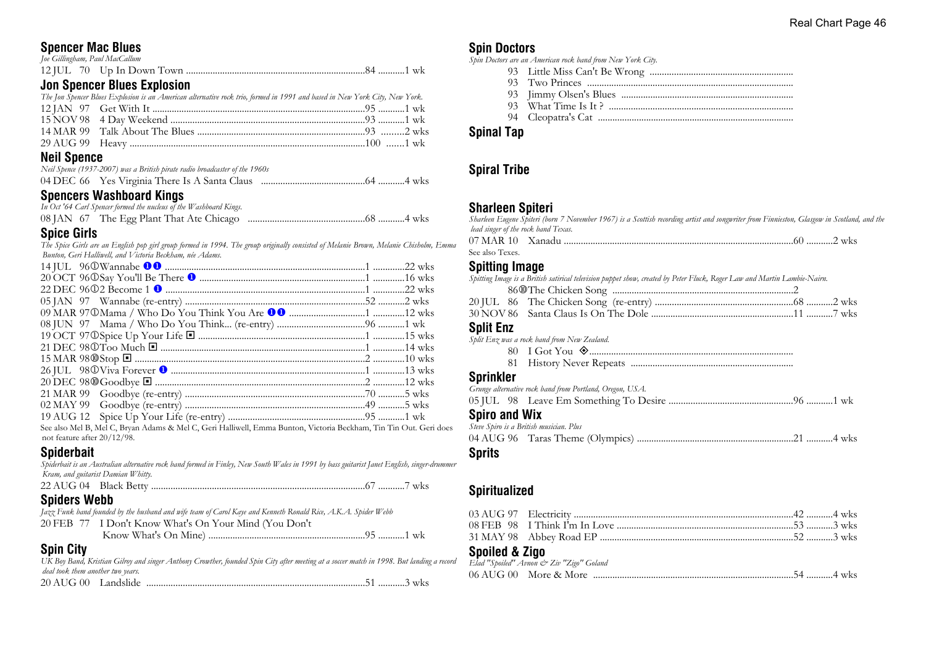# **Spencer Mac Blues**

| <u>Len Aneneen Blues Funtesten i</u> |  |
|--------------------------------------|--|
|                                      |  |
| Joe Gillingham, Paul MacCallum       |  |

## **Jon Spencer Blues Explosion**

| The Jon Spencer Blues Explosion is an American alternative rock trio, formed in 1991 and based in New York City, New York. |  |
|----------------------------------------------------------------------------------------------------------------------------|--|
|                                                                                                                            |  |
|                                                                                                                            |  |
|                                                                                                                            |  |
|                                                                                                                            |  |
|                                                                                                                            |  |

# **Neil Spence**

| Neil Spence (1937-2007) was a British pirate radio broadcaster of the 1960s |  |
|-----------------------------------------------------------------------------|--|
|                                                                             |  |

# **Spencers Washboard Kings**

| In Oct '64 Carl Spencer formed the nucleus of the Washboard Kings. |  |
|--------------------------------------------------------------------|--|
|                                                                    |  |

#### **Spice Girls**

*The Spice Girls are an English pop girl group formed in 1994. The group originally consisted of Melanie Brown, Melanie Chisholm, Emma Bunton, Geri Halliwell, and Victoria Beckham, née Adams.*

| See also Mel B, Mel C, Bryan Adams & Mel C, Geri Halliwell, Emma Bunton, Victoria Beckham, Tin Tin Out. Geri does |  |
|-------------------------------------------------------------------------------------------------------------------|--|
| not feature after 20/12/98.                                                                                       |  |

# **Spiderbait**

*Spiderbait is an Australian alternative rock band formed in Finley, New South Wales in 1991 by bass guitarist Janet English, singer-drummer Kram, and guitarist Damian Whitty.*

22 AUG 04 Black Betty ........................................................................................67 ...........7 wks

# **Spiders Webb**

|                                                       | Jazz Funk band founded by the husband and wife team of Carol Kaye and Kenneth Ronald Rice, A.K.A. Spider Webb |  |
|-------------------------------------------------------|---------------------------------------------------------------------------------------------------------------|--|
| 20 FEB 77 I Don't Know What's On Your Mind (You Don't |                                                                                                               |  |
|                                                       |                                                                                                               |  |

# **Spin City**

*UK Boy Band, Kristian Gilroy and singer Anthony Crowther, founded Spin City after meeting at a soccer match in 1998. But landing a record deal took them another two years.* 20 AUG 00 Landslide ..........................................................................................51 ...........3 wks

# **Spin Doctors**

*Spin Doctors are an American rock band from New York City.*

- 93 Little Miss Can't Be Wrong ...........................................................
- 93 Two Princes .....................................................................................
- 93 Jimmy Olsen's Blues .......................................................................
- 93 What Time Is It ? ............................................................................
- 94 Cleopatra's Cat .................................................................................

#### **Spinal Tap**

# **Spiral Tribe**

# **Sharleen Spiteri**

| Sharleen Eugene Spiteri (born 7 November 1967) is a Scottish recording artist and songwriter from Finnieston, Glasgow in Scotland, and the |  |
|--------------------------------------------------------------------------------------------------------------------------------------------|--|
| lead singer of the rock band Texas.                                                                                                        |  |
|                                                                                                                                            |  |
| See also Texes.                                                                                                                            |  |

# **Spitting Image**

| Spitting Image is a British satirical television puppet show, created by Peter Fluck, Roger Law and Martin Lambie-Nairn. |  |
|--------------------------------------------------------------------------------------------------------------------------|--|
|                                                                                                                          |  |
|                                                                                                                          |  |
|                                                                                                                          |  |

# **Split Enz**<br>*Split Enz was d*

| Split Enz was a rock band from New Zealand. |  |
|---------------------------------------------|--|
|                                             |  |
|                                             |  |

#### **Sprinkler**

|                      | Grunge alternative rock band from Portland, Oregon, USA. |  |
|----------------------|----------------------------------------------------------|--|
|                      |                                                          |  |
| <b>Spiro and Wix</b> |                                                          |  |
|                      | Steve Spiro is a British musician. Plus                  |  |
|                      |                                                          |  |
|                      |                                                          |  |

# **Sprits**

# **Spiritualized**

#### **Spoiled & Zigo**

| Elad "Spoiled" Avnon & Ziv "Zigo" Goland |  |  |
|------------------------------------------|--|--|
|                                          |  |  |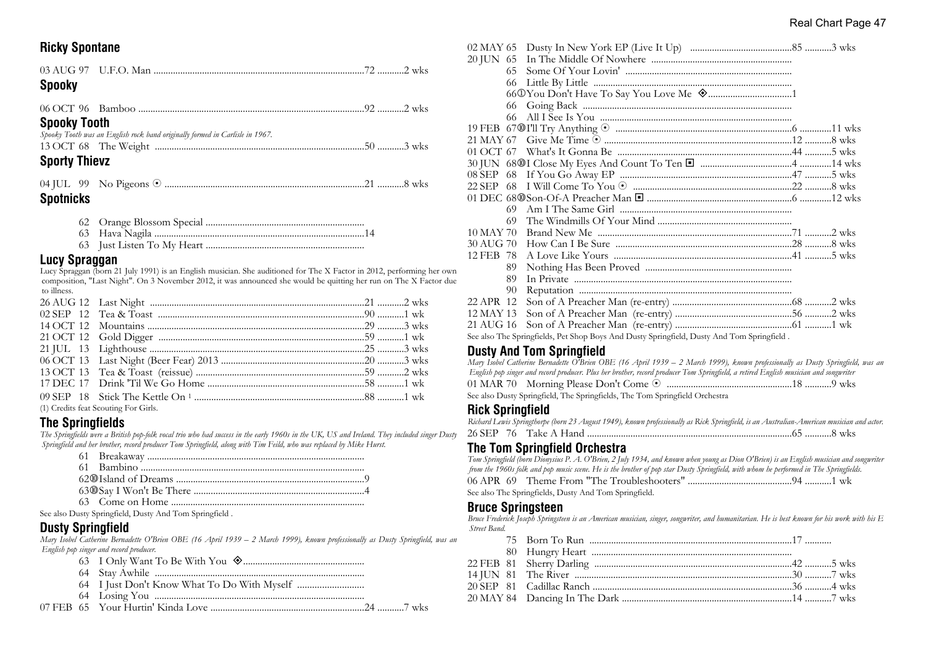## **Ricky Spontane**

| <b>Spooky</b>                                                                                       |  |
|-----------------------------------------------------------------------------------------------------|--|
|                                                                                                     |  |
| <b>Spooky Tooth</b><br>Spooky Tooth was an English rock band originally formed in Carlisle in 1967. |  |
| <b>Sporty Thievz</b>                                                                                |  |
|                                                                                                     |  |

#### **Spotnicks**

- 62 Orange Blossom Special .................................................................
- 63 Hava Nagila .......................................................................................14
- 63 Just Listen To My Heart .................................................................

#### **Lucy Spraggan**

Lucy Spraggan (born 21 July 1991) is an English musician. She auditioned for The X Factor in 2012, performing her own composition, "Last Night". On 3 November 2012, it was announced she would be quitting her run on The X Factor due to illness.

| (1) Credits feat Scouting For Girls. |  |
|--------------------------------------|--|

#### **The Springfields**

*The Springfields were a British pop-folk vocal trio who had success in the early 1960s in the UK, US and Ireland. They included singer Dusty Springfield and her brother, record producer Tom Springfield, along with Tim Feild, who was replaced by Mike Hurst.*

See also Dusty Springfield, Dusty And Tom Springfield .

# **Dusty Springfield**

*Mary Isobel Catherine Bernadette O'Brien OBE (16 April 1939 – 2 March 1999), known professionally as Dusty Springfield, was an English pop singer and record producer.*

- 63 I Only Want To Be With You ±..................................................
- 64 Stay Awhile .......................................................................................
- 64 I Just Don't Know What To Do With Myself ...........................
- 64 Losing You .......................................................................................
- 07 FEB 65 Your Hurtin' Kinda Love ...............................................................24 ...........7 wks

| 02 MAY 65 |                                                                                            |  |  |
|-----------|--------------------------------------------------------------------------------------------|--|--|
| 20 JUN 65 |                                                                                            |  |  |
| 65        |                                                                                            |  |  |
| 66        |                                                                                            |  |  |
|           |                                                                                            |  |  |
| 66        |                                                                                            |  |  |
| 66        |                                                                                            |  |  |
|           |                                                                                            |  |  |
|           |                                                                                            |  |  |
| 01 OCT 67 |                                                                                            |  |  |
|           |                                                                                            |  |  |
| 08 SEP 68 |                                                                                            |  |  |
| 22 SEP 68 |                                                                                            |  |  |
|           |                                                                                            |  |  |
| 69        |                                                                                            |  |  |
| 69        |                                                                                            |  |  |
| 10 MAY 70 |                                                                                            |  |  |
| 30 AUG 70 |                                                                                            |  |  |
| 12 FEB 78 |                                                                                            |  |  |
| 89        |                                                                                            |  |  |
| 89        |                                                                                            |  |  |
| 90        |                                                                                            |  |  |
| 22 APR 12 |                                                                                            |  |  |
| 12 MAY 13 |                                                                                            |  |  |
| 21 AUG 16 |                                                                                            |  |  |
|           | See also The Springfields, Pet Shop Boys And Dusty Springfield, Dusty And Tom Springfield. |  |  |

# **Dusty And Tom Springfield**

| Mary Isobel Catherine Bernadette O'Brien OBE (16 April 1939 – 2 March 1999), known professionally as Dusty Springfield, was an       |  |
|--------------------------------------------------------------------------------------------------------------------------------------|--|
| English pop singer and record producer. Plus her brother, record producer Tom Springfield, a retired English musician and songwriter |  |
|                                                                                                                                      |  |
| See also Dusty Springfield, The Springfields, The Tom Springfield Orchestra                                                          |  |

#### **Rick Springfield**

| Richard Lewis Springthorpe (born 23 August 1949), known professionally as Rick Springfield, is an Australian-American musician and actor. |  |
|-------------------------------------------------------------------------------------------------------------------------------------------|--|
|                                                                                                                                           |  |

#### **The Tom Springfield Orchestra**

| Tom Springfield (born Dionysius P. A. O'Brien, 2 July 1934, and known when young as Dion O'Brien) is an English musician and songwriter |
|-----------------------------------------------------------------------------------------------------------------------------------------|
| from the 1960s folk and pop music scene. He is the brother of pop star Dusty Springfield, with whom he performed in The Springfields.   |
|                                                                                                                                         |
| See also The Springfields, Dusty And Tom Springfield.                                                                                   |

#### **Bruce Springsteen**

*Bruce Frederick Joseph Springsteen is an American musician, singer, songwriter, and humanitarian. He is best known for his work with his E Street Band.*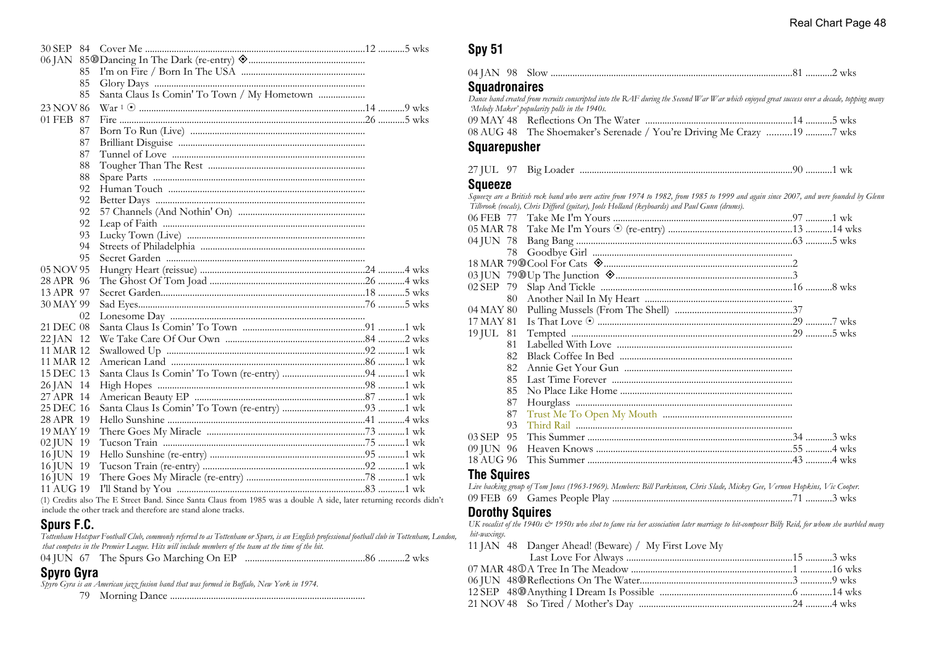| 30 SEP 84 |                                             |  |
|-----------|---------------------------------------------|--|
|           |                                             |  |
| 85        |                                             |  |
| 85        |                                             |  |
| 85        | Santa Claus Is Comin' To Town / My Hometown |  |
| 23 NOV 86 |                                             |  |
| 01 FEB 87 |                                             |  |
| 87        |                                             |  |
| 87        |                                             |  |
| 87        |                                             |  |
| 88        |                                             |  |
| 88        |                                             |  |
| 92        |                                             |  |
| 92        |                                             |  |
| 92        |                                             |  |
| 92        |                                             |  |
| 93        |                                             |  |
| 94        |                                             |  |
| 95        |                                             |  |
| 05 NOV 95 |                                             |  |
| 28 APR 96 |                                             |  |
| 13 APR 97 |                                             |  |
| 30 MAY 99 |                                             |  |
| 02        |                                             |  |
| 21 DEC 08 |                                             |  |
| 22 JAN 12 |                                             |  |
| 11 MAR 12 |                                             |  |
| 11 MAR 12 |                                             |  |
| 15 DEC 13 |                                             |  |
| 26 JAN 14 |                                             |  |
| 27 APR 14 |                                             |  |
| 25 DEC 16 |                                             |  |
| 28 APR 19 |                                             |  |
| 19 MAY 19 |                                             |  |
| 02 JUN 19 |                                             |  |
| 16 JUN 19 |                                             |  |
| 16 JUN 19 |                                             |  |
| 16 JUN 19 |                                             |  |
| 11 AUG 19 |                                             |  |

(1) Credits also The E Street Band. Since Santa Claus from 1985 was a double A side, later returning records didn't include the other track and therefore are stand alone tracks.

#### **Spurs F.C.**

*Tottenham Hotspur Football Club, commonly referred to as Tottenham or Spurs, is an English professional football club in Tottenham, London, that competes in the Premier League. Hits will include members of the team at the time of the hit.*

|  |  |  | 04 JUN 67 The Spurs Go Marching On EP |  |
|--|--|--|---------------------------------------|--|
|--|--|--|---------------------------------------|--|

# **Spyro Gyra**

*Spyro Gyra is an American jazz fusion band that was formed in Buffalo, New York in 1974.*

79 Morning Dance .................................................................................

# **Spy 51**

| $04$ JAN |  | יר | ′ WK5. |
|----------|--|----|--------|
|----------|--|----|--------|

#### **Squadronaires**

*Dance band created from recruits conscripted into the RAF during the Second War War which enjoyed great success over a decade, topping many 'Melody Maker' popularity polls in the 1940s.*

| 08 AUG 48 The Shoemaker's Serenade / You're Driving Me Crazy 19 7 wks |  |
|-----------------------------------------------------------------------|--|

#### **Squarepusher**

| $27$ II II | - 07 | 1510 L.C |  |  | WK |
|------------|------|----------|--|--|----|
|------------|------|----------|--|--|----|

#### **Squeeze**

*Squeeze are a British rock band who were active from 1974 to 1982, from 1985 to 1999 and again since 2007, and were founded by Glenn Tilbrook (vocals), Chris Difford (guitar), Jools Holland (keyboards) and Paul Gunn (drums).*

| 05 MAR 78       |  |
|-----------------|--|
|                 |  |
|                 |  |
|                 |  |
|                 |  |
| 02 SEP 79       |  |
| 80.             |  |
| 04 MAY 80       |  |
| 17 MAY 81       |  |
| 19 JUL 81       |  |
| 81              |  |
| 82              |  |
| 82              |  |
| 85.             |  |
| 85              |  |
| 87              |  |
| 87              |  |
| 93              |  |
| $03$ SEP<br>95. |  |
| 09 JUN 96       |  |
|                 |  |
|                 |  |

#### **The Squires**

| Live backing group of Tom Jones (1963-1969). Members: Bill Parkinson, Chris Slade, Mickey Gee, Vernon Hopkins, Vic Cooper. |  |  |
|----------------------------------------------------------------------------------------------------------------------------|--|--|
|                                                                                                                            |  |  |

#### **Dorothy Squires**

*UK vocalist of the 1940s & 1950s who shot to fame via her association later marriage to hit-composer Billy Reid, for whom she warbled many hit-waxings.*

|  | 11 JAN 48 Danger Ahead! (Beware) / My First Love My |  |
|--|-----------------------------------------------------|--|
|  |                                                     |  |
|  |                                                     |  |
|  |                                                     |  |
|  |                                                     |  |
|  |                                                     |  |
|  |                                                     |  |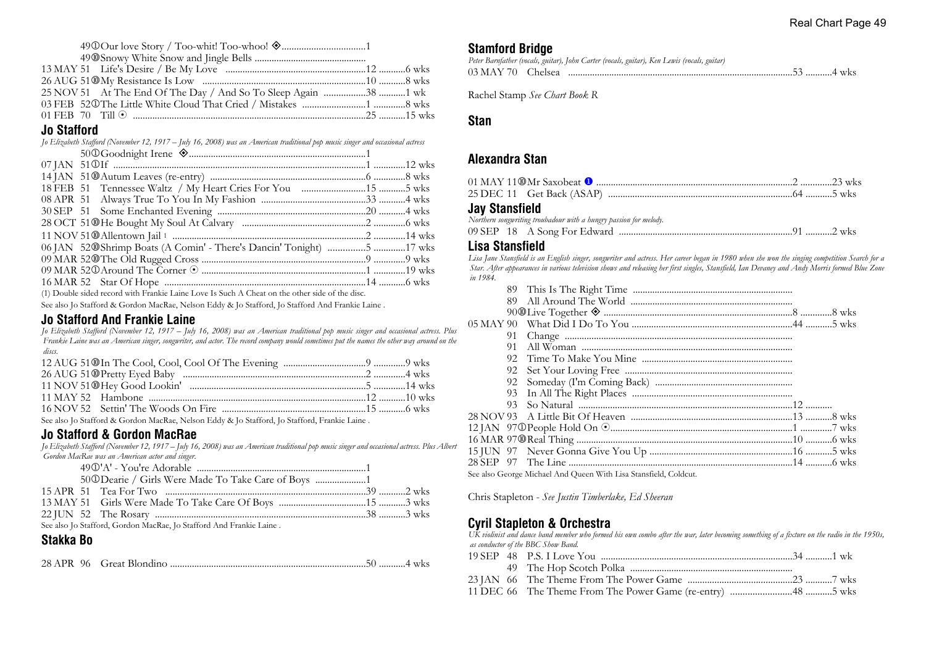#### **Jo Stafford**

| Jo Elizabeth Stafford (November 12, 1917 – July 16, 2008) was an American traditional pop music singer and occasional actress |  |
|-------------------------------------------------------------------------------------------------------------------------------|--|
|                                                                                                                               |  |
|                                                                                                                               |  |
|                                                                                                                               |  |
|                                                                                                                               |  |
|                                                                                                                               |  |
|                                                                                                                               |  |
|                                                                                                                               |  |
|                                                                                                                               |  |
| 06 JAN 52@Shrimp Boats (A Comin' - There's Dancin' Tonight) 5 17 wks                                                          |  |
|                                                                                                                               |  |
|                                                                                                                               |  |
|                                                                                                                               |  |
|                                                                                                                               |  |

(1) Double sided record with Frankie Laine Love Is Such A Cheat on the other side of the disc.

See also Jo Stafford & Gordon MacRae, Nelson Eddy & Jo Stafford, Jo Stafford And Frankie Laine .

#### **Jo Stafford And Frankie Laine**

*Jo Elizabeth Stafford (November 12, 1917 – July 16, 2008) was an American traditional pop music singer and occasional actress. Plus Frankie Laine was an American singer, songwriter, and actor. The record company would sometimes put the names the other way around on the discs.*

| See also Jo Stafford & Gordon MacRae, Nelson Eddy & Jo Stafford, Jo Stafford, Frankie Laine. |  |
|----------------------------------------------------------------------------------------------|--|

#### **Jo Stafford & Gordon MacRae**

*Jo Elizabeth Stafford (November 12, 1917 – July 16, 2008) was an American traditional pop music singer and occasional actress. Plus Albert Gordon MacRae was an American actor and singer.*

|  | 50@Dearie / Girls Were Made To Take Care of Boys 1                  |  |
|--|---------------------------------------------------------------------|--|
|  |                                                                     |  |
|  |                                                                     |  |
|  |                                                                     |  |
|  | See also Lo Stafford, Cordon MecRee, Lo Stafford, And Frankin Laine |  |

See also Jo Stafford, Gordon MacRae, Jo Stafford And Frankie Laine .

# **Stakka Bo**

|--|--|

#### **Stamford Bridge**

|  | Peter Barnfather (vocals, guitar), John Carter (vocals, guitar), Ken Lewis (vocals, guitar) |
|--|---------------------------------------------------------------------------------------------|
|  |                                                                                             |

Rachel Stamp *See Chart Book R*

#### **Stan**

#### **Alexandra Stan**

#### **Jay Stansfield**

*Northern songwriting troubadour with a hungry passion for melody.*

|--|--|--|--|--|--|

#### **Lisa Stansfield**

*Lisa Jane Stansfield is an English singer, songwriter and actress. Her career began in 1980 when she won the singing competition Search for a Star. After appearances in various television shows and releasing her first singles, Stansfield, Ian Devaney and Andy Morris formed Blue Zone in 1984.*

| 91. |                                                                  |  |
|-----|------------------------------------------------------------------|--|
| 91  |                                                                  |  |
| 92  |                                                                  |  |
| 92  |                                                                  |  |
| 92  |                                                                  |  |
| 93. |                                                                  |  |
| 93. |                                                                  |  |
|     |                                                                  |  |
|     |                                                                  |  |
|     |                                                                  |  |
|     |                                                                  |  |
|     |                                                                  |  |
|     | See also George Michael And Queen With Lisa Stansfield, Coldcut. |  |

Chris Stapleton - *See Justin Timberlake, Ed Sheeran*

# **Cyril Stapleton & Orchestra**

*UK violinist and dance band member who formed his own combo after the war, later becoming something of a fixture on the radio in the 1950s, as conductor of the BBC Show Band.*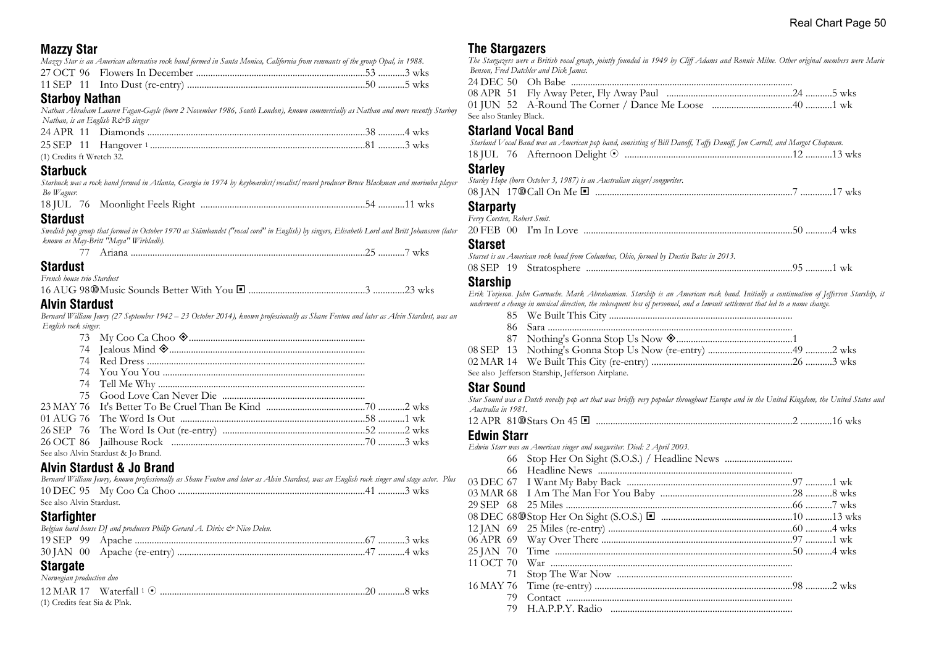# **Mazzy Star**

| Mazzy Star is an American alternative rock band formed in Santa Monica, California from remnants of the group Opal, in 1988. |  |
|------------------------------------------------------------------------------------------------------------------------------|--|
|                                                                                                                              |  |
|                                                                                                                              |  |

## **Starboy Nathan**

*Nathan Abraham Lauren Fagan-Gayle (born 2 November 1986, South London), known commercially as Nathan and more recently Starboy Nathan, is an English R&B singer*

| (1) Credits ft Wretch 32. |  |  |
|---------------------------|--|--|

# **Starbuck**

*Starbuck was a rock band formed in Atlanta, Georgia in 1974 by keyboardist/vocalist/record producer Bruce Blackman and marimba player Bo Wagner.*

18 JUL 76 Moonlight Feels Right ....................................................................54 ...........11 wks

#### **Stardust**

*Swedish pop group that formed in October 1970 as Stämbandet ("vocal cord" in English) by singers, Elisabeth Lord and Britt Johansson (later known as May-Britt "Maya" Wirbladh).*

|  | W<br> |
|--|-------|
|--|-------|

# **Stardust**

*French house trio Stardust*

16 AUG 98s Music Sounds Better With You ® ................................................3 .............23 wks

# **Alvin Stardust**

*Bernard William Jewry (27 September 1942 – 23 October 2014), known professionally as Shane Fenton and later as Alvin Stardust, was an English rock singer.*

| See also Alvin Stardust & Jo Brand. |  |
|-------------------------------------|--|

# **Alvin Stardust & Jo Brand**

*Bernard William Jewry, known professionally as Shane Fenton and later as Alvin Stardust, was an English rock singer and stage actor. Plus* 10 DEC 95 My Coo Ca Choo .............................................................................41 ...........3 wks See also Alvin Stardust.

# **Starfighter**

| ------------- | Belgian hard house DJ and producers Philip Gerard A. Dirix & Nico Deleu. |  |
|---------------|--------------------------------------------------------------------------|--|
|               |                                                                          |  |
|               |                                                                          |  |

# **Stargate**

*Norwegian production duo*

| (1) Credits feat Sia & Plnk. |  |  |
|------------------------------|--|--|

#### **The Stargazers**

*The Stargazers were a British vocal group, jointly founded in 1949 by Cliff Adams and Ronnie Milne. Other original members were Marie Benson, Fred Datchler and Dick James.*

| See also Stanley Black. |  |
|-------------------------|--|

# **Starland Vocal Band**

|                   | Starland Vocal Band was an American pop band, consisting of Bill Danoff, Taffy Danoff, Jon Carroll, and Margot Chapman. |  |
|-------------------|-------------------------------------------------------------------------------------------------------------------------|--|
|                   |                                                                                                                         |  |
| $0.1 - 0.1 - 0.1$ |                                                                                                                         |  |

#### **Starley**

| Starley Hope (born October 3, 1987) is an Australian singer/songwriter. |  |
|-------------------------------------------------------------------------|--|
|                                                                         |  |
| <b>Starparty</b>                                                        |  |

| $01 - u - 1$                |  |
|-----------------------------|--|
|                             |  |
| Ferry Corsten, Robert Smit. |  |

#### **Starset**

*Starset is an American rock band from Columbus, Ohio, formed by Dustin Bates in 2013.*

| 08 SEP | 19 | Stratosphere |  |  | WК |  |
|--------|----|--------------|--|--|----|--|
|--------|----|--------------|--|--|----|--|

# **Starship**

*Erik Torjeson. John Garnache. Mark Abrahamian. Starship is an American rock band. Initially a continuation of Jefferson Starship, it underwent a change in musical direction, the subsequent loss of personnel, and a lawsuit settlement that led to a name change.*

|  | See also Jefferson Starship, Jefferson Airplane. |  |
|--|--------------------------------------------------|--|

# **Star Sound**

*Star Sound was a Dutch novelty pop act that was briefly very popular throughout Europe and in the United Kingdom, the United States and Australia in 1981.*

12 APR 81sStars On 45 ® .................................................................................2 .............16 wks

# **E**

|           | 66 Stop Her On Sight (S.O.S.) / Headline News |  |
|-----------|-----------------------------------------------|--|
|           |                                               |  |
|           |                                               |  |
|           |                                               |  |
|           |                                               |  |
|           |                                               |  |
|           |                                               |  |
|           |                                               |  |
|           |                                               |  |
|           |                                               |  |
| 71        |                                               |  |
| 16 MAY 76 |                                               |  |
| 79        |                                               |  |
| 79        |                                               |  |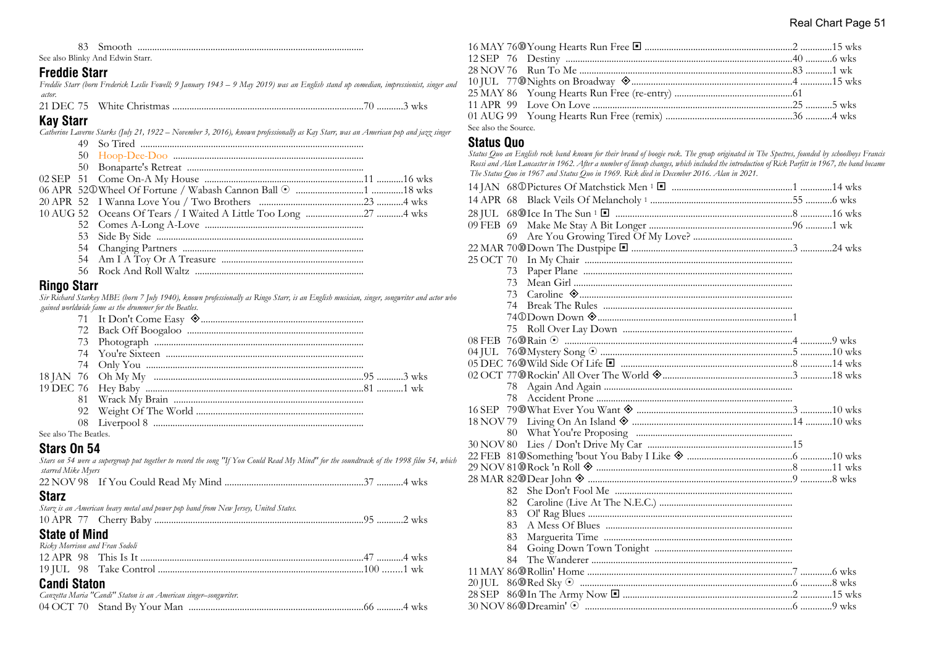83 Smooth .............................................................................................

See also Blinky And Edwin Starr.

#### **Freddie Starr**

*Freddie Starr (born Frederick Leslie Fowell; 9 January 1943 – 9 May 2019) was an English stand up comedian, impressionist, singer and actor.*

21 DEC 75 White Christmas ...............................................................................70 ...........3 wks

#### **Kay Starr**

*Catherine Laverne Starks (July 21, 1922 – November 3, 2016), known professionally as Kay Starr, was an American pop and jazz singer*

|  | 20 APR 52 I Wanna Love You / Two Brothers ………………………………………………………………4 wks |  |
|--|-------------------------------------------------------------------------|--|
|  |                                                                         |  |
|  |                                                                         |  |
|  |                                                                         |  |
|  |                                                                         |  |
|  |                                                                         |  |
|  |                                                                         |  |
|  |                                                                         |  |

#### **Ringo Starr**

*Sir Richard Starkey MBE (born 7 July 1940), known professionally as Ringo Starr, is an English musician, singer, songwriter and actor who gained worldwide fame as the drummer for the Beatles.*

| $\alpha$ in The $\alpha$ |  |  |
|--------------------------|--|--|

See also The Beatles.

#### **Stars On 54**

*Stars on 54 were a supergroup put together to record the song "If You Could Read My Mind" for the soundtrack of the 1998 film 54, which starred Mike Myers*

| $\sim$ |  |  |
|--------|--|--|

#### **Starz**

| $C1 - 1 - 1$ $M: -1$                                                                |  |
|-------------------------------------------------------------------------------------|--|
|                                                                                     |  |
| Starz is an American heavy metal and power pop band from New Jersey, United States. |  |

#### **State of Mind**

|  | Ricky Morrison and Fran Sodoli |  |
|--|--------------------------------|--|
|  |                                |  |
|  |                                |  |

# **Candi Staton**

| Canzetta Maria "Candi" Staton is an American singer–songwriter. |  |
|-----------------------------------------------------------------|--|
|                                                                 |  |

| See also the Source. |  |  |
|----------------------|--|--|

#### **Status Quo**

*Status Quo an English rock band known for their brand of boogie rock. The group originated in The Spectres, founded by schoolboys Francis Rossi and Alan Lancaster in 1962. After a number of lineup changes, which included the introduction of Rick Parfitt in 1967, the band became The Status Quo in 1967 and Status Quo in 1969. Rick died in December 2016. Alan in 2021.*

| 73  |  |
|-----|--|
| 73  |  |
|     |  |
|     |  |
|     |  |
| 75  |  |
|     |  |
|     |  |
|     |  |
|     |  |
| 78  |  |
| 78  |  |
|     |  |
|     |  |
|     |  |
|     |  |
|     |  |
|     |  |
|     |  |
| 82. |  |
| 82  |  |
| 83  |  |
| 83  |  |
| 83  |  |
| 84  |  |
| 84  |  |
|     |  |
|     |  |
|     |  |
|     |  |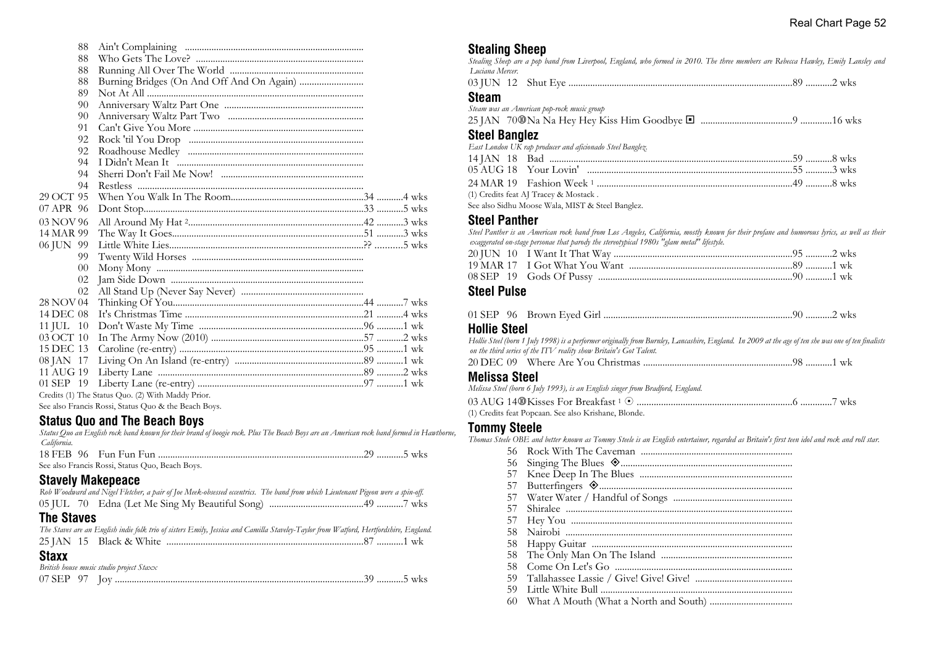| 88        |                                                   |  |
|-----------|---------------------------------------------------|--|
| 88        |                                                   |  |
| 88        |                                                   |  |
| 88        |                                                   |  |
| 89        |                                                   |  |
| 90        |                                                   |  |
| 90        |                                                   |  |
| 91        |                                                   |  |
| 92        |                                                   |  |
| 92        |                                                   |  |
| 94        |                                                   |  |
| 94        |                                                   |  |
| 94        |                                                   |  |
| 29 OCT 95 |                                                   |  |
| 07 APR 96 |                                                   |  |
| 03 NOV 96 |                                                   |  |
| 14 MAR 99 |                                                   |  |
| 06 JUN 99 |                                                   |  |
| 99        |                                                   |  |
| $00\,$    |                                                   |  |
| 02        |                                                   |  |
| 02        |                                                   |  |
| 28 NOV 04 |                                                   |  |
| 14 DEC 08 |                                                   |  |
| 11 JUL 10 |                                                   |  |
| 03 OCT 10 |                                                   |  |
| 15 DEC 13 |                                                   |  |
| 08 JAN 17 |                                                   |  |
| 11 AUG 19 |                                                   |  |
| 01 SEP 19 |                                                   |  |
|           | Credits (1) The Status Quo. (2) With Maddy Prior. |  |
|           |                                                   |  |

See also Francis Rossi, Status Quo & the Beach Boys.

#### **Status Quo and The Beach Boys**

*Status Quo an English rock band known for their brand of boogie rock. Plus The Beach Boys are an American rock band formed in Hawthorne, California.*

| See also Francis Rossi, Status Quo, Beach Boys. |  |
|-------------------------------------------------|--|

# **Stavely Makepeace**

| Rob Woodward and Nigel Fletcher, a pair of Joe Meek-obsessed eccentrics. The band from which Lieutenant Pigeon were a spin-off.       |  |
|---------------------------------------------------------------------------------------------------------------------------------------|--|
|                                                                                                                                       |  |
| <b>The Staves</b>                                                                                                                     |  |
| The Staves are an English indie folk trio of sisters Emily, Jessica and Camilla Staveley-Taylor from Watford, Hertfordshire, England. |  |
|                                                                                                                                       |  |
| <b>Staxx</b>                                                                                                                          |  |
| British house music studio project Staxx                                                                                              |  |
|                                                                                                                                       |  |
|                                                                                                                                       |  |

#### **Stealing Sheep**

*Stealing Sheep are a pop band from Liverpool, England, who formed in 2010. The three members are Rebecca Hawley, Emily Lansley and Luciana Mercer.*

|  |  |  | WK 5 |
|--|--|--|------|
|--|--|--|------|

#### **Steam**

| Steam was an American pop-rock music group                                        |  |
|-----------------------------------------------------------------------------------|--|
|                                                                                   |  |
| <b>Steel Banglez</b><br>East London UK rap producer and aficionado Steel Banglez. |  |

(1) Credits feat AJ Tracey & Mostack .

See also Sidhu Moose Wala, MIST & Steel Banglez.

#### **Steel Panther**

*Steel Panther is an American rock band from Los Angeles, California, mostly known for their profane and humorous lyrics, as well as their exaggerated on-stage personae that parody the stereotypical 1980s "glam metal" lifestyle.*

#### **Steel Pulse**

|--|--|--|--|--|--|--|--|--|

#### **Hollie Steel**

*Hollie Steel (born 1 July 1998) is a performer originally from Burnley, Lancashire, England. In 2009 at the age of ten she was one of ten finalists on the third series of the ITV reality show Britain's Got Talent.*

|--|--|--|--|--|--|

#### **Melissa Steel**

*Melissa Steel (born 6 July 1993), is an English singer from Bradford, England.*

| (1) Credits feat Popcaan. See also Krishane, Blonde. |  |
|------------------------------------------------------|--|

#### **Tommy Steele**

*Thomas Steele OBE and better known as Tommy Steele is an English entertainer, regarded as Britain's first teen idol and rock and roll star.*

| 56  |  |
|-----|--|
| 56  |  |
| 57  |  |
| 57  |  |
| 57  |  |
| 57  |  |
| 57  |  |
| 58. |  |
| 58  |  |
| 58  |  |
| 58  |  |
| 59  |  |
| 59  |  |
| 60  |  |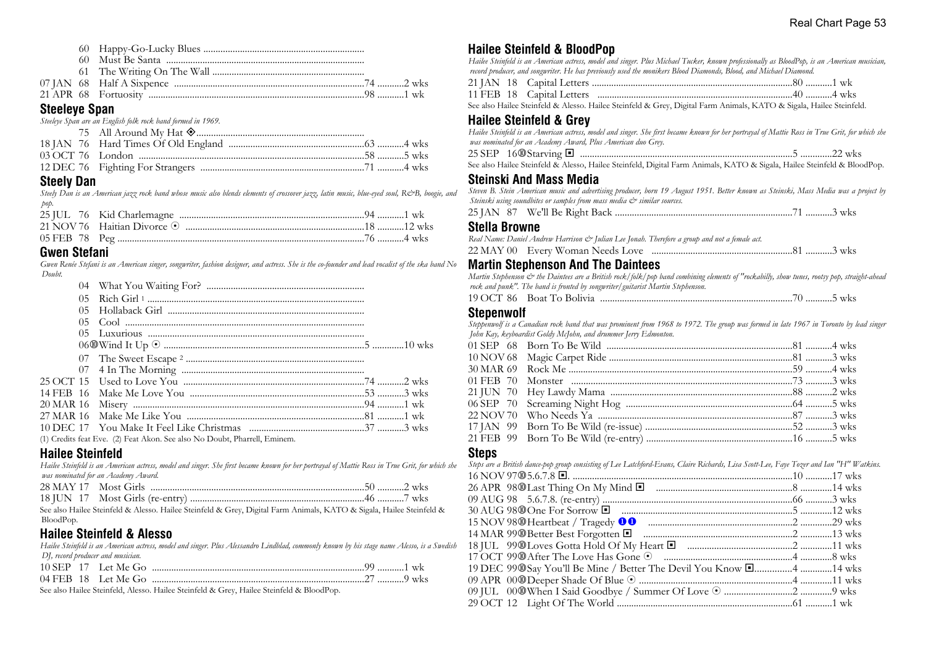| Chaelaug Chan |  |
|---------------|--|
|               |  |
|               |  |
|               |  |
|               |  |
|               |  |

#### **Steeleye Span**

| Steeleye Span are an English folk rock band formed in 1969. |  |
|-------------------------------------------------------------|--|
|                                                             |  |
|                                                             |  |
|                                                             |  |
|                                                             |  |

# **Steely Dan**

*Steely Dan is an American jazz rock band whose music also blends elements of crossover jazz, latin music, blue-eyed soul, R&B, boogie, and pop.*

# **Gwen Stefani**

*Gwen Renée Stefani is an American singer, songwriter, fashion designer, and actress. She is the co-founder and lead vocalist of the ska band No Doubt.*

|  | (1) Credits feat Eve. (2) Feat Akon. See also No Doubt, Pharrell, Eminem. |  |  |
|--|---------------------------------------------------------------------------|--|--|

# **Hailee Steinfeld**

*Hailee Steinfeld is an American actress, model and singer. She first became known for her portrayal of Mattie Ross in True Grit, for which she was nominated for an Academy Award.*

See also Hailee Steinfeld & Alesso. Hailee Steinfeld & Grey, Digital Farm Animals, KATO & Sigala, Hailee Steinfeld & BloodPop.

# **Hailee Steinfeld & Alesso**

*Hailee Steinfeld is an American actress, model and singer. Plus Alessandro Lindblad, commonly known by his stage name Alesso, is a Swedish DJ, record producer and musician.*

|  | $10$ SEP $17$ Let Me Go |  |
|--|-------------------------|--|
|  | $04$ FEB $18$ Let Me Go |  |

See also Hailee Steinfeld, Alesso. Hailee Steinfeld & Grey, Hailee Steinfeld & BloodPop.

# **Hailee Steinfeld & BloodPop**

*Hailee Steinfeld is an American actress, model and singer. Plus Michael Tucker, known professionally as BloodPop, is an American musician, record producer, and songwriter. He has previously used the monikers Blood Diamonds, Blood, and Michael Diamond.*

See also Hailee Steinfeld & Alesso. Hailee Steinfeld & Grey, Digital Farm Animals, KATO & Sigala, Hailee Steinfeld.

# **Hailee Steinfeld & Grey**

*Hailee Steinfeld is an American actress, model and singer. She first became known for her portrayal of Mattie Ross in True Grit, for which she was nominated for an Academy Award, Plus American duo Grey.* 25 SEP 16s Starving ® ........................................................................................5 .............22 wks

See also Hailee Steinfeld & Alesso, Hailee Steinfeld, Digital Farm Animals, KATO & Sigala, Hailee Steinfeld & BloodPop.

# **Steinski And Mass Media**

*Steven B. Stein American music and advertising producer, born 19 August 1951. Better known as Steinski, Mass Media was a project by Steinski using soundbites or samples from mass media & similar sources.*

|--|--|--|

# **Stella Browne**

*Real Name: Daniel Andrew Harrison & Julian Lee Jonah. Therefore a group and not a female act.*

|  | 22 MAY 00 Every Woman Needs Love |  |  |
|--|----------------------------------|--|--|
|--|----------------------------------|--|--|

# **Martin Stephenson And The Daintees**

*Martin Stephenson & the Daintees are a British rock/folk/pop band combining elements of "rockabilly, show tunes, rootsy pop, straight-ahead rock and punk". The band is fronted by songwriter/guitarist Martin Stephenson.*

19 OCT 86 Boat To Bolivia ...............................................................................70 ...........5 wks

#### **Stepenwolf**

*Steppenwolf is a Canadian rock band that was prominent from 1968 to 1972. The group was formed in late 1967 in Toronto by lead singer John Kay, keyboardist Goldy McJohn, and drummer Jerry Edmonton.*

#### **Steps**

*Steps are a British dance-pop group consisting of Lee Latchford-Evans, Claire Richards, Lisa Scott-Lee, Faye Tozer and Ian "H" Watkins.*

| 19 DEC 99@Say You'll Be Mine / Better The Devil You Know [4 14 wks |  |
|--------------------------------------------------------------------|--|
|                                                                    |  |
|                                                                    |  |
|                                                                    |  |
|                                                                    |  |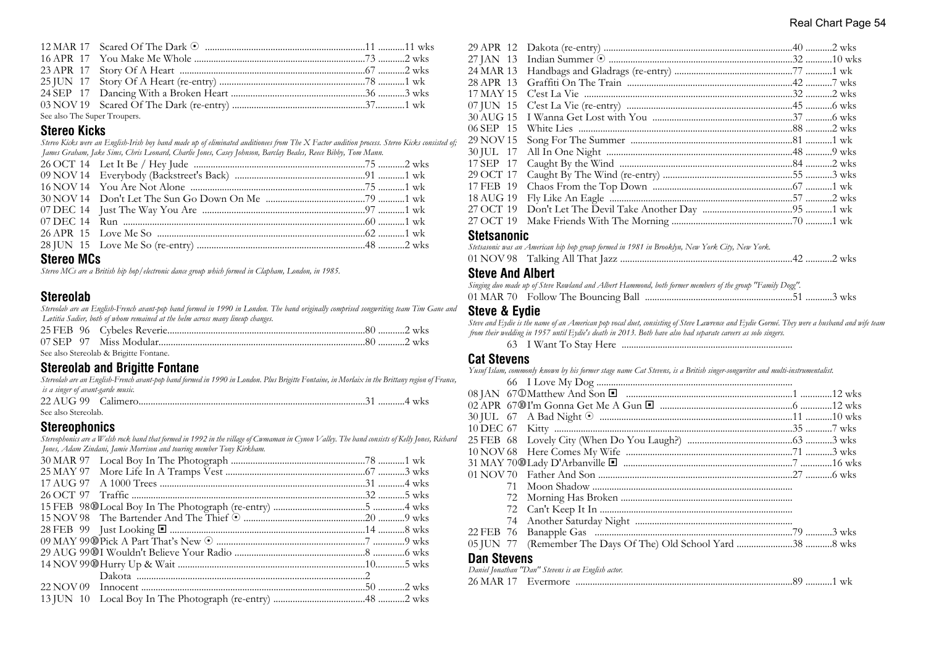| See also The Super Troupers. |  |  |
|------------------------------|--|--|

# **Stereo Kicks**

*Stereo Kicks were an English-Irish boy band made up of eliminated auditionees from The X Factor audition process. Stereo Kicks consisted of; James Graham, Jake Sims, Chris Leonard, Charlie Jones, Casey Johnson, Barclay Beales, Reece Bibby, Tom Mann.*

#### **Stereo MCs**

*Stereo MCs are a British hip hop/electronic dance group which formed in Clapham, London, in 1985.*

# **Stereolab**

*Stereolab are an English-French avant-pop band formed in 1990 in London. The band originally comprised songwriting team Tim Gane and Lætitia Sadier, both of whom remained at the helm across many lineup changes.*

|  | See also Stereolab & Brigitte Fontane. |  |
|--|----------------------------------------|--|

#### **Stereolab and Brigitte Fontane**

| Stereolab are an English-French avant-pop band formed in 1990 in London. Plus Brigitte Fontaine, in Morlaix in the Brittany region of France, |          |
|-----------------------------------------------------------------------------------------------------------------------------------------------|----------|
| is a singer of avant-garde music.                                                                                                             |          |
| $22.11C$ 00 $C$ -1 $-$                                                                                                                        | $A = -1$ |

| See also Stereolab. |  |  |
|---------------------|--|--|

#### **Stereophonics**

*Stereophonics are a Welsh rock band that formed in 1992 in the village of Cwmaman in Cynon Valley. The band consists of Kelly Jones, Richard Jones, Adam Zindani, Jamie Morrison and touring member Tony Kirkham.*

| 06 SEP 15 |  |
|-----------|--|
| 29 NOV 15 |  |
|           |  |
| 17 SEP 17 |  |
| 29 OCT 17 |  |
| 17 FEB 19 |  |
| 18 AUG 19 |  |
| 27 OCT 19 |  |
| 27 OCT 19 |  |
|           |  |

#### **Stetsanonic**

|  | Stetsasonic was an American hip hop group formed in 1981 in Brooklyn, New York City, New York. |  |
|--|------------------------------------------------------------------------------------------------|--|
|  | 01 NOV 98    Talking All That Jazz ……………………………………………………………42 …………2 wks                         |  |

#### **Steve And Albert**

| Singing duo made up of Steve Rowland and Albert Hammond, both former members of the group "Family Dogg". |  |  |
|----------------------------------------------------------------------------------------------------------|--|--|
|                                                                                                          |  |  |

#### **Steve & Eydie**

*Steve and Eydie is the name of an American pop vocal duet, consisting of Steve Lawrence and Eydie Gormé. They were a husband and wife team from their wedding in 1957 until Eydie's death in 2013. Both have also had separate careers as solo singers.*

63 I Want To Stay Here .......................................................................

#### **Cat Stevens**

*Yusuf Islam, commonly known by his former stage name Cat Stevens, is a British singer-songwriter and multi-instrumentalist.*

| 01 NOV 70          |                                                    |  |
|--------------------|----------------------------------------------------|--|
| 71.                |                                                    |  |
| 72                 |                                                    |  |
|                    |                                                    |  |
|                    |                                                    |  |
|                    |                                                    |  |
|                    |                                                    |  |
| <b>Dan Stevens</b> |                                                    |  |
|                    | Daniel Jonathan "Dan" Stevens is an English actor. |  |
|                    |                                                    |  |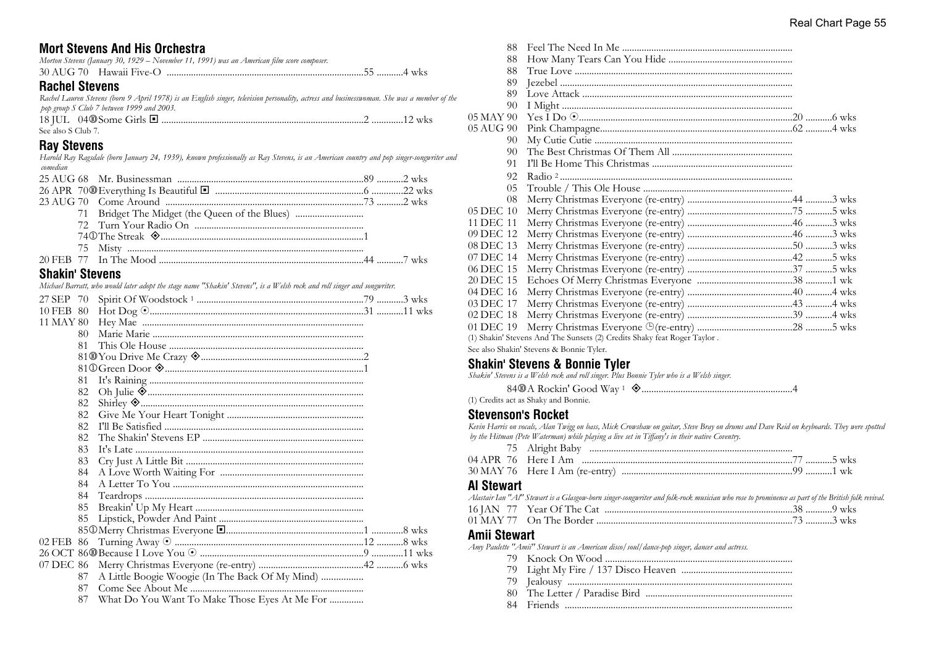# **Mort Stevens And His Orchestra**

|  | Morton Stevens (January 30, 1929 – November 11, 1991) was an American film score composer. |  |
|--|--------------------------------------------------------------------------------------------|--|
|  |                                                                                            |  |

# **Rachel Stevens**

| Rachel Lauren Stevens (born 9 April 1978) is an English singer, television personality, actress and businesswoman. She was a member of the |  |                |
|--------------------------------------------------------------------------------------------------------------------------------------------|--|----------------|
| pop group S Club 7 between 1999 and 2003.                                                                                                  |  |                |
| $18$ IIII $0400$ Some Girls $\blacksquare$                                                                                                 |  | $12 \text{ w}$ |

| See also S Club 7. |  |  |
|--------------------|--|--|

# **Ray Stevens**

*Harold Ray Ragsdale (born January 24, 1939), known professionally as Ray Stevens, is an American country and pop singer-songwriter and comedian*

| 71 Bridget The Midget (the Queen of the Blues) |  |
|------------------------------------------------|--|
|                                                |  |
|                                                |  |
|                                                |  |
|                                                |  |
| $AL = 1.5 \times 100$                          |  |

#### **Shakin' Stevens**

*Michael Barratt, who would later adopt the stage name "Shakin' Stevens", is a Welsh rock and roll singer and songwriter.*

| 27 SEP 70 |    |                                                 |  |  |
|-----------|----|-------------------------------------------------|--|--|
| 10 FEB 80 |    |                                                 |  |  |
| 11 MAY 80 |    |                                                 |  |  |
|           | 80 |                                                 |  |  |
|           | 81 |                                                 |  |  |
|           |    | 81@You Drive Me Crazy <a></a>                   |  |  |
|           |    |                                                 |  |  |
|           | 81 |                                                 |  |  |
|           | 82 |                                                 |  |  |
|           | 82 |                                                 |  |  |
|           | 82 |                                                 |  |  |
|           | 82 |                                                 |  |  |
|           | 82 |                                                 |  |  |
|           | 83 |                                                 |  |  |
|           | 83 |                                                 |  |  |
|           | 84 |                                                 |  |  |
|           | 84 |                                                 |  |  |
|           | 84 |                                                 |  |  |
|           | 85 |                                                 |  |  |
|           | 85 |                                                 |  |  |
|           |    |                                                 |  |  |
|           |    |                                                 |  |  |
|           |    |                                                 |  |  |
|           |    |                                                 |  |  |
|           | 87 | A Little Boogie Woogie (In The Back Of My Mind) |  |  |
|           | 87 |                                                 |  |  |
|           | 87 | What Do You Want To Make Those Eyes At Me For   |  |  |

| 88                                                                       |  |  |  |
|--------------------------------------------------------------------------|--|--|--|
| 88                                                                       |  |  |  |
| 88                                                                       |  |  |  |
| 89                                                                       |  |  |  |
| 89                                                                       |  |  |  |
| 90                                                                       |  |  |  |
| 05 MAY 90                                                                |  |  |  |
| 05 AUG 90                                                                |  |  |  |
| 90                                                                       |  |  |  |
| 90                                                                       |  |  |  |
| 91                                                                       |  |  |  |
| 92.                                                                      |  |  |  |
| 0.5                                                                      |  |  |  |
| 08                                                                       |  |  |  |
| 05 DEC 10                                                                |  |  |  |
| 11 DEC 11                                                                |  |  |  |
| 09 DEC 12                                                                |  |  |  |
| 08 DEC 13                                                                |  |  |  |
| 07 DEC 14                                                                |  |  |  |
| 06 DEC 15                                                                |  |  |  |
| 20 DEC 15                                                                |  |  |  |
| 04 DEC 16                                                                |  |  |  |
| 03 DEC 17                                                                |  |  |  |
| 02 DEC 18                                                                |  |  |  |
| 01 DEC 19                                                                |  |  |  |
| (1) Shakin' Stevens And The Sunsets (2) Credits Shaky feat Roger Taylor. |  |  |  |

See also Shakin' Stevens & Bonnie Tyler.

#### **Shakin' Stevens & Bonnie Tyler**

*Shakin' Stevens is a Welsh rock and roll singer. Plus Bonnie Tyler who is a Welsh singer.*

84s A Rockin' Good Way <sup>1</sup> ±..............................................................4

(1) Credits act as Shaky and Bonnie.

#### **Stevenson's Rocket**

*Kevin Harris on vocals, Alan Twigg on bass, Mick Crowshaw on guitar, Steve Bray on drums and Dave Reid on keyboards. They were spotted by the Hitman (Pete Waterman) while playing a live set in Tiffany's in their native Coventry.*

| 75 Alright Baby |
|-----------------|
| 77 5 wks        |
|                 |

#### **Al Stewart**

|  | Alastair Ian "Al" Stewart is a Glasgow-born singer-songwriter and folk-rock musician who rose to prominence as part of the British folk revival. |  |
|--|--------------------------------------------------------------------------------------------------------------------------------------------------|--|
|  |                                                                                                                                                  |  |
|  |                                                                                                                                                  |  |

# 01 MAY 77 On The Border .................................................................................73 ...........3 wks

# **Amii Stewart**

*Amy Paulette "Amii" Stewart is an American disco/soul/dance-pop singer, dancer and actress.*

- 79 Knock On Wood .............................................................................
- 79 Light My Fire / 137 Disco Heaven ..............................................
- 79 Jealousy .............................................................................................
- 80 The Letter / Paradise Bird .............................................................
- 84 Friends ..............................................................................................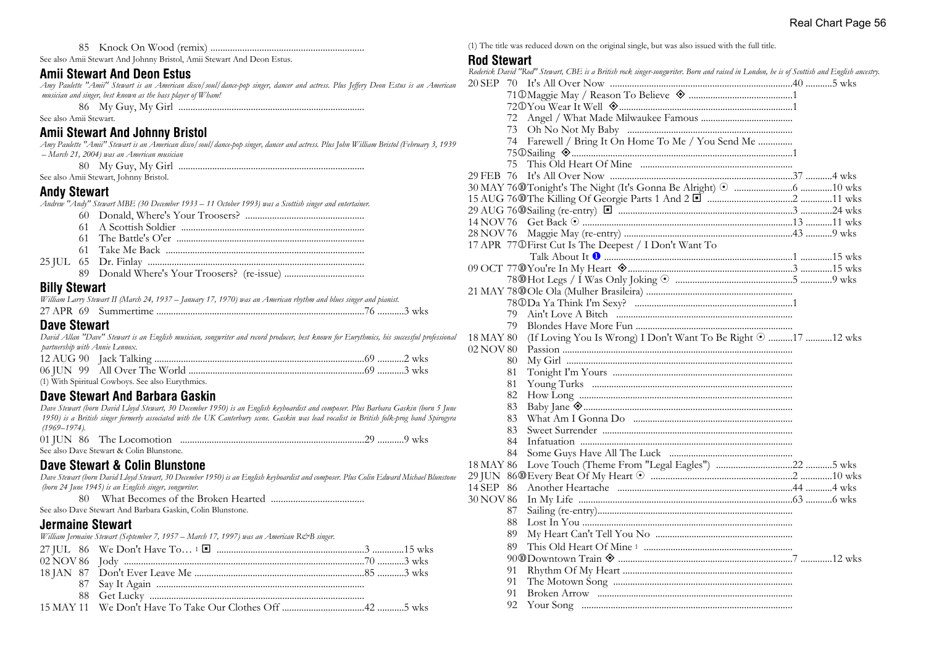85 Knock On Wood (remix) ...............................................................

See also Amii Stewart And Johnny Bristol, Amii Stewart And Deon Estus.

# **Amii Stewart And Deon Estus**

*Amy Paulette "Amii" Stewart is an American disco/soul/dance-pop singer, dancer and actress. Plus Jeffery Deon Estus is an American musician and singer, best known as the bass player of Wham!*

86 My Guy, My Girl .............................................................................

See also Amii Stewart.

#### **Amii Stewart And Johnny Bristol**

*Amy Paulette "Amii" Stewart is an American disco/soul/dance-pop singer, dancer and actress. Plus John William Bristol (February 3, 1939 – March 21, 2004) was an American musician*

| -80 | Mv G<br>' Guy My | ⊺C⊤nrl |  |
|-----|------------------|--------|--|
|     |                  |        |  |

See also Amii Stewart, Johnny Bristol.

#### **Andy Stewart**

*Andrew "Andy" Stewart MBE (30 December 1933 – 11 October 1993) was a Scottish singer and entertainer.*

- 60 Donald, Where's Your Troosers? .................................................
	- 61 A Scottish Soldier ............................................................................
	- 61 The Battle's O'er ..............................................................................
	- 61 Take Me Back ..................................................................................
- 25 JUL 65 Dr. Finlay .......................................................................................... 89 Donald Where's Your Troosers? (re-issue) .................................

#### **Billy Stewart**

*William Larry Stewart II (March 24, 1937 – January 17, 1970) was an American rhythm and blues singer and pianist.*

27 APR 69 Summertime ......................................................................................76 ...........3 wks

#### **Dave Stewart**

*David Allan "Dave" Stewart is an English musician, songwriter and record producer, best known for Eurythmics, his successful professional partnership with Annie Lennox.*

| (1) With Spiritual Cowboys. See also Eurythmics. |  |
|--------------------------------------------------|--|

#### **Dave Stewart And Barbara Gaskin**

*Dave Stewart (born David Lloyd Stewart, 30 December 1950) is an English keyboardist and composer. Plus Barbara Gaskin (born 5 June 1950) is a British singer formerly associated with the UK Canterbury scene. Gaskin was lead vocalist in British folk-prog band Spirogyra (1969–1974).*

|  | See also Dave Stewart & Colin Blunstone. |  |  |
|--|------------------------------------------|--|--|

#### **Dave Stewart & Colin Blunstone**

*Dave Stewart (born David Lloyd Stewart, 30 December 1950) is an English keyboardist and composer. Plus Colin Edward Michael Blunstone (born 24 June 1945) is an English singer, songwriter.*

80 What Becomes of the Broken Hearted ......................................

See also Dave Stewart And Barbara Gaskin, Colin Blunstone.

#### **Jermaine Stewart**

*William Jermaine Stewart (September 7, 1957 – March 17, 1997) was an American R&B singer.*

(1) The title was reduced down on the original single, but was also issued with the full title.

#### **Rod Stewart**

|           |     | Roderick David "Rod" Stewart, CBE is a British rock singer-songwriter. Born and raised in London, he is of Scottish and English ancestry. |  |
|-----------|-----|-------------------------------------------------------------------------------------------------------------------------------------------|--|
| 20 SEP 70 |     |                                                                                                                                           |  |
|           |     | 71 ® Maggie May / Reason To Believe <a></a>                                                                                               |  |
|           |     |                                                                                                                                           |  |
|           |     |                                                                                                                                           |  |
|           | 73  |                                                                                                                                           |  |
|           | 74  | Farewell / Bring It On Home To Me / You Send Me                                                                                           |  |
|           |     |                                                                                                                                           |  |
|           | 75  |                                                                                                                                           |  |
| 29 FEB 76 |     |                                                                                                                                           |  |
|           |     |                                                                                                                                           |  |
|           |     |                                                                                                                                           |  |
|           |     |                                                                                                                                           |  |
|           |     |                                                                                                                                           |  |
| 28 NOV 76 |     |                                                                                                                                           |  |
|           |     | 17 APR 77 OFirst Cut Is The Deepest / I Don't Want To                                                                                     |  |
|           |     |                                                                                                                                           |  |
|           |     |                                                                                                                                           |  |
|           |     |                                                                                                                                           |  |
|           |     |                                                                                                                                           |  |
|           |     |                                                                                                                                           |  |
|           | 79. |                                                                                                                                           |  |
|           | 79. |                                                                                                                                           |  |
| 18 MAY 80 |     | (If Loving You Is Wrong) I Don't Want To Be Right © 17 12 wks                                                                             |  |
| 02 NOV 80 |     |                                                                                                                                           |  |
|           | 80  |                                                                                                                                           |  |
|           | 81  |                                                                                                                                           |  |
|           | 81  |                                                                                                                                           |  |
|           | 82  |                                                                                                                                           |  |
|           | 83  |                                                                                                                                           |  |
|           | 83  |                                                                                                                                           |  |
|           | 83  |                                                                                                                                           |  |
|           | 84  |                                                                                                                                           |  |
|           | 84  |                                                                                                                                           |  |
| 18 MAY 86 |     |                                                                                                                                           |  |
|           |     |                                                                                                                                           |  |
| 14 SEP 86 |     |                                                                                                                                           |  |
| 30 NOV 86 |     |                                                                                                                                           |  |
|           | 87  |                                                                                                                                           |  |
|           | 88  |                                                                                                                                           |  |
|           | 89  |                                                                                                                                           |  |
|           | 89  |                                                                                                                                           |  |
|           |     |                                                                                                                                           |  |
|           | 91  |                                                                                                                                           |  |
|           | 91  |                                                                                                                                           |  |
|           | 91  |                                                                                                                                           |  |
|           | 92  |                                                                                                                                           |  |
|           |     |                                                                                                                                           |  |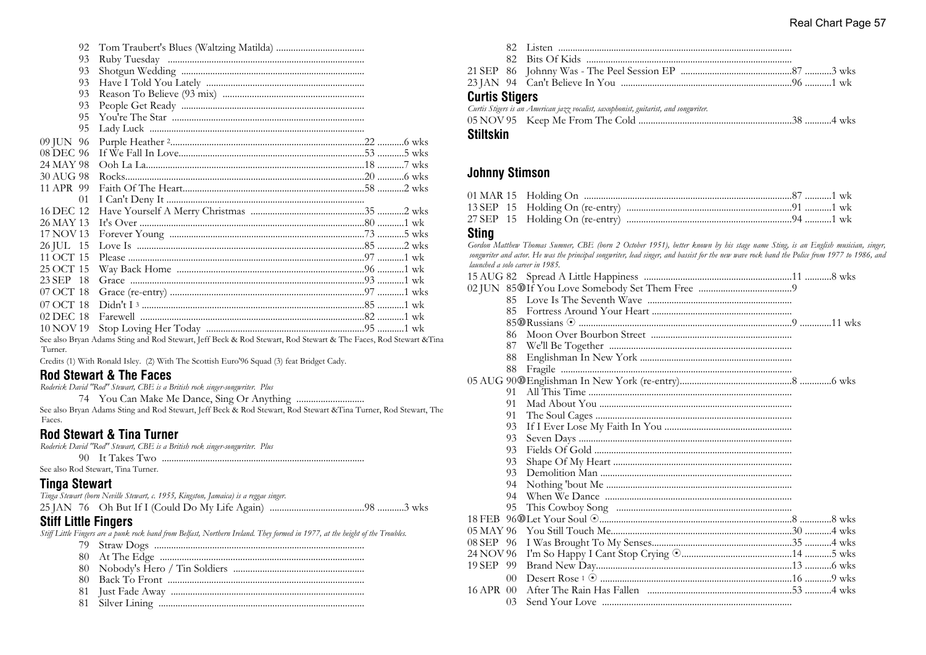| 92        |                                                                                                              |  |  |
|-----------|--------------------------------------------------------------------------------------------------------------|--|--|
| 93        |                                                                                                              |  |  |
| 93        |                                                                                                              |  |  |
| 93        |                                                                                                              |  |  |
| 93        |                                                                                                              |  |  |
| 93        |                                                                                                              |  |  |
| 95        |                                                                                                              |  |  |
| 95        |                                                                                                              |  |  |
| 09 JUN 96 |                                                                                                              |  |  |
| 08 DEC 96 |                                                                                                              |  |  |
| 24 MAY 98 |                                                                                                              |  |  |
| 30 AUG 98 |                                                                                                              |  |  |
| 11 APR 99 |                                                                                                              |  |  |
| 01        |                                                                                                              |  |  |
| 16 DEC 12 |                                                                                                              |  |  |
| 26 MAY 13 |                                                                                                              |  |  |
| 17 NOV 13 |                                                                                                              |  |  |
| 26 JUL 15 |                                                                                                              |  |  |
| 11 OCT 15 |                                                                                                              |  |  |
| 25 OCT 15 |                                                                                                              |  |  |
| 23 SEP 18 |                                                                                                              |  |  |
| 07 OCT 18 |                                                                                                              |  |  |
| 07 OCT 18 |                                                                                                              |  |  |
| 02 DEC 18 |                                                                                                              |  |  |
| 10 NOV 19 |                                                                                                              |  |  |
|           | Capalao Duran Adama Crips and Dod Crown at Loff Dools & Dod Crown at Dod Crown at & The Fogge Dod Crown at & |  |  |

See also Bryan Adams Sting and Rod Stewart, Jeff Beck & Rod Stewart, Rod Stewart & The Faces, Rod Stewart &Tina Turner.

Credits (1) With Ronald Isley. (2) With The Scottish Euro'96 Squad (3) feat Bridget Cady.

# **Rod Stewart & The Faces**

*Roderick David "Rod" Stewart, CBE is a British rock singer-songwriter. Plus*

74 You Can Make Me Dance, Sing Or Anything ............................

See also Bryan Adams Sting and Rod Stewart, Jeff Beck & Rod Stewart, Rod Stewart &Tina Turner, Rod Stewart, The Faces.

#### **Rod Stewart & Tina Turner**

*Roderick David "Rod" Stewart, CBE is a British rock singer-songwriter. Plus* 90 It Takes Two ....................................................................................

See also Rod Stewart, Tina Turner.

# **Tinga Stewart**

| Tinga Stewart (born Neville Stewart, c. 1955, Kingston, Jamaica) is a reggae singer. |  |
|--------------------------------------------------------------------------------------|--|
|                                                                                      |  |

# **Stiff Little Fingers**

*Stiff Little Fingers are a punk rock band from Belfast, Northern Ireland. They formed in 1977, at the height of the Troubles.*

- 79 Straw Dogs .......................................................................................
- 80 At The Edge ....................................................................................
- 80 Nobody's Hero / Tin Soldiers ......................................................
- 80 Back To Front .................................................................................
- 81 Just Fade Away ................................................................................
- 81 Silver Lining .....................................................................................

| <b>Curtis Stigers</b> |                                                                                      |  |
|-----------------------|--------------------------------------------------------------------------------------|--|
|                       | Curtis Stigers is an American jazz vocalist, saxophonist, guitarist, and songwriter. |  |
|                       |                                                                                      |  |
|                       |                                                                                      |  |

#### **Stiltskin**

# **Johnny Stimson**

#### **Sting**

*Gordon Matthew Thomas Sumner, CBE (born 2 October 1951), better known by his stage name Sting, is an English musician, singer, songwriter and actor. He was the principal songwriter, lead singer, and bassist for the new wave rock band the Police from 1977 to 1986, and launched a solo career in 1985.*

|           | 85             |  |
|-----------|----------------|--|
|           |                |  |
|           | 86             |  |
|           | 87             |  |
|           | 88             |  |
|           | 88             |  |
|           |                |  |
|           | 91             |  |
|           | 91             |  |
|           | 91             |  |
|           | 93             |  |
|           | 93             |  |
|           | 93             |  |
|           | 93             |  |
|           | 93             |  |
|           | 94             |  |
|           | 94             |  |
|           | 95             |  |
|           |                |  |
|           |                |  |
| 08 SEP 96 |                |  |
| 24 NOV 96 |                |  |
| 19 SEP 99 |                |  |
|           | 0 <sup>0</sup> |  |
| 16 APR 00 |                |  |
|           | 03             |  |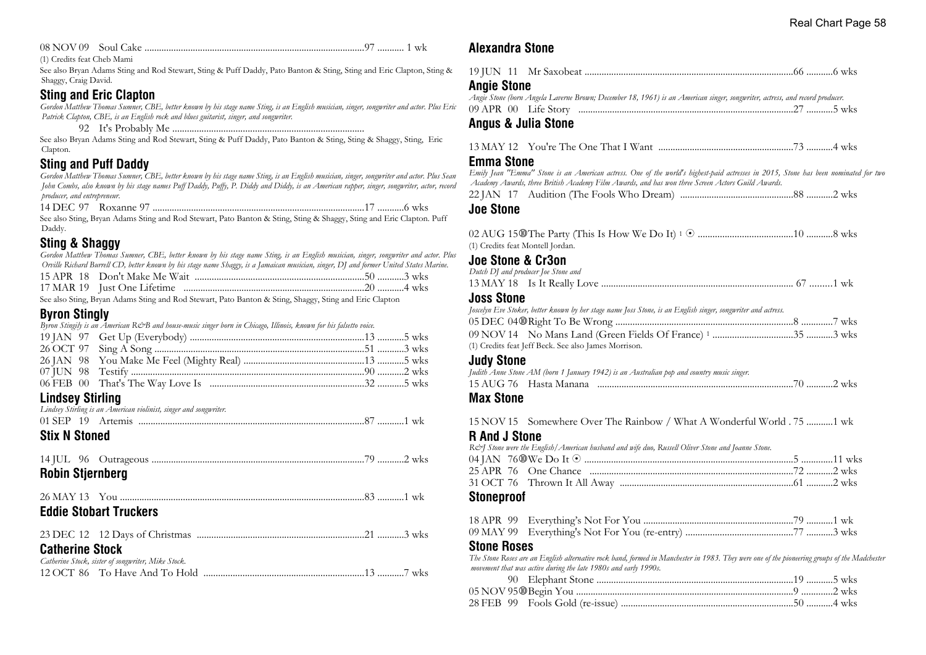08 NOV 09 Soul Cake ...........................................................................................97 ........... 1 wk

(1) Credits feat Cheb Mami

See also Bryan Adams Sting and Rod Stewart, Sting & Puff Daddy, Pato Banton & Sting, Sting and Eric Clapton, Sting & Shaggy, Craig David.

#### **Sting and Eric Clapton**

*Gordon Matthew Thomas Sumner, CBE, better known by his stage name Sting, is an English musician, singer, songwriter and actor. Plus Eric Patrick Clapton, CBE, is an English rock and blues guitarist, singer, and songwriter.*

92 It's Probably Me ...............................................................................

See also Bryan Adams Sting and Rod Stewart, Sting & Puff Daddy, Pato Banton & Sting, Sting & Shaggy, Sting, Eric Clapton.

# **Sting and Puff Daddy**

*Gordon Matthew Thomas Sumner, CBE, better known by his stage name Sting, is an English musician, singer, songwriter and actor. Plus Sean John Combs, also known by his stage names Puff Daddy, Puffy, P. Diddy and Diddy, is an American rapper, singer, songwriter, actor, record producer, and entrepreneur.*

14 DEC 97 Roxanne 97 ........................................................................................17 ...........6 wks See also Sting, Bryan Adams Sting and Rod Stewart, Pato Banton & Sting, Sting & Shaggy, Sting and Eric Clapton. Puff Daddy.

# **Sting & Shaggy**

*Gordon Matthew Thomas Sumner, CBE, better known by his stage name Sting, is an English musician, singer, songwriter and actor. Plus Orville Richard Burrell CD, better known by his stage name Shaggy, is a Jamaican musician, singer, DJ and former United States Marine.*

| a ta' mai a' thig na mai a' an a' thigh |  |
|-----------------------------------------|--|

See also Sting, Bryan Adams Sting and Rod Stewart, Pato Banton & Sting, Shaggy, Sting and Eric Clapton

# **Byron Stingly**

|                         | Byron Stingily is an American R&B and house-music singer born in Chicago, Illinois, known for his falsetto voice. |  |  |
|-------------------------|-------------------------------------------------------------------------------------------------------------------|--|--|
|                         |                                                                                                                   |  |  |
|                         |                                                                                                                   |  |  |
|                         |                                                                                                                   |  |  |
|                         |                                                                                                                   |  |  |
|                         |                                                                                                                   |  |  |
| <b>Lindsey Stirling</b> |                                                                                                                   |  |  |
|                         | Lindsey Stirling is an American violinist, singer and songwriter.                                                 |  |  |
|                         |                                                                                                                   |  |  |
| <b>Stix N Stoned</b>    |                                                                                                                   |  |  |
|                         |                                                                                                                   |  |  |
| <b>Robin Stjernberg</b> |                                                                                                                   |  |  |
|                         |                                                                                                                   |  |  |
|                         |                                                                                                                   |  |  |
|                         | <b>Eddie Stobart Truckers</b>                                                                                     |  |  |
|                         |                                                                                                                   |  |  |
|                         |                                                                                                                   |  |  |
| <b>Catherine Stock</b>  |                                                                                                                   |  |  |
|                         |                                                                                                                   |  |  |

| <b>UQUIGHIIG OLUUN</b>                             |  |
|----------------------------------------------------|--|
| Catherine Stock, sister of songwriter, Mike Stock. |  |
|                                                    |  |

# **Alexandra Stone**

| <b>Angie Stone</b> |                                                                                                                             |  |
|--------------------|-----------------------------------------------------------------------------------------------------------------------------|--|
|                    | Angie Stone (born Angela Laverne Brown; December 18, 1961) is an American singer, songwriter, actress, and record producer. |  |
|                    |                                                                                                                             |  |

#### **Angus & Julia Stone**

|--|--|

#### **Emma Stone**

*Emily Jean "Emma" Stone is an American actress. One of the world's highest-paid actresses in 2015, Stone has been nominated for two Academy Awards, three British Academy Film Awards, and has won three Screen Actors Guild Awards.*

22 JAN 17 Audition (The Fools Who Dream) ...............................................88 ...........2 wks

#### **Joe Stone**

| (1) Credits feat Montell Jordan.                                                                              |  |
|---------------------------------------------------------------------------------------------------------------|--|
| Joe Stone & Cr3on                                                                                             |  |
| Dutch DJ and producer Joe Stone and                                                                           |  |
|                                                                                                               |  |
| <b>Joss Stone</b>                                                                                             |  |
| Joscelyn Eve Stoker, better known by her stage name Joss Stone, is an English singer, songwriter and actress. |  |
|                                                                                                               |  |
|                                                                                                               |  |
| (1) Credits feat Jeff Beck. See also James Morrison.                                                          |  |

#### **Judy Stone**

*Judith Anne Stone AM (born 1 January 1942) is an Australian pop and country music singer.* 15 AUG 76 Hasta Manana .................................................................................70 ...........2 wks

#### **Max Stone**

15 NOV 15 Somewhere Over The Rainbow / What A Wonderful World . 75 ...........1 wk

#### **R And J Stone**

| R& Stone were the English/American husband and wife duo, Russell Oliver Stone and Joanne Stone. |  |
|-------------------------------------------------------------------------------------------------|--|
|                                                                                                 |  |
|                                                                                                 |  |
|                                                                                                 |  |

#### **Stoneproof**

#### **Stone Roses**

*The Stone Roses are an English alternative rock band, formed in Manchester in 1983. They were one of the pioneering groups of the Madchester movement that was active during the late 1980s and early 1990s.*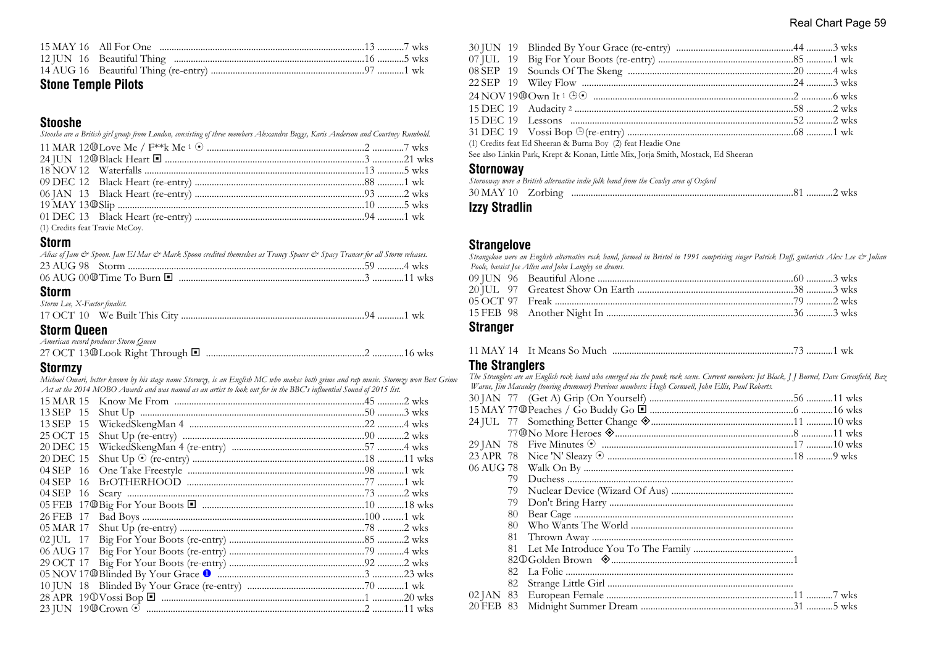|  | Real Chart Page 59 |  |  |
|--|--------------------|--|--|
|--|--------------------|--|--|

# **Stone Temple Pilots**

#### **Stooshe**

*Stooshe are a British girl group from London, consisting of three members Alexandra Buggs, Karis Anderson and Courtney Rumbold.*

| (1) Credits feat Travie McCoy. |  |
|--------------------------------|--|
|                                |  |

#### **Storm**

| Alias of Jam & Spoon. Jam El Mar & Mark Spoon credited themselves as Trancy Spacer & Spacy Trancer for all Storm releases. |  |
|----------------------------------------------------------------------------------------------------------------------------|--|
|                                                                                                                            |  |
|                                                                                                                            |  |
|                                                                                                                            |  |

#### **Storm**

| Storm Lee, X-Factor finalist. |  |
|-------------------------------|--|
|                               |  |

# **Storm Queen**

| American record producer Storm Queen |  |
|--------------------------------------|--|
|                                      |  |

#### **Stormzy**

*Michael Omari, better known by his stage name Stormzy, is an English MC who makes both grime and rap music. Stormzy won Best Grime Act at the 2014 MOBO Awards and was named as an artist to look out for in the BBC's influential Sound of 2015 list.*

| 15 MAR 15     |  |
|---------------|--|
| 13 SEP 15     |  |
| 13 SEP 15     |  |
| 25 OCT 15     |  |
| 20 DEC 15     |  |
| 20 DEC 15     |  |
| 04 SEP 16     |  |
| 04 SEP 16     |  |
| 04 SEP<br>-16 |  |
|               |  |
| 26 FEB 17     |  |
| 05 MAR 17     |  |
| $02$ JUL $17$ |  |
| 06 AUG 17     |  |
|               |  |
|               |  |
|               |  |
|               |  |
|               |  |

|  | (1) Credits feat Ed Sheeran & Burna Boy (2) feat Headie One                       |  |
|--|-----------------------------------------------------------------------------------|--|
|  | See also Linkin Park, Krept & Konan, Little Mix, Jorja Smith, Mostack, Ed Sheeran |  |

#### **Stornoway**

|  | Stornoway were a British alternative indie folk band from the Cowley area of Oxford |  |
|--|-------------------------------------------------------------------------------------|--|
|  |                                                                                     |  |

# **Izzy Stradlin**

#### **Strangelove**

*Strangelove were an English alternative rock band, formed in Bristol in 1991 comprising singer Patrick Duff, guitarists Alex Lee & Julian Poole, bassist Joe Allen and John Langley on drums.*

| <b>Stranger</b> |  |  |
|-----------------|--|--|
|                 |  |  |
|                 |  |  |
|                 |  |  |
|                 |  |  |

#### 11 MAY 14 It Means So Much ...........................................................................73 ...........1 wk

#### **The Stranglers**

*The Stranglers are an English rock band who emerged via the punk rock scene. Current members: Jet Black, J J Burnel, Dave Greenfield, Baz Warne, Jim Macauley (touring drummer) Previous members: Hugh Cornwell, John Ellis, Paul Roberts.*

| 79  |  |
|-----|--|
| 79  |  |
| 80  |  |
| 80. |  |
|     |  |
|     |  |
|     |  |
|     |  |
| 82  |  |
|     |  |
|     |  |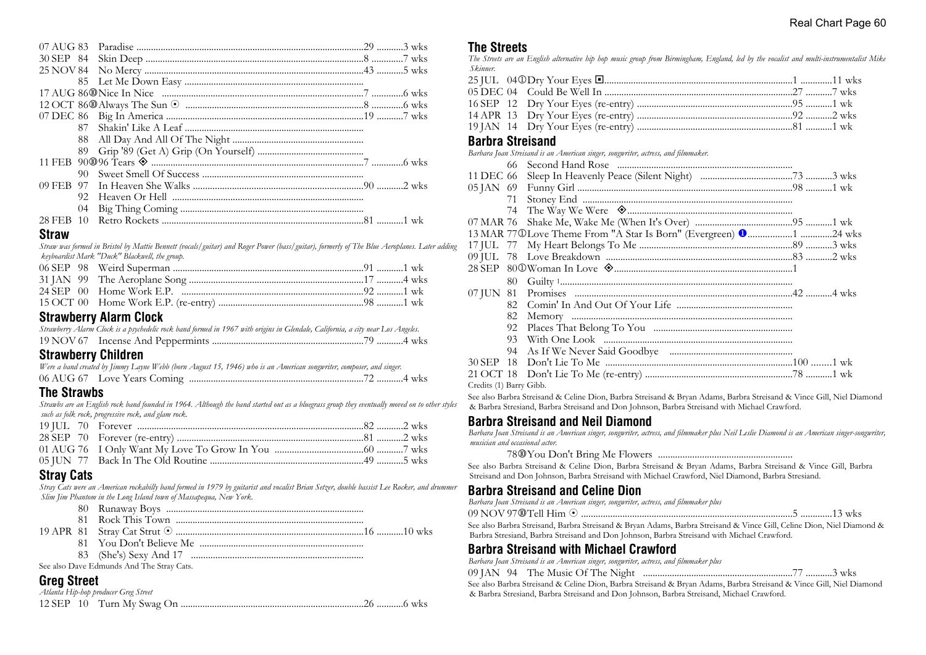| 92. |  |  |
|-----|--|--|
|     |  |  |
|     |  |  |

#### **Straw**

*Straw was formed in Bristol by Mattie Bennett (vocals/guitar) and Roger Power (bass/guitar), formerly of The Blue Aeroplanes. Later adding keyboardist Mark "Duck" Blackwell, the group.*

#### **Strawberry Alarm Clock**

| Strawberry Alarm Clock is a psychedelic rock band formed in 1967 with origins in Glendale, California, a city near Los Angeles. |  |
|---------------------------------------------------------------------------------------------------------------------------------|--|
|                                                                                                                                 |  |

# **Strawberry Children**

| Were a band created by Jimmy Layne Webb (born August 15, 1946) who is an American songwriter, composer, and singer. |  |
|---------------------------------------------------------------------------------------------------------------------|--|
|                                                                                                                     |  |

# **The Strawbs**

*Strawbs are an English rock band founded in 1964. Although the band started out as a bluegrass group they eventually moved on to other styles such as folk rock, progressive rock, and glam rock.*

# **Stray Cats**

*Stray Cats were an American rockabilly band formed in 1979 by guitarist and vocalist Brian Setzer, double bassist Lee Rocker, and drummer Slim Jim Phantom in the Long Island town of Massapequa, New York.*

|  | . |
|--|---|

See also Dave Edmunds And The Stray Cats.

# **Greg Street**

|  | Atlanta Hip-hop producer Greg Street |  |  |
|--|--------------------------------------|--|--|
|  |                                      |  |  |

# **The Streets**

*The Streets are an English alternative hip hop music group from Birmingham, England, led by the vocalist and multi-instrumentalist Mike Skinner.*

#### **Barbra Streisand**

*Barbara Joan Streisand is an American singer, songwriter, actress, and filmmaker.*

|                         | 66 |                                                                            |  |
|-------------------------|----|----------------------------------------------------------------------------|--|
| 11 DEC 66               |    |                                                                            |  |
|                         |    |                                                                            |  |
|                         | 71 |                                                                            |  |
|                         |    |                                                                            |  |
| 07 MAR 76               |    |                                                                            |  |
|                         |    | 13 MAR 77 ®Love Theme From "A Star Is Born" (Evergreen) $\bullet$ 1 24 wks |  |
|                         |    |                                                                            |  |
|                         |    |                                                                            |  |
|                         |    |                                                                            |  |
|                         | 80 |                                                                            |  |
|                         |    |                                                                            |  |
|                         |    |                                                                            |  |
|                         | 82 |                                                                            |  |
|                         | 92 |                                                                            |  |
|                         | 93 |                                                                            |  |
|                         | 94 |                                                                            |  |
|                         |    |                                                                            |  |
| 21 OCT 18               |    |                                                                            |  |
| Credits (1) Barry Gibb. |    |                                                                            |  |

See also Barbra Streisand & Celine Dion, Barbra Streisand & Bryan Adams, Barbra Streisand & Vince Gill, Niel Diamond & Barbra Stresiand, Barbra Streisand and Don Johnson, Barbra Streisand with Michael Crawford.

#### **Barbra Streisand and Neil Diamond**

*Barbara Joan Streisand is an American singer, songwriter, actress, and filmmaker plus Neil Leslie Diamond is an American singer-songwriter, musician and occasional actor.*

78s You Don't Bring Me Flowers .......................................................

See also Barbra Streisand & Celine Dion, Barbra Streisand & Bryan Adams, Barbra Streisand & Vince Gill, Barbra Streisand and Don Johnson, Barbra Streisand with Michael Crawford, Niel Diamond, Barbra Stresiand.

#### **Barbra Streisand and Celine Dion**

*Barbara Joan Streisand is an American singer, songwriter, actress, and filmmaker plus*

09 NOV 97s Tell Him 8 .......................................................................................5 .............13 wks See also Barbra Streisand, Barbra Streisand & Bryan Adams, Barbra Streisand & Vince Gill, Celine Dion, Niel Diamond & Barbra Stresiand, Barbra Streisand and Don Johnson, Barbra Streisand with Michael Crawford.

# **Barbra Streisand with Michael Crawford**

*Barbara Joan Streisand is an American singer, songwriter, actress, and filmmaker plus*

|  |  |  |  | 09 JAN 94 The Music Of The Night |  |  |  |  |  |  | 77 3 wks |
|--|--|--|--|----------------------------------|--|--|--|--|--|--|----------|
|  |  |  |  |                                  |  |  |  |  |  |  |          |

See also Barbra Streisand & Celine Dion, Barbra Streisand & Bryan Adams, Barbra Streisand & Vince Gill, Niel Diamond & Barbra Stresiand, Barbra Streisand and Don Johnson, Barbra Streisand, Michael Crawford.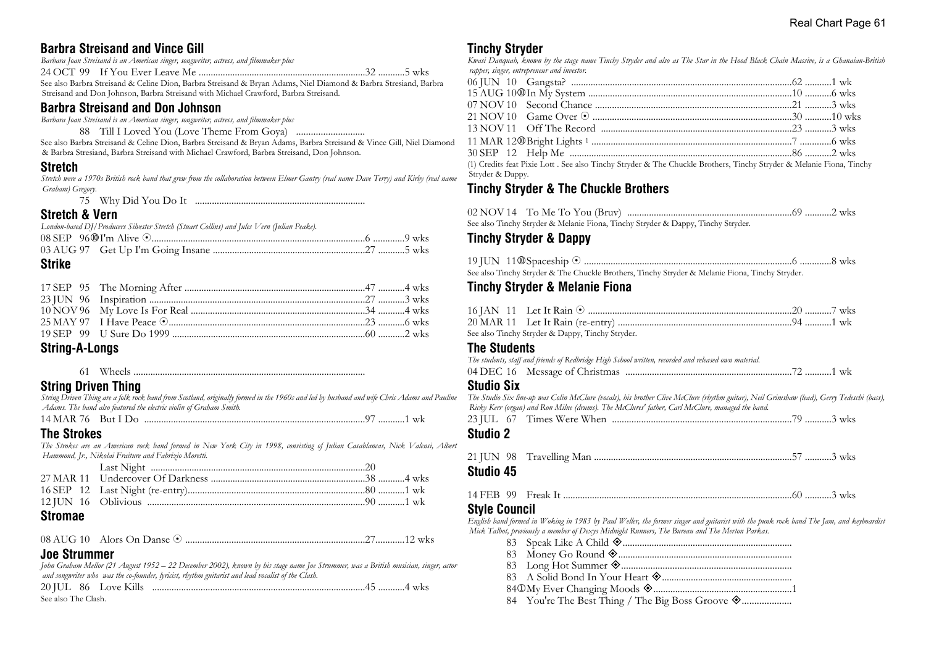# **Barbra Streisand and Vince Gill**

|  | Barbara Joan Streisand is an American singer, songwriter, actress, and filmmaker plus |                                                                                                                  |
|--|---------------------------------------------------------------------------------------|------------------------------------------------------------------------------------------------------------------|
|  |                                                                                       |                                                                                                                  |
|  |                                                                                       | See also Barbra Streisand & Celine Dion, Barbra Streisand & Bryan Adams, Niel Diamond & Barbra Stresiand, Barbra |

Streisand and Don Johnson, Barbra Streisand with Michael Crawford, Barbra Streisand.

#### **Barbra Streisand and Don Johnson**

*Barbara Joan Streisand is an American singer, songwriter, actress, and filmmaker plus*

88 Till I Loved You (Love Theme From Goya) ............................

See also Barbra Streisand & Celine Dion, Barbra Streisand & Bryan Adams, Barbra Streisand & Vince Gill, Niel Diamond & Barbra Stresiand, Barbra Streisand with Michael Crawford, Barbra Streisand, Don Johnson.

#### **Stretch**

*Stretch were a 1970s British rock band that grew from the collaboration between Elmer Gantry (real name Dave Terry) and Kirby (real name Graham) Gregory.*

75 Why Did You Do It ......................................................................

#### **Stretch & Vern**

*London-based DJ/Producers Silvester Stretch (Stuart Collins) and Jules Vern (Julian Peake).*

#### **Strike**

#### **String-A-Longs**

61 Wheels ................................................................................................

#### **String Driven Thing**

*String Driven Thing are a folk rock band from Scotland, originally formed in the 1960s and led by husband and wife Chris Adams and Pauline Adams. The band also featured the electric violin of Graham Smith.*

14 MAR 76 But I Do ...........................................................................................97 ...........1 wk

#### **The Strokes**

*The Strokes are an American rock band formed in New York City in 1998, consisting of Julian Casablancas, Nick Valensi, Albert Hammond, Jr., Nikolai Fraiture and Fabrizio Moretti.*

# **Stromae**

08 AUG 10 Alors On Danse 8 ..........................................................................27............12 wks

# **Joe Strummer**

*John Graham Mellor (21 August 1952 – 22 December 2002), known by his stage name Joe Strummer, was a British musician, singer, actor and songwriter who was the co-founder, lyricist, rhythm guitarist and lead vocalist of the Clash.*

|                     | 20 JUL 86 Love Kills |  |
|---------------------|----------------------|--|
| See also The Clash. |                      |  |

#### **Tinchy Stryder**

*Kwasi Danquah, known by the stage name Tinchy Stryder and also as The Star in the Hood Black Chain Massive, is a Ghanaian-British rapper, singer, entrepreneur and investor.*

| Stryder & Dappy. | (1) Credits feat Pixie Lott . See also Tinchy Stryder & The Chuckle Brothers, Tinchy Stryder & Melanie Fiona, Tinchy |  |
|------------------|----------------------------------------------------------------------------------------------------------------------|--|

# **Tinchy Stryder & The Chuckle Brothers**

|  | See also Tinchy Stryder & Melanie Fiona, Tinchy Stryder & Dappy, Tinchy Stryder. |  |
|--|----------------------------------------------------------------------------------|--|

# **Tinchy Stryder & Dappy**

|  | See also Tinchy Stryder & The Chuckle Brothers, Tinchy Stryder & Melanie Fiona, Tinchy Stryder. |  |  |
|--|-------------------------------------------------------------------------------------------------|--|--|

# **Tinchy Stryder & Melanie Fiona**

|  | See also Tinchy Stryder & Dappy, Tinchy Stryder. |  |  |
|--|--------------------------------------------------|--|--|

#### **The Students**

*The students, staff and friends of Redbridge High School written, recorded and released own material.*

|  | 04 DEC 16 Message of Christmas |  |  |
|--|--------------------------------|--|--|
|--|--------------------------------|--|--|

#### **Studio Six**

*The Studio Six line-up was Colin McClure (vocals), his brother Clive McClure (rhythm guitar), Neil Grimshaw (lead), Gerry Tedeschi (bass), Ricky Kerr (organ) and Ron Milne (drums). The McClures' father, Carl McClure, managed the band.* 23 JUL 67 Times Were When ..........................................................................79 ...........3 wks **Studio 2**

**Studio 45**

#### 14 FEB 99 Freak It ...............................................................................................60 ...........3 wks

#### **Style Council**

*English band formed in Woking in 1983 by Paul Weller, the former singer and guitarist with the punk rock band The Jam, and keyboardist Mick Talbot, previously a member of Dexys Midnight Runners, The Bureau and The Merton Parkas.*

- 83 Speak Like A Child ±......................................................................
- 83 Money Go Round ±........................................................................
- 83 Long Hot Summer ±......................................................................
- 83 A Solid Bond In Your Heart ±......................................................
- 84j My Ever Changing Moods ±.........................................................1
- 84 You're The Best Thing / The Big Boss Groove ±....................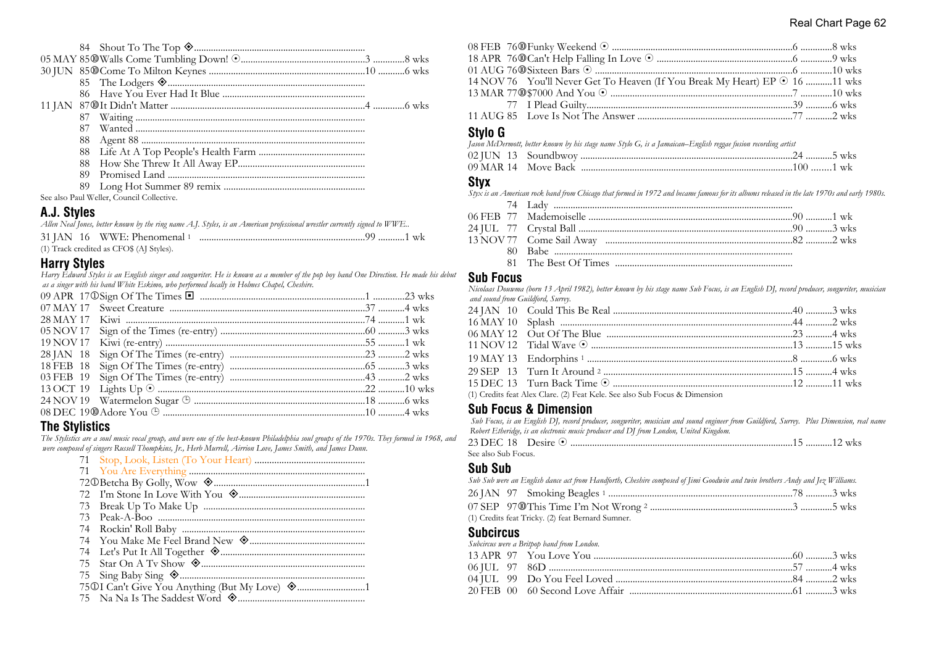| 87. |                                           |  |
|-----|-------------------------------------------|--|
| 88  |                                           |  |
|     |                                           |  |
| 88  |                                           |  |
| 89  |                                           |  |
|     |                                           |  |
|     | See also Paul Weller, Council Collective. |  |

# **A.J. Styles**

*Allen Neal Jones, better known by the ring name A.J. Styles, is an American professional wrestler currently signed to WWE..*

| 31 JAN 16 WWE: Phenomenal 1              |  |
|------------------------------------------|--|
| (1) Track credited as CFO\$ (AJ Styles). |  |

# **Harry Styles**

*Harry Edward Styles is an English singer and songwriter. He is known as a member of the pop boy band One Direction. He made his debut as a singer with his band White Eskimo, who performed locally in Holmes Chapel, Cheshire.*

# **The Stylistics**

*The Stylistics are a soul music vocal group, and were one of the best-known Philadelphia soul groups of the 1970s. They formed in 1968, and were composed of singers Russell Thompkins, Jr., Herb Murrell, Airrion Love, James Smith, and James Dunn.*

| 73  |  |
|-----|--|
| 74  |  |
|     |  |
|     |  |
| 75. |  |
|     |  |
|     |  |
|     |  |
|     |  |

| 14 NOV 76 You'll Never Get To Heaven (If You Break My Heart) EP $\odot$ 16 11 wks |  |
|-----------------------------------------------------------------------------------|--|
|                                                                                   |  |
|                                                                                   |  |
|                                                                                   |  |

#### **Stylo G**

| Jason McDermott, better known by his stage name Stylo G, is a Jamaican–English reggae fusion recording artist |  |
|---------------------------------------------------------------------------------------------------------------|--|
|                                                                                                               |  |
|                                                                                                               |  |

#### **Styx**

*Styx is an American rock band from Chicago that formed in 1972 and became famous for its albums released in the late 1970s and early 1980s.*

#### **Sub Focus**

*Nicolaas Douwma (born 13 April 1982), better known by his stage name Sub Focus, is an English DJ, record producer, songwriter, musician and sound from Guildford, Surrey.*

| 11 NOV 12 Tidal Wave ⊙ ……………………………………………………………………13 ………15 wks              |  |
|----------------------------------------------------------------------------|--|
|                                                                            |  |
|                                                                            |  |
|                                                                            |  |
| (1) Credits feat Alex Clare. (2) Feat Kele. See also Sub Focus & Dimension |  |
|                                                                            |  |

# **Sub Focus & Dimension**

 *Sub Focus, is an English DJ, record producer, songwriter, musician and sound engineer from Guildford, Surrey. Plus Dimension, real name Robert Etheridge, is an electronic music producer and DJ from London, United Kingdom.*

| See also Sub Focus. |  |  |
|---------------------|--|--|

#### **Sub Sub**

| Sub Sub were an English dance act from Handforth, Cheshire composed of Jimi Goodwin and twin brothers Andy and Jez Williams. |  |
|------------------------------------------------------------------------------------------------------------------------------|--|
|                                                                                                                              |  |
|                                                                                                                              |  |
| (1) Credits feat Tricky. (2) feat Bernard Sumner.                                                                            |  |

#### **Subcircus**

*Subcircus were a Britpop band from London.*

|  | <i>Chounthe were a Drappy vana from Donaon.</i> |  |
|--|-------------------------------------------------|--|
|  |                                                 |  |
|  |                                                 |  |
|  |                                                 |  |
|  |                                                 |  |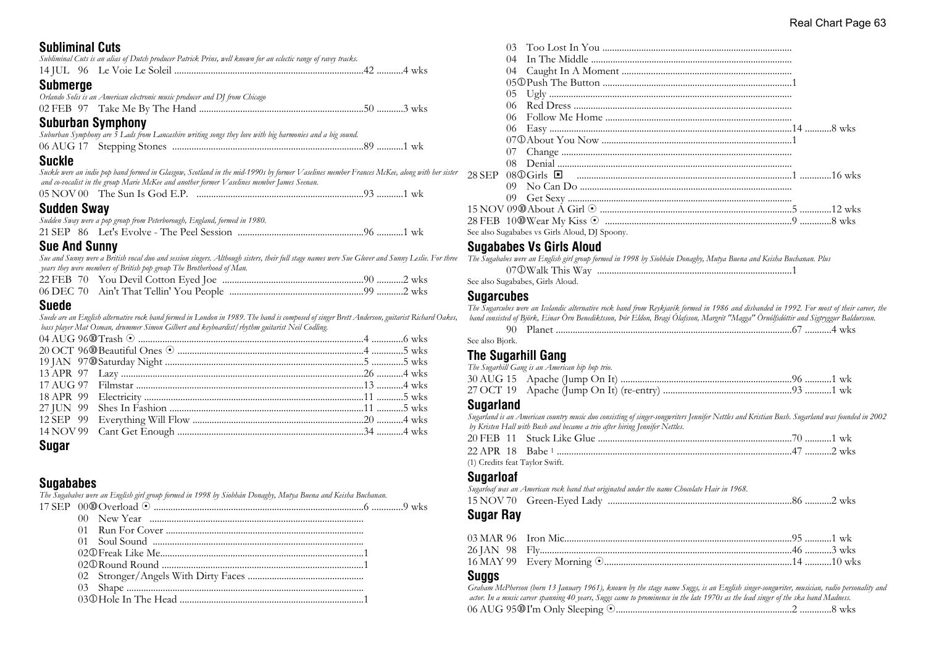# **Subliminal Cuts**

| UUUIIIIIIIIII VULJ                                                                                                                                                                                                                          |  |
|---------------------------------------------------------------------------------------------------------------------------------------------------------------------------------------------------------------------------------------------|--|
| Subliminal Cuts is an alias of Dutch producer Patrick Prins, well known for an eclectic range of ravey tracks.                                                                                                                              |  |
|                                                                                                                                                                                                                                             |  |
| <b>Submerge</b>                                                                                                                                                                                                                             |  |
| Orlando Solis is an American electronic music producer and DJ from Chicago                                                                                                                                                                  |  |
|                                                                                                                                                                                                                                             |  |
| <b>Suburban Symphony</b>                                                                                                                                                                                                                    |  |
| Suburban Symphony are 5 Lads from Lancashire writing songs they love with big harmonies and a big sound.                                                                                                                                    |  |
|                                                                                                                                                                                                                                             |  |
| Suckle                                                                                                                                                                                                                                      |  |
| Suckle were an indie pop band formed in Glasgow, Scotland in the mid-1990s by former Vaselines member Frances McKee, along with her sister<br>and co-vocalist in the group Marie McKee and another former V aselines member James Seenan.   |  |
|                                                                                                                                                                                                                                             |  |
| Sudden Sway                                                                                                                                                                                                                                 |  |
| Sudden Sway were a pop group from Peterborough, England, formed in 1980.                                                                                                                                                                    |  |
|                                                                                                                                                                                                                                             |  |
| <b>Sue And Sunny</b>                                                                                                                                                                                                                        |  |
| Sue and Sunny were a British vocal duo and session singers. Although sisters, their full stage names were Sue Glover and Sunny Leslie. For three<br>years they were members of British pop group The Brotherhood of Man.                    |  |
|                                                                                                                                                                                                                                             |  |
|                                                                                                                                                                                                                                             |  |
| Suede                                                                                                                                                                                                                                       |  |
| Suede are an English alternative rock band formed in London in 1989. The band is composed of singer Brett Anderson, guitarist Richard Oakes,<br>bass player Mat Osman, drummer Simon Gilbert and keyboardist/rhythm guitarist Neil Codling. |  |
|                                                                                                                                                                                                                                             |  |
|                                                                                                                                                                                                                                             |  |

| $\mathbf{0}$ and $\mathbf{0}$ and $\mathbf{0}$ and $\mathbf{0}$ and $\mathbf{0}$ and $\mathbf{0}$ and $\mathbf{0}$ and $\mathbf{0}$ and $\mathbf{0}$ and $\mathbf{0}$ and $\mathbf{0}$ and $\mathbf{0}$ and $\mathbf{0}$ and $\mathbf{0}$ and $\mathbf{0}$ and $\mathbf{0}$ and $\mathbf{0}$ and |  |  |
|--------------------------------------------------------------------------------------------------------------------------------------------------------------------------------------------------------------------------------------------------------------------------------------------------|--|--|

| ×<br>I |  |
|--------|--|
|--------|--|

# **Sugababes**

*The Sugababes were an English girl group formed in 1998 by Siobhán Donaghy, Mutya Buena and Keisha Buchanan.*

| 04 |                                                          |  |
|----|----------------------------------------------------------|--|
|    |                                                          |  |
|    |                                                          |  |
|    |                                                          |  |
|    |                                                          |  |
|    |                                                          |  |
|    |                                                          |  |
|    |                                                          |  |
|    |                                                          |  |
|    |                                                          |  |
|    | 28 SEP 08①Girls ■ ……………………………………………………………………………………16 wks |  |
|    |                                                          |  |
|    |                                                          |  |
|    |                                                          |  |
|    |                                                          |  |
|    | See also Sugababes vs Girls Aloud, DJ Spoony.            |  |
|    |                                                          |  |

#### **Sugababes Vs Girls Aloud**

*The Sugababes were an English girl group formed in 1998 by Siobhán Donaghy, Mutya Buena and Keisha Buchanan. Plus* 07j Walk This Way ................................................................................1 See also Sugababes, Girls Aloud.

# **Sugarcubes**

*The Sugarcubes were an Icelandic alternative rock band from Reykjavík formed in 1986 and disbanded in 1992. For most of their career, the band consisted of Björk, Einar Örn Benediktsson, Þór Eldon, Bragi Ólafsson, Margrét "Magga" Örnólfsdóttir and Sigtryggur Baldursson.*

|  | 96 | WK.<br> |
|--|----|---------|
|  |    |         |

See also Bjork.

# **The Sugarhill Gang**

| The Sugarhill Gang is an American hip hop trio. |  |  |
|-------------------------------------------------|--|--|
|                                                 |  |  |
|                                                 |  |  |
|                                                 |  |  |

#### **Sugarland**

*Sugarland is an American country music duo consisting of singer-songwriters Jennifer Nettles and Kristian Bush. Sugarland was founded in 2002 by Kristen Hall with Bush and became a trio after hiring Jennifer Nettles.*

|  | (1) Credits feat Taylor Swift. |  |  |
|--|--------------------------------|--|--|

#### **Sugarloaf**

| Sugarloaf was an American rock band that originated under the name Chocolate Hair in 1968. |
|--------------------------------------------------------------------------------------------|
|                                                                                            |

#### **Sugar Ray**

#### **Suggs**

*Graham McPherson (born 13 January 1961), known by the stage name Suggs, is an English singer-songwriter, musician, radio personality and actor. In a music career spanning 40 years, Suggs came to prominence in the late 1970s as the lead singer of the ska band Madness.* 06 AUG 95s I'm Only Sleeping 8.........................................................................2 .............8 wks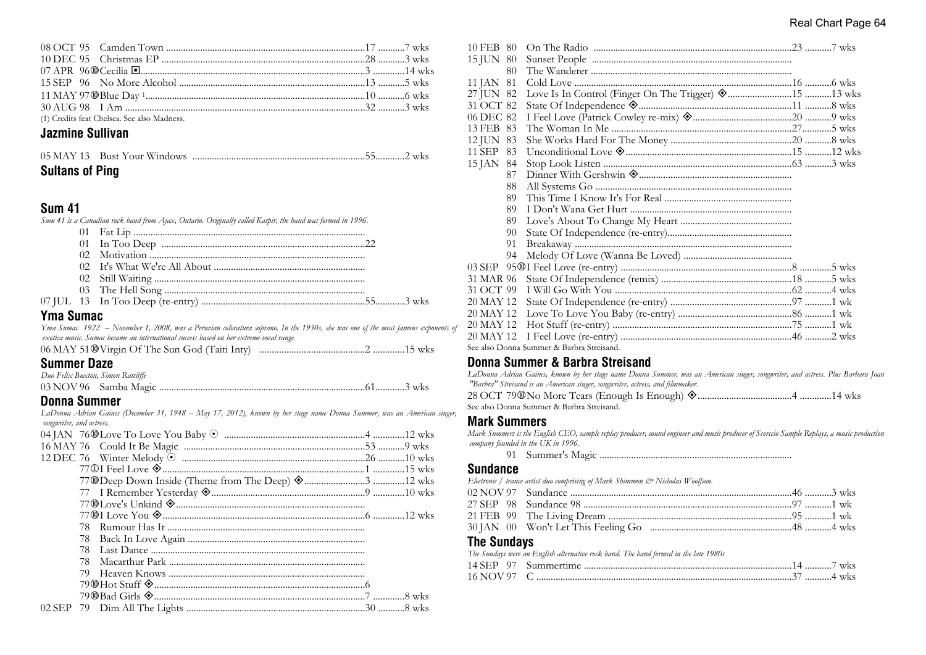| (1) Credits feat Chelsea. See also Madness. |  |
|---------------------------------------------|--|

# **Jazmine Sullivan**

| <b>Sultans of Ping</b> |  |  |
|------------------------|--|--|

#### **Sum 41**

*Sum 41 is a Canadian rock band from Ajax, Ontario. Originally called Kaspir, the band was formed in 1996.*

# **Yma Sumac**

*Yma Sumac 1922 – November 1, 2008, was a Peruvian coloratura soprano. In the 1950s, she was one of the most famous exponents of exotica music. Sumac became an international success based on her extreme vocal range.*

| 06 MAY 51 <sup>O</sup> Virgin Of The Sun God (Taiti Inty) |  |
|-----------------------------------------------------------|--|
|-----------------------------------------------------------|--|

#### **Summer Daze**

| Duo Felix Buxton, Simon Ratcliffe |  |
|-----------------------------------|--|
|                                   |  |

# **Donna Summer**

*LaDonna Adrian Gaines (December 31, 1948 – May 17, 2012), known by her stage name Donna Summer, was an American singer, songwriter, and actress.*

| 78. |  |  |
|-----|--|--|
|     |  |  |
| 78  |  |  |
| 78  |  |  |
| 79  |  |  |
|     |  |  |
|     |  |  |
|     |  |  |

| 10 FEB 80    |                                           |  |
|--------------|-------------------------------------------|--|
| 15 JUN 80    |                                           |  |
| 80           |                                           |  |
| 81<br>11 JAN |                                           |  |
| 27 JUN 82    |                                           |  |
| 31 OCT 82    |                                           |  |
| 06 DEC 82    |                                           |  |
| 13 FEB 83    |                                           |  |
| 12 JUN 83    |                                           |  |
| 11 SEP<br>83 |                                           |  |
| 15 JAN<br>84 |                                           |  |
| 87           |                                           |  |
| 88           |                                           |  |
| 89           |                                           |  |
| 89           |                                           |  |
| 89           |                                           |  |
| 90           |                                           |  |
| 91           |                                           |  |
| 94           |                                           |  |
|              |                                           |  |
| 31 MAR 96    |                                           |  |
| 31 OCT 99    |                                           |  |
| 20 MAY 12    |                                           |  |
| 20 MAY 12    |                                           |  |
| 20 MAY 12    |                                           |  |
| 20 MAY 12    |                                           |  |
|              | See also Donna Summer & Barbra Streisand. |  |
|              |                                           |  |

#### **Donna Summer & Barbra Streisand**

*LaDonna Adrian Gaines, known by her stage name Donna Summer, was an American singer, songwriter, and actress. Plus Barbara Joan "Barbra" Streisand is an American singer, songwriter, actress, and filmmaker.*

| See also Donna Summer & Barbra Streisand. |  |
|-------------------------------------------|--|

#### **Mark Summers**

*Mark Summers is the English CEO, sample replay producer, sound engineer and music producer of Scorccio Sample Replays, a music production company founded in the UK in 1996.*

91 Summer's Magic ...............................................................................

#### **Sundance**

*Electronic / trance artist duo comprising of Mark Shimmon & Nicholas Woolfson.*

# **The Sundays**

*The Sundays were an English alternative rock band. The band formed in the late 1980s*

| 14 SEP -<br>97 |             | <b>WKS</b> |
|----------------|-------------|------------|
| 16 NOV 97      | ′ …………4 wks |            |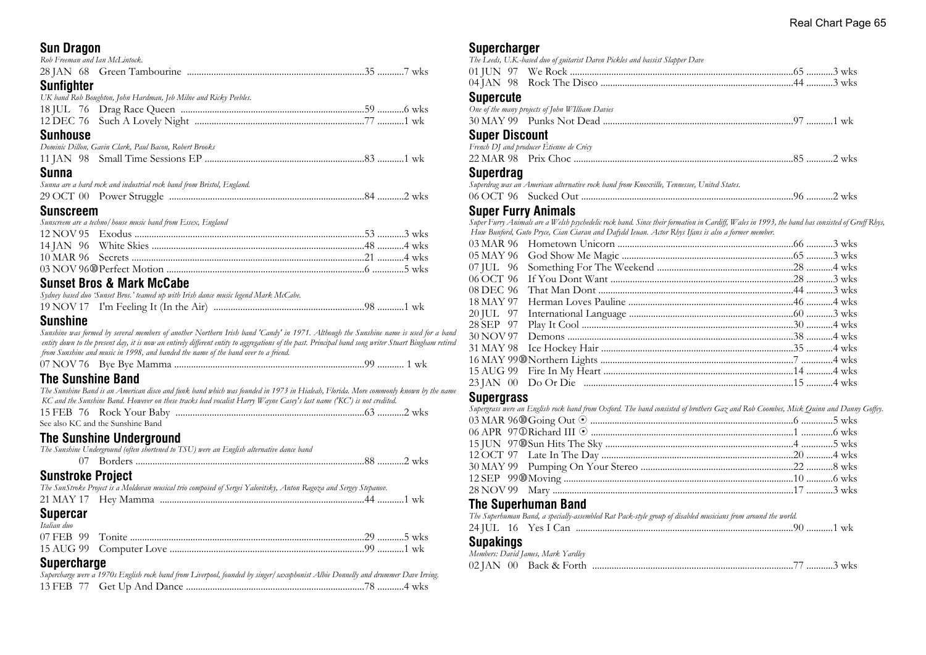# **Sun Dragon**

| <b>UUII DIUYUII</b>            |                                                                       |  |
|--------------------------------|-----------------------------------------------------------------------|--|
| Rob Freeman and Ian McLintock. |                                                                       |  |
|                                |                                                                       |  |
| <b>Sunfighter</b>              |                                                                       |  |
|                                | UK band Rob Boughton, John Hardman, Jeb Milne and Ricky Peebles.      |  |
|                                |                                                                       |  |
|                                |                                                                       |  |
| <b>Sunhouse</b>                |                                                                       |  |
|                                | Dominic Dillon, Gavin Clark, Paul Bacon, Robert Brooks                |  |
|                                |                                                                       |  |
| Sunna                          |                                                                       |  |
|                                | Sunna are a hard rock and industrial rock band from Bristol, England. |  |
|                                |                                                                       |  |
| <b>Sunscreem</b>               |                                                                       |  |
|                                | Sunscreem are a techno/house music band from Essex, England           |  |
|                                |                                                                       |  |
|                                |                                                                       |  |
|                                |                                                                       |  |
|                                |                                                                       |  |
|                                | <b>Sunset Bros &amp; Mark McCabe</b>                                  |  |

#### **Sunset Bros & Mark McCabe** *Sydney based duo 'Sunset Bros.' teamed up with Irish dance music legend Mark McCabe.*

| o jimo j viššių imo simiste Dros. viamiai np news 11esis iauno meišio iegona 111aris, 1110 apr. |  |
|-------------------------------------------------------------------------------------------------|--|
|                                                                                                 |  |

# **Sunshine**

*Sunshine was formed by several members of another Northern Irish band 'Candy' in 1971. Although the Sunshine name is used for a band entity down to the present day, it is now an entirely different entity to aggregations of the past. Principal band song writer Stuart Bingham retired from Sunshine and music in 1998, and handed the name of the band over to a friend.*

|--|--|--|--|

# **The Sunshine Band**

| The Sunshine Band is an American disco and funk band which was founded in 1973 in Hialeah, Florida. More commonly known by the name |  |
|-------------------------------------------------------------------------------------------------------------------------------------|--|
| KC and the Sunshine Band. However on these tracks lead vocalist Harry Wayne Casey's last name ('KC') is not credited.               |  |
|                                                                                                                                     |  |
| See also KC and the Sunshine Band                                                                                                   |  |

# **The Sunshine Underground**

|                          | The Sunshine Underground (often shortened to TSU) were an English alternative dance band                          |  |
|--------------------------|-------------------------------------------------------------------------------------------------------------------|--|
|                          |                                                                                                                   |  |
| <b>Sunstroke Project</b> |                                                                                                                   |  |
|                          | The SunStroke Project is a Moldovan musical trio composed of Sergei Yalovitsky, Anton Ragoza and Sergey Stepanov. |  |
|                          |                                                                                                                   |  |
| <b>Supercar</b>          |                                                                                                                   |  |
| Italian duo              |                                                                                                                   |  |
|                          |                                                                                                                   |  |
|                          |                                                                                                                   |  |
|                          |                                                                                                                   |  |

#### **Supercharge**

| Supercharge were a 1970s English rock band from Liverpool, founded by singer/saxophonist Albie Donnelly and drummer Dave Irving. |  |
|----------------------------------------------------------------------------------------------------------------------------------|--|
|                                                                                                                                  |  |

#### **Supercharger**

|                       | The Leeds, U.K.-based duo of guitarist Daren Pickles and bassist Slapper Dave             |  |
|-----------------------|-------------------------------------------------------------------------------------------|--|
|                       |                                                                                           |  |
|                       |                                                                                           |  |
| <b>Supercute</b>      |                                                                                           |  |
|                       | One of the many projects of John WIlliam Davies                                           |  |
|                       |                                                                                           |  |
| <b>Super Discount</b> |                                                                                           |  |
|                       | French DJ and producer Etienne de Crécy                                                   |  |
|                       |                                                                                           |  |
| <b>Superdrag</b>      |                                                                                           |  |
|                       | Superdrag was an American alternative rock band from Knoxville, Tennessee, United States. |  |

# 06 OCT 96 Sucked Out ........................................................................................96 ...........2 wks

# **Super Furry Animals**

*Super Furry Animals are a Welsh psychedelic rock band. Since their formation in Cardiff, Wales in 1993, the band has consisted of Gruff Rhys, Huw Bunford, Guto Pryce, Cian Ciaran and Dafydd Ieuan. Actor Rhys Ifans is also a former member.*

#### **Supergrass**

| Supergrass were an English rock band from Oxford. The band consisted of brothers Gaz and Rob Coombes, Mick Quinn and Danny Goffey. |  |
|------------------------------------------------------------------------------------------------------------------------------------|--|
|                                                                                                                                    |  |
|                                                                                                                                    |  |
|                                                                                                                                    |  |
|                                                                                                                                    |  |
|                                                                                                                                    |  |
|                                                                                                                                    |  |
|                                                                                                                                    |  |
|                                                                                                                                    |  |

# **The Superhuman Band**

|  | The Superhuman Band, a specially-assembled Rat Pack-style group of disabled musicians from around the world. |
|--|--------------------------------------------------------------------------------------------------------------|
|  |                                                                                                              |

| 24 IUL |  | Yes I Can |  |  |  |
|--------|--|-----------|--|--|--|
|--------|--|-----------|--|--|--|

# **Supakings**

| oupanilys |                                    |           |
|-----------|------------------------------------|-----------|
|           | Members: David James, Mark Yardley |           |
|           |                                    | .77 3 wks |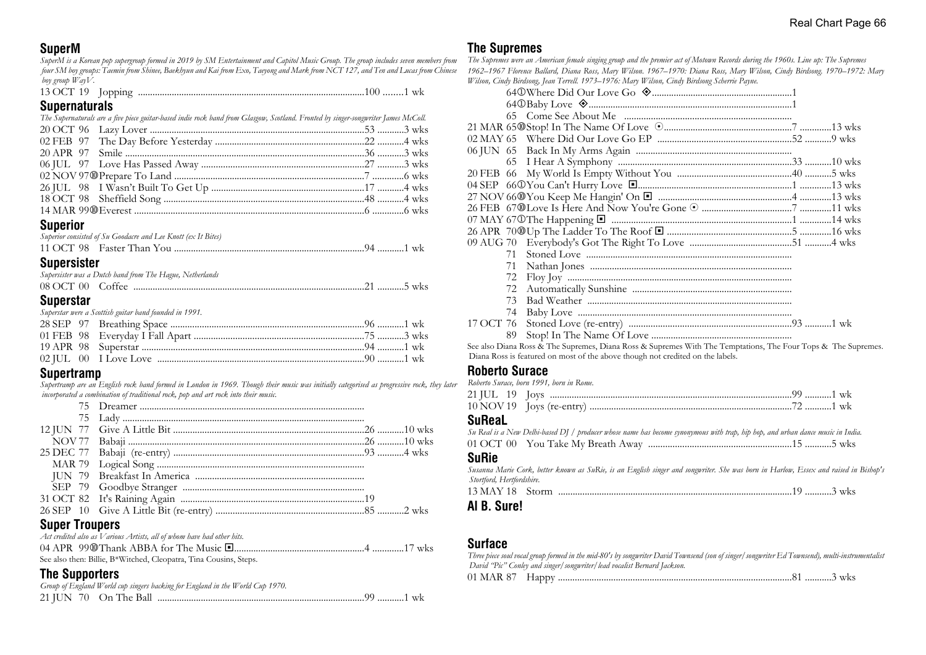# **SuperM**

*SuperM is a Korean pop supergroup formed in 2019 by SM Entertainment and Capitol Music Group. The group includes seven members from four SM boy groups: Taemin from Shinee, Baekhyun and Kai from Exo, Taeyong and Mark from NCT 127, and Ten and Lucas from Chinese boy group WayV.*

| 1200T |  |  |  | WК |
|-------|--|--|--|----|
|-------|--|--|--|----|

#### **Supernaturals**

| The Supernaturals are a five piece guitar-based indie rock band from Glasgow, Scotland. Fronted by singer-songwriter James McColl. |  |  |  |  |
|------------------------------------------------------------------------------------------------------------------------------------|--|--|--|--|
|                                                                                                                                    |  |  |  |  |
|                                                                                                                                    |  |  |  |  |
|                                                                                                                                    |  |  |  |  |
|                                                                                                                                    |  |  |  |  |
|                                                                                                                                    |  |  |  |  |
|                                                                                                                                    |  |  |  |  |
|                                                                                                                                    |  |  |  |  |
|                                                                                                                                    |  |  |  |  |
|                                                                                                                                    |  |  |  |  |

#### **Superior**

|                    | Superior consisted of Su Goodacre and Lee Knott (ex It Bites) |  |
|--------------------|---------------------------------------------------------------|--|
|                    |                                                               |  |
| <b>Supersister</b> |                                                               |  |
|                    | Supersister was a Dutch band from The Hague, Netherlands      |  |
|                    |                                                               |  |
| <b>Superstar</b>   |                                                               |  |
|                    | Superstar were a Scottish guitar band founded in 1991.        |  |
|                    |                                                               |  |
|                    |                                                               |  |

19 APR 98 Superstar ............................................................................................94 ...........1 wk 02 JUL 00 I Love Love ......................................................................................90 ...........1 wk

#### **Supertramp**

*Supertramp are an English rock band formed in London in 1969. Though their music was initially categorised as progressive rock, they later incorporated a combination of traditional rock, pop and art rock into their music.*

# **Super Troupers**

| Act credited also as Various Artists, all of whom have had other hits. |  |
|------------------------------------------------------------------------|--|
|                                                                        |  |
| See also then: Billie, B*Witched, Cleopatra, Tina Cousins, Steps.      |  |

# **The Supporters**

| Group of England World cup singers backing for England in the World Cup 1970. |  |
|-------------------------------------------------------------------------------|--|
|                                                                               |  |

# **The Supremes**

*The Supremes were an American female singing group and the premier act of Motown Records during the 1960s. Line up: The Supremes 1962–1967 Florence Ballard, Diana Ross, Mary Wilson. 1967–1970: Diana Ross, Mary Wilson, Cindy Birdsong. 1970–1972: Mary Wilson, Cindy Birdsong, Jean Terrell. 1973–1976: Mary Wilson, Cindy Birdsong Scherrie Payne.*

|           | 71 |                                                                |  |
|-----------|----|----------------------------------------------------------------|--|
|           | 72 |                                                                |  |
|           | 72 |                                                                |  |
|           | 73 |                                                                |  |
|           | 74 |                                                                |  |
| 17 OCT 76 |    |                                                                |  |
|           | 89 |                                                                |  |
|           |    | 그 사람들은 그 사람들은 그 사람들을 하고 있다. 그 사람들은 그 사람들은 그 사람들은 그 사람들을 하고 있다. |  |

See also Diana Ross & The Supremes, Diana Ross & Supremes With The Temptations, The Four Tops & The Supremes. Diana Ross is featured on most of the above though not credited on the labels.

# **Roberto Surace**

*Roberto Surace, born 1991, born in Rome.*

#### **SuReaL**

| Su Real is a New Delhi-based DJ / producer whose name has become synonymous with trap, hip hop, and urban dance music in India. |  |  |
|---------------------------------------------------------------------------------------------------------------------------------|--|--|
|                                                                                                                                 |  |  |

#### **SuRie**

*Susanna Marie Cork, better known as SuRie, is an English singer and songwriter. She was born in Harlow, Essex and raised in Bishop's Stortford, Hertfordshire.*

13 MAY 18 Storm .................................................................................................19 ...........3 wks

#### **Al B. Sure!**

#### **Surface**

| Three piece soul vocal group formed in the mid-80's by songwriter David Townsend (son of singer/songwriter Ed Townsend), multi-instrumentalist |  |
|------------------------------------------------------------------------------------------------------------------------------------------------|--|
| David "Pic" Conley and singer/songwriter/ lead vocalist Bernard Jackson.                                                                       |  |
|                                                                                                                                                |  |
|                                                                                                                                                |  |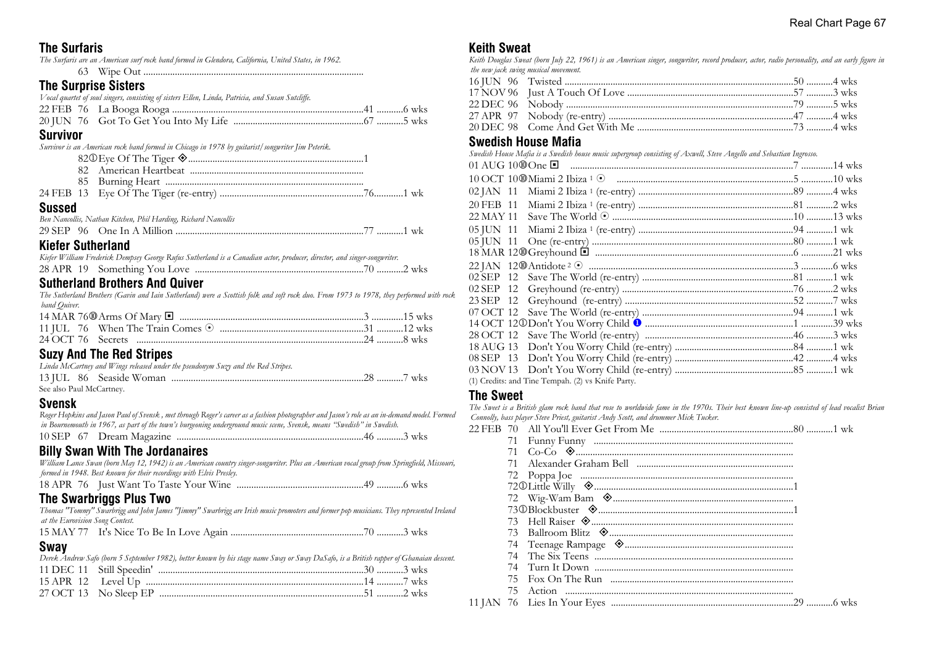| <b>The Surfaris</b> |  |  |
|---------------------|--|--|
|                     |  |  |

|                      | The Surfaris are an American surf rock band formed in Glendora, California, United States, in 1962. |
|----------------------|-----------------------------------------------------------------------------------------------------|
|                      |                                                                                                     |
| The Curnries Cietare |                                                                                                     |

## **The Surprise Sisters**

| Survivor |                                                                                                   |  |
|----------|---------------------------------------------------------------------------------------------------|--|
|          |                                                                                                   |  |
|          |                                                                                                   |  |
|          | Vocal quartet of soul singers, consisting of sisters Ellen, Linda, Patricia, and Susan Sutcliffe. |  |

|               | Survivor is an American rock band formed in Chicago in 1978 by guitarist/songwriter Jim Peterik. |  |
|---------------|--------------------------------------------------------------------------------------------------|--|
|               |                                                                                                  |  |
|               |                                                                                                  |  |
|               |                                                                                                  |  |
|               |                                                                                                  |  |
| <b>Sussed</b> |                                                                                                  |  |
|               | Ben Nancollis, Nathan Kitchen, Phil Harding, Richard Nancollis                                   |  |
|               |                                                                                                  |  |

# 29 SEP 96 One In A Million ..............................................................................77 ...........1 wk **Kiefer Sutherland**

| Kiefer William Frederick Dempsey George Rufus Sutherland is a Canadian actor, producer, director, and singer-songwriter. |  |  |
|--------------------------------------------------------------------------------------------------------------------------|--|--|
|                                                                                                                          |  |  |

# **Sutherland Brothers And Quiver**

*The Sutherland Brothers (Gavin and Iain Sutherland) were a Scottish folk and soft rock duo. From 1973 to 1978, they performed with rock band Quiver.*

| $0 \ldots 0$ and $\overline{\tau}$ is a $0 \ldots 0$ and $\overline{\tau}$ |  |
|----------------------------------------------------------------------------|--|

# **Suzy And The Red Stripes**

| Linda McCartney and Wings released under the pseudonym Suzy and the Red Stripes. |  |
|----------------------------------------------------------------------------------|--|
|                                                                                  |  |
| See also Paul McCartney.                                                         |  |

# **Svensk**

*Roger Hopkins and Jason Paul of Svensk , met through Roger's career as a fashion photographer and Jason's role as an in-demand model. Formed in Bournemouth in 1967, as part of the town's burgeoning underground music scene, Svensk, means "Swedish" in Swedish.* 10 SEP 67 Dream Magazine .............................................................................46 ...........3 wks

# **Billy Swan With The Jordanaires**

*William Lance Swan (born May 12, 1942) is an American country singer-songwriter. Plus an American vocal group from Springfield, Missouri, formed in 1948. Best known for their recordings with Elvis Presley.*

18 APR 76 Just Want To Taste Your Wine ....................................................49 ...........6 wks

# **The Swarbriggs Plus Two**

*Thomas "Tommy" Swarbrigg and John James "Jimmy" Swarbrigg are Irish music promoters and former pop musicians. They represented Ireland at the Eurovision Song Contest.*

15 MAY 77 It's Nice To Be In Love Again .......................................................70 ...........3 wks

#### **Sway**

|  | Derek Andrew Safo (born 5 September 1982), better known by his stage name Sway or Sway DaSafo, is a British rapper of Ghanaian descent. |  |
|--|-----------------------------------------------------------------------------------------------------------------------------------------|--|
|  |                                                                                                                                         |  |
|  |                                                                                                                                         |  |
|  |                                                                                                                                         |  |

# **Keith Sweat**

*Keith Douglas Sweat (born July 22, 1961) is an American singer, songwriter, record producer, actor, radio personality, and an early figure in the new jack swing musical movement.*

# **Swedish House Mafia**

|           | Swedish House Mafia is a Swedish house music supergroup consisting of Axwell, Steve Angello and Sebastian Ingrosso. |  |
|-----------|---------------------------------------------------------------------------------------------------------------------|--|
|           |                                                                                                                     |  |
|           |                                                                                                                     |  |
|           |                                                                                                                     |  |
| 20 FEB 11 |                                                                                                                     |  |
| 22 MAY 11 |                                                                                                                     |  |
|           |                                                                                                                     |  |
| 05 JUN 11 |                                                                                                                     |  |
|           |                                                                                                                     |  |
|           |                                                                                                                     |  |
|           |                                                                                                                     |  |
|           |                                                                                                                     |  |
|           |                                                                                                                     |  |
|           |                                                                                                                     |  |
|           |                                                                                                                     |  |
|           |                                                                                                                     |  |
|           |                                                                                                                     |  |
|           |                                                                                                                     |  |
|           |                                                                                                                     |  |
|           | (1) Credits: and Tine Tempah. (2) vs Knife Party.                                                                   |  |

#### **The Sweet**

*The Sweet is a British glam rock band that rose to worldwide fame in the 1970s. Their best known line-up consisted of lead vocalist Brian Connolly, bass player Steve Priest, guitarist Andy Scott, and drummer Mick Tucker.*

| 71 |  |
|----|--|
| 71 |  |
| 71 |  |
|    |  |
|    |  |
|    |  |
|    |  |
|    |  |
|    |  |
|    |  |
|    |  |
| 74 |  |
| 75 |  |
| 75 |  |
|    |  |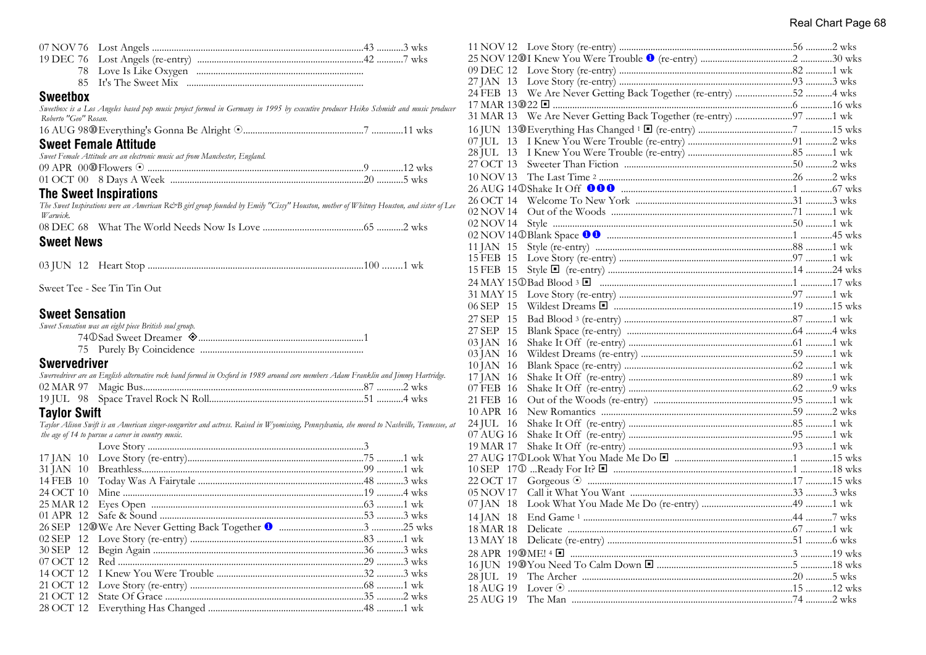| 07 NOV 76              |                                                                                                                                       |
|------------------------|---------------------------------------------------------------------------------------------------------------------------------------|
| 19 DEC 76              |                                                                                                                                       |
| 78                     |                                                                                                                                       |
| 85                     |                                                                                                                                       |
| <b>Sweetbox</b>        |                                                                                                                                       |
| Roberto "Geo" Rosan.   | Sweetbox is a Los Angeles based pop music project formed in Germany in 1995 by executive producer Heiko Schmidt and music producer    |
|                        |                                                                                                                                       |
|                        | <b>Sweet Female Attitude</b>                                                                                                          |
|                        | Sweet Female Attitude are an electronic music act from Manchester, England.                                                           |
|                        |                                                                                                                                       |
|                        |                                                                                                                                       |
|                        | <b>The Sweet Inspirations</b>                                                                                                         |
| Warwick.               | The Sweet Inspirations were an American R&B girl group founded by Emily "Cissy" Houston, mother of Whitney Houston, and sister of Lee |
|                        |                                                                                                                                       |
| <b>Sweet News</b>      |                                                                                                                                       |
|                        |                                                                                                                                       |
|                        | Sweet Tee - See Tin Tin Out                                                                                                           |
| <b>Sweet Sensation</b> |                                                                                                                                       |
|                        | Sweet Sensation was an eight piece British soul group.                                                                                |
|                        |                                                                                                                                       |
|                        |                                                                                                                                       |
| <b>Swervedriver</b>    |                                                                                                                                       |
|                        | Swervedriver are an English alternative rock band formed in Oxford in 1989 around core members Adam Franklin and Jimmy Hartridge.     |
| 02 MAR 97              |                                                                                                                                       |
|                        |                                                                                                                                       |
| <b>Taylor Swift</b>    |                                                                                                                                       |

*Taylor Alison Swift is an American singer-songwriter and actress. Raised in Wyomissing, Pennsylvania, she moved to Nashville, Tennessee, at the age of 14 to pursue a career in country music.*

| 27 JAN 13     |  |  |
|---------------|--|--|
| 24 FEB 13     |  |  |
|               |  |  |
|               |  |  |
|               |  |  |
| $07$ JUL $13$ |  |  |
| 28 JUL 13     |  |  |
| 27 OCT 13     |  |  |
| 10 NOV 13     |  |  |
|               |  |  |
| 26 OCT 14     |  |  |
| 02 NOV 14     |  |  |
| 02 NOV 14     |  |  |
|               |  |  |
| 11 JAN 15     |  |  |
| 15 FEB 15     |  |  |
| 15 FEB 15     |  |  |
|               |  |  |
| 31 MAY 15     |  |  |
| 06 SEP 15     |  |  |
| 15<br>27 SEP  |  |  |
| 27 SEP<br>15  |  |  |
| 03 JAN 16     |  |  |
| 03 JAN 16     |  |  |
| 10 JAN 16     |  |  |
| 17 JAN 16     |  |  |
| 07 FEB 16     |  |  |
| 21 FEB 16     |  |  |
| 10 APR 16     |  |  |
| 24 JUL 16     |  |  |
| 07 AUG 16     |  |  |
| 19 MAR 17     |  |  |
|               |  |  |
|               |  |  |
| 22 OCT 17     |  |  |
| 05 NOV 17     |  |  |
| 07 JAN 18     |  |  |
| 14 JAN 18     |  |  |
| 18 MAR 18     |  |  |
| 13 MAY 18     |  |  |
|               |  |  |
|               |  |  |
| 28 JUL 19     |  |  |
| 18 AUG 19     |  |  |
| 25 AUG 19     |  |  |
|               |  |  |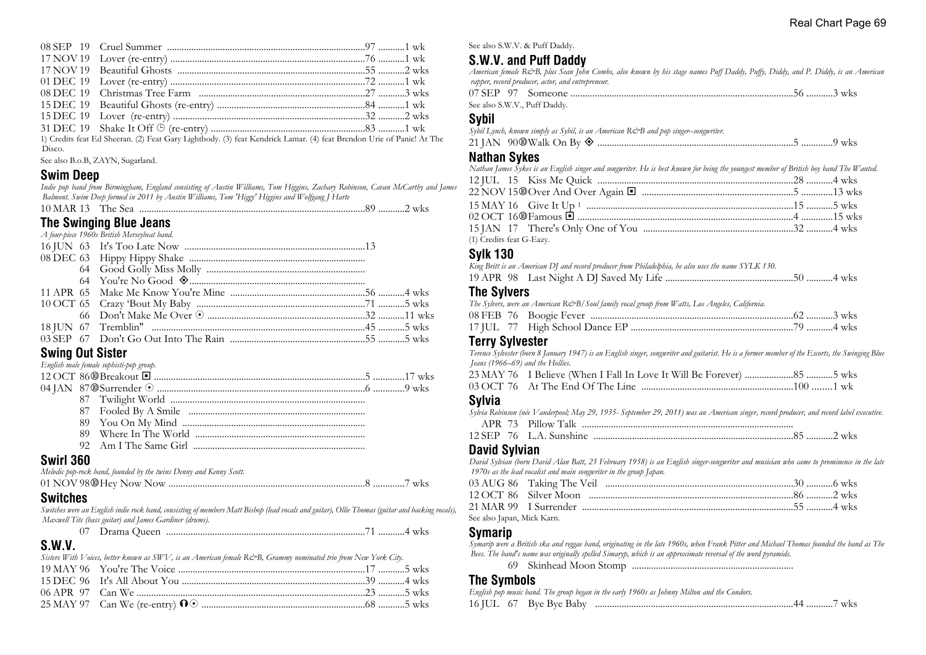1) Credits feat Ed Sheeran. (2) Feat Gary Lightbody. (3) feat Kendrick Lamar. (4) feat Brendon Urie of Panic! At The Disco.

See also B.o.B, ZAYN, Sugarland.

#### **Swim Deep**

*Indie pop band from Birmingham, England consisting of Austin Williams, Tom Higgins, Zachary Robinson, Cavan McCarthy and James Balmont. Swim Deep formed in 2011 by Austin Williams, Tom 'Higgy' Higgins and Wolfgang J Harte*

# **The Swinging Blue Jeans**

| A four-piece 1960s British Merseybeat band. |  |
|---------------------------------------------|--|
|                                             |  |
|                                             |  |
|                                             |  |
|                                             |  |
|                                             |  |
|                                             |  |
|                                             |  |
|                                             |  |
|                                             |  |
|                                             |  |

#### **Swing Out Sister**

|           | English male female sophisti-pop group. |  |
|-----------|-----------------------------------------|--|
|           |                                         |  |
|           |                                         |  |
|           |                                         |  |
|           |                                         |  |
|           |                                         |  |
|           |                                         |  |
|           |                                         |  |
| Swirl 360 |                                         |  |

#### **Swirl 360**

| Melodic pop-rock band, founded by the twins Denny and Kenny Scott. |  |
|--------------------------------------------------------------------|--|
|                                                                    |  |

# **Switches**

*Switches were an English indie rock band, consisting of members Matt Bishop (lead vocals and guitar), Ollie Thomas (guitar and backing vocals), Maxwell Tite (bass guitar) and James Gardiner (drums).* 07 Drama Queen ..................................................................................71 ...........4 wks

|  | Drama Queen |  |  |
|--|-------------|--|--|
|--|-------------|--|--|

# **S.W.V.**

| Sisters With Voices, better known as SWV, is an American female R&B, Grammy nominated trio from New York City. |  |
|----------------------------------------------------------------------------------------------------------------|--|
|                                                                                                                |  |
|                                                                                                                |  |
|                                                                                                                |  |
|                                                                                                                |  |

See also S.W.V. & Puff Daddy.

# **S.W.V. and Puff Daddy**

*American female R&B, plus Sean John Combs, also known by his stage names Puff Daddy, Puffy, Diddy, and P. Diddy, is an American rapper, record producer, actor, and entrepreneur.*

|  | See also S.W.V., Puff Daddy. |  |  |
|--|------------------------------|--|--|

#### **Sybil**

|  | Sybil Lynch, known simply as Sybil, is an American R&B and pop singer–songwriter. |  |  |  |
|--|-----------------------------------------------------------------------------------|--|--|--|
|  | 21 JAN 90 $\mathcal{D}$ Walk On By $\mathcal{D}$                                  |  |  |  |

#### **Nathan Sykes**

| Nathan James Sykes is an English singer and songwriter. He is best known for being the youngest member of British boy band The Wanted. |  |
|----------------------------------------------------------------------------------------------------------------------------------------|--|
|                                                                                                                                        |  |
|                                                                                                                                        |  |
|                                                                                                                                        |  |
|                                                                                                                                        |  |
|                                                                                                                                        |  |
| (1) Credits feat G-Eazy.                                                                                                               |  |

# **Sylk 130**

| King Britt is an American DJ and record producer from Philadelphia, he also uses the name SYLK 130. |  |
|-----------------------------------------------------------------------------------------------------|--|
|                                                                                                     |  |

#### **The Sylvers**

|  | The Sylvers, were an American R&B/Soul family vocal group from Watts, Los Angeles, California. |  |  |
|--|------------------------------------------------------------------------------------------------|--|--|
|  |                                                                                                |  |  |
|  |                                                                                                |  |  |

#### **Terry Sylvester**

*Terence Sylvester (born 8 January 1947) is an English singer, songwriter and guitarist. He is a former member of the Escorts, the Swinging Blue Jeans (1966–69) and the Hollies.*

| 23 MAY 76 I Believe (When I Fall In Love It Will Be Forever) 5 wks |  |
|--------------------------------------------------------------------|--|
|                                                                    |  |

#### **Sylvia**

|                      | Sylvia Robinson (née Vanderpool; May 29, 1935- September 29, 2011) was an American singer, record producer, and record label executive. |  |
|----------------------|-----------------------------------------------------------------------------------------------------------------------------------------|--|
|                      |                                                                                                                                         |  |
|                      |                                                                                                                                         |  |
| <b>David Sylvian</b> | David Sylvian (born David Alan Batt, 23 February 1958) is an English singer-songwriter and musician who came to prominence in the late  |  |

*1970s as the lead vocalist and main songwriter in the group Japan.*

| See also Japan, Mick Karn. |  |  |  |
|----------------------------|--|--|--|

#### **Symarip**

*Symarip were a British ska and reggae band, originating in the late 1960s, when Frank Pitter and Michael Thomas founded the band as The Bees. The band's name was originally spelled Simaryp, which is an approximate reversal of the word pyramids.*

69 Skinhead Moon Stomp ...................................................................

#### **The Symbols**

| English pop music band. The group began in the early 1960s as Johnny Milton and the Condors. |
|----------------------------------------------------------------------------------------------|
|                                                                                              |